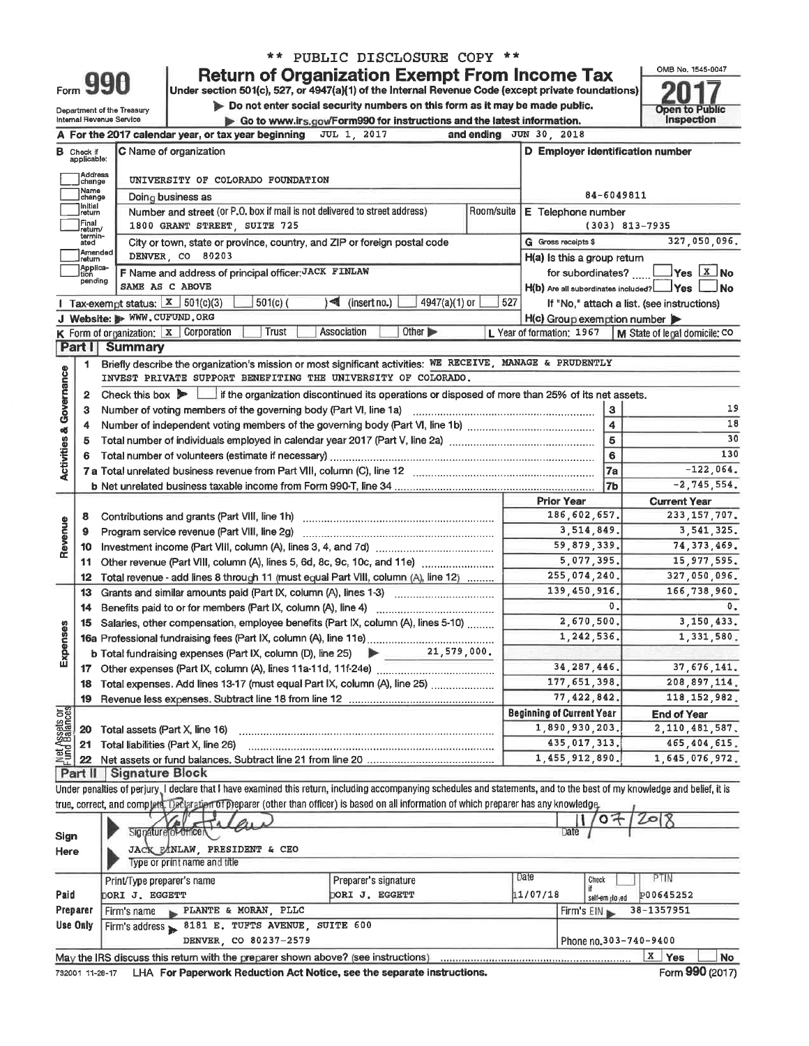|                         |                                  |                                      |                                                                            | ** PUBLIC DISCLOSURE COPY **                                                                                                                                               |                               |                                  |                               |                          |                                                                           |  |  |  |
|-------------------------|----------------------------------|--------------------------------------|----------------------------------------------------------------------------|----------------------------------------------------------------------------------------------------------------------------------------------------------------------------|-------------------------------|----------------------------------|-------------------------------|--------------------------|---------------------------------------------------------------------------|--|--|--|
|                         |                                  |                                      |                                                                            | <b>Return of Organization Exempt From Income Tax</b>                                                                                                                       |                               |                                  |                               |                          | OMB No. 1545-0047                                                         |  |  |  |
|                         |                                  | Form 990                             |                                                                            | Under section 501(c), 527, or 4947(a){1) of the Internal Revenue Code (except private foundations)                                                                         |                               |                                  |                               |                          |                                                                           |  |  |  |
|                         |                                  | Department of the Treasury           |                                                                            | Do not enter social security numbers on this form as it may be made public.                                                                                                |                               |                                  |                               |                          | <b>Open to Public</b>                                                     |  |  |  |
|                         |                                  | Internal Revenue Service             |                                                                            | Go to www.irs.gov/Form990 for instructions and the latest information.                                                                                                     |                               |                                  |                               |                          | Inspection                                                                |  |  |  |
|                         |                                  |                                      | A For the 2017 calendar year, or tax year beginning                        | <b>JUL 1 2017</b>                                                                                                                                                          | and ending                    | JUN 30 2018                      |                               |                          |                                                                           |  |  |  |
|                         | <b>B</b> Check if<br>applicable: |                                      | C Name of organization                                                     |                                                                                                                                                                            |                               |                                  |                               |                          | D Employer identification number                                          |  |  |  |
|                         | Address<br>∫change               | UNIVERSITY OF COLORADO FOUNDATION    |                                                                            |                                                                                                                                                                            |                               |                                  |                               |                          |                                                                           |  |  |  |
|                         | 1Name<br> change                 |                                      | Doing business as                                                          |                                                                                                                                                                            |                               |                                  |                               | 84-6049811               |                                                                           |  |  |  |
|                         | 1Initial<br> return              |                                      | Number and street (or P.O. box if mail is not delivered to street address) | E Telephone number                                                                                                                                                         |                               |                                  |                               |                          |                                                                           |  |  |  |
|                         | Final<br>return/                 |                                      | 1800 GRANT STREET, SUITE 725                                               |                                                                                                                                                                            | $(303)$ 813-7935              |                                  |                               |                          |                                                                           |  |  |  |
|                         | termin-<br>ated                  |                                      |                                                                            | City or town, state or province, country, and ZIP or foreign postal code                                                                                                   |                               |                                  | G Gross receipts \$           |                          | 327,050,096.                                                              |  |  |  |
|                         | Amended<br>Iretum<br>Applica-    |                                      | DENVER CO 80203                                                            |                                                                                                                                                                            |                               |                                  | $H(a)$ is this a group return |                          |                                                                           |  |  |  |
|                         | tion<br>pending                  |                                      | F Name and address of principal officer: JACK FINLAW                       |                                                                                                                                                                            |                               |                                  |                               |                          | for subordinates? $\Box$ Yes $X$ No                                       |  |  |  |
|                         |                                  | 1 Tax-exempt status: $X = 501(c)(3)$ | SAME AS C ABOVE<br>$501(c)$ (                                              | $\triangleleft$ (insert no.)<br>4947(a)(1) or                                                                                                                              | 527                           |                                  |                               |                          | $H(b)$ Are all subordinates included? $\Box$ Yes $\Box$<br><b>No</b>      |  |  |  |
|                         |                                  | J Website: > WWW.CUFUND.ORG          |                                                                            |                                                                                                                                                                            |                               |                                  |                               |                          | If "No," attach a list. (see instructions)<br>H(c) Group exemption number |  |  |  |
|                         |                                  |                                      | K Form of organization:   X   Corporation<br><b>Trust</b>                  | Other D<br>Association                                                                                                                                                     |                               | L Year of formation: 1967        |                               |                          | M State of legal domicile: CO                                             |  |  |  |
|                         | Part I                           | <b>Summary</b>                       |                                                                            |                                                                                                                                                                            |                               |                                  |                               |                          |                                                                           |  |  |  |
|                         | 1                                |                                      |                                                                            | Briefly describe the organization's mission or most significant activities: WE RECEIVE, MANAGE & PRUDENTLY                                                                 |                               |                                  |                               |                          |                                                                           |  |  |  |
| Governance              |                                  |                                      |                                                                            | INVEST PRIVATE SUPPORT BENEFITING THE UNIVERSITY OF COLORADO.                                                                                                              |                               |                                  |                               |                          |                                                                           |  |  |  |
|                         | 2                                | Check this box $\blacktriangleright$ |                                                                            | $\perp$ if the organization discontinued its operations or disposed of more than 25% of its net assets.                                                                    |                               |                                  |                               |                          |                                                                           |  |  |  |
|                         | 3                                |                                      | Number of voting members of the governing body (Part VI, line 1a)          |                                                                                                                                                                            |                               |                                  |                               | 3                        | 19                                                                        |  |  |  |
|                         | 4                                |                                      |                                                                            |                                                                                                                                                                            |                               |                                  |                               | $\overline{\bf{4}}$<br>5 | 18<br>30                                                                  |  |  |  |
|                         | 5                                |                                      |                                                                            |                                                                                                                                                                            |                               |                                  |                               | 6                        | 130                                                                       |  |  |  |
| <b>Activities &amp;</b> |                                  |                                      |                                                                            | 7a                                                                                                                                                                         | $-122,064.$                   |                                  |                               |                          |                                                                           |  |  |  |
|                         |                                  |                                      |                                                                            |                                                                                                                                                                            |                               |                                  |                               | <b>7b</b>                | $-2, 745, 554.$                                                           |  |  |  |
|                         |                                  |                                      |                                                                            |                                                                                                                                                                            |                               |                                  | <b>Prior Year</b>             |                          | <b>Current Year</b>                                                       |  |  |  |
|                         | 8                                |                                      |                                                                            |                                                                                                                                                                            |                               |                                  | 186,602,657.                  |                          | 233, 157, 707.                                                            |  |  |  |
| Revenue                 | 9                                |                                      | Program service revenue (Part VIII, line 2g)                               |                                                                                                                                                                            |                               |                                  | 3,514,849.                    |                          | 3, 541, 325.                                                              |  |  |  |
|                         | 10                               |                                      |                                                                            |                                                                                                                                                                            |                               |                                  | 59,879,339.                   |                          | 74, 373, 469.                                                             |  |  |  |
|                         | 11                               |                                      | Other revenue (Part VIII, column (A), lines 5, 6d, 8c, 9c, 10c, and 11e)   | 5,077,395.<br>255,074,240.                                                                                                                                                 | 15, 977, 595.<br>327,050,096. |                                  |                               |                          |                                                                           |  |  |  |
|                         | 12<br>13                         |                                      |                                                                            | Total revenue - add lines 8 through 11 (must equal Part VIII, column (A), line 12)<br>Grants and similar amounts paid (Part IX, column (A), lines 1-3)                     |                               |                                  | 139,450,916.                  |                          | 166,738,960.                                                              |  |  |  |
|                         | 14                               |                                      | Benefits paid to or for members (Part IX, column (A), line 4)              |                                                                                                                                                                            |                               |                                  |                               | $\mathbf 0$ .            | $\mathbf{0}$ .                                                            |  |  |  |
|                         |                                  |                                      |                                                                            | 15 Salaries, other compensation, employee benefits (Part IX, column (A), lines 5-10)                                                                                       |                               |                                  | 2,670,500.                    |                          | 3, 150, 433.                                                              |  |  |  |
| <b>Ses</b>              |                                  |                                      |                                                                            | 16a Professional fundraising fees (Part IX, column (A), line 11e)                                                                                                          |                               |                                  | 1,242,536.                    |                          | 1,331,580.                                                                |  |  |  |
| Exper                   |                                  |                                      |                                                                            | <b>b</b> Total fundraising expenses (Part IX, column (D), line 25) $\rightarrow$ 21, 579, 000.                                                                             |                               |                                  |                               |                          |                                                                           |  |  |  |
|                         |                                  |                                      |                                                                            |                                                                                                                                                                            |                               |                                  | 34, 287, 446.                 |                          | 37, 676, 141.                                                             |  |  |  |
|                         | 18                               |                                      |                                                                            | Total expenses. Add lines 13-17 (must equal Part IX, column (A), line 25)                                                                                                  |                               |                                  | 177.651.398.                  |                          | 208, 897, 114.                                                            |  |  |  |
|                         | 19                               |                                      |                                                                            |                                                                                                                                                                            |                               | <b>Beginning of Current Year</b> | 77, 422, 842.                 |                          | 118, 152, 982.                                                            |  |  |  |
| <b>Met Assets or</b>    | 20                               | Total assets (Part X, line 16)       |                                                                            |                                                                                                                                                                            |                               |                                  | 1,890,930,203.                |                          | <b>End of Year</b><br>2, 110, 481, 587.                                   |  |  |  |
|                         | 21                               |                                      | Total liabilities (Part X, line 26)                                        |                                                                                                                                                                            |                               |                                  | 435, 017, 313,                |                          | 465, 404, 615.                                                            |  |  |  |
|                         |                                  |                                      |                                                                            |                                                                                                                                                                            |                               |                                  | 1,455,912,890.                |                          | 1,645,076,972.                                                            |  |  |  |
|                         |                                  | Part II Signature Block              |                                                                            |                                                                                                                                                                            |                               |                                  |                               |                          |                                                                           |  |  |  |
|                         |                                  |                                      |                                                                            | Under penalties of perjury. I declare that I have examined this return, including accompanying schedules and statements, and to the best of my knowledge and belief, it is |                               |                                  |                               |                          |                                                                           |  |  |  |
|                         |                                  |                                      |                                                                            | true, correct, and complete. Declaration of preparer (other than officer) is based on all information of which preparer has any knowledge.                                 |                               |                                  |                               |                          |                                                                           |  |  |  |
|                         |                                  |                                      | Signature of Officer                                                       |                                                                                                                                                                            |                               |                                  | Date                          | <b>OF</b>                |                                                                           |  |  |  |
| Sign                    |                                  |                                      | JACK EANLAW, PRESIDENT & CEO                                               |                                                                                                                                                                            |                               |                                  |                               |                          |                                                                           |  |  |  |
| Here                    |                                  |                                      | Type or print name and title                                               |                                                                                                                                                                            |                               |                                  |                               |                          |                                                                           |  |  |  |
|                         |                                  | Print/Type preparer's name           |                                                                            | Preparer's signature                                                                                                                                                       |                               | Date                             | Check                         |                          | PTIN                                                                      |  |  |  |
| Paid                    |                                  | DORI J. EGGETT                       |                                                                            | <b>DORI J. EGGETT</b>                                                                                                                                                      |                               | 11/07/18                         | if                            | self-employed            | P00645252                                                                 |  |  |  |
|                         | Preparer                         | Firm's name                          | PLANTE & MORAN, PLLC                                                       | Firm's $EIN$                                                                                                                                                               |                               |                                  |                               |                          | 38-1357951                                                                |  |  |  |
| Use Only                |                                  |                                      | Firm's address > 8181 E. TUFTS AVENUE, SUITE 600                           |                                                                                                                                                                            |                               |                                  |                               |                          |                                                                           |  |  |  |
|                         |                                  |                                      | DENVER, CO 80237-2579                                                      |                                                                                                                                                                            |                               |                                  |                               |                          | Phone no.303-740-9400                                                     |  |  |  |
|                         |                                  |                                      |                                                                            | May the IRS discuss this return with the preparer shown above? (see instructions)                                                                                          |                               |                                  |                               |                          | X Yes<br><b>No</b>                                                        |  |  |  |

732001 11-28-17 LHA For Paperwork Reduction Act Notice, see the separate instructions.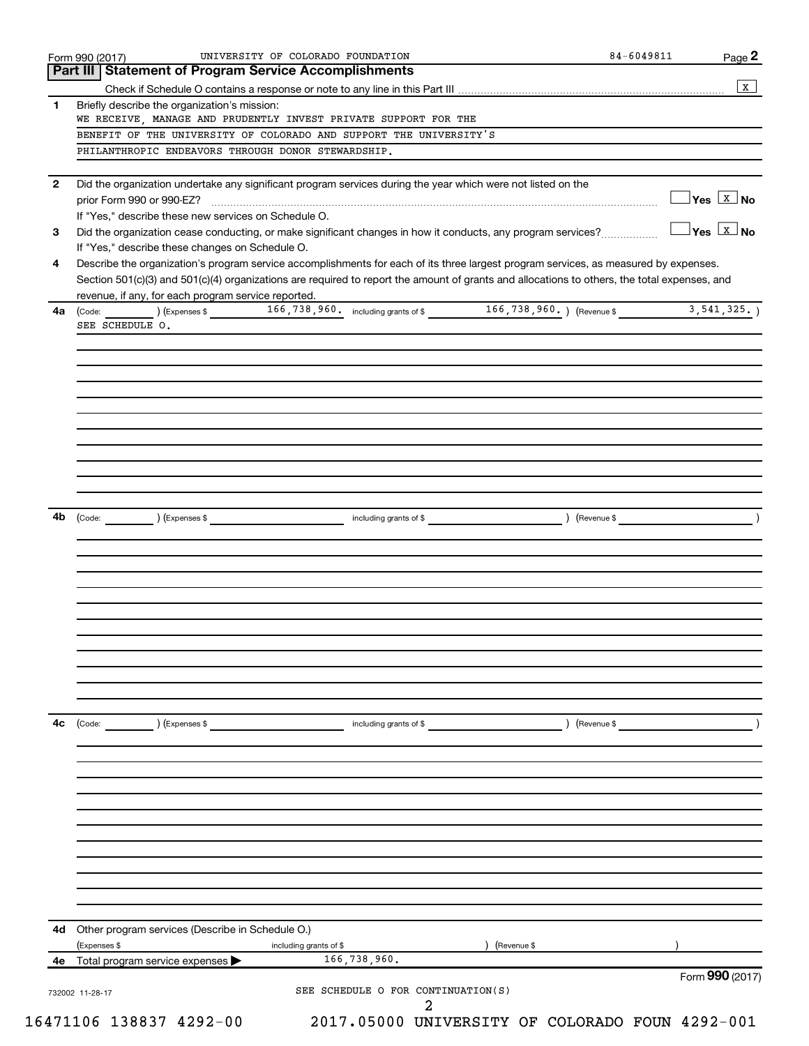|              | Form 990 (2017)                                                                                                                              | UNIVERSITY OF COLORADO FOUNDATION      |               | 84-6049811    | Page 2                                         |
|--------------|----------------------------------------------------------------------------------------------------------------------------------------------|----------------------------------------|---------------|---------------|------------------------------------------------|
|              | <b>Part III   Statement of Program Service Accomplishments</b>                                                                               |                                        |               |               | $\mathbf{x}$                                   |
| 1            | Briefly describe the organization's mission:                                                                                                 |                                        |               |               |                                                |
|              | WE RECEIVE, MANAGE AND PRUDENTLY INVEST PRIVATE SUPPORT FOR THE                                                                              |                                        |               |               |                                                |
|              | BENEFIT OF THE UNIVERSITY OF COLORADO AND SUPPORT THE UNIVERSITY'S                                                                           |                                        |               |               |                                                |
|              | PHILANTHROPIC ENDEAVORS THROUGH DONOR STEWARDSHIP.                                                                                           |                                        |               |               |                                                |
|              |                                                                                                                                              |                                        |               |               |                                                |
| $\mathbf{2}$ | Did the organization undertake any significant program services during the year which were not listed on the                                 |                                        |               |               | $\Box$ Yes $\boxed{\text{x}}$ No               |
|              | prior Form 990 or 990-EZ?<br>If "Yes," describe these new services on Schedule O.                                                            |                                        |               |               |                                                |
| 3            | Did the organization cease conducting, or make significant changes in how it conducts, any program services?                                 |                                        |               |               | $\overline{\ }$ Yes $\overline{\mathbb{X}}$ No |
|              | If "Yes," describe these changes on Schedule O.                                                                                              |                                        |               |               |                                                |
| 4            | Describe the organization's program service accomplishments for each of its three largest program services, as measured by expenses.         |                                        |               |               |                                                |
|              | Section 501(c)(3) and 501(c)(4) organizations are required to report the amount of grants and allocations to others, the total expenses, and |                                        |               |               |                                                |
|              | revenue, if any, for each program service reported.                                                                                          |                                        |               |               |                                                |
| 4a           | (Code: 166, 738, 960. including grants of \$166, 738, 960.) (Revenue \$166, 738, 960.)                                                       |                                        |               |               | 3, 541, 325.                                   |
|              | SEE SCHEDULE O.                                                                                                                              |                                        |               |               |                                                |
|              |                                                                                                                                              |                                        |               |               |                                                |
|              |                                                                                                                                              |                                        |               |               |                                                |
|              |                                                                                                                                              |                                        |               |               |                                                |
|              |                                                                                                                                              |                                        |               |               |                                                |
|              |                                                                                                                                              |                                        |               |               |                                                |
|              |                                                                                                                                              |                                        |               |               |                                                |
|              |                                                                                                                                              |                                        |               |               |                                                |
|              |                                                                                                                                              |                                        |               |               |                                                |
|              |                                                                                                                                              |                                        |               |               |                                                |
| 4b           | (Code: (Compared to the contract of the code: 1) (Expenses \$                                                                                |                                        |               |               |                                                |
|              |                                                                                                                                              |                                        |               |               |                                                |
|              |                                                                                                                                              |                                        |               |               |                                                |
|              |                                                                                                                                              |                                        |               |               |                                                |
|              |                                                                                                                                              |                                        |               |               |                                                |
|              |                                                                                                                                              |                                        |               |               |                                                |
|              |                                                                                                                                              |                                        |               |               |                                                |
|              |                                                                                                                                              |                                        |               |               |                                                |
|              |                                                                                                                                              |                                        |               |               |                                                |
|              |                                                                                                                                              |                                        |               |               |                                                |
|              |                                                                                                                                              |                                        |               |               |                                                |
|              |                                                                                                                                              |                                        |               |               |                                                |
| 4с           | $\left(\text{Code:}\right)$ $\left(\text{Expenses $}\right)$                                                                                 | including grants of \$                 |               | ) (Revenue \$ |                                                |
|              |                                                                                                                                              |                                        |               |               |                                                |
|              |                                                                                                                                              |                                        |               |               |                                                |
|              |                                                                                                                                              |                                        |               |               |                                                |
|              |                                                                                                                                              |                                        |               |               |                                                |
|              |                                                                                                                                              |                                        |               |               |                                                |
|              |                                                                                                                                              |                                        |               |               |                                                |
|              |                                                                                                                                              |                                        |               |               |                                                |
|              |                                                                                                                                              |                                        |               |               |                                                |
|              |                                                                                                                                              |                                        |               |               |                                                |
|              |                                                                                                                                              |                                        |               |               |                                                |
|              |                                                                                                                                              |                                        |               |               |                                                |
|              | 4d Other program services (Describe in Schedule O.)                                                                                          |                                        |               |               |                                                |
| 4е           | (Expenses \$                                                                                                                                 | including grants of \$<br>166,738,960. | ) (Revenue \$ |               |                                                |
|              | Total program service expenses                                                                                                               |                                        |               |               | Form 990 (2017)                                |
|              |                                                                                                                                              | SEE SCHEDULE O FOR CONTINUATION(S)     |               |               |                                                |
|              | 732002 11-28-17                                                                                                                              |                                        |               |               |                                                |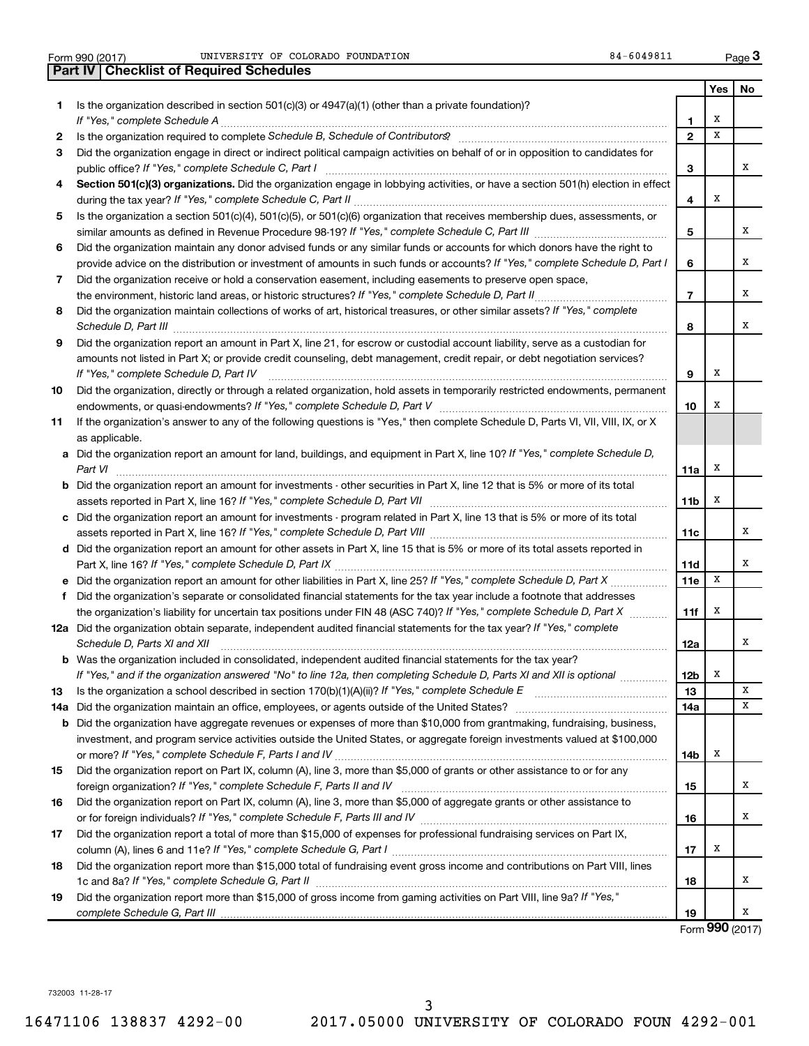|     | UNIVERSITY OF COLORADO FOUNDATION<br>84-6049811<br>Form 990 (2017)                                                                    |                        |     | Page $3$ |
|-----|---------------------------------------------------------------------------------------------------------------------------------------|------------------------|-----|----------|
|     | <b>Part IV   Checklist of Required Schedules</b>                                                                                      |                        |     |          |
|     |                                                                                                                                       |                        | Yes | No       |
| 1.  | Is the organization described in section $501(c)(3)$ or $4947(a)(1)$ (other than a private foundation)?                               |                        |     |          |
|     |                                                                                                                                       | 1                      | Х   |          |
| 2   |                                                                                                                                       | $\mathbf{2}$           | X   |          |
| 3   | Did the organization engage in direct or indirect political campaign activities on behalf of or in opposition to candidates for       |                        |     |          |
|     | public office? If "Yes," complete Schedule C, Part I                                                                                  | 3                      |     | х        |
| 4   | Section 501(c)(3) organizations. Did the organization engage in lobbying activities, or have a section 501(h) election in effect      | 4                      | х   |          |
| 5   | Is the organization a section 501(c)(4), 501(c)(5), or 501(c)(6) organization that receives membership dues, assessments, or          |                        |     |          |
|     |                                                                                                                                       | 5                      |     | x        |
| 6   | Did the organization maintain any donor advised funds or any similar funds or accounts for which donors have the right to             |                        |     |          |
|     | provide advice on the distribution or investment of amounts in such funds or accounts? If "Yes," complete Schedule D, Part I          | 6                      |     | х        |
| 7   | Did the organization receive or hold a conservation easement, including easements to preserve open space,                             |                        |     |          |
|     | the environment, historic land areas, or historic structures? If "Yes," complete Schedule D, Part II                                  | $\overline{7}$         |     | х        |
| 8   | Did the organization maintain collections of works of art, historical treasures, or other similar assets? If "Yes," complete          | 8                      |     | х        |
| 9   | Did the organization report an amount in Part X, line 21, for escrow or custodial account liability, serve as a custodian for         |                        |     |          |
|     | amounts not listed in Part X; or provide credit counseling, debt management, credit repair, or debt negotiation services?             |                        |     |          |
|     | If "Yes," complete Schedule D, Part IV                                                                                                | 9                      | х   |          |
| 10  | Did the organization, directly or through a related organization, hold assets in temporarily restricted endowments, permanent         |                        |     |          |
|     |                                                                                                                                       | 10                     | х   |          |
| 11  | If the organization's answer to any of the following questions is "Yes," then complete Schedule D, Parts VI, VII, VIII, IX, or X      |                        |     |          |
|     | as applicable.                                                                                                                        |                        |     |          |
| а   | Did the organization report an amount for land, buildings, and equipment in Part X, line 10? If "Yes," complete Schedule D,           |                        |     |          |
|     | Part VI                                                                                                                               | 11a                    | х   |          |
| b   | Did the organization report an amount for investments - other securities in Part X, line 12 that is 5% or more of its total           |                        |     |          |
|     |                                                                                                                                       | 11b                    | х   |          |
| с   | Did the organization report an amount for investments - program related in Part X, line 13 that is 5% or more of its total            |                        |     |          |
|     |                                                                                                                                       | 11c                    |     | х        |
|     | d Did the organization report an amount for other assets in Part X, line 15 that is 5% or more of its total assets reported in        |                        |     | х        |
|     |                                                                                                                                       | 11d<br>11 <sub>e</sub> | х   |          |
| f   | Did the organization's separate or consolidated financial statements for the tax year include a footnote that addresses               |                        |     |          |
|     | the organization's liability for uncertain tax positions under FIN 48 (ASC 740)? If "Yes," complete Schedule D, Part X                | 11f                    | х   |          |
|     | 12a Did the organization obtain separate, independent audited financial statements for the tax year? If "Yes," complete               |                        |     |          |
|     | Schedule D, Parts XI and XII <b>construent and Construent Construent Automobile Construent Automobile C</b>                           | 12a                    |     | х        |
|     | <b>b</b> Was the organization included in consolidated, independent audited financial statements for the tax year?                    |                        |     |          |
|     | If "Yes," and if the organization answered "No" to line 12a, then completing Schedule D, Parts XI and XII is optional <i>maniming</i> | 12b                    | х   |          |
| 13  | Is the organization a school described in section 170(b)(1)(A)(ii)? If "Yes," complete Schedule E [[[[[[[[[[[[                        | 13                     |     | x        |
| 14a |                                                                                                                                       | 14a                    |     | х        |
| b   | Did the organization have aggregate revenues or expenses of more than \$10,000 from grantmaking, fundraising, business,               |                        |     |          |
|     | investment, and program service activities outside the United States, or aggregate foreign investments valued at \$100,000            |                        |     |          |
|     |                                                                                                                                       | 14b                    | X   |          |
| 15  | Did the organization report on Part IX, column (A), line 3, more than \$5,000 of grants or other assistance to or for any             |                        |     |          |
|     |                                                                                                                                       | 15                     |     | х        |
| 16  | Did the organization report on Part IX, column (A), line 3, more than \$5,000 of aggregate grants or other assistance to              | 16                     |     | х        |
| 17  | Did the organization report a total of more than \$15,000 of expenses for professional fundraising services on Part IX,               |                        |     |          |
|     |                                                                                                                                       | 17                     | х   |          |
| 18  | Did the organization report more than \$15,000 total of fundraising event gross income and contributions on Part VIII, lines          |                        |     |          |
|     |                                                                                                                                       | 18                     |     | х        |
| 19  | Did the organization report more than \$15,000 of gross income from gaming activities on Part VIII, line 9a? If "Yes,"                |                        |     |          |
|     |                                                                                                                                       | 19                     |     | x        |
|     |                                                                                                                                       |                        |     |          |

Form **990** (2017)

732003 11-28-17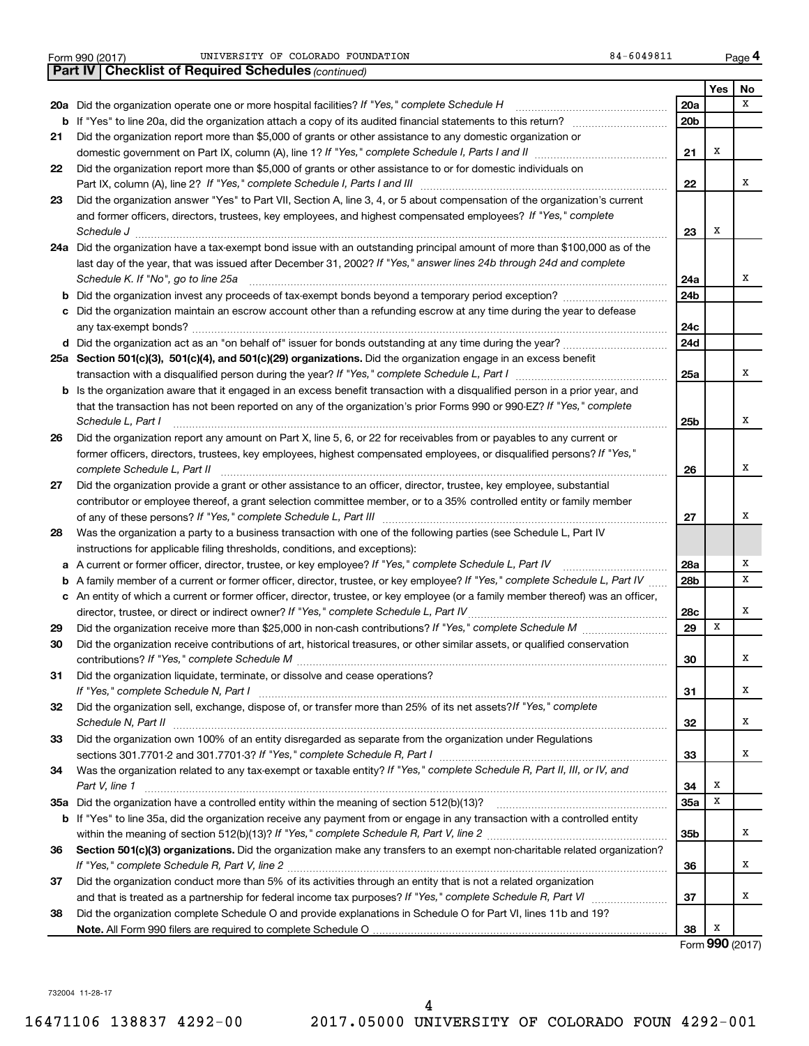| Form 990 (2017) |  |  |
|-----------------|--|--|

Form 990 (2017) CONTRESTRY OF COLORADO FOUNDATION RELATION RELATION RELATION RELATION RELATION

|    | <b>Part IV   Checklist of Required Schedules (continued)</b>                                                                        |                 |     |                 |
|----|-------------------------------------------------------------------------------------------------------------------------------------|-----------------|-----|-----------------|
|    |                                                                                                                                     |                 | Yes | No              |
|    | 20a Did the organization operate one or more hospital facilities? If "Yes," complete Schedule H                                     | 20a             |     | X               |
|    |                                                                                                                                     | 20 <sub>b</sub> |     |                 |
| 21 | Did the organization report more than \$5,000 of grants or other assistance to any domestic organization or                         |                 |     |                 |
|    |                                                                                                                                     | 21              | х   |                 |
| 22 | Did the organization report more than \$5,000 of grants or other assistance to or for domestic individuals on                       |                 |     |                 |
|    |                                                                                                                                     | 22              |     | х               |
| 23 | Did the organization answer "Yes" to Part VII, Section A, line 3, 4, or 5 about compensation of the organization's current          |                 |     |                 |
|    | and former officers, directors, trustees, key employees, and highest compensated employees? If "Yes," complete                      |                 |     |                 |
|    | Schedule J <b>Execute Schedule J Execute Schedule J</b>                                                                             | 23              | X   |                 |
|    | 24a Did the organization have a tax-exempt bond issue with an outstanding principal amount of more than \$100,000 as of the         |                 |     |                 |
|    | last day of the year, that was issued after December 31, 2002? If "Yes," answer lines 24b through 24d and complete                  |                 |     |                 |
|    | Schedule K. If "No", go to line 25a                                                                                                 | 24a             |     | х               |
| b  |                                                                                                                                     | 24 <sub>b</sub> |     |                 |
|    | Did the organization maintain an escrow account other than a refunding escrow at any time during the year to defease                |                 |     |                 |
|    |                                                                                                                                     | 24c             |     |                 |
|    |                                                                                                                                     | 24d             |     |                 |
|    | 25a Section 501(c)(3), 501(c)(4), and 501(c)(29) organizations. Did the organization engage in an excess benefit                    |                 |     |                 |
|    |                                                                                                                                     | 25a             |     | x               |
|    | <b>b</b> Is the organization aware that it engaged in an excess benefit transaction with a disqualified person in a prior year, and |                 |     |                 |
|    | that the transaction has not been reported on any of the organization's prior Forms 990 or 990-EZ? If "Yes," complete               |                 |     |                 |
|    | Schedule L, Part I                                                                                                                  | 25b             |     | x               |
| 26 | Did the organization report any amount on Part X, line 5, 6, or 22 for receivables from or payables to any current or               |                 |     |                 |
|    | former officers, directors, trustees, key employees, highest compensated employees, or disqualified persons? If "Yes,"              |                 |     |                 |
|    | complete Schedule L, Part II                                                                                                        | 26              |     | x               |
| 27 | Did the organization provide a grant or other assistance to an officer, director, trustee, key employee, substantial                |                 |     |                 |
|    | contributor or employee thereof, a grant selection committee member, or to a 35% controlled entity or family member                 |                 |     |                 |
|    |                                                                                                                                     | 27              |     | x               |
| 28 | Was the organization a party to a business transaction with one of the following parties (see Schedule L, Part IV                   |                 |     |                 |
|    | instructions for applicable filing thresholds, conditions, and exceptions):                                                         |                 |     |                 |
| а  | A current or former officer, director, trustee, or key employee? If "Yes," complete Schedule L, Part IV                             | 28a             |     | Χ               |
| b  | A family member of a current or former officer, director, trustee, or key employee? If "Yes," complete Schedule L, Part IV          | 28b             |     | x               |
|    | c An entity of which a current or former officer, director, trustee, or key employee (or a family member thereof) was an officer,   |                 |     |                 |
|    | director, trustee, or direct or indirect owner? If "Yes," complete Schedule L, Part IV                                              | 28c             |     | x               |
| 29 |                                                                                                                                     | 29              | x   |                 |
| 30 | Did the organization receive contributions of art, historical treasures, or other similar assets, or qualified conservation         |                 |     |                 |
|    |                                                                                                                                     | 30              |     | Χ               |
| 31 | Did the organization liquidate, terminate, or dissolve and cease operations?                                                        |                 |     |                 |
|    |                                                                                                                                     | 31              |     | x               |
| 32 | Did the organization sell, exchange, dispose of, or transfer more than 25% of its net assets? If "Yes," complete                    |                 |     |                 |
|    |                                                                                                                                     | 32              |     | x               |
| 33 | Did the organization own 100% of an entity disregarded as separate from the organization under Regulations                          |                 |     |                 |
|    |                                                                                                                                     | 33              |     | x               |
| 34 | Was the organization related to any tax-exempt or taxable entity? If "Yes," complete Schedule R, Part II, III, or IV, and           |                 |     |                 |
|    | Part V, line 1                                                                                                                      | 34              | х   |                 |
|    |                                                                                                                                     | 35a             | х   |                 |
|    | b If "Yes" to line 35a, did the organization receive any payment from or engage in any transaction with a controlled entity         |                 |     |                 |
|    |                                                                                                                                     | 35b             |     | x               |
| 36 | Section 501(c)(3) organizations. Did the organization make any transfers to an exempt non-charitable related organization?          |                 |     |                 |
|    |                                                                                                                                     | 36              |     | x               |
| 37 | Did the organization conduct more than 5% of its activities through an entity that is not a related organization                    |                 |     |                 |
|    |                                                                                                                                     | 37              |     | x               |
| 38 | Did the organization complete Schedule O and provide explanations in Schedule O for Part VI, lines 11b and 19?                      |                 |     |                 |
|    |                                                                                                                                     | 38              | X   |                 |
|    |                                                                                                                                     |                 |     | Form 990 (2017) |

732004 11-28-17

**4**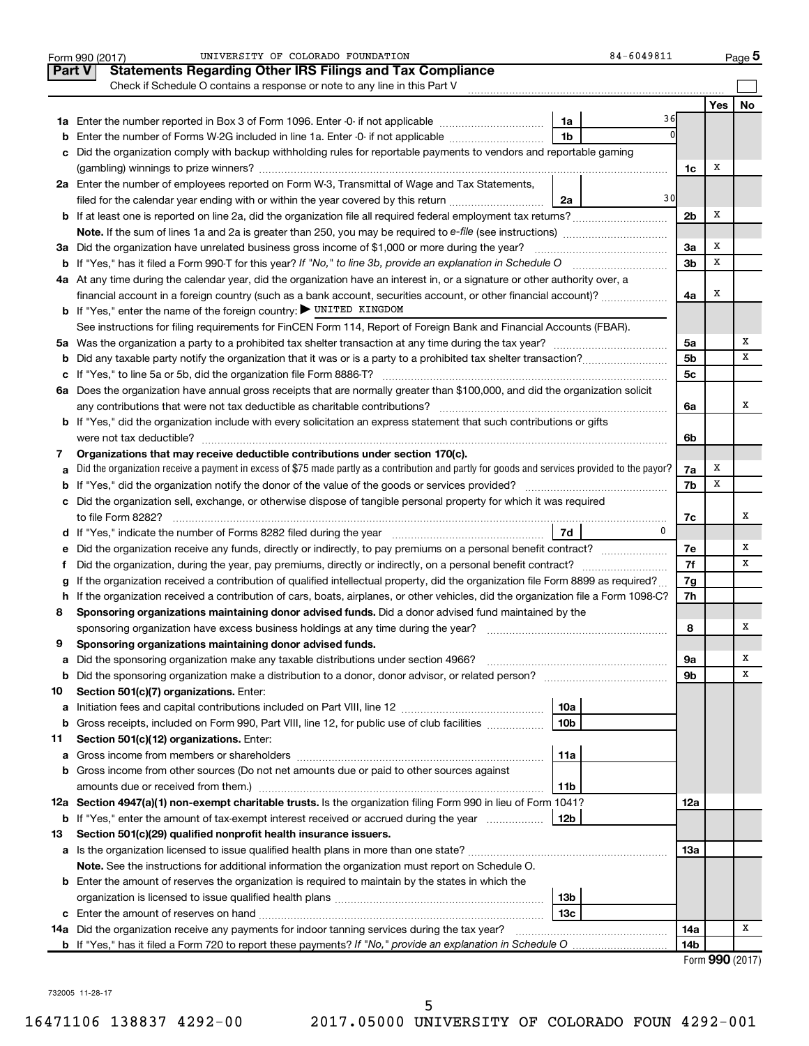|               | UNIVERSITY OF COLORADO FOUNDATION<br>Form 990 (2017)                                                                                                 | 84-6049811      |                 |                 | Page 5 |  |  |  |
|---------------|------------------------------------------------------------------------------------------------------------------------------------------------------|-----------------|-----------------|-----------------|--------|--|--|--|
| <b>Part V</b> | <b>Statements Regarding Other IRS Filings and Tax Compliance</b>                                                                                     |                 |                 |                 |        |  |  |  |
|               | Check if Schedule O contains a response or note to any line in this Part V                                                                           |                 |                 |                 |        |  |  |  |
|               |                                                                                                                                                      |                 |                 | Yes             | No     |  |  |  |
|               | 1a Enter the number reported in Box 3 of Form 1096. Enter -0- if not applicable                                                                      | 1a              | 36              |                 |        |  |  |  |
| b             | Enter the number of Forms W-2G included in line 1a. Enter -0- if not applicable                                                                      | 1 <sub>b</sub>  |                 |                 |        |  |  |  |
|               | c Did the organization comply with backup withholding rules for reportable payments to vendors and reportable gaming                                 |                 |                 |                 |        |  |  |  |
|               |                                                                                                                                                      |                 | 1c              | Х               |        |  |  |  |
|               | 2a Enter the number of employees reported on Form W-3, Transmittal of Wage and Tax Statements,                                                       |                 |                 |                 |        |  |  |  |
|               | filed for the calendar year ending with or within the year covered by this return                                                                    | 2a              | 30              |                 |        |  |  |  |
|               |                                                                                                                                                      |                 | 2 <sub>b</sub>  | Х               |        |  |  |  |
|               |                                                                                                                                                      |                 |                 |                 |        |  |  |  |
|               | 3a Did the organization have unrelated business gross income of \$1,000 or more during the year?                                                     |                 | 3a              | х               |        |  |  |  |
|               |                                                                                                                                                      |                 | 3 <sub>b</sub>  | х               |        |  |  |  |
|               | 4a At any time during the calendar year, did the organization have an interest in, or a signature or other authority over, a                         |                 |                 |                 |        |  |  |  |
|               | financial account in a foreign country (such as a bank account, securities account, or other financial account)?                                     |                 | 4a              | х               |        |  |  |  |
|               | <b>b</b> If "Yes," enter the name of the foreign country: UNITED KINGDOM                                                                             |                 |                 |                 |        |  |  |  |
|               | See instructions for filing requirements for FinCEN Form 114, Report of Foreign Bank and Financial Accounts (FBAR).                                  |                 |                 |                 |        |  |  |  |
|               |                                                                                                                                                      |                 | 5a              |                 | х      |  |  |  |
|               |                                                                                                                                                      |                 | 5 <sub>b</sub>  |                 | х      |  |  |  |
|               |                                                                                                                                                      |                 | 5 <sub>c</sub>  |                 |        |  |  |  |
|               | 6a Does the organization have annual gross receipts that are normally greater than \$100,000, and did the organization solicit                       |                 |                 |                 |        |  |  |  |
|               |                                                                                                                                                      |                 | 6a              |                 | х      |  |  |  |
|               | <b>b</b> If "Yes," did the organization include with every solicitation an express statement that such contributions or gifts                        |                 |                 |                 |        |  |  |  |
|               |                                                                                                                                                      |                 |                 |                 |        |  |  |  |
| 7             | Organizations that may receive deductible contributions under section 170(c).                                                                        |                 | 6b              |                 |        |  |  |  |
|               | Did the organization receive a payment in excess of \$75 made partly as a contribution and partly for goods and services provided to the payor?<br>a |                 |                 |                 |        |  |  |  |
|               |                                                                                                                                                      |                 |                 |                 |        |  |  |  |
|               | c Did the organization sell, exchange, or otherwise dispose of tangible personal property for which it was required                                  |                 |                 |                 |        |  |  |  |
|               |                                                                                                                                                      |                 |                 |                 | х      |  |  |  |
|               |                                                                                                                                                      | 0               | 7c              |                 |        |  |  |  |
|               |                                                                                                                                                      |                 |                 |                 | х      |  |  |  |
|               |                                                                                                                                                      |                 | 7е<br>7f        |                 | х      |  |  |  |
|               |                                                                                                                                                      |                 |                 |                 |        |  |  |  |
| g             | If the organization received a contribution of qualified intellectual property, did the organization file Form 8899 as required?                     |                 | 7g              |                 |        |  |  |  |
|               | h If the organization received a contribution of cars, boats, airplanes, or other vehicles, did the organization file a Form 1098-C?                 |                 | 7h              |                 |        |  |  |  |
| 8             | Sponsoring organizations maintaining donor advised funds. Did a donor advised fund maintained by the                                                 |                 |                 |                 | х      |  |  |  |
|               |                                                                                                                                                      |                 | 8               |                 |        |  |  |  |
|               | Sponsoring organizations maintaining donor advised funds.                                                                                            |                 |                 |                 | Х      |  |  |  |
| a             | Did the sponsoring organization make any taxable distributions under section 4966?                                                                   |                 | 9a              |                 | х      |  |  |  |
| b             |                                                                                                                                                      |                 | 9b              |                 |        |  |  |  |
| 10            | Section 501(c)(7) organizations. Enter:                                                                                                              |                 |                 |                 |        |  |  |  |
| а             |                                                                                                                                                      | 10a             |                 |                 |        |  |  |  |
| b             | Gross receipts, included on Form 990, Part VIII, line 12, for public use of club facilities                                                          | 10 <sub>b</sub> |                 |                 |        |  |  |  |
| 11            | Section 501(c)(12) organizations. Enter:                                                                                                             |                 |                 |                 |        |  |  |  |
|               |                                                                                                                                                      | 11a             |                 |                 |        |  |  |  |
|               | <b>b</b> Gross income from other sources (Do not net amounts due or paid to other sources against                                                    |                 |                 |                 |        |  |  |  |
|               | amounts due or received from them.)                                                                                                                  | 11b             |                 |                 |        |  |  |  |
|               | 12a Section 4947(a)(1) non-exempt charitable trusts. Is the organization filing Form 990 in lieu of Form 1041?                                       |                 | 12a             |                 |        |  |  |  |
|               | <b>b</b> If "Yes," enter the amount of tax-exempt interest received or accrued during the year                                                       | 12b             |                 |                 |        |  |  |  |
| 13            | Section 501(c)(29) qualified nonprofit health insurance issuers.                                                                                     |                 |                 |                 |        |  |  |  |
|               | a Is the organization licensed to issue qualified health plans in more than one state?                                                               |                 | 13a             |                 |        |  |  |  |
|               | Note. See the instructions for additional information the organization must report on Schedule O.                                                    |                 |                 |                 |        |  |  |  |
|               | <b>b</b> Enter the amount of reserves the organization is required to maintain by the states in which the                                            |                 |                 |                 |        |  |  |  |
|               |                                                                                                                                                      | 13 <sub>b</sub> |                 |                 |        |  |  |  |
|               |                                                                                                                                                      | 13 <sub>c</sub> |                 |                 |        |  |  |  |
|               | 14a Did the organization receive any payments for indoor tanning services during the tax year?                                                       |                 | 14a             |                 | х      |  |  |  |
|               |                                                                                                                                                      |                 | 14 <sub>b</sub> |                 |        |  |  |  |
|               |                                                                                                                                                      |                 |                 | Form 990 (2017) |        |  |  |  |

732005 11-28-17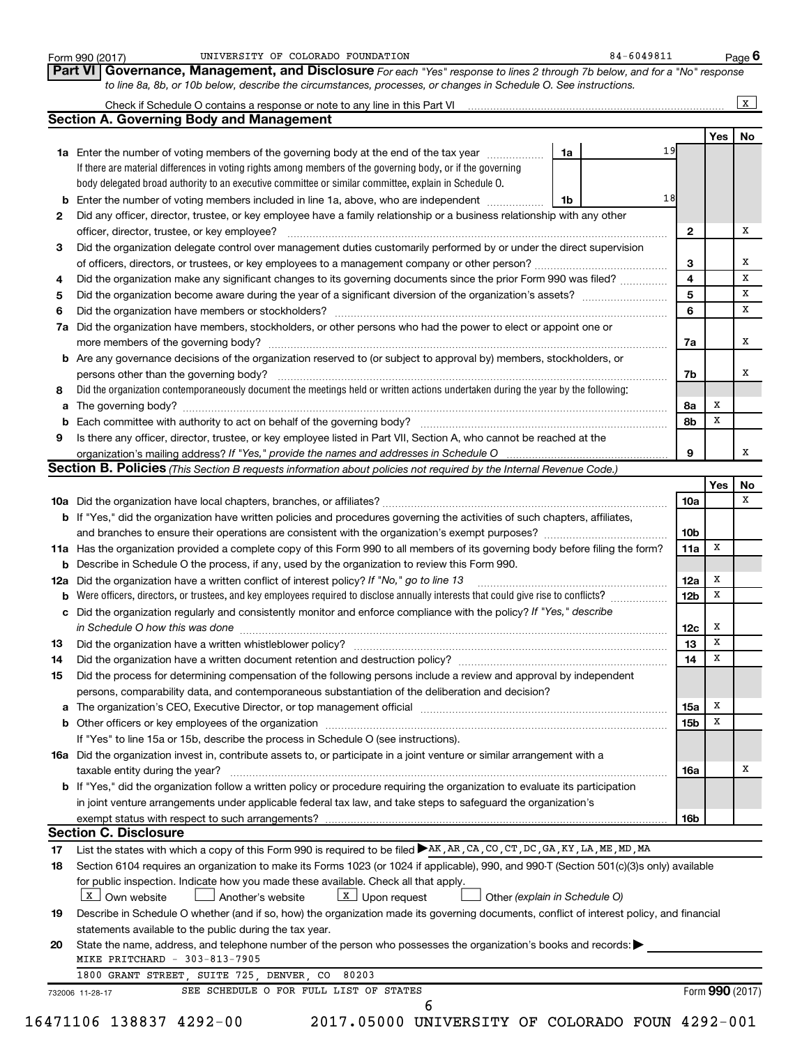|          | Governance, Management, and Disclosure For each "Yes" response to lines 2 through 7b below, and for a "No" response<br>Part VI I                                                                     |                 |     |    |
|----------|------------------------------------------------------------------------------------------------------------------------------------------------------------------------------------------------------|-----------------|-----|----|
|          | to line 8a, 8b, or 10b below, describe the circumstances, processes, or changes in Schedule O. See instructions.                                                                                     |                 |     |    |
|          | Check if Schedule O contains a response or note to any line in this Part VI [11] [12] Check if Schedule O contains a response or note to any line in this Part VI                                    |                 |     | X  |
|          | <b>Section A. Governing Body and Management</b>                                                                                                                                                      |                 |     |    |
|          | 19                                                                                                                                                                                                   |                 | Yes | No |
|          | 1a<br>1a Enter the number of voting members of the governing body at the end of the tax year                                                                                                         |                 |     |    |
|          | If there are material differences in voting rights among members of the governing body, or if the governing                                                                                          |                 |     |    |
|          | body delegated broad authority to an executive committee or similar committee, explain in Schedule O.<br>18                                                                                          |                 |     |    |
|          | <b>b</b> Enter the number of voting members included in line 1a, above, who are independent <i>manumum</i><br>1b                                                                                     |                 |     |    |
| 2        | Did any officer, director, trustee, or key employee have a family relationship or a business relationship with any other                                                                             |                 |     | х  |
| 3        | officer, director, trustee, or key employee?<br>Did the organization delegate control over management duties customarily performed by or under the direct supervision                                | $\mathbf{2}$    |     |    |
|          |                                                                                                                                                                                                      | 3               |     | х  |
| 4        |                                                                                                                                                                                                      | 4               |     | x  |
| 5        | Did the organization make any significant changes to its governing documents since the prior Form 990 was filed?                                                                                     | 5               |     | х  |
| 6        |                                                                                                                                                                                                      | 6               |     | х  |
|          | Did the organization have members, stockholders, or other persons who had the power to elect or appoint one or                                                                                       |                 |     |    |
| 7a       |                                                                                                                                                                                                      |                 |     | х  |
|          | <b>b</b> Are any governance decisions of the organization reserved to (or subject to approval by) members, stockholders, or                                                                          | 7a              |     |    |
|          |                                                                                                                                                                                                      |                 |     | x  |
| 8        | persons other than the governing body?<br>Did the organization contemporaneously document the meetings held or written actions undertaken during the year by the following:                          | 7b              |     |    |
|          |                                                                                                                                                                                                      | 8а              | х   |    |
|          |                                                                                                                                                                                                      | 8b              | x   |    |
| 9        | Is there any officer, director, trustee, or key employee listed in Part VII, Section A, who cannot be reached at the                                                                                 |                 |     |    |
|          |                                                                                                                                                                                                      | 9               |     | X  |
|          | Section B. Policies (This Section B requests information about policies not required by the Internal Revenue Code.)                                                                                  |                 |     |    |
|          |                                                                                                                                                                                                      |                 | Yes | No |
|          |                                                                                                                                                                                                      | 10a             |     | x  |
|          | <b>b</b> If "Yes," did the organization have written policies and procedures governing the activities of such chapters, affiliates,                                                                  |                 |     |    |
|          |                                                                                                                                                                                                      | 10 <sub>b</sub> |     |    |
|          | 11a Has the organization provided a complete copy of this Form 990 to all members of its governing body before filing the form?                                                                      | 11a             | x   |    |
|          | <b>b</b> Describe in Schedule O the process, if any, used by the organization to review this Form 990.                                                                                               |                 |     |    |
| 12a      | Did the organization have a written conflict of interest policy? If "No," go to line 13                                                                                                              | 12a             | x   |    |
| b        | Were officers, directors, or trustees, and key employees required to disclose annually interests that could give rise to conflicts? [                                                                | 12 <sub>b</sub> | x   |    |
|          | c Did the organization regularly and consistently monitor and enforce compliance with the policy? If "Yes," describe                                                                                 |                 |     |    |
|          |                                                                                                                                                                                                      | 12c             | х   |    |
| 13       |                                                                                                                                                                                                      | 13              | х   |    |
| 14       |                                                                                                                                                                                                      | 14              | Х   |    |
| 15       | Did the process for determining compensation of the following persons include a review and approval by independent                                                                                   |                 |     |    |
|          | persons, comparability data, and contemporaneous substantiation of the deliberation and decision?                                                                                                    |                 |     |    |
|          |                                                                                                                                                                                                      | 15a             | х   |    |
|          |                                                                                                                                                                                                      | 15 <sub>b</sub> | x   |    |
|          | If "Yes" to line 15a or 15b, describe the process in Schedule O (see instructions).                                                                                                                  |                 |     |    |
|          | 16a Did the organization invest in, contribute assets to, or participate in a joint venture or similar arrangement with a                                                                            |                 |     |    |
|          | taxable entity during the year?                                                                                                                                                                      | 16a             |     | х  |
|          | <b>b</b> If "Yes," did the organization follow a written policy or procedure requiring the organization to evaluate its participation                                                                |                 |     |    |
|          | in joint venture arrangements under applicable federal tax law, and take steps to safeguard the organization's                                                                                       |                 |     |    |
|          | exempt status with respect to such arrangements?                                                                                                                                                     | 16b             |     |    |
|          | <b>Section C. Disclosure</b>                                                                                                                                                                         |                 |     |    |
| 17       | List the states with which a copy of this Form 990 is required to be filed ▶AK, AR, CA, CO, CT, DC, GA, KY, LA, ME, MD, MA                                                                           |                 |     |    |
| 18       | Section 6104 requires an organization to make its Forms 1023 (or 1024 if applicable), 990, and 990-T (Section 501(c)(3)s only) available                                                             |                 |     |    |
|          | for public inspection. Indicate how you made these available. Check all that apply.                                                                                                                  |                 |     |    |
|          | X Own website<br>$\lfloor x \rfloor$ Upon request<br>Another's website<br>Other (explain in Schedule O)                                                                                              |                 |     |    |
|          |                                                                                                                                                                                                      |                 |     |    |
|          |                                                                                                                                                                                                      |                 |     |    |
|          | Describe in Schedule O whether (and if so, how) the organization made its governing documents, conflict of interest policy, and financial<br>statements available to the public during the tax year. |                 |     |    |
|          |                                                                                                                                                                                                      |                 |     |    |
| 19<br>20 | State the name, address, and telephone number of the person who possesses the organization's books and records:<br>MIKE PRITCHARD - 303-813-7905                                                     |                 |     |    |
|          | 1800 GRANT STREET, SUITE 725, DENVER, CO<br>80203                                                                                                                                                    |                 |     |    |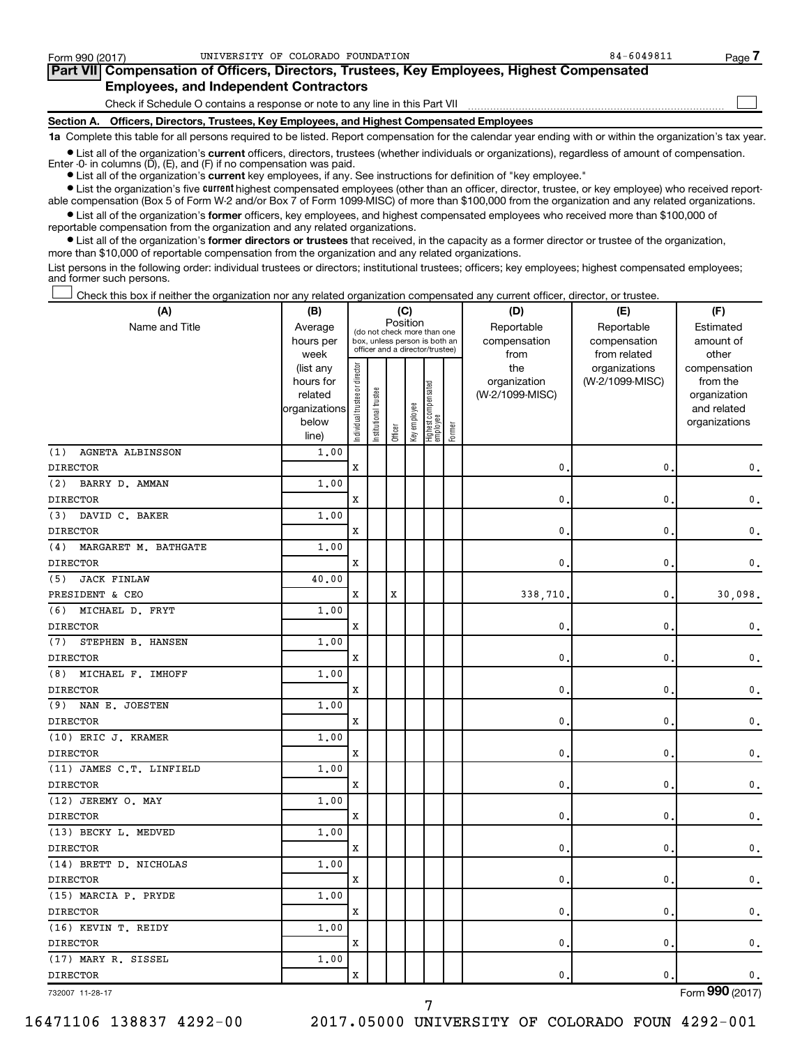| Form 990 (2017)                               | UNIVERSITY OF COLORADO FOUNDATION                                                                 | 84-6049811 | Page 7 |  |  |  |  |  |  |  |  |
|-----------------------------------------------|---------------------------------------------------------------------------------------------------|------------|--------|--|--|--|--|--|--|--|--|
|                                               | <b>Part VII</b> Compensation of Officers, Directors, Trustees, Key Employees, Highest Compensated |            |        |  |  |  |  |  |  |  |  |
| <b>Employees, and Independent Contractors</b> |                                                                                                   |            |        |  |  |  |  |  |  |  |  |
|                                               | Check if Schedule O contains a response or note to any line in this Part VII                      |            |        |  |  |  |  |  |  |  |  |
| <b>Section A.</b>                             | Officers, Directors, Trustees, Key Employees, and Highest Compensated Employees                   |            |        |  |  |  |  |  |  |  |  |

**1a**  Complete this table for all persons required to be listed. Report compensation for the calendar year ending with or within the organization's tax year.

**•** List all of the organization's current officers, directors, trustees (whether individuals or organizations), regardless of amount of compensation. Enter -0- in columns (D), (E), and (F) if no compensation was paid.

**•** List all of the organization's **current** key employees, if any. See instructions for definition of "key employee."

**•** List the organization's five current highest compensated employees (other than an officer, director, trustee, or key employee) who received reportable compensation (Box 5 of Form W-2 and/or Box 7 of Form 1099-MISC) of more than \$100,000 from the organization and any related organizations.

**•** List all of the organization's former officers, key employees, and highest compensated employees who received more than \$100,000 of reportable compensation from the organization and any related organizations.

**•** List all of the organization's former directors or trustees that received, in the capacity as a former director or trustee of the organization, more than \$10,000 of reportable compensation from the organization and any related organizations.

List persons in the following order: individual trustees or directors; institutional trustees; officers; key employees; highest compensated employees; and former such persons.

Check this box if neither the organization nor any related organization compensated any current officer, director, or trustee. †

| (A)                            | (B)                    |                                |                                                                  |          | (C)          |                                 |        | (D)             | (E)                              | (F)                      |
|--------------------------------|------------------------|--------------------------------|------------------------------------------------------------------|----------|--------------|---------------------------------|--------|-----------------|----------------------------------|--------------------------|
| Name and Title                 | Average                |                                | (do not check more than one                                      | Position |              |                                 |        | Reportable      | Reportable                       | Estimated                |
|                                | hours per              |                                | box, unless person is both an<br>officer and a director/trustee) |          |              |                                 |        | compensation    | compensation                     | amount of                |
|                                | week                   |                                |                                                                  |          |              |                                 |        | from<br>the     | from related                     | other                    |
|                                | (list any<br>hours for | Individual trustee or director |                                                                  |          |              |                                 |        | organization    | organizations<br>(W-2/1099-MISC) | compensation<br>from the |
|                                | related                |                                |                                                                  |          |              |                                 |        | (W-2/1099-MISC) |                                  | organization             |
|                                | organizations          |                                |                                                                  |          |              |                                 |        |                 |                                  | and related              |
|                                | below                  |                                | nstitutional trustee                                             |          | Key employee | Highest compensated<br>employee |        |                 |                                  | organizations            |
|                                | line)                  |                                |                                                                  | Officer  |              |                                 | Former |                 |                                  |                          |
| (1)<br><b>AGNETA ALBINSSON</b> | 1.00                   |                                |                                                                  |          |              |                                 |        |                 |                                  |                          |
| <b>DIRECTOR</b>                |                        | $\mathbf x$                    |                                                                  |          |              |                                 |        | 0.              | 0                                | 0.                       |
| BARRY D. AMMAN<br>(2)          | 1.00                   |                                |                                                                  |          |              |                                 |        |                 |                                  |                          |
| <b>DIRECTOR</b>                |                        | $\mathbf x$                    |                                                                  |          |              |                                 |        | $\mathbf{0}$ .  | 0                                | 0.                       |
| DAVID C. BAKER<br>(3)          | 1.00                   |                                |                                                                  |          |              |                                 |        |                 |                                  |                          |
| <b>DIRECTOR</b>                |                        | X                              |                                                                  |          |              |                                 |        | 0               | 0                                | 0.                       |
| MARGARET M. BATHGATE<br>(4)    | 1.00                   |                                |                                                                  |          |              |                                 |        |                 |                                  |                          |
| <b>DIRECTOR</b>                |                        | X                              |                                                                  |          |              |                                 |        | 0.              | 0                                | 0.                       |
| (5)<br><b>JACK FINLAW</b>      | 40.00                  |                                |                                                                  |          |              |                                 |        |                 |                                  |                          |
| PRESIDENT & CEO                |                        | X                              |                                                                  | X        |              |                                 |        | 338,710         | 0                                | 30,098.                  |
| MICHAEL D. FRYT<br>(6)         | 1,00                   |                                |                                                                  |          |              |                                 |        |                 |                                  |                          |
| <b>DIRECTOR</b>                |                        | X                              |                                                                  |          |              |                                 |        | 0.              | 0                                | $\mathbf 0$ .            |
| STEPHEN B. HANSEN<br>(7)       | 1.00                   |                                |                                                                  |          |              |                                 |        |                 |                                  |                          |
| <b>DIRECTOR</b>                |                        | X                              |                                                                  |          |              |                                 |        | $\mathbf{0}$ .  | 0                                | 0.                       |
| MICHAEL F. IMHOFF<br>(8)       | 1.00                   |                                |                                                                  |          |              |                                 |        |                 |                                  |                          |
| <b>DIRECTOR</b>                |                        | Х                              |                                                                  |          |              |                                 |        | 0.              | 0                                | 0.                       |
| (9)<br>NAN E. JOESTEN          | 1.00                   |                                |                                                                  |          |              |                                 |        |                 |                                  |                          |
| <b>DIRECTOR</b>                |                        | х                              |                                                                  |          |              |                                 |        | $\mathbf{0}$ .  | 0                                | 0.                       |
| (10) ERIC J. KRAMER            | 1.00                   |                                |                                                                  |          |              |                                 |        |                 |                                  |                          |
| <b>DIRECTOR</b>                |                        | х                              |                                                                  |          |              |                                 |        | $\mathbf{0}$    | 0                                | 0.                       |
| (11) JAMES C.T. LINFIELD       | 1.00                   |                                |                                                                  |          |              |                                 |        |                 |                                  |                          |
| <b>DIRECTOR</b>                |                        | х                              |                                                                  |          |              |                                 |        | 0.              | 0                                | 0.                       |
| (12) JEREMY O. MAY             | 1.00                   |                                |                                                                  |          |              |                                 |        |                 |                                  |                          |
| <b>DIRECTOR</b>                |                        | X                              |                                                                  |          |              |                                 |        | $\mathbf{0}$    | 0                                | 0.                       |
| (13) BECKY L. MEDVED           | 1.00                   |                                |                                                                  |          |              |                                 |        |                 |                                  |                          |
| <b>DIRECTOR</b>                |                        | х                              |                                                                  |          |              |                                 |        | 0.              | 0                                | 0.                       |
| (14) BRETT D. NICHOLAS         | 1.00                   |                                |                                                                  |          |              |                                 |        |                 |                                  |                          |
| <b>DIRECTOR</b>                |                        | X                              |                                                                  |          |              |                                 |        | $\mathbf{0}$ .  | 0                                | $\mathfrak o$ .          |
| (15) MARCIA P. PRYDE           | 1,00                   |                                |                                                                  |          |              |                                 |        |                 |                                  |                          |
| <b>DIRECTOR</b>                |                        | X                              |                                                                  |          |              |                                 |        | 0.              | 0                                | 0.                       |
| (16) KEVIN T. REIDY            | 1.00                   |                                |                                                                  |          |              |                                 |        |                 |                                  |                          |
| <b>DIRECTOR</b>                |                        | X                              |                                                                  |          |              |                                 |        | 0.              | 0                                | 0.                       |
| (17) MARY R. SISSEL            | 1.00                   |                                |                                                                  |          |              |                                 |        |                 |                                  |                          |
| <b>DIRECTOR</b>                |                        | X                              |                                                                  |          |              |                                 |        | 0.              | 0                                | 0.                       |
| 732007 11-28-17                |                        |                                |                                                                  |          |              |                                 |        |                 |                                  | Form 990 (2017)          |

7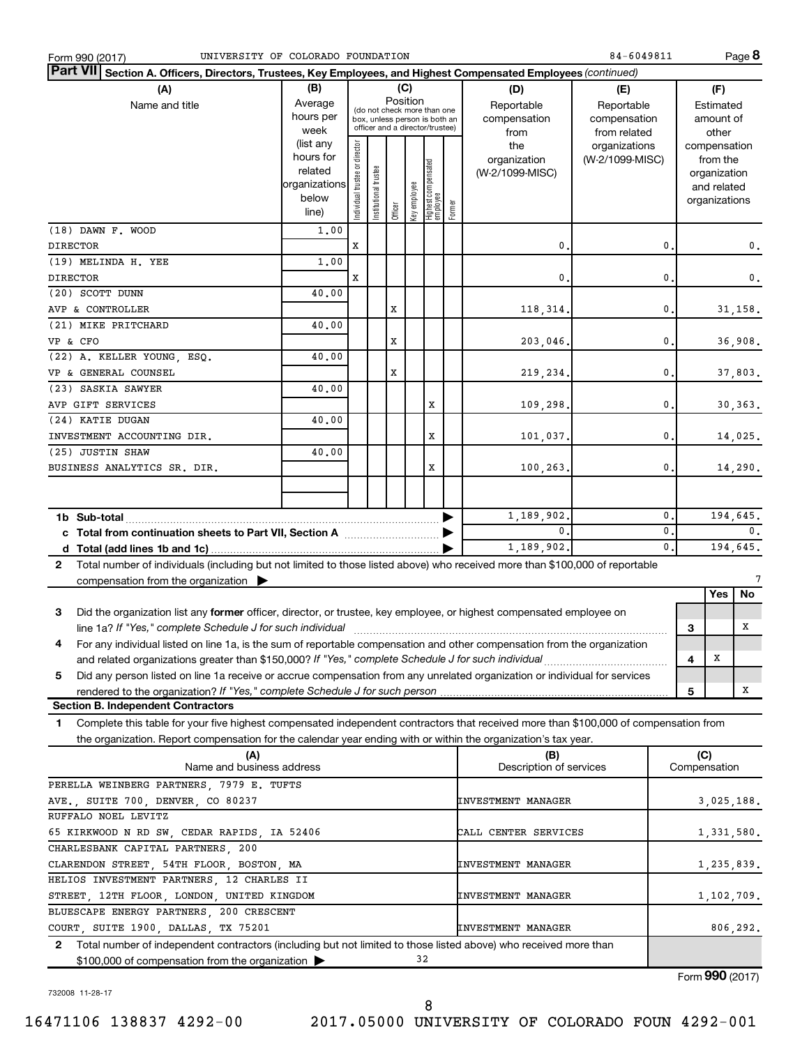| UNIVERSITY OF COLORADO FOUNDATION<br>Form 990 (2017)                                                                                         |                          |                                                              |                       |                                 |              |                                 |        |                           | 84-6049811      |                |            |                              | Page 8         |
|----------------------------------------------------------------------------------------------------------------------------------------------|--------------------------|--------------------------------------------------------------|-----------------------|---------------------------------|--------------|---------------------------------|--------|---------------------------|-----------------|----------------|------------|------------------------------|----------------|
| Part VII Section A. Officers, Directors, Trustees, Key Employees, and Highest Compensated Employees (continued)                              |                          |                                                              |                       |                                 |              |                                 |        |                           |                 |                |            |                              |                |
| (B)<br>(C)<br>(A)<br>(D)<br>(E)                                                                                                              |                          |                                                              |                       |                                 |              |                                 |        |                           |                 |                |            | (F)                          |                |
| Name and title                                                                                                                               | Average                  |                                                              |                       | Position                        |              |                                 |        | Reportable                | Reportable      |                | Estimated  |                              |                |
|                                                                                                                                              | hours per                | (do not check more than one<br>box, unless person is both an |                       |                                 |              |                                 |        | compensation              | compensation    |                |            | amount of                    |                |
|                                                                                                                                              | week                     |                                                              |                       | officer and a director/trustee) |              |                                 |        | from                      | from related    |                |            | other                        |                |
|                                                                                                                                              | (list any                |                                                              |                       |                                 |              |                                 |        | the                       | organizations   |                |            | compensation                 |                |
|                                                                                                                                              | hours for                |                                                              |                       |                                 |              |                                 |        | organization              | (W-2/1099-MISC) |                |            | from the                     |                |
|                                                                                                                                              | related<br>organizations |                                                              |                       |                                 |              |                                 |        | (W-2/1099-MISC)           |                 |                |            | organization                 |                |
|                                                                                                                                              | below                    |                                                              |                       |                                 |              |                                 |        |                           |                 |                |            | and related<br>organizations |                |
|                                                                                                                                              | line)                    | Individual trustee or director                               | Institutional trustee | Officer                         | Key employee | Highest compensated<br>employee | Former |                           |                 |                |            |                              |                |
| (18) DAWN F. WOOD                                                                                                                            | 1,00                     |                                                              |                       |                                 |              |                                 |        |                           |                 |                |            |                              |                |
| <b>DIRECTOR</b>                                                                                                                              |                          | X                                                            |                       |                                 |              |                                 |        | 0                         |                 | 0              |            |                              | 0.             |
| (19) MELINDA H. YEE                                                                                                                          | 1,00                     |                                                              |                       |                                 |              |                                 |        |                           |                 |                |            |                              |                |
| <b>DIRECTOR</b>                                                                                                                              |                          | X                                                            |                       |                                 |              |                                 |        | 0                         |                 | 0              |            |                              | $\mathbf 0$ .  |
| (20) SCOTT DUNN                                                                                                                              | 40.00                    |                                                              |                       |                                 |              |                                 |        |                           |                 |                |            |                              |                |
| AVP & CONTROLLER                                                                                                                             |                          |                                                              |                       | X                               |              |                                 |        | 118, 314.                 |                 | $\mathbf 0$    |            |                              | 31,158.        |
| (21) MIKE PRITCHARD                                                                                                                          | 40.00                    |                                                              |                       |                                 |              |                                 |        |                           |                 |                |            |                              |                |
| VP & CFO                                                                                                                                     |                          |                                                              |                       | X                               |              |                                 |        | 203,046.                  |                 | $\mathbf{0}$   |            |                              | 36,908.        |
| (22) A. KELLER YOUNG, ESQ.                                                                                                                   | 40.00                    |                                                              |                       |                                 |              |                                 |        |                           |                 |                |            |                              |                |
| VP & GENERAL COUNSEL                                                                                                                         |                          |                                                              |                       | X                               |              |                                 |        | 219,234.                  |                 | $\mathbf{0}$   |            |                              | 37,803.        |
| (23) SASKIA SAWYER                                                                                                                           | 40.00                    |                                                              |                       |                                 |              |                                 |        |                           |                 |                |            |                              |                |
| AVP GIFT SERVICES                                                                                                                            |                          |                                                              |                       |                                 |              | X                               |        | 109,298.                  |                 | $\mathbf{0}$   |            |                              | 30, 363.       |
| (24) KATIE DUGAN                                                                                                                             | 40.00                    |                                                              |                       |                                 |              |                                 |        |                           |                 |                |            |                              |                |
| INVESTMENT ACCOUNTING DIR.                                                                                                                   |                          |                                                              |                       |                                 |              | X                               |        | 101,037.                  |                 | $\mathbf 0$ .  |            |                              | 14,025.        |
| (25) JUSTIN SHAW                                                                                                                             | 40.00                    |                                                              |                       |                                 |              |                                 |        |                           |                 |                |            |                              |                |
| BUSINESS ANALYTICS SR. DIR.                                                                                                                  |                          |                                                              |                       |                                 |              | X                               |        | 100,263.                  |                 | $\mathbf{0}$   |            |                              | 14,290.        |
|                                                                                                                                              |                          |                                                              |                       |                                 |              |                                 |        |                           |                 |                |            |                              |                |
|                                                                                                                                              |                          |                                                              |                       |                                 |              |                                 |        |                           |                 |                |            |                              |                |
| 1b Sub-total                                                                                                                                 |                          |                                                              |                       |                                 |              |                                 |        | 1,189,902.                |                 | $\mathbf 0$    |            |                              | 194,645.       |
| c Total from continuation sheets to Part VII, Section A [111] [2000]                                                                         |                          |                                                              |                       |                                 |              |                                 |        | $\mathbf{0}$ .            |                 | $\mathbf{0}$   |            |                              | $\mathbf{0}$ . |
|                                                                                                                                              |                          |                                                              |                       |                                 |              |                                 |        | 1,189,902.                |                 | $\mathbf{0}$ . |            |                              | 194,645.       |
| Total number of individuals (including but not limited to those listed above) who received more than \$100,000 of reportable<br>$\mathbf{2}$ |                          |                                                              |                       |                                 |              |                                 |        |                           |                 |                |            |                              |                |
| compensation from the organization $\blacktriangleright$                                                                                     |                          |                                                              |                       |                                 |              |                                 |        |                           |                 |                |            |                              | 7              |
|                                                                                                                                              |                          |                                                              |                       |                                 |              |                                 |        |                           |                 |                |            | Yes                          | No             |
| 3<br>Did the organization list any former officer, director, or trustee, key employee, or highest compensated employee on                    |                          |                                                              |                       |                                 |              |                                 |        |                           |                 |                |            |                              |                |
| line 1a? If "Yes," complete Schedule J for such individual manufacture content to the state of the schedule J                                |                          |                                                              |                       |                                 |              |                                 |        |                           |                 |                | 3          |                              | х              |
| For any individual listed on line 1a, is the sum of reportable compensation and other compensation from the organization<br>4                |                          |                                                              |                       |                                 |              |                                 |        |                           |                 |                |            |                              |                |
| and related organizations greater than \$150,000? If "Yes," complete Schedule J for such individual                                          |                          |                                                              |                       |                                 |              |                                 |        |                           |                 |                | 4          | х                            |                |
| Did any person listed on line 1a receive or accrue compensation from any unrelated organization or individual for services<br>5              |                          |                                                              |                       |                                 |              |                                 |        |                           |                 |                |            |                              |                |
| rendered to the organization? If "Yes," complete Schedule J for such person                                                                  |                          |                                                              |                       |                                 |              |                                 |        |                           |                 |                | 5          |                              | х              |
| <b>Section B. Independent Contractors</b>                                                                                                    |                          |                                                              |                       |                                 |              |                                 |        |                           |                 |                |            |                              |                |
| Complete this table for your five highest compensated independent contractors that received more than \$100,000 of compensation from<br>1    |                          |                                                              |                       |                                 |              |                                 |        |                           |                 |                |            |                              |                |
| the organization. Report compensation for the calendar year ending with or within the organization's tax year.                               |                          |                                                              |                       |                                 |              |                                 |        |                           |                 |                |            |                              |                |
| (A)                                                                                                                                          |                          |                                                              |                       |                                 |              |                                 |        | (B)                       |                 |                | (C)        |                              |                |
| Name and business address                                                                                                                    |                          |                                                              |                       |                                 |              |                                 |        | Description of services   |                 |                |            | Compensation                 |                |
| PERELLA WEINBERG PARTNERS, 7979 E. TUFTS                                                                                                     |                          |                                                              |                       |                                 |              |                                 |        |                           |                 |                |            |                              |                |
| AVE., SUITE 700, DENVER, CO 80237                                                                                                            |                          |                                                              |                       |                                 |              |                                 |        | <b>INVESTMENT MANAGER</b> |                 |                |            |                              | 3,025,188.     |
| RUFFALO NOEL LEVITZ                                                                                                                          |                          |                                                              |                       |                                 |              |                                 |        |                           |                 |                |            |                              |                |
| 65 KIRKWOOD N RD SW, CEDAR RAPIDS, IA 52406                                                                                                  |                          |                                                              |                       |                                 |              |                                 |        | CALL CENTER SERVICES      |                 |                |            |                              | 1,331,580.     |
| CHARLESBANK CAPITAL PARTNERS, 200                                                                                                            |                          |                                                              |                       |                                 |              |                                 |        |                           |                 |                |            |                              |                |
| CLARENDON STREET, 54TH FLOOR, BOSTON, MA<br><b>INVESTMENT MANAGER</b>                                                                        |                          |                                                              |                       |                                 |              |                                 |        |                           |                 |                | 1,235,839. |                              |                |
| HELIOS INVESTMENT PARTNERS, 12 CHARLES II                                                                                                    |                          |                                                              |                       |                                 |              |                                 |        |                           |                 |                |            |                              |                |
| STREET, 12TH FLOOR, LONDON, UNITED KINGDOM                                                                                                   |                          |                                                              |                       |                                 |              |                                 |        | <b>INVESTMENT MANAGER</b> |                 |                |            |                              | 1,102,709.     |
| BLUESCAPE ENERGY PARTNERS, 200 CRESCENT                                                                                                      |                          |                                                              |                       |                                 |              |                                 |        |                           |                 |                |            |                              |                |
| COURT, SUITE 1900, DALLAS, TX 75201                                                                                                          |                          |                                                              |                       |                                 |              |                                 |        | <b>INVESTMENT MANAGER</b> |                 |                |            |                              | 806,292.       |
| 2 Total number of independent contractors (including but not limited to those listed above) who received more than                           |                          |                                                              |                       |                                 |              |                                 |        |                           |                 |                |            |                              |                |
| 32<br>\$100,000 of compensation from the organization                                                                                        |                          |                                                              |                       |                                 |              |                                 |        |                           |                 |                |            |                              |                |

732008 11-28-17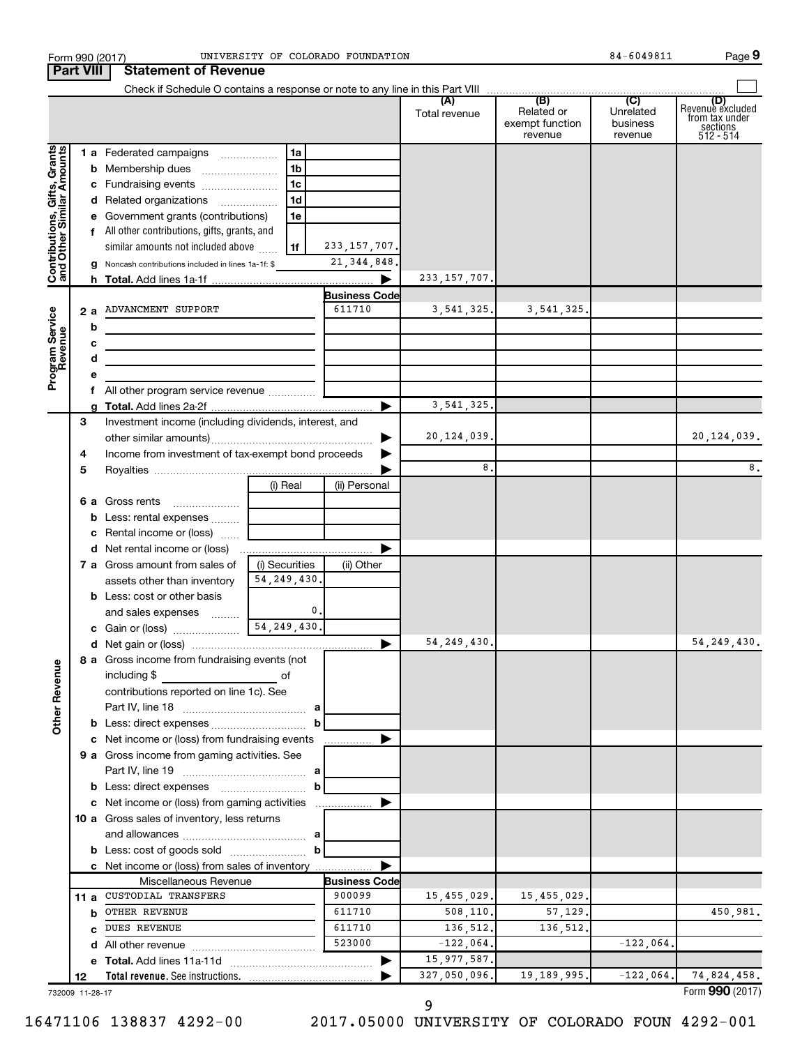|                                                           | <b>Part VIII</b> | Form 990 (2017)<br><b>Statement of Revenue</b>        |                     | UNIVERSITY OF COLORADO FOUNDATION |                |                                          | 84-6049811                       | Page 9                                                    |
|-----------------------------------------------------------|------------------|-------------------------------------------------------|---------------------|-----------------------------------|----------------|------------------------------------------|----------------------------------|-----------------------------------------------------------|
|                                                           |                  |                                                       |                     |                                   |                |                                          |                                  |                                                           |
|                                                           |                  |                                                       |                     |                                   | Total revenue  | Related or<br>exempt function<br>revenue | Unrelated<br>business<br>revenue | Revenue excluded<br>from tax under<br>sections<br>14- 512 |
| Contributions, Gifts, Grants<br>and Other Similar Amounts |                  | 1 a Federated campaigns                               | 1a                  |                                   |                |                                          |                                  |                                                           |
|                                                           |                  |                                                       | 1b                  |                                   |                |                                          |                                  |                                                           |
|                                                           |                  |                                                       | 1 <sub>c</sub>      |                                   |                |                                          |                                  |                                                           |
|                                                           |                  | d Related organizations <i>minimum</i>                | 1 <sub>d</sub>      |                                   |                |                                          |                                  |                                                           |
|                                                           |                  | e Government grants (contributions)                   | 1e                  |                                   |                |                                          |                                  |                                                           |
|                                                           |                  | f All other contributions, gifts, grants, and         |                     |                                   |                |                                          |                                  |                                                           |
|                                                           |                  | similar amounts not included above                    | 1f                  | 233, 157, 707.                    |                |                                          |                                  |                                                           |
|                                                           |                  | g Noncash contributions included in lines 1a-1f: \$   |                     | 21, 344, 848.                     |                |                                          |                                  |                                                           |
|                                                           |                  |                                                       |                     |                                   | 233, 157, 707. |                                          |                                  |                                                           |
|                                                           |                  |                                                       |                     | <b>Business Code</b>              |                |                                          |                                  |                                                           |
|                                                           |                  | 2 a ADVANCMENT SUPPORT                                |                     | 611710                            | 3, 541, 325.   | 3, 541, 325.                             |                                  |                                                           |
|                                                           | b                |                                                       |                     |                                   |                |                                          |                                  |                                                           |
|                                                           | c                |                                                       |                     |                                   |                |                                          |                                  |                                                           |
|                                                           | d                |                                                       |                     |                                   |                |                                          |                                  |                                                           |
| Program Service<br>Revenue                                | е                |                                                       |                     |                                   |                |                                          |                                  |                                                           |
|                                                           |                  |                                                       |                     |                                   |                |                                          |                                  |                                                           |
|                                                           |                  |                                                       |                     |                                   | 3, 541, 325.   |                                          |                                  |                                                           |
|                                                           | 3                | Investment income (including dividends, interest, and |                     |                                   |                |                                          |                                  |                                                           |
|                                                           |                  |                                                       |                     |                                   | 20, 124, 039.  |                                          |                                  | 20, 124, 039.                                             |
|                                                           | 4                | Income from investment of tax-exempt bond proceeds    |                     |                                   |                |                                          |                                  |                                                           |
|                                                           | 5                |                                                       |                     |                                   | 8.             |                                          |                                  | 8.                                                        |
|                                                           |                  |                                                       | (i) Real            | (ii) Personal                     |                |                                          |                                  |                                                           |
|                                                           |                  | 6 a Gross rents                                       |                     |                                   |                |                                          |                                  |                                                           |
|                                                           |                  | <b>b</b> Less: rental expenses <i>many</i>            |                     |                                   |                |                                          |                                  |                                                           |
|                                                           |                  | c Rental income or (loss)                             |                     |                                   |                |                                          |                                  |                                                           |
|                                                           |                  |                                                       |                     |                                   |                |                                          |                                  |                                                           |
|                                                           |                  | <b>7 a</b> Gross amount from sales of                 | (i) Securities      | (ii) Other                        |                |                                          |                                  |                                                           |
|                                                           |                  | assets other than inventory                           | 54, 249, 430.       |                                   |                |                                          |                                  |                                                           |
|                                                           |                  | <b>b</b> Less: cost or other basis                    |                     |                                   |                |                                          |                                  |                                                           |
|                                                           |                  | and sales expenses                                    | 0.<br>54, 249, 430. |                                   |                |                                          |                                  |                                                           |
|                                                           |                  | c Gain or (loss)                                      |                     |                                   | 54, 249, 430.  |                                          |                                  |                                                           |
|                                                           |                  | 8 a Gross income from fundraising events (not         |                     |                                   |                |                                          |                                  | 54, 249, 430.                                             |
| <b>Other Revenue</b>                                      |                  | including \$                                          |                     |                                   |                |                                          |                                  |                                                           |
|                                                           |                  | contributions reported on line 1c). See               |                     |                                   |                |                                          |                                  |                                                           |
|                                                           |                  |                                                       |                     |                                   |                |                                          |                                  |                                                           |
|                                                           |                  |                                                       |                     |                                   |                |                                          |                                  |                                                           |
|                                                           |                  | c Net income or (loss) from fundraising events        |                     |                                   |                |                                          |                                  |                                                           |
|                                                           |                  | 9 a Gross income from gaming activities. See          |                     |                                   |                |                                          |                                  |                                                           |
|                                                           |                  |                                                       |                     |                                   |                |                                          |                                  |                                                           |
|                                                           |                  |                                                       | b                   |                                   |                |                                          |                                  |                                                           |
|                                                           |                  | c Net income or (loss) from gaming activities         |                     |                                   |                |                                          |                                  |                                                           |
|                                                           |                  | 10 a Gross sales of inventory, less returns           |                     |                                   |                |                                          |                                  |                                                           |
|                                                           |                  |                                                       |                     |                                   |                |                                          |                                  |                                                           |
|                                                           |                  | <b>b</b> Less: cost of goods sold                     | b                   |                                   |                |                                          |                                  |                                                           |
|                                                           |                  | c Net income or (loss) from sales of inventory        |                     |                                   |                |                                          |                                  |                                                           |
|                                                           |                  | Miscellaneous Revenue                                 |                     | <b>Business Code</b>              |                |                                          |                                  |                                                           |
|                                                           | 11 a             | CUSTODIAL TRANSFERS                                   |                     | 900099                            | 15, 455, 029.  | 15, 455, 029.                            |                                  |                                                           |
|                                                           | b                | OTHER REVENUE                                         |                     | 611710                            | 508,110.       | 57, 129.                                 |                                  | 450,981.                                                  |
|                                                           | c                | <b>DUES REVENUE</b>                                   |                     | 611710                            | 136,512.       | 136,512.                                 |                                  |                                                           |
|                                                           | d                | All other revenue                                     |                     | 523000                            | $-122,064.$    |                                          | $-122,064.$                      |                                                           |
|                                                           |                  |                                                       |                     |                                   | 15, 977, 587.  |                                          |                                  |                                                           |
|                                                           |                  |                                                       |                     |                                   |                | 19,189,995.                              | $-122,064.$                      | 74,824,458.                                               |

732009 11-28-17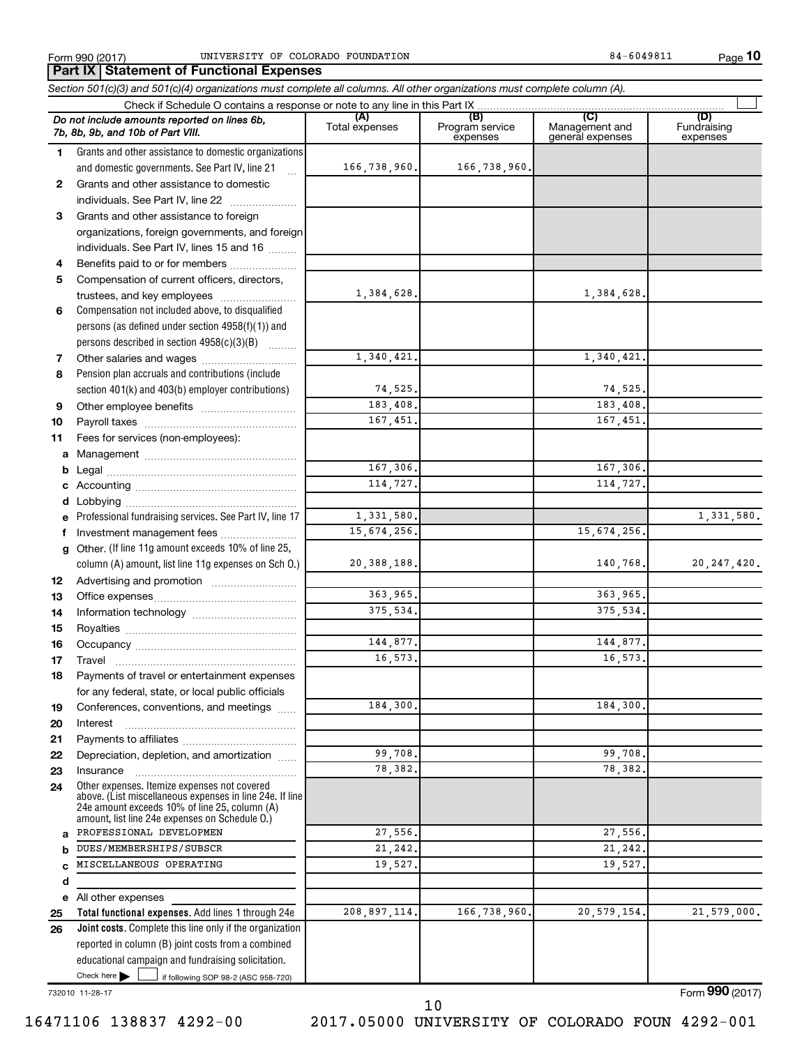**10**

|    | Part IX   Statement of Functional Expenses                                                                                                                                                                  |                       |                                    |                                           |                                |
|----|-------------------------------------------------------------------------------------------------------------------------------------------------------------------------------------------------------------|-----------------------|------------------------------------|-------------------------------------------|--------------------------------|
|    | Section 501(c)(3) and 501(c)(4) organizations must complete all columns. All other organizations must complete column (A).                                                                                  |                       |                                    |                                           |                                |
|    | Check if Schedule O contains a response or note to any line in this Part IX                                                                                                                                 |                       |                                    |                                           |                                |
|    | Do not include amounts reported on lines 6b,<br>7b, 8b, 9b, and 10b of Part VIII.                                                                                                                           | (A)<br>Total expenses | (B)<br>Program service<br>expenses | (C)<br>Management and<br>general expenses | (D)<br>Fundraising<br>expenses |
| 1  | Grants and other assistance to domestic organizations                                                                                                                                                       |                       |                                    |                                           |                                |
|    | and domestic governments. See Part IV, line 21                                                                                                                                                              | 166,738,960.          | 166,738,960.                       |                                           |                                |
| 2  | Grants and other assistance to domestic                                                                                                                                                                     |                       |                                    |                                           |                                |
|    | individuals. See Part IV, line 22                                                                                                                                                                           |                       |                                    |                                           |                                |
| 3  | Grants and other assistance to foreign                                                                                                                                                                      |                       |                                    |                                           |                                |
|    | organizations, foreign governments, and foreign                                                                                                                                                             |                       |                                    |                                           |                                |
|    | individuals. See Part IV, lines 15 and 16                                                                                                                                                                   |                       |                                    |                                           |                                |
| 4  | Benefits paid to or for members                                                                                                                                                                             |                       |                                    |                                           |                                |
| 5  | Compensation of current officers, directors,                                                                                                                                                                |                       |                                    |                                           |                                |
|    | trustees, and key employees                                                                                                                                                                                 | 1,384,628.            |                                    | 1,384,628.                                |                                |
| 6  | Compensation not included above, to disqualified                                                                                                                                                            |                       |                                    |                                           |                                |
|    | persons (as defined under section 4958(f)(1)) and                                                                                                                                                           |                       |                                    |                                           |                                |
|    | persons described in section 4958(c)(3)(B)                                                                                                                                                                  | 1,340,421.            |                                    |                                           |                                |
| 7  | Other salaries and wages<br>Pension plan accruals and contributions (include                                                                                                                                |                       |                                    | 1,340,421.                                |                                |
| 8  |                                                                                                                                                                                                             | 74,525.               |                                    | 74,525.                                   |                                |
| 9  | section 401(k) and 403(b) employer contributions)                                                                                                                                                           | 183,408.              |                                    | 183,408.                                  |                                |
| 10 |                                                                                                                                                                                                             | 167,451.              |                                    | 167,451.                                  |                                |
| 11 | Fees for services (non-employees):                                                                                                                                                                          |                       |                                    |                                           |                                |
|    |                                                                                                                                                                                                             |                       |                                    |                                           |                                |
|    |                                                                                                                                                                                                             | 167,306.              |                                    | 167,306.                                  |                                |
|    |                                                                                                                                                                                                             | 114,727.              |                                    | 114,727.                                  |                                |
|    |                                                                                                                                                                                                             |                       |                                    |                                           |                                |
|    | e Professional fundraising services. See Part IV, line 17                                                                                                                                                   | 1,331,580.            |                                    |                                           | 1,331,580.                     |
|    | f Investment management fees                                                                                                                                                                                | 15,674,256.           |                                    | 15,674,256.                               |                                |
|    | g Other. (If line 11g amount exceeds 10% of line 25,                                                                                                                                                        |                       |                                    |                                           |                                |
|    | column (A) amount, list line 11g expenses on Sch O.)                                                                                                                                                        | 20,388,188.           |                                    | 140,768.                                  | 20, 247, 420.                  |
| 12 |                                                                                                                                                                                                             |                       |                                    |                                           |                                |
| 13 |                                                                                                                                                                                                             | 363,965.              |                                    | 363,965.                                  |                                |
| 14 |                                                                                                                                                                                                             | 375,534.              |                                    | 375,534.                                  |                                |
| 15 |                                                                                                                                                                                                             |                       |                                    |                                           |                                |
| 16 |                                                                                                                                                                                                             | 144,877.              |                                    | 144,877.                                  |                                |
| 17 | Travel                                                                                                                                                                                                      | 16, 573.              |                                    | 16,573.                                   |                                |
| 18 | Payments of travel or entertainment expenses                                                                                                                                                                |                       |                                    |                                           |                                |
|    | for any federal, state, or local public officials                                                                                                                                                           |                       |                                    |                                           |                                |
| 19 | Conferences, conventions, and meetings                                                                                                                                                                      | 184,300.              |                                    | 184,300.                                  |                                |
| 20 | Interest                                                                                                                                                                                                    |                       |                                    |                                           |                                |
| 21 |                                                                                                                                                                                                             |                       |                                    |                                           |                                |
| 22 | Depreciation, depletion, and amortization                                                                                                                                                                   | 99,708.               |                                    | 99,708.                                   |                                |
| 23 | Insurance                                                                                                                                                                                                   | 78,382.               |                                    | 78.382.                                   |                                |
| 24 | Other expenses. Itemize expenses not covered<br>above. (List miscellaneous expenses in line 24e. If line<br>24e amount exceeds 10% of line 25, column (A)<br>amount, list line 24e expenses on Schedule O.) |                       |                                    |                                           |                                |
| a  | PROFESSIONAL DEVELOPMEN                                                                                                                                                                                     | 27,556.               |                                    | 27,556.                                   |                                |
| b  | DUES/MEMBERSHIPS/SUBSCR                                                                                                                                                                                     | 21,242.               |                                    | 21,242.                                   |                                |
|    | MISCELLANEOUS OPERATING                                                                                                                                                                                     | 19,527.               |                                    | 19,527.                                   |                                |
| d  |                                                                                                                                                                                                             |                       |                                    |                                           |                                |
| e  | All other expenses                                                                                                                                                                                          |                       |                                    |                                           |                                |
| 25 | Total functional expenses. Add lines 1 through 24e                                                                                                                                                          | 208,897,114.          | 166,738,960.                       | 20, 579, 154.                             | 21,579,000.                    |
| 26 | <b>Joint costs.</b> Complete this line only if the organization                                                                                                                                             |                       |                                    |                                           |                                |
|    | reported in column (B) joint costs from a combined                                                                                                                                                          |                       |                                    |                                           |                                |
|    | educational campaign and fundraising solicitation.                                                                                                                                                          |                       |                                    |                                           |                                |
|    | Check here $\blacktriangleright$<br>if following SOP 98-2 (ASC 958-720)                                                                                                                                     |                       |                                    |                                           |                                |

732010 11-28-17

Form (2017) **990**

10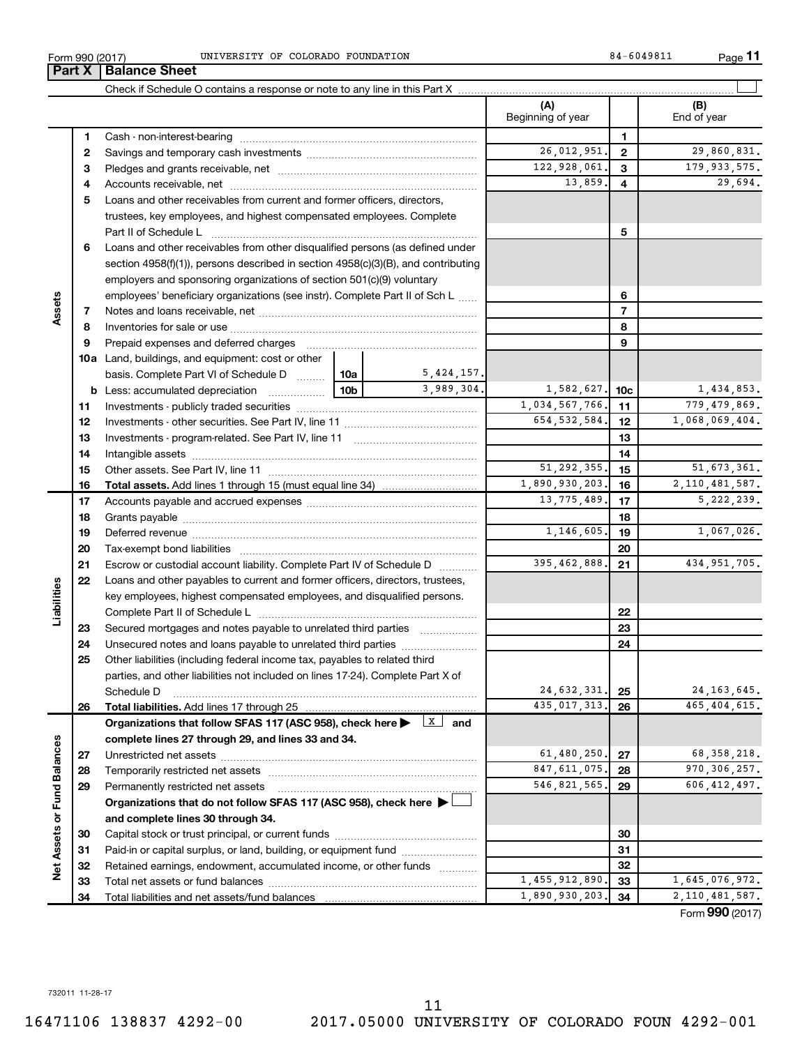|    | Loans and other receivables from other disqualmed persons (as defined under                                                                                                                                                    |                 |    |            |                |                 |  |
|----|--------------------------------------------------------------------------------------------------------------------------------------------------------------------------------------------------------------------------------|-----------------|----|------------|----------------|-----------------|--|
|    | section $4958(f)(1)$ , persons described in section $4958(c)(3)(B)$ , and contributing                                                                                                                                         |                 |    |            |                |                 |  |
|    | employers and sponsoring organizations of section 501(c)(9) voluntary                                                                                                                                                          |                 |    |            |                |                 |  |
|    | employees' beneficiary organizations (see instr). Complete Part II of Sch L                                                                                                                                                    |                 |    |            |                | 6               |  |
| 7  |                                                                                                                                                                                                                                |                 |    |            |                | 7               |  |
| 8  |                                                                                                                                                                                                                                |                 |    | 8          |                |                 |  |
| 9  |                                                                                                                                                                                                                                |                 | 9  |            |                |                 |  |
|    | <b>10a</b> Land, buildings, and equipment: cost or other                                                                                                                                                                       |                 |    |            |                |                 |  |
|    | basis. Complete Part VI of Schedule D                                                                                                                                                                                          | 10a l           |    | 5,424,157. |                |                 |  |
|    | <b>b</b> Less: accumulated depreciation                                                                                                                                                                                        | 10 <sub>b</sub> |    | 3,989,304. | 1,582,627.     | 10 <sub>c</sub> |  |
| 11 |                                                                                                                                                                                                                                |                 |    |            | 1,034,567,766. | 11              |  |
| 12 |                                                                                                                                                                                                                                |                 |    |            | 654, 532, 584. | 12              |  |
| 13 |                                                                                                                                                                                                                                |                 |    |            |                | 13              |  |
| 14 |                                                                                                                                                                                                                                |                 |    |            |                | 14              |  |
| 15 |                                                                                                                                                                                                                                |                 |    |            | 51, 292, 355.  | 15              |  |
| 16 |                                                                                                                                                                                                                                | 1,890,930,203.  | 16 |            |                |                 |  |
| 17 |                                                                                                                                                                                                                                |                 |    |            | 13, 775, 489.  | 17              |  |
| 18 |                                                                                                                                                                                                                                |                 |    |            |                | 18              |  |
| 19 |                                                                                                                                                                                                                                | 1,146,605.      | 19 |            |                |                 |  |
| 20 | Tax-exempt bond liabilities [111] [12] Tax-exempt bond liabilities [11] [12] Masseum (12] Masseum (12] Masseum (12] Masseum (12] Masseum (12] Masseum (12] Masseum (12] Masseum (12] Masseum (12] Masseum (12] Masseum (12] Ma |                 |    |            |                | 20              |  |
| 21 | Escrow or custodial account liability. Complete Part IV of Schedule D                                                                                                                                                          |                 |    |            | 395, 462, 888. | 21              |  |
| 22 | Loans and other payables to current and former officers, directors, trustees,                                                                                                                                                  |                 |    |            |                |                 |  |
|    | key employees, highest compensated employees, and disqualified persons.                                                                                                                                                        |                 |    |            |                |                 |  |
|    |                                                                                                                                                                                                                                |                 |    |            |                | 22              |  |
| 23 | Secured mortgages and notes payable to unrelated third parties <i>manumum</i>                                                                                                                                                  |                 |    |            |                | 23              |  |
| 24 | Unsecured notes and loans payable to unrelated third parties                                                                                                                                                                   |                 |    |            |                | 24              |  |
| 25 | Other liabilities (including federal income tax, payables to related third                                                                                                                                                     |                 |    |            |                |                 |  |
|    | parties, and other liabilities not included on lines 17-24). Complete Part X of                                                                                                                                                |                 |    |            |                |                 |  |
|    | Schedule D                                                                                                                                                                                                                     |                 |    |            | 24,632,331.    | 25              |  |
| 26 |                                                                                                                                                                                                                                |                 |    |            | 435,017,313.   | 26              |  |
|    | Organizations that follow SFAS 117 (ASC 958), check here $\blacktriangleright \begin{array}{c} \boxed{X} \\ \end{array}$ and                                                                                                   |                 |    |            |                |                 |  |
|    | complete lines 27 through 29, and lines 33 and 34.                                                                                                                                                                             |                 |    |            |                |                 |  |
| 27 |                                                                                                                                                                                                                                |                 |    |            | 61, 480, 250.  | 27              |  |
| 28 |                                                                                                                                                                                                                                |                 |    |            | 847, 611, 075. | 28              |  |
| 29 | Permanently restricted net assets                                                                                                                                                                                              |                 |    |            | 546,821,565.   | 29              |  |
|    | Organizations that do not follow SFAS 117 (ASC 958), check here ▶ □                                                                                                                                                            |                 |    |            |                |                 |  |

#### Form 990 (2017) CONTRESTTY OF COLORADO FOUNDATION RELATION RELATION RELATION RELATION RELATION RELATION

**3** Pledges and grants receivable, net ~~~~~~~~~~~~~~~~~~~~~ **4** Accounts receivable, net ~~~~~~~~~~~~~~~~~~~~~~~~~~ **5** Loans and other receivables from current and former officers, directors,

trustees, key employees, and highest compensated employees. Complete Part II of Schedule L ~~~~~~~~~~~~~~~~~~~~~~~~~~~~ Loans and other receivables from other disqualified persons (as defined under

Cash - non-interest-bearing ~~~~~~~~~~~~~~~~~~~~~~~~~ Savings and temporary cash investments ~~~~~~~~~~~~~~~~~~

Check if Schedule O contains a response or note to any line in this Part X **Part X** | **Balance Sheet** 

**1 2**

**6**

**Assets**

**23 24 25**

**Liabilities**

**26**

**27 28 29**

**Net Assets or Fund Balances**

Net Assets or Fund Balances

**and complete lines 30 through 34.**

Total net assets or fund balances Total liabilities and net assets/fund balances

Capital stock or trust principal, or current funds ~~~~~~~~~~~~~~~ Paid-in or capital surplus, or land, building, or equipment fund ....................... Retained earnings, endowment, accumulated income, or other funds ............ **(A) (B)**

Beginning of year | | End of year

26,012,951. 2 29,860,831. 122,928,061. 3 179,933,575. 13,859. 29,694.

**5**

1,455,912,890. 33 1,645,076,972. 1,890,930,203. 34 2.110,481,587.

Form (2017) **990**

**11**

 $\perp$ 

1,434,853. 1,034,567,766. 779,479,869. 1,068,069,404.

51,292,355. 51,673,361. 2,110,481,587. 13,775,489. 5,222,239.

1,067,026.

434,951,705.

24,163,645. 435,017,313. 465,404,615.

68,358,218. 970,306,257. 546,821,565. 606,412,497.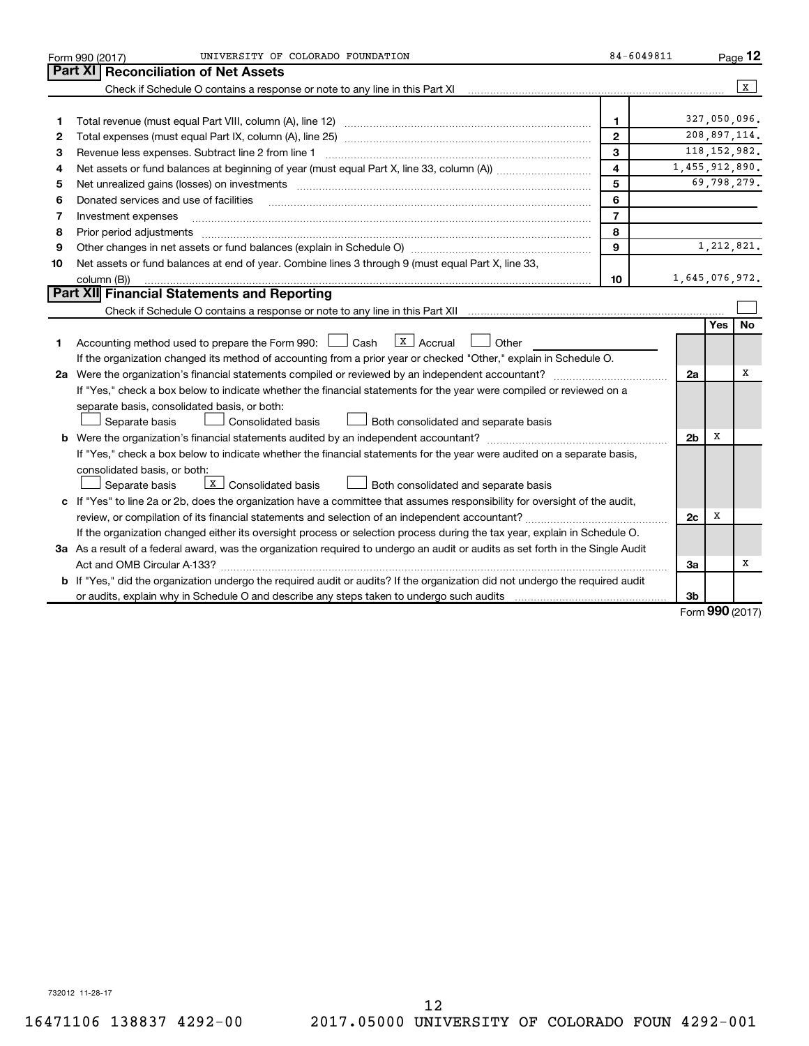| Part XI<br><b>Reconciliation of Net Assets</b><br>l x<br>Check if Schedule O contains a response or note to any line in this Part XI<br>327,050,096.<br>1<br>1<br>208,897,114.<br>$\mathbf{2}$<br>2<br>118, 152, 982.<br>3<br>З<br>Revenue less expenses. Subtract line 2 from line 1<br>$\overline{\mathbf{4}}$<br>1,455,912,890.<br>4<br>5<br>69,798,279.<br>5                                                                                                               | Page 12 |
|--------------------------------------------------------------------------------------------------------------------------------------------------------------------------------------------------------------------------------------------------------------------------------------------------------------------------------------------------------------------------------------------------------------------------------------------------------------------------------|---------|
|                                                                                                                                                                                                                                                                                                                                                                                                                                                                                |         |
|                                                                                                                                                                                                                                                                                                                                                                                                                                                                                |         |
|                                                                                                                                                                                                                                                                                                                                                                                                                                                                                |         |
|                                                                                                                                                                                                                                                                                                                                                                                                                                                                                |         |
|                                                                                                                                                                                                                                                                                                                                                                                                                                                                                |         |
|                                                                                                                                                                                                                                                                                                                                                                                                                                                                                |         |
|                                                                                                                                                                                                                                                                                                                                                                                                                                                                                |         |
|                                                                                                                                                                                                                                                                                                                                                                                                                                                                                |         |
| 6<br>Donated services and use of facilities<br>6                                                                                                                                                                                                                                                                                                                                                                                                                               |         |
| $\overline{7}$<br>Investment expenses<br>7                                                                                                                                                                                                                                                                                                                                                                                                                                     |         |
| 8<br>8                                                                                                                                                                                                                                                                                                                                                                                                                                                                         |         |
| 9<br>1,212,821.<br>9                                                                                                                                                                                                                                                                                                                                                                                                                                                           |         |
| Net assets or fund balances at end of year. Combine lines 3 through 9 (must equal Part X, line 33,<br>10                                                                                                                                                                                                                                                                                                                                                                       |         |
| 10<br>1,645,076,972.<br>column (B))                                                                                                                                                                                                                                                                                                                                                                                                                                            |         |
| Part XII Financial Statements and Reporting                                                                                                                                                                                                                                                                                                                                                                                                                                    |         |
|                                                                                                                                                                                                                                                                                                                                                                                                                                                                                |         |
| <b>No</b><br><b>Yes</b>                                                                                                                                                                                                                                                                                                                                                                                                                                                        |         |
| $\lfloor x \rfloor$ Accrual<br>Accounting method used to prepare the Form 990: $\Box$ Cash<br>Other<br>1                                                                                                                                                                                                                                                                                                                                                                       |         |
| If the organization changed its method of accounting from a prior year or checked "Other," explain in Schedule O.                                                                                                                                                                                                                                                                                                                                                              |         |
| x<br>2a Were the organization's financial statements compiled or reviewed by an independent accountant?<br>2a<br>$\mathcal{L} = \{1, 2, \ldots, 2, \ldots, 2, \ldots, 2, \ldots, 2, \ldots, 2, \ldots, 2, \ldots, 2, \ldots, 2, \ldots, 2, \ldots, 2, \ldots, 2, \ldots, 2, \ldots, 2, \ldots, 2, \ldots, 2, \ldots, 2, \ldots, 2, \ldots, 2, \ldots, 2, \ldots, 2, \ldots, 2, \ldots, 2, \ldots, 2, \ldots, 2, \ldots, 2, \ldots, 2, \ldots, 2, \ldots, 2, \ldots, 2, \ldots$ |         |
| If "Yes," check a box below to indicate whether the financial statements for the year were compiled or reviewed on a                                                                                                                                                                                                                                                                                                                                                           |         |
| separate basis, consolidated basis, or both:                                                                                                                                                                                                                                                                                                                                                                                                                                   |         |
| Consolidated basis<br>Both consolidated and separate basis<br>Separate basis                                                                                                                                                                                                                                                                                                                                                                                                   |         |
| х<br>2 <sub>b</sub>                                                                                                                                                                                                                                                                                                                                                                                                                                                            |         |
| If "Yes," check a box below to indicate whether the financial statements for the year were audited on a separate basis,                                                                                                                                                                                                                                                                                                                                                        |         |
| consolidated basis, or both:                                                                                                                                                                                                                                                                                                                                                                                                                                                   |         |
| $\boxed{\text{x}}$ Consolidated basis<br>Separate basis<br>Both consolidated and separate basis                                                                                                                                                                                                                                                                                                                                                                                |         |
| c If "Yes" to line 2a or 2b, does the organization have a committee that assumes responsibility for oversight of the audit,                                                                                                                                                                                                                                                                                                                                                    |         |
| review, or compilation of its financial statements and selection of an independent accountant?<br>2c<br>х                                                                                                                                                                                                                                                                                                                                                                      |         |
| If the organization changed either its oversight process or selection process during the tax year, explain in Schedule O.                                                                                                                                                                                                                                                                                                                                                      |         |
| 3a As a result of a federal award, was the organization required to undergo an audit or audits as set forth in the Single Audit                                                                                                                                                                                                                                                                                                                                                |         |
| х<br>3a                                                                                                                                                                                                                                                                                                                                                                                                                                                                        |         |
| <b>b</b> If "Yes," did the organization undergo the required audit or audits? If the organization did not undergo the required audit                                                                                                                                                                                                                                                                                                                                           |         |
| Зb<br>$000 \, \text{GeV}$                                                                                                                                                                                                                                                                                                                                                                                                                                                      |         |

Form (2017) **990**

732012 11-28-17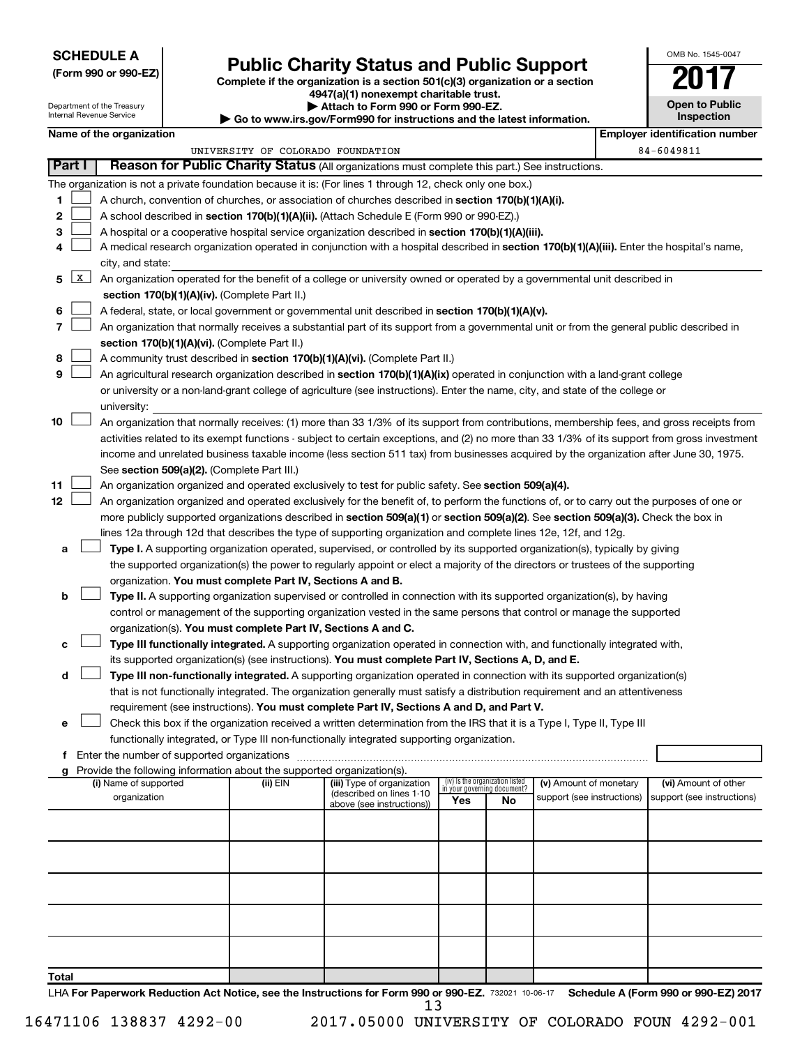#### **SCHEDULE A**

Department of the Treasury Internal Revenue Service

# Form 990 or 990-EZ)<br>
Complete if the organization is a section 501(c)(3) organization or a section<br> **Public Charity Status and Public Support**

**4947(a)(1) nonexempt charitable trust.**

**| Attach to Form 990 or Form 990-EZ.** 

**| Go to www.irs.gov/Form990 for instructions and the latest information. Inspection Name of the organization** 

OMB No. 1545-0047

**Open to Public**

| <b>THE PROPERTY OF SHIPLE STATE</b> |                                   |                                                                                                        | I mikia katika mwaka |
|-------------------------------------|-----------------------------------|--------------------------------------------------------------------------------------------------------|----------------------|
|                                     | UNIVERSITY OF COLORADO FOUNDATION |                                                                                                        | 84-6049811           |
| <b>Part I</b>                       |                                   | <b>Reason for Public Charity Status (All organizations must complete this part.) See instructions.</b> |                      |

|       |            | <b>Theasen Terms above Strainty States</b> (All organizations must complete this part, Joce instructions.                                     |            |                            |                                    |                                 |                            |                            |  |  |  |
|-------|------------|-----------------------------------------------------------------------------------------------------------------------------------------------|------------|----------------------------|------------------------------------|---------------------------------|----------------------------|----------------------------|--|--|--|
|       |            | The organization is not a private foundation because it is: (For lines 1 through 12, check only one box.)                                     |            |                            |                                    |                                 |                            |                            |  |  |  |
| 1     |            | A church, convention of churches, or association of churches described in section 170(b)(1)(A)(i).                                            |            |                            |                                    |                                 |                            |                            |  |  |  |
| 2     |            | A school described in section 170(b)(1)(A)(ii). (Attach Schedule E (Form 990 or 990-EZ).)                                                     |            |                            |                                    |                                 |                            |                            |  |  |  |
| 3     |            | A hospital or a cooperative hospital service organization described in section 170(b)(1)(A)(iii).                                             |            |                            |                                    |                                 |                            |                            |  |  |  |
| 4     |            | A medical research organization operated in conjunction with a hospital described in section 170(b)(1)(A)(iii). Enter the hospital's name,    |            |                            |                                    |                                 |                            |                            |  |  |  |
|       |            | city, and state:                                                                                                                              |            |                            |                                    |                                 |                            |                            |  |  |  |
|       | $5 \mid X$ | An organization operated for the benefit of a college or university owned or operated by a governmental unit described in                     |            |                            |                                    |                                 |                            |                            |  |  |  |
|       |            |                                                                                                                                               |            |                            |                                    |                                 |                            |                            |  |  |  |
|       |            | section 170(b)(1)(A)(iv). (Complete Part II.)                                                                                                 |            |                            |                                    |                                 |                            |                            |  |  |  |
| 6     |            | A federal, state, or local government or governmental unit described in section 170(b)(1)(A)(v).                                              |            |                            |                                    |                                 |                            |                            |  |  |  |
| 7     |            | An organization that normally receives a substantial part of its support from a governmental unit or from the general public described in     |            |                            |                                    |                                 |                            |                            |  |  |  |
|       |            | section 170(b)(1)(A)(vi). (Complete Part II.)                                                                                                 |            |                            |                                    |                                 |                            |                            |  |  |  |
| 8     |            | A community trust described in section 170(b)(1)(A)(vi). (Complete Part II.)                                                                  |            |                            |                                    |                                 |                            |                            |  |  |  |
| 9     |            | An agricultural research organization described in section 170(b)(1)(A)(ix) operated in conjunction with a land-grant college                 |            |                            |                                    |                                 |                            |                            |  |  |  |
|       |            | or university or a non-land-grant college of agriculture (see instructions). Enter the name, city, and state of the college or                |            |                            |                                    |                                 |                            |                            |  |  |  |
|       |            | university:                                                                                                                                   |            |                            |                                    |                                 |                            |                            |  |  |  |
| 10    |            | An organization that normally receives: (1) more than 33 1/3% of its support from contributions, membership fees, and gross receipts from     |            |                            |                                    |                                 |                            |                            |  |  |  |
|       |            | activities related to its exempt functions - subject to certain exceptions, and (2) no more than 33 1/3% of its support from gross investment |            |                            |                                    |                                 |                            |                            |  |  |  |
|       |            | income and unrelated business taxable income (less section 511 tax) from businesses acquired by the organization after June 30, 1975.         |            |                            |                                    |                                 |                            |                            |  |  |  |
|       |            | See section 509(a)(2). (Complete Part III.)                                                                                                   |            |                            |                                    |                                 |                            |                            |  |  |  |
| 11    |            | An organization organized and operated exclusively to test for public safety. See section 509(a)(4).                                          |            |                            |                                    |                                 |                            |                            |  |  |  |
| 12    |            | An organization organized and operated exclusively for the benefit of, to perform the functions of, or to carry out the purposes of one or    |            |                            |                                    |                                 |                            |                            |  |  |  |
|       |            |                                                                                                                                               |            |                            |                                    |                                 |                            |                            |  |  |  |
|       |            | more publicly supported organizations described in section 509(a)(1) or section 509(a)(2). See section 509(a)(3). Check the box in            |            |                            |                                    |                                 |                            |                            |  |  |  |
|       |            | lines 12a through 12d that describes the type of supporting organization and complete lines 12e, 12f, and 12g.                                |            |                            |                                    |                                 |                            |                            |  |  |  |
| а     |            | Type I. A supporting organization operated, supervised, or controlled by its supported organization(s), typically by giving                   |            |                            |                                    |                                 |                            |                            |  |  |  |
|       |            | the supported organization(s) the power to regularly appoint or elect a majority of the directors or trustees of the supporting               |            |                            |                                    |                                 |                            |                            |  |  |  |
|       |            | organization. You must complete Part IV, Sections A and B.                                                                                    |            |                            |                                    |                                 |                            |                            |  |  |  |
| b     |            | Type II. A supporting organization supervised or controlled in connection with its supported organization(s), by having                       |            |                            |                                    |                                 |                            |                            |  |  |  |
|       |            | control or management of the supporting organization vested in the same persons that control or manage the supported                          |            |                            |                                    |                                 |                            |                            |  |  |  |
|       |            | organization(s). You must complete Part IV, Sections A and C.                                                                                 |            |                            |                                    |                                 |                            |                            |  |  |  |
| с     |            | Type III functionally integrated. A supporting organization operated in connection with, and functionally integrated with,                    |            |                            |                                    |                                 |                            |                            |  |  |  |
|       |            | its supported organization(s) (see instructions). You must complete Part IV, Sections A, D, and E.                                            |            |                            |                                    |                                 |                            |                            |  |  |  |
| d     |            | Type III non-functionally integrated. A supporting organization operated in connection with its supported organization(s)                     |            |                            |                                    |                                 |                            |                            |  |  |  |
|       |            | that is not functionally integrated. The organization generally must satisfy a distribution requirement and an attentiveness                  |            |                            |                                    |                                 |                            |                            |  |  |  |
|       |            | requirement (see instructions). You must complete Part IV, Sections A and D, and Part V.                                                      |            |                            |                                    |                                 |                            |                            |  |  |  |
| е     |            | Check this box if the organization received a written determination from the IRS that it is a Type I, Type II, Type III                       |            |                            |                                    |                                 |                            |                            |  |  |  |
|       |            | functionally integrated, or Type III non-functionally integrated supporting organization.                                                     |            |                            |                                    |                                 |                            |                            |  |  |  |
|       |            | f Enter the number of supported organizations                                                                                                 |            |                            |                                    |                                 |                            |                            |  |  |  |
|       |            |                                                                                                                                               |            |                            |                                    |                                 |                            |                            |  |  |  |
|       |            | g Provide the following information about the supported organization(s).<br>(i) Name of supported                                             | $(ii)$ EIN | (iii) Type of organization |                                    | (iv) Is the organization listed | (v) Amount of monetary     | (vi) Amount of other       |  |  |  |
|       |            | organization                                                                                                                                  |            | (described on lines 1-10   | in your governing document?<br>Yes | No                              | support (see instructions) | support (see instructions) |  |  |  |
|       |            |                                                                                                                                               |            | above (see instructions))  |                                    |                                 |                            |                            |  |  |  |
|       |            |                                                                                                                                               |            |                            |                                    |                                 |                            |                            |  |  |  |
|       |            |                                                                                                                                               |            |                            |                                    |                                 |                            |                            |  |  |  |
|       |            |                                                                                                                                               |            |                            |                                    |                                 |                            |                            |  |  |  |
|       |            |                                                                                                                                               |            |                            |                                    |                                 |                            |                            |  |  |  |
|       |            |                                                                                                                                               |            |                            |                                    |                                 |                            |                            |  |  |  |
|       |            |                                                                                                                                               |            |                            |                                    |                                 |                            |                            |  |  |  |
|       |            |                                                                                                                                               |            |                            |                                    |                                 |                            |                            |  |  |  |
|       |            |                                                                                                                                               |            |                            |                                    |                                 |                            |                            |  |  |  |
|       |            |                                                                                                                                               |            |                            |                                    |                                 |                            |                            |  |  |  |
|       |            |                                                                                                                                               |            |                            |                                    |                                 |                            |                            |  |  |  |
| Total |            |                                                                                                                                               |            |                            |                                    |                                 |                            |                            |  |  |  |
|       |            |                                                                                                                                               |            |                            |                                    |                                 |                            |                            |  |  |  |

LHA For Paperwork Reduction Act Notice, see the Instructions for Form 990 or 990-EZ. 732021 10-06-17 Schedule A (Form 990 or 990-EZ) 2017 13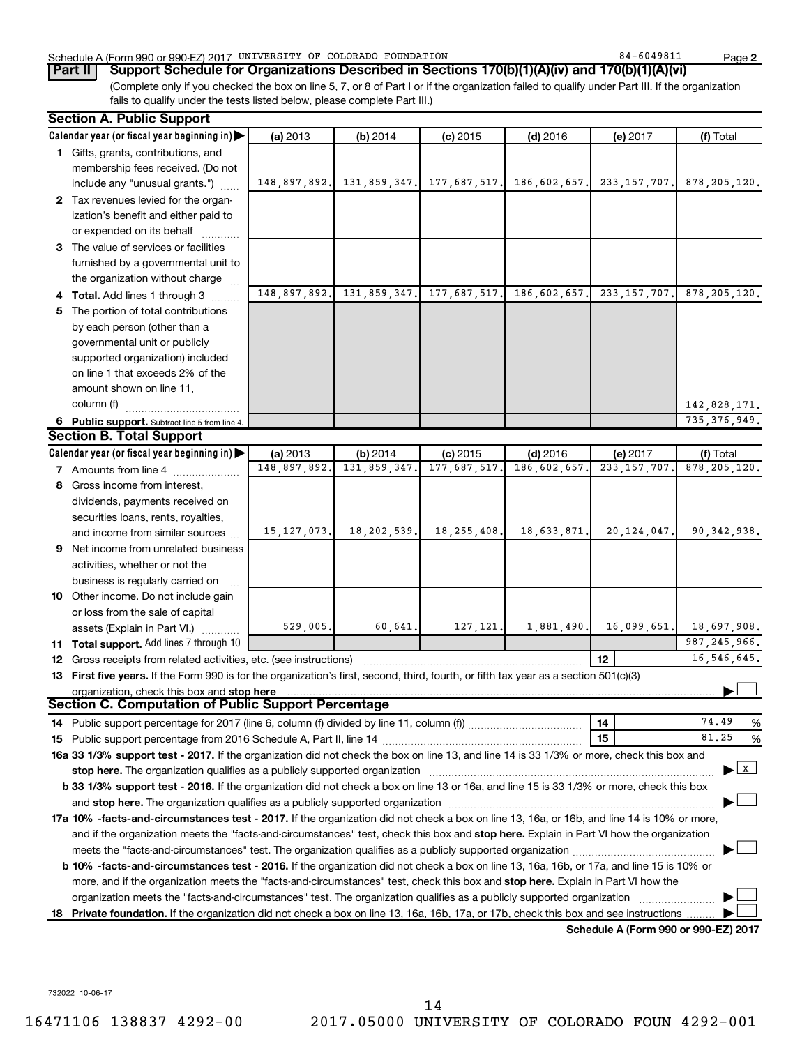#### Schedule A (Form 990 or 990-EZ) 2017 UNIVERSITY OF COLORADO FOUNDATION 84 - 6049811 Page

(Complete only if you checked the box on line 5, 7, or 8 of Part I or if the organization failed to qualify under Part III. If the organization **Part II Support Schedule for Organizations Described in Sections 170(b)(1)(A)(iv) and 170(b)(1)(A)(vi)**

fails to qualify under the tests listed below, please complete Part III.)

|    | <b>Section A. Public Support</b>                                                                                                                                                                                               |               |                                        |               |              |                                      |                                    |
|----|--------------------------------------------------------------------------------------------------------------------------------------------------------------------------------------------------------------------------------|---------------|----------------------------------------|---------------|--------------|--------------------------------------|------------------------------------|
|    | Calendar year (or fiscal year beginning in)                                                                                                                                                                                    | (a) 2013      | (b) 2014                               | $(c)$ 2015    | $(d)$ 2016   | (e) 2017                             | (f) Total                          |
|    | 1 Gifts, grants, contributions, and                                                                                                                                                                                            |               |                                        |               |              |                                      |                                    |
|    | membership fees received. (Do not                                                                                                                                                                                              |               |                                        |               |              |                                      |                                    |
|    | include any "unusual grants.")                                                                                                                                                                                                 |               | 148,897,892. 131,859,347. 177,687,517. |               | 186,602,657. | 233, 157, 707.                       | 878, 205, 120.                     |
|    | 2 Tax revenues levied for the organ-                                                                                                                                                                                           |               |                                        |               |              |                                      |                                    |
|    | ization's benefit and either paid to                                                                                                                                                                                           |               |                                        |               |              |                                      |                                    |
|    | or expended on its behalf                                                                                                                                                                                                      |               |                                        |               |              |                                      |                                    |
|    | 3 The value of services or facilities                                                                                                                                                                                          |               |                                        |               |              |                                      |                                    |
|    | furnished by a governmental unit to                                                                                                                                                                                            |               |                                        |               |              |                                      |                                    |
|    | the organization without charge                                                                                                                                                                                                |               |                                        |               |              |                                      |                                    |
|    | 4 Total. Add lines 1 through 3                                                                                                                                                                                                 | 148,897,892.  | 131,859,347.                           | 177,687,517.  | 186,602,657. | 233, 157, 707.                       | 878, 205, 120.                     |
| 5. | The portion of total contributions                                                                                                                                                                                             |               |                                        |               |              |                                      |                                    |
|    | by each person (other than a                                                                                                                                                                                                   |               |                                        |               |              |                                      |                                    |
|    | governmental unit or publicly                                                                                                                                                                                                  |               |                                        |               |              |                                      |                                    |
|    | supported organization) included                                                                                                                                                                                               |               |                                        |               |              |                                      |                                    |
|    | on line 1 that exceeds 2% of the                                                                                                                                                                                               |               |                                        |               |              |                                      |                                    |
|    | amount shown on line 11,                                                                                                                                                                                                       |               |                                        |               |              |                                      |                                    |
|    | column (f)                                                                                                                                                                                                                     |               |                                        |               |              |                                      | 142,828,171.                       |
|    | 6 Public support. Subtract line 5 from line 4.                                                                                                                                                                                 |               |                                        |               |              |                                      | 735, 376, 949.                     |
|    | <b>Section B. Total Support</b>                                                                                                                                                                                                |               |                                        |               |              |                                      |                                    |
|    | Calendar year (or fiscal year beginning in)                                                                                                                                                                                    | (a) 2013      | (b) 2014                               | $(c)$ 2015    | $(d)$ 2016   | (e) 2017                             | (f) Total                          |
|    | <b>7</b> Amounts from line 4                                                                                                                                                                                                   | 148,897,892.  | 131,859,347.                           | 177,687,517   | 186,602,657  | 233, 157, 707                        | 878, 205, 120.                     |
| 8  | Gross income from interest,                                                                                                                                                                                                    |               |                                        |               |              |                                      |                                    |
|    | dividends, payments received on                                                                                                                                                                                                |               |                                        |               |              |                                      |                                    |
|    | securities loans, rents, royalties,                                                                                                                                                                                            |               |                                        |               |              |                                      |                                    |
|    | and income from similar sources                                                                                                                                                                                                | 15, 127, 073. | 18, 202, 539.                          | 18, 255, 408. | 18,633,871.  | 20, 124, 047.                        | 90, 342, 938.                      |
| 9  | Net income from unrelated business                                                                                                                                                                                             |               |                                        |               |              |                                      |                                    |
|    | activities, whether or not the                                                                                                                                                                                                 |               |                                        |               |              |                                      |                                    |
|    | business is regularly carried on                                                                                                                                                                                               |               |                                        |               |              |                                      |                                    |
|    | 10 Other income. Do not include gain                                                                                                                                                                                           |               |                                        |               |              |                                      |                                    |
|    | or loss from the sale of capital                                                                                                                                                                                               |               |                                        |               |              |                                      |                                    |
|    | assets (Explain in Part VI.)                                                                                                                                                                                                   | 529,005.      | 60,641.                                | 127, 121.     | 1,881,490.   | 16,099,651.                          | 18,697,908.                        |
|    | <b>11 Total support.</b> Add lines 7 through 10                                                                                                                                                                                |               |                                        |               |              |                                      | 987, 245, 966.                     |
|    | <b>12</b> Gross receipts from related activities, etc. (see instructions)                                                                                                                                                      |               |                                        |               |              | 12                                   | 16,546,645.                        |
|    | 13 First five years. If the Form 990 is for the organization's first, second, third, fourth, or fifth tax year as a section 501(c)(3)                                                                                          |               |                                        |               |              |                                      |                                    |
|    | organization, check this box and stop here                                                                                                                                                                                     |               |                                        |               |              |                                      |                                    |
|    | Section C. Computation of Public Support Percentage                                                                                                                                                                            |               |                                        |               |              |                                      |                                    |
|    |                                                                                                                                                                                                                                |               |                                        |               |              | 14                                   | 74.49<br>%                         |
|    |                                                                                                                                                                                                                                |               |                                        |               |              | 15                                   | 81.25<br>%                         |
|    | 16a 33 1/3% support test - 2017. If the organization did not check the box on line 13, and line 14 is 33 1/3% or more, check this box and                                                                                      |               |                                        |               |              |                                      |                                    |
|    | stop here. The organization qualifies as a publicly supported organization manufaction manufacture or manufacture or the organization manufacture or the state of the state of the state of the state of the state of the stat |               |                                        |               |              |                                      | $\blacktriangleright$ $\mathbf{X}$ |
|    | b 33 1/3% support test - 2016. If the organization did not check a box on line 13 or 16a, and line 15 is 33 1/3% or more, check this box                                                                                       |               |                                        |               |              |                                      |                                    |
|    |                                                                                                                                                                                                                                |               |                                        |               |              |                                      |                                    |
|    | 17a 10% -facts-and-circumstances test - 2017. If the organization did not check a box on line 13, 16a, or 16b, and line 14 is 10% or more,                                                                                     |               |                                        |               |              |                                      |                                    |
|    | and if the organization meets the "facts-and-circumstances" test, check this box and stop here. Explain in Part VI how the organization                                                                                        |               |                                        |               |              |                                      |                                    |
|    |                                                                                                                                                                                                                                |               |                                        |               |              |                                      |                                    |
|    | b 10% -facts-and-circumstances test - 2016. If the organization did not check a box on line 13, 16a, 16b, or 17a, and line 15 is 10% or                                                                                        |               |                                        |               |              |                                      |                                    |
|    | more, and if the organization meets the "facts-and-circumstances" test, check this box and stop here. Explain in Part VI how the                                                                                               |               |                                        |               |              |                                      |                                    |
|    | organization meets the "facts-and-circumstances" test. The organization qualifies as a publicly supported organization                                                                                                         |               |                                        |               |              |                                      |                                    |
|    | 18 Private foundation. If the organization did not check a box on line 13, 16a, 16b, 17a, or 17b, check this box and see instructions.                                                                                         |               |                                        |               |              | Schedule A (Form 990 or 990-EZ) 2017 |                                    |
|    |                                                                                                                                                                                                                                |               |                                        |               |              |                                      |                                    |

732022 10-06-17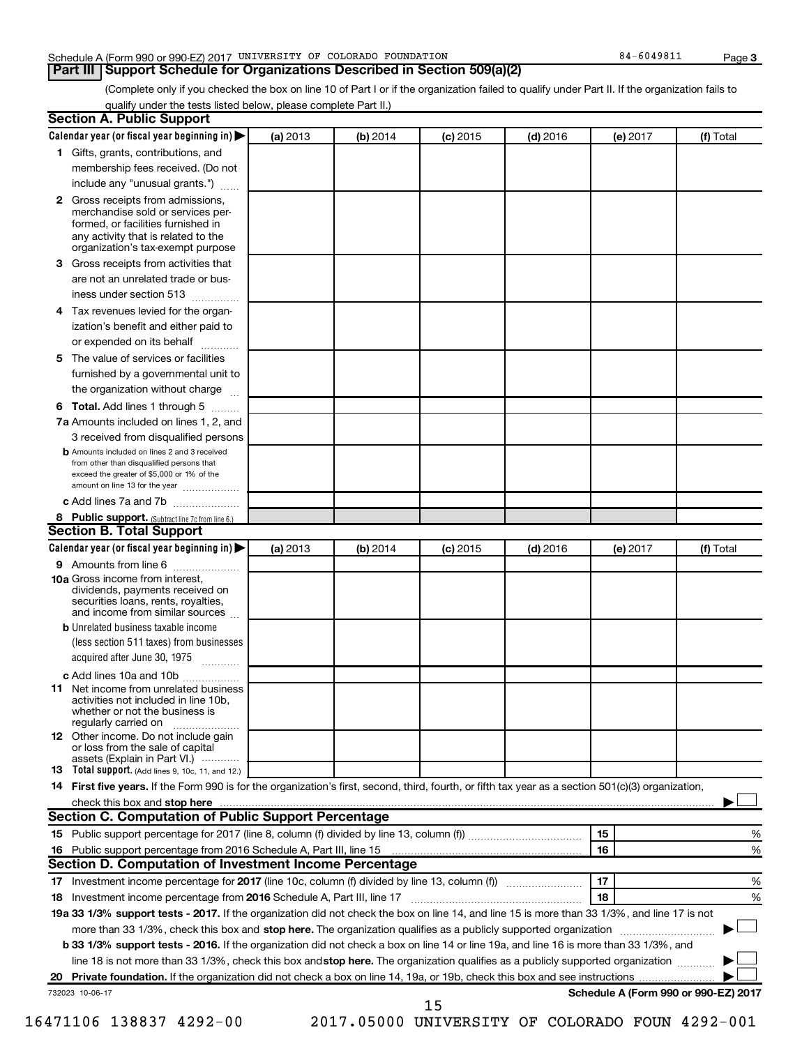#### Schedule A (Form 990 or 990-EZ) 2017 UNIVERSITY OF COLORADO FOUNDATION 84 - 6049811 Page

**Part III Support Schedule for Organizations Described in Section 509(a)(2)** 

(Complete only if you checked the box on line 10 of Part I or if the organization failed to qualify under Part II. If the organization fails to qualify under the tests listed below, please complete Part II.)

| <b>Section A. Public Support</b>                                                                                                                                                                                                    |          |          |            |            |          |                                      |
|-------------------------------------------------------------------------------------------------------------------------------------------------------------------------------------------------------------------------------------|----------|----------|------------|------------|----------|--------------------------------------|
| Calendar year (or fiscal year beginning in)                                                                                                                                                                                         | (a) 2013 | (b) 2014 | $(c)$ 2015 | $(d)$ 2016 | (e) 2017 | (f) Total                            |
| 1 Gifts, grants, contributions, and                                                                                                                                                                                                 |          |          |            |            |          |                                      |
| membership fees received. (Do not                                                                                                                                                                                                   |          |          |            |            |          |                                      |
| include any "unusual grants.")                                                                                                                                                                                                      |          |          |            |            |          |                                      |
| 2 Gross receipts from admissions,<br>merchandise sold or services per-<br>formed, or facilities furnished in<br>any activity that is related to the                                                                                 |          |          |            |            |          |                                      |
| organization's tax-exempt purpose                                                                                                                                                                                                   |          |          |            |            |          |                                      |
| <b>3</b> Gross receipts from activities that                                                                                                                                                                                        |          |          |            |            |          |                                      |
| are not an unrelated trade or bus-                                                                                                                                                                                                  |          |          |            |            |          |                                      |
| iness under section 513                                                                                                                                                                                                             |          |          |            |            |          |                                      |
| 4 Tax revenues levied for the organ-                                                                                                                                                                                                |          |          |            |            |          |                                      |
| ization's benefit and either paid to                                                                                                                                                                                                |          |          |            |            |          |                                      |
| or expended on its behalf                                                                                                                                                                                                           |          |          |            |            |          |                                      |
| 5 The value of services or facilities                                                                                                                                                                                               |          |          |            |            |          |                                      |
| furnished by a governmental unit to                                                                                                                                                                                                 |          |          |            |            |          |                                      |
| the organization without charge                                                                                                                                                                                                     |          |          |            |            |          |                                      |
| <b>6 Total.</b> Add lines 1 through 5                                                                                                                                                                                               |          |          |            |            |          |                                      |
| 7a Amounts included on lines 1, 2, and                                                                                                                                                                                              |          |          |            |            |          |                                      |
| 3 received from disqualified persons<br><b>b</b> Amounts included on lines 2 and 3 received<br>from other than disqualified persons that<br>exceed the greater of \$5,000 or 1% of the<br>amount on line 13 for the year            |          |          |            |            |          |                                      |
| c Add lines 7a and 7b                                                                                                                                                                                                               |          |          |            |            |          |                                      |
| 8 Public support. (Subtract line 7c from line 6.)                                                                                                                                                                                   |          |          |            |            |          |                                      |
| <b>Section B. Total Support</b>                                                                                                                                                                                                     |          |          |            |            |          |                                      |
| Calendar year (or fiscal year beginning in) $\blacktriangleright$                                                                                                                                                                   | (a) 2013 | (b) 2014 | $(c)$ 2015 | $(d)$ 2016 | (e) 2017 | (f) Total                            |
| 9 Amounts from line 6                                                                                                                                                                                                               |          |          |            |            |          |                                      |
| <b>10a</b> Gross income from interest,<br>dividends, payments received on<br>securities loans, rents, royalties,<br>and income from similar sources                                                                                 |          |          |            |            |          |                                      |
| <b>b</b> Unrelated business taxable income                                                                                                                                                                                          |          |          |            |            |          |                                      |
| (less section 511 taxes) from businesses<br>acquired after June 30, 1975<br>$\overline{\phantom{a}}$                                                                                                                                |          |          |            |            |          |                                      |
| c Add lines 10a and 10b                                                                                                                                                                                                             |          |          |            |            |          |                                      |
| <b>11</b> Net income from unrelated business<br>activities not included in line 10b.<br>whether or not the business is<br>regularly carried on                                                                                      |          |          |            |            |          |                                      |
| <b>12</b> Other income. Do not include gain<br>or loss from the sale of capital<br>assets (Explain in Part VI.)                                                                                                                     |          |          |            |            |          |                                      |
| <b>13</b> Total support. (Add lines 9, 10c, 11, and 12.)                                                                                                                                                                            |          |          |            |            |          |                                      |
| 14 First five years. If the Form 990 is for the organization's first, second, third, fourth, or fifth tax year as a section 501(c)(3) organization,                                                                                 |          |          |            |            |          |                                      |
| check this box and stop here <i>macuum content and a content and a content and stop here</i> and stop here and stop here and stop here and stop the state of the state of the state of the state of the state of the state of the s |          |          |            |            |          |                                      |
| Section C. Computation of Public Support Percentage                                                                                                                                                                                 |          |          |            |            |          |                                      |
|                                                                                                                                                                                                                                     |          |          |            |            | 15       | %                                    |
| 16 Public support percentage from 2016 Schedule A, Part III, line 15                                                                                                                                                                |          |          |            |            | 16       | %                                    |
| Section D. Computation of Investment Income Percentage                                                                                                                                                                              |          |          |            |            |          |                                      |
|                                                                                                                                                                                                                                     |          |          |            |            | 17       | %                                    |
| 18 Investment income percentage from 2016 Schedule A, Part III, line 17                                                                                                                                                             |          |          |            |            | 18       | %                                    |
| 19a 33 1/3% support tests - 2017. If the organization did not check the box on line 14, and line 15 is more than 33 1/3%, and line 17 is not                                                                                        |          |          |            |            |          |                                      |
| more than 33 1/3%, check this box and stop here. The organization qualifies as a publicly supported organization                                                                                                                    |          |          |            |            |          |                                      |
| b 33 1/3% support tests - 2016. If the organization did not check a box on line 14 or line 19a, and line 16 is more than 33 1/3%, and                                                                                               |          |          |            |            |          |                                      |
| line 18 is not more than 33 1/3%, check this box and stop here. The organization qualifies as a publicly supported organization                                                                                                     |          |          |            |            |          |                                      |
|                                                                                                                                                                                                                                     |          |          |            |            |          |                                      |
| 732023 10-06-17                                                                                                                                                                                                                     |          |          | 15         |            |          | Schedule A (Form 990 or 990-EZ) 2017 |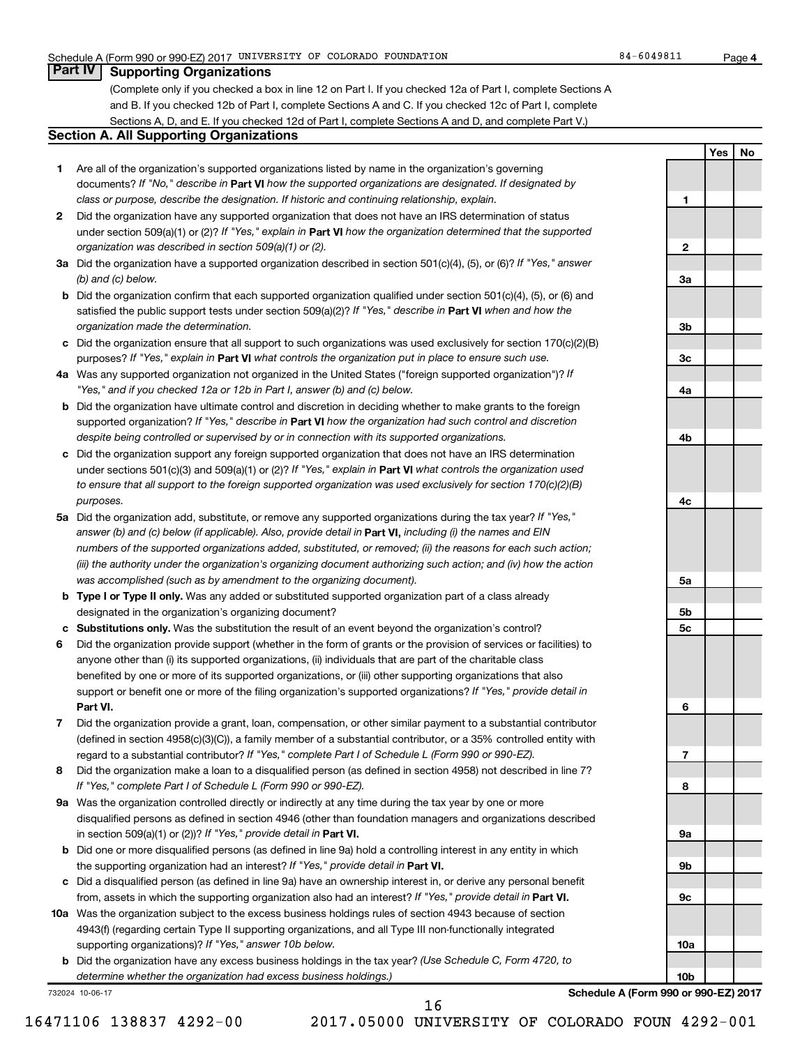#### **Part IV Supporting Organizations**

(Complete only if you checked a box in line 12 on Part I. If you checked 12a of Part I, complete Sections A and B. If you checked 12b of Part I, complete Sections A and C. If you checked 12c of Part I, complete Sections A, D, and E. If you checked 12d of Part I, complete Sections A and D, and complete Part V.)

#### **Section A. All Supporting Organizations**

- **1** Are all of the organization's supported organizations listed by name in the organization's governing documents? If "No," describe in Part VI how the supported organizations are designated. If designated by *class or purpose, describe the designation. If historic and continuing relationship, explain.*
- **2** Did the organization have any supported organization that does not have an IRS determination of status under section 509(a)(1) or (2)? If "Yes," explain in Part **VI** how the organization determined that the supported *organization was described in section 509(a)(1) or (2).*
- **3a** Did the organization have a supported organization described in section 501(c)(4), (5), or (6)? If "Yes," answer *(b) and (c) below.*
- **b** Did the organization confirm that each supported organization qualified under section 501(c)(4), (5), or (6) and satisfied the public support tests under section 509(a)(2)? If "Yes," describe in Part VI when and how the *organization made the determination.*
- **c** Did the organization ensure that all support to such organizations was used exclusively for section 170(c)(2)(B) purposes? If "Yes," explain in Part VI what controls the organization put in place to ensure such use.
- **4 a** *If* Was any supported organization not organized in the United States ("foreign supported organization")? *"Yes," and if you checked 12a or 12b in Part I, answer (b) and (c) below.*
- **b** Did the organization have ultimate control and discretion in deciding whether to make grants to the foreign supported organization? If "Yes," describe in Part VI how the organization had such control and discretion *despite being controlled or supervised by or in connection with its supported organizations.*
- **c** Did the organization support any foreign supported organization that does not have an IRS determination under sections 501(c)(3) and 509(a)(1) or (2)? If "Yes," explain in Part VI what controls the organization used *to ensure that all support to the foreign supported organization was used exclusively for section 170(c)(2)(B) purposes.*
- **5a** Did the organization add, substitute, or remove any supported organizations during the tax year? If "Yes," answer (b) and (c) below (if applicable). Also, provide detail in **Part VI,** including (i) the names and EIN *numbers of the supported organizations added, substituted, or removed; (ii) the reasons for each such action; (iii) the authority under the organization's organizing document authorizing such action; and (iv) how the action was accomplished (such as by amendment to the organizing document).*
- **b** Type I or Type II only. Was any added or substituted supported organization part of a class already designated in the organization's organizing document?
- **c Substitutions only.**  Was the substitution the result of an event beyond the organization's control?
- **6** Did the organization provide support (whether in the form of grants or the provision of services or facilities) to **Part VI.** support or benefit one or more of the filing organization's supported organizations? If "Yes," provide detail in anyone other than (i) its supported organizations, (ii) individuals that are part of the charitable class benefited by one or more of its supported organizations, or (iii) other supporting organizations that also
- **7** Did the organization provide a grant, loan, compensation, or other similar payment to a substantial contributor regard to a substantial contributor? If "Yes," complete Part I of Schedule L (Form 990 or 990-EZ). (defined in section 4958(c)(3)(C)), a family member of a substantial contributor, or a 35% controlled entity with
- **8** Did the organization make a loan to a disqualified person (as defined in section 4958) not described in line 7? *If "Yes," complete Part I of Schedule L (Form 990 or 990-EZ).*
- **9 a** Was the organization controlled directly or indirectly at any time during the tax year by one or more in section 509(a)(1) or (2))? If "Yes," provide detail in **Part VI.** disqualified persons as defined in section 4946 (other than foundation managers and organizations described
- **b** Did one or more disqualified persons (as defined in line 9a) hold a controlling interest in any entity in which the supporting organization had an interest? If "Yes," provide detail in Part VI.
- **c** Did a disqualified person (as defined in line 9a) have an ownership interest in, or derive any personal benefit from, assets in which the supporting organization also had an interest? If "Yes," provide detail in Part VI.
- **10 a** Was the organization subject to the excess business holdings rules of section 4943 because of section supporting organizations)? If "Yes," answer 10b below. 4943(f) (regarding certain Type II supporting organizations, and all Type III non-functionally integrated
	- **b** Did the organization have any excess business holdings in the tax year? (Use Schedule C, Form 4720, to *determine whether the organization had excess business holdings.)*

732024 10-06-17

**10b Schedule A (Form 990 or 990-EZ) 2017**

16471106 138837 4292-00 2017.05000 UNIVERSITY OF COLORADO FOUN 4292-001 16

**4**

**Yes No**

**1**

**2**

**3a**

**3b**

**3c**

**4a**

**4b**

**4c**

**5a**

**5b 5c**

**6**

**7**

**8**

**9a**

**9b**

**9c**

**10a**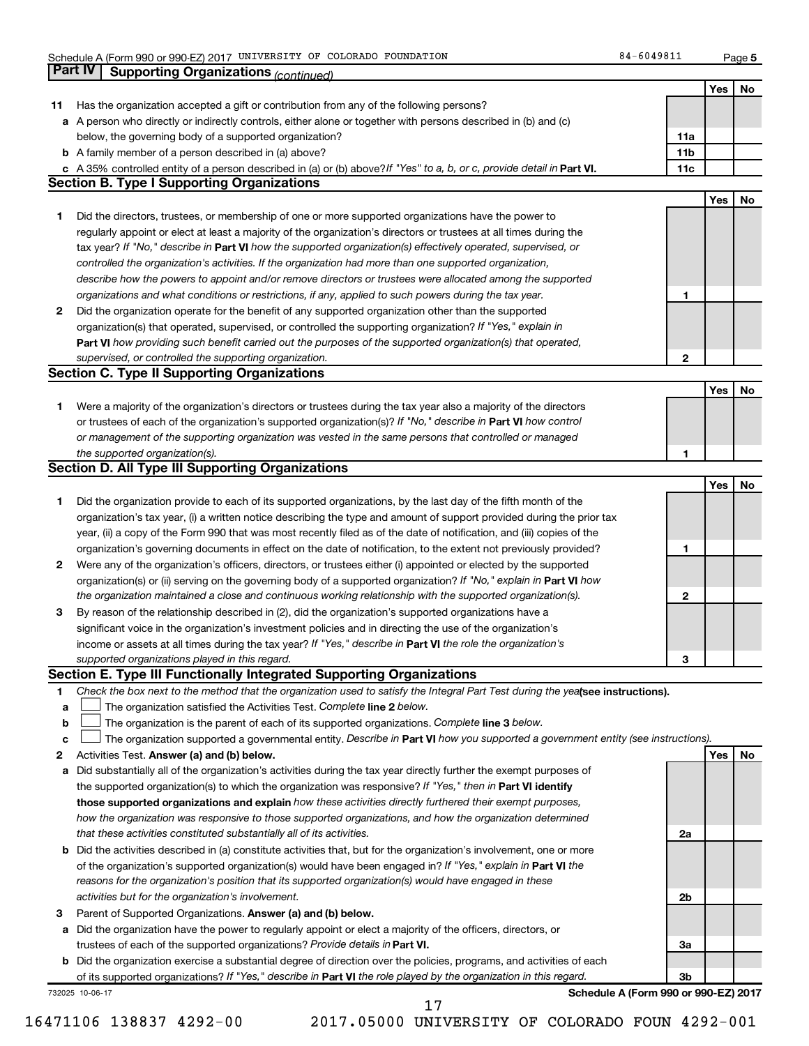**5**

|    | Part IV         | <b>Supporting Organizations (continued)</b>                                                                                                                                  |                 |            |    |
|----|-----------------|------------------------------------------------------------------------------------------------------------------------------------------------------------------------------|-----------------|------------|----|
|    |                 |                                                                                                                                                                              |                 | Yes        | No |
| 11 |                 | Has the organization accepted a gift or contribution from any of the following persons?                                                                                      |                 |            |    |
| а  |                 | A person who directly or indirectly controls, either alone or together with persons described in (b) and (c)                                                                 |                 |            |    |
|    |                 | below, the governing body of a supported organization?                                                                                                                       | 11a             |            |    |
|    |                 | <b>b</b> A family member of a person described in (a) above?                                                                                                                 | 11 <sub>b</sub> |            |    |
|    |                 |                                                                                                                                                                              | 11c             |            |    |
|    |                 | c A 35% controlled entity of a person described in (a) or (b) above? If "Yes" to a, b, or c, provide detail in Part VI.<br><b>Section B. Type I Supporting Organizations</b> |                 |            |    |
|    |                 |                                                                                                                                                                              |                 |            |    |
|    |                 |                                                                                                                                                                              |                 | Yes        | No |
| 1. |                 | Did the directors, trustees, or membership of one or more supported organizations have the power to                                                                          |                 |            |    |
|    |                 | regularly appoint or elect at least a majority of the organization's directors or trustees at all times during the                                                           |                 |            |    |
|    |                 | tax year? If "No," describe in Part VI how the supported organization(s) effectively operated, supervised, or                                                                |                 |            |    |
|    |                 | controlled the organization's activities. If the organization had more than one supported organization,                                                                      |                 |            |    |
|    |                 | describe how the powers to appoint and/or remove directors or trustees were allocated among the supported                                                                    |                 |            |    |
|    |                 | organizations and what conditions or restrictions, if any, applied to such powers during the tax year.                                                                       | 1               |            |    |
| 2  |                 | Did the organization operate for the benefit of any supported organization other than the supported                                                                          |                 |            |    |
|    |                 | organization(s) that operated, supervised, or controlled the supporting organization? If "Yes," explain in                                                                   |                 |            |    |
|    |                 | Part VI how providing such benefit carried out the purposes of the supported organization(s) that operated,                                                                  |                 |            |    |
|    |                 | supervised, or controlled the supporting organization.                                                                                                                       | 2               |            |    |
|    |                 | <b>Section C. Type II Supporting Organizations</b>                                                                                                                           |                 |            |    |
|    |                 |                                                                                                                                                                              |                 | <b>Yes</b> | No |
| 1. |                 | Were a majority of the organization's directors or trustees during the tax year also a majority of the directors                                                             |                 |            |    |
|    |                 | or trustees of each of the organization's supported organization(s)? If "No," describe in Part VI how control                                                                |                 |            |    |
|    |                 |                                                                                                                                                                              |                 |            |    |
|    |                 | or management of the supporting organization was vested in the same persons that controlled or managed                                                                       |                 |            |    |
|    |                 | the supported organization(s).                                                                                                                                               | 1               |            |    |
|    |                 | <b>Section D. All Type III Supporting Organizations</b>                                                                                                                      |                 |            |    |
|    |                 |                                                                                                                                                                              |                 | <b>Yes</b> | No |
| 1  |                 | Did the organization provide to each of its supported organizations, by the last day of the fifth month of the                                                               |                 |            |    |
|    |                 | organization's tax year, (i) a written notice describing the type and amount of support provided during the prior tax                                                        |                 |            |    |
|    |                 | year, (ii) a copy of the Form 990 that was most recently filed as of the date of notification, and (iii) copies of the                                                       |                 |            |    |
|    |                 | organization's governing documents in effect on the date of notification, to the extent not previously provided?                                                             | 1               |            |    |
| 2  |                 | Were any of the organization's officers, directors, or trustees either (i) appointed or elected by the supported                                                             |                 |            |    |
|    |                 | organization(s) or (ii) serving on the governing body of a supported organization? If "No," explain in Part VI how                                                           |                 |            |    |
|    |                 | the organization maintained a close and continuous working relationship with the supported organization(s).                                                                  | 2               |            |    |
| 3  |                 | By reason of the relationship described in (2), did the organization's supported organizations have a                                                                        |                 |            |    |
|    |                 | significant voice in the organization's investment policies and in directing the use of the organization's                                                                   |                 |            |    |
|    |                 | income or assets at all times during the tax year? If "Yes," describe in Part VI the role the organization's                                                                 |                 |            |    |
|    |                 | supported organizations played in this regard.                                                                                                                               | з               |            |    |
|    |                 | Section E. Type III Functionally Integrated Supporting Organizations                                                                                                         |                 |            |    |
| 1. |                 | Check the box next to the method that the organization used to satisfy the Integral Part Test during the yealsee instructions).                                              |                 |            |    |
| a  |                 | The organization satisfied the Activities Test. Complete line 2 below.                                                                                                       |                 |            |    |
|    |                 | The organization is the parent of each of its supported organizations. Complete line 3 below.                                                                                |                 |            |    |
| b  |                 |                                                                                                                                                                              |                 |            |    |
| с  |                 | The organization supported a governmental entity. Describe in Part VI how you supported a government entity (see instructions).                                              |                 |            |    |
| 2  |                 | Activities Test. Answer (a) and (b) below.                                                                                                                                   |                 | Yes        | No |
| а  |                 | Did substantially all of the organization's activities during the tax year directly further the exempt purposes of                                                           |                 |            |    |
|    |                 | the supported organization(s) to which the organization was responsive? If "Yes," then in Part VI identify                                                                   |                 |            |    |
|    |                 | those supported organizations and explain how these activities directly furthered their exempt purposes,                                                                     |                 |            |    |
|    |                 | how the organization was responsive to those supported organizations, and how the organization determined                                                                    |                 |            |    |
|    |                 | that these activities constituted substantially all of its activities.                                                                                                       | 2a              |            |    |
| b  |                 | Did the activities described in (a) constitute activities that, but for the organization's involvement, one or more                                                          |                 |            |    |
|    |                 | of the organization's supported organization(s) would have been engaged in? If "Yes," explain in Part VI the                                                                 |                 |            |    |
|    |                 | reasons for the organization's position that its supported organization(s) would have engaged in these                                                                       |                 |            |    |
|    |                 | activities but for the organization's involvement.                                                                                                                           | 2b              |            |    |
| 3  |                 | Parent of Supported Organizations. Answer (a) and (b) below.                                                                                                                 |                 |            |    |
| а  |                 | Did the organization have the power to regularly appoint or elect a majority of the officers, directors, or                                                                  |                 |            |    |
|    |                 | trustees of each of the supported organizations? Provide details in Part VI.                                                                                                 | За              |            |    |
|    |                 | <b>b</b> Did the organization exercise a substantial degree of direction over the policies, programs, and activities of each                                                 |                 |            |    |
|    |                 | of its supported organizations? If "Yes," describe in Part VI the role played by the organization in this regard.                                                            | Зb              |            |    |
|    | 732025 10-06-17 | Schedule A (Form 990 or 990-EZ) 2017                                                                                                                                         |                 |            |    |
|    |                 | 17                                                                                                                                                                           |                 |            |    |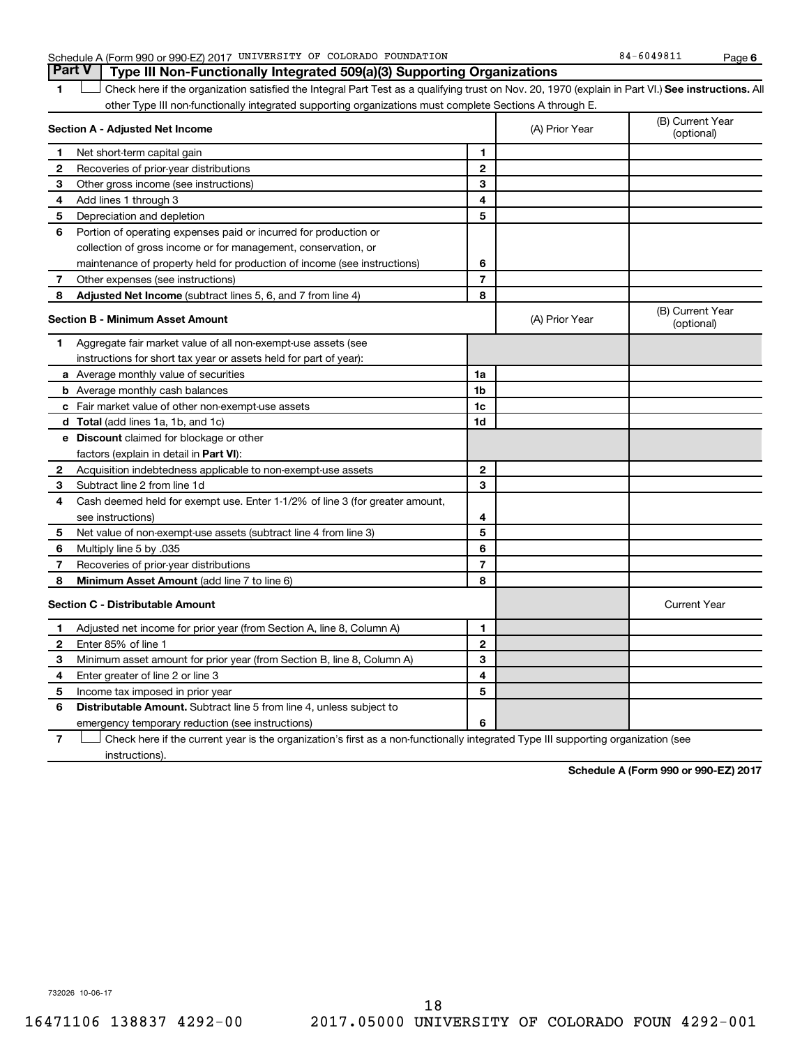| 0.1004<br>COLORADO FOUNDATION<br>OF<br>UNIVERSITY<br>Schedule A (Form 990 or 990-EZ) 2017<br>84<br>14981.<br>$-0.04$ . | Page |  |
|------------------------------------------------------------------------------------------------------------------------|------|--|
|------------------------------------------------------------------------------------------------------------------------|------|--|

**6**

|                | <b>Part V</b><br>Type III Non-Functionally Integrated 509(a)(3) Supporting Organizations                                                           |                |                |                                |
|----------------|----------------------------------------------------------------------------------------------------------------------------------------------------|----------------|----------------|--------------------------------|
| 1              | Check here if the organization satisfied the Integral Part Test as a qualifying trust on Nov. 20, 1970 (explain in Part VI.) See instructions. All |                |                |                                |
|                | other Type III non-functionally integrated supporting organizations must complete Sections A through E.                                            |                |                |                                |
|                | Section A - Adjusted Net Income                                                                                                                    |                | (A) Prior Year | (B) Current Year<br>(optional) |
| 1              | Net short-term capital gain                                                                                                                        | 1              |                |                                |
| 2              | Recoveries of prior-year distributions                                                                                                             | $\mathbf{2}$   |                |                                |
| 3              | Other gross income (see instructions)                                                                                                              | 3              |                |                                |
| 4              | Add lines 1 through 3                                                                                                                              | 4              |                |                                |
| 5              | Depreciation and depletion                                                                                                                         | 5              |                |                                |
| 6              | Portion of operating expenses paid or incurred for production or                                                                                   |                |                |                                |
|                | collection of gross income or for management, conservation, or                                                                                     |                |                |                                |
|                | maintenance of property held for production of income (see instructions)                                                                           | 6              |                |                                |
| 7              | Other expenses (see instructions)                                                                                                                  | $\overline{7}$ |                |                                |
| 8              | Adjusted Net Income (subtract lines 5, 6, and 7 from line 4)                                                                                       | 8              |                |                                |
|                | Section B - Minimum Asset Amount                                                                                                                   |                | (A) Prior Year | (B) Current Year<br>(optional) |
| 1              | Aggregate fair market value of all non-exempt-use assets (see                                                                                      |                |                |                                |
|                | instructions for short tax year or assets held for part of year):                                                                                  |                |                |                                |
|                | <b>a</b> Average monthly value of securities                                                                                                       | 1a             |                |                                |
|                | <b>b</b> Average monthly cash balances                                                                                                             | 1 <sub>b</sub> |                |                                |
|                | c Fair market value of other non-exempt-use assets                                                                                                 | 1c             |                |                                |
|                | d Total (add lines 1a, 1b, and 1c)                                                                                                                 | 1 <sub>d</sub> |                |                                |
|                | <b>e</b> Discount claimed for blockage or other                                                                                                    |                |                |                                |
|                | factors (explain in detail in <b>Part VI</b> ):                                                                                                    |                |                |                                |
| 2              | Acquisition indebtedness applicable to non-exempt-use assets                                                                                       | 2              |                |                                |
| 3              | Subtract line 2 from line 1d                                                                                                                       | 3              |                |                                |
| 4              | Cash deemed held for exempt use. Enter 1-1/2% of line 3 (for greater amount,                                                                       |                |                |                                |
|                | see instructions)                                                                                                                                  | 4              |                |                                |
| 5              | Net value of non-exempt-use assets (subtract line 4 from line 3)                                                                                   | 5              |                |                                |
| 6              | Multiply line 5 by .035                                                                                                                            | 6              |                |                                |
| 7              | Recoveries of prior-year distributions                                                                                                             | $\overline{7}$ |                |                                |
| 8              | Minimum Asset Amount (add line 7 to line 6)                                                                                                        | 8              |                |                                |
|                | <b>Section C - Distributable Amount</b>                                                                                                            |                |                | <b>Current Year</b>            |
| 1              | Adjusted net income for prior year (from Section A, line 8, Column A)                                                                              | 1              |                |                                |
| $\mathbf{2}$   | Enter 85% of line 1                                                                                                                                | $\mathbf{2}$   |                |                                |
| 3              | Minimum asset amount for prior year (from Section B, line 8, Column A)                                                                             | 3              |                |                                |
| 4              | Enter greater of line 2 or line 3                                                                                                                  | 4              |                |                                |
| 5              | Income tax imposed in prior year                                                                                                                   | 5              |                |                                |
| 6              | Distributable Amount. Subtract line 5 from line 4, unless subject to                                                                               |                |                |                                |
|                | emergency temporary reduction (see instructions)                                                                                                   | 6              |                |                                |
| $\overline{7}$ | Check here if the current year is the organization's first as a non-functionally integrated Type III supporting organization (see                  |                |                |                                |

instructions).

**Schedule A (Form 990 or 990-EZ) 2017**

732026 10-06-17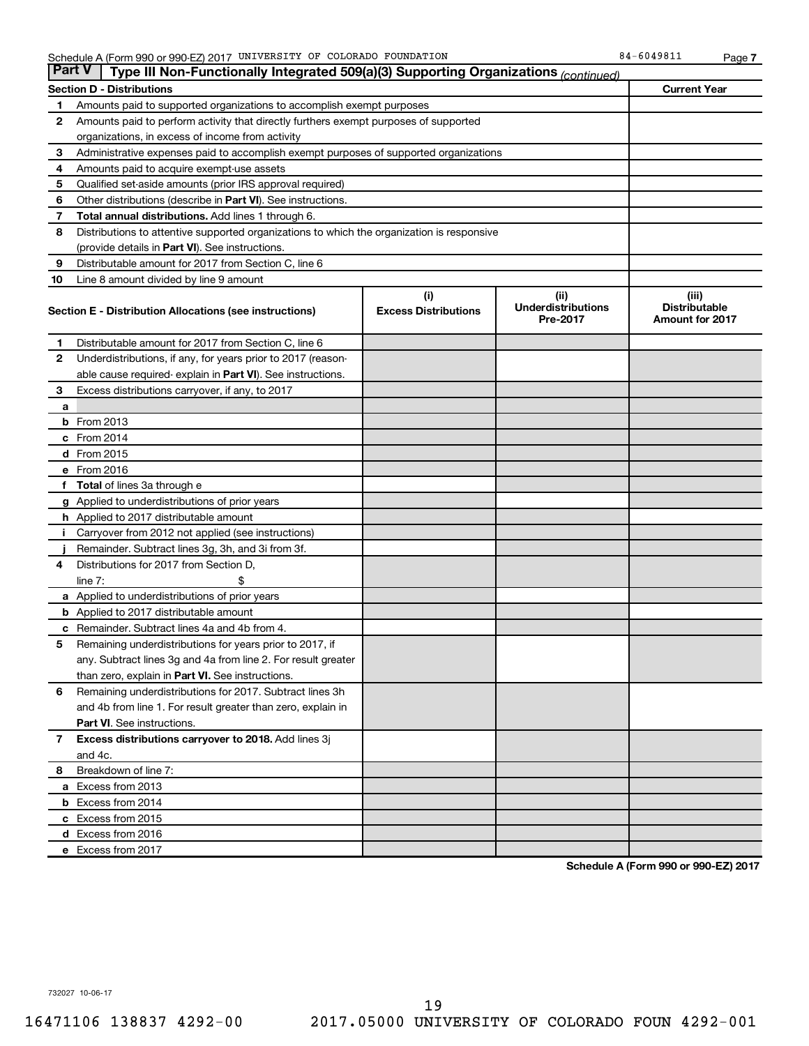| <b>Part V</b> | Type III Non-Functionally Integrated 509(a)(3) Supporting Organizations (continued)                     |                                    |                                               |                                                         |
|---------------|---------------------------------------------------------------------------------------------------------|------------------------------------|-----------------------------------------------|---------------------------------------------------------|
|               | <b>Section D - Distributions</b>                                                                        |                                    |                                               | <b>Current Year</b>                                     |
| 1             | Amounts paid to supported organizations to accomplish exempt purposes                                   |                                    |                                               |                                                         |
| 2             | Amounts paid to perform activity that directly furthers exempt purposes of supported                    |                                    |                                               |                                                         |
|               | organizations, in excess of income from activity                                                        |                                    |                                               |                                                         |
| 3             | Administrative expenses paid to accomplish exempt purposes of supported organizations                   |                                    |                                               |                                                         |
| 4             | Amounts paid to acquire exempt-use assets                                                               |                                    |                                               |                                                         |
| 5             | Qualified set-aside amounts (prior IRS approval required)                                               |                                    |                                               |                                                         |
| 6             | Other distributions (describe in Part VI). See instructions.                                            |                                    |                                               |                                                         |
| 7             | <b>Total annual distributions.</b> Add lines 1 through 6.                                               |                                    |                                               |                                                         |
| 8             | Distributions to attentive supported organizations to which the organization is responsive              |                                    |                                               |                                                         |
|               | (provide details in Part VI). See instructions.                                                         |                                    |                                               |                                                         |
| 9             | Distributable amount for 2017 from Section C, line 6                                                    |                                    |                                               |                                                         |
| 10            | Line 8 amount divided by line 9 amount                                                                  |                                    |                                               |                                                         |
|               | Section E - Distribution Allocations (see instructions)                                                 | (i)<br><b>Excess Distributions</b> | (ii)<br><b>Underdistributions</b><br>Pre-2017 | (iii)<br><b>Distributable</b><br><b>Amount for 2017</b> |
| 1             | Distributable amount for 2017 from Section C, line 6                                                    |                                    |                                               |                                                         |
| $\mathbf{2}$  | Underdistributions, if any, for years prior to 2017 (reason-                                            |                                    |                                               |                                                         |
|               | able cause required- explain in Part VI). See instructions.                                             |                                    |                                               |                                                         |
| 3             | Excess distributions carryover, if any, to 2017                                                         |                                    |                                               |                                                         |
| а             |                                                                                                         |                                    |                                               |                                                         |
|               | <b>b</b> From 2013                                                                                      |                                    |                                               |                                                         |
|               | c From 2014                                                                                             |                                    |                                               |                                                         |
|               | d From 2015                                                                                             |                                    |                                               |                                                         |
|               | e From 2016                                                                                             |                                    |                                               |                                                         |
|               | f Total of lines 3a through e                                                                           |                                    |                                               |                                                         |
|               | <b>g</b> Applied to underdistributions of prior years                                                   |                                    |                                               |                                                         |
|               | h Applied to 2017 distributable amount                                                                  |                                    |                                               |                                                         |
|               | Carryover from 2012 not applied (see instructions)                                                      |                                    |                                               |                                                         |
|               | Remainder. Subtract lines 3g, 3h, and 3i from 3f.                                                       |                                    |                                               |                                                         |
| 4             | Distributions for 2017 from Section D,                                                                  |                                    |                                               |                                                         |
|               | line $7:$                                                                                               |                                    |                                               |                                                         |
|               | <b>a</b> Applied to underdistributions of prior years                                                   |                                    |                                               |                                                         |
|               | <b>b</b> Applied to 2017 distributable amount                                                           |                                    |                                               |                                                         |
| c<br>5        | Remainder. Subtract lines 4a and 4b from 4.<br>Remaining underdistributions for years prior to 2017, if |                                    |                                               |                                                         |
|               | any. Subtract lines 3g and 4a from line 2. For result greater                                           |                                    |                                               |                                                         |
|               | than zero, explain in Part VI. See instructions.                                                        |                                    |                                               |                                                         |
| 6             | Remaining underdistributions for 2017. Subtract lines 3h                                                |                                    |                                               |                                                         |
|               | and 4b from line 1. For result greater than zero, explain in                                            |                                    |                                               |                                                         |
|               | <b>Part VI.</b> See instructions.                                                                       |                                    |                                               |                                                         |
| $\mathbf{7}$  | Excess distributions carryover to 2018. Add lines 3j                                                    |                                    |                                               |                                                         |
|               | and 4c.                                                                                                 |                                    |                                               |                                                         |
| 8             | Breakdown of line 7:                                                                                    |                                    |                                               |                                                         |
|               | a Excess from 2013                                                                                      |                                    |                                               |                                                         |
|               | <b>b</b> Excess from 2014                                                                               |                                    |                                               |                                                         |
|               | c Excess from 2015                                                                                      |                                    |                                               |                                                         |
|               | d Excess from 2016                                                                                      |                                    |                                               |                                                         |
|               | e Excess from 2017                                                                                      |                                    |                                               |                                                         |
|               |                                                                                                         |                                    |                                               |                                                         |

**Schedule A (Form 990 or 990-EZ) 2017**

732027 10-06-17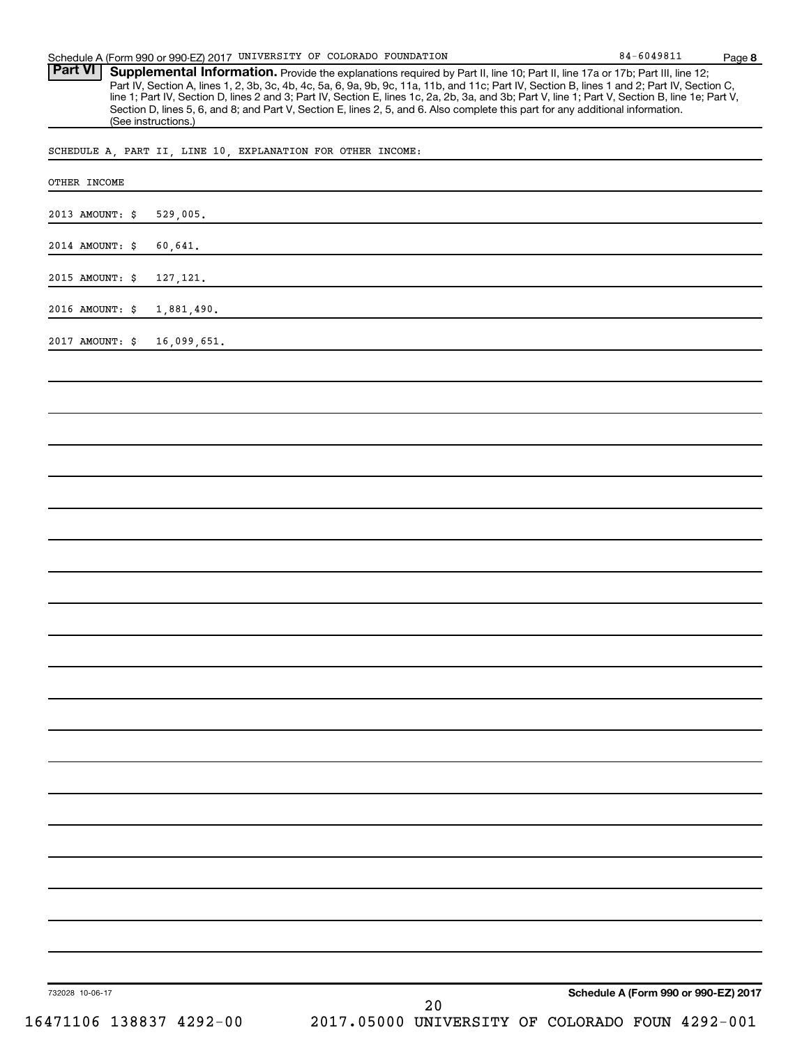Provide the explanations required by Part II, line 10; Part II, line 17a or 17b; Part III, line 12; Part IV, Section A, lines 1, 2, 3b, 3c, 4b, 4c, 5a, 6, 9a, 9b, 9c, 11a, 11b, and 11c; Part IV, Section B, lines 1 and 2; Part IV, Section C, line 1; Part IV, Section D, lines 2 and 3; Part IV, Section E, lines 1c, 2a, 2b, 3a, and 3b; Part V, line 1; Part V, Section B, line 1e; Part V, Section D, lines 5, 6, and 8; and Part V, Section E, lines 2, 5, and 6. Also complete this part for any additional information. (See instructions.) **Part VI Supplemental Information.** 

SCHEDULE A, PART II, LINE 10, EXPLANATION FOR OTHER INCOME:

| OTHER INCOME                |                                                                                  |
|-----------------------------|----------------------------------------------------------------------------------|
| 2013 AMOUNT: \$             | 529,005.                                                                         |
| 2014 AMOUNT: \$             | 60,641.                                                                          |
| 2015 AMOUNT: \$             | 127, 121.                                                                        |
| 2016 AMOUNT: \$             | 1,881,490.                                                                       |
| 2017 AMOUNT: \$ 16,099,651. |                                                                                  |
|                             |                                                                                  |
|                             |                                                                                  |
|                             |                                                                                  |
|                             |                                                                                  |
|                             |                                                                                  |
|                             |                                                                                  |
|                             |                                                                                  |
|                             |                                                                                  |
|                             |                                                                                  |
|                             |                                                                                  |
|                             |                                                                                  |
|                             |                                                                                  |
|                             |                                                                                  |
|                             |                                                                                  |
|                             |                                                                                  |
|                             |                                                                                  |
|                             |                                                                                  |
|                             |                                                                                  |
|                             |                                                                                  |
|                             |                                                                                  |
|                             |                                                                                  |
| 732028 10-06-17             | Schedule A (Form 990 or 990-EZ) 2017                                             |
|                             | 20<br>16471106 138837 4292-00<br>2017.05000 UNIVERSITY OF COLORADO FOUN 4292-001 |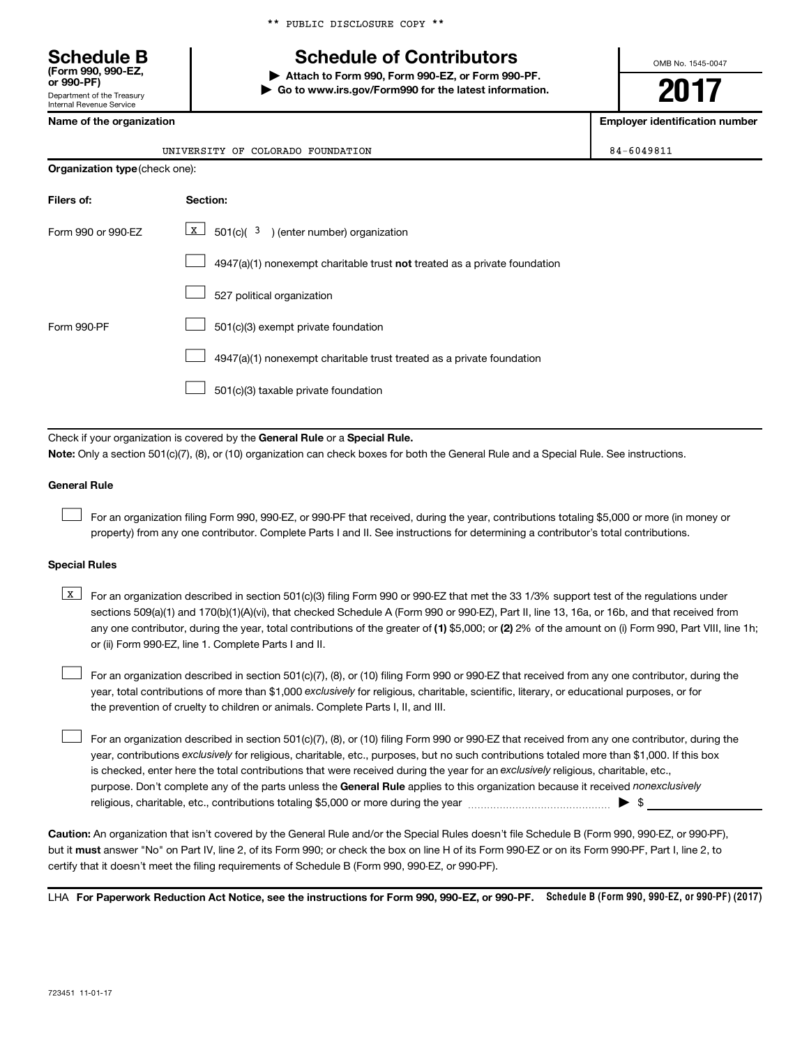\*\* PUBLIC DISCLOSURE COPY \*\*

## **Schedule B Schedule of Contributors**

**or 990-PF) | Attach to Form 990, Form 990-EZ, or Form 990-PF. | Go to www.irs.gov/Form990 for the latest information.** OMB No. 1545-0047

**2017**

**Name of the organization Employer identification number**

| (Form 990, 990-EZ,<br>or 990-PF)                       |  |
|--------------------------------------------------------|--|
| Department of the Treasury<br>Internal Revenue Service |  |

|                    | UNIVERSITY OF COLORADO FOUNDATION                                                  | 84-6049811 |  |  |  |  |
|--------------------|------------------------------------------------------------------------------------|------------|--|--|--|--|
|                    | <b>Organization type (check one):</b>                                              |            |  |  |  |  |
| Filers of:         | Section:                                                                           |            |  |  |  |  |
| Form 990 or 990-EZ | x  <br>$501(c)$ ( $3$ ) (enter number) organization                                |            |  |  |  |  |
|                    | $4947(a)(1)$ nonexempt charitable trust <b>not</b> treated as a private foundation |            |  |  |  |  |
|                    | 527 political organization                                                         |            |  |  |  |  |
| Form 990-PF        | 501(c)(3) exempt private foundation                                                |            |  |  |  |  |
|                    | 4947(a)(1) nonexempt charitable trust treated as a private foundation              |            |  |  |  |  |

501(c)(3) taxable private foundation  $\Box$ 

Check if your organization is covered by the General Rule or a Special Rule.

**Note:**  Only a section 501(c)(7), (8), or (10) organization can check boxes for both the General Rule and a Special Rule. See instructions.

#### **General Rule**

 $\Box$ 

For an organization filing Form 990, 990-EZ, or 990-PF that received, during the year, contributions totaling \$5,000 or more (in money or property) from any one contributor. Complete Parts I and II. See instructions for determining a contributor's total contributions.

#### **Special Rules**

any one contributor, during the year, total contributions of the greater of (1) \$5,000; or (2) 2% of the amount on (i) Form 990, Part VIII, line 1h; **K** For an organization described in section 501(c)(3) filing Form 990 or 990-EZ that met the 33 1/3% support test of the regulations under sections 509(a)(1) and 170(b)(1)(A)(vi), that checked Schedule A (Form 990 or 990-EZ), Part II, line 13, 16a, or 16b, and that received from or (ii) Form 990-EZ, line 1. Complete Parts I and II.

year, total contributions of more than \$1,000 *exclusively* for religious, charitable, scientific, literary, or educational purposes, or for For an organization described in section 501(c)(7), (8), or (10) filing Form 990 or 990-EZ that received from any one contributor, during the the prevention of cruelty to children or animals. Complete Parts I, II, and III.  $\Box$ 

purpose. Don't complete any of the parts unless the General Rule applies to this organization because it received nonexclusively year, contributions exclusively for religious, charitable, etc., purposes, but no such contributions totaled more than \$1,000. If this box is checked, enter here the total contributions that were received during the year for an exclusively religious, charitable, etc., For an organization described in section 501(c)(7), (8), or (10) filing Form 990 or 990-EZ that received from any one contributor, during the religious, charitable, etc., contributions totaling \$5,000 or more during the year  $\ldots$  $\ldots$  $\ldots$  $\ldots$  $\ldots$  $\ldots$  $\Box$ 

**Caution:**  An organization that isn't covered by the General Rule and/or the Special Rules doesn't file Schedule B (Form 990, 990-EZ, or 990-PF),  **must** but it answer "No" on Part IV, line 2, of its Form 990; or check the box on line H of its Form 990-EZ or on its Form 990-PF, Part I, line 2, to certify that it doesn't meet the filing requirements of Schedule B (Form 990, 990-EZ, or 990-PF).

LHA For Paperwork Reduction Act Notice, see the instructions for Form 990, 990-EZ, or 990-PF. Schedule B (Form 990, 990-EZ, or 990-PF) (2017)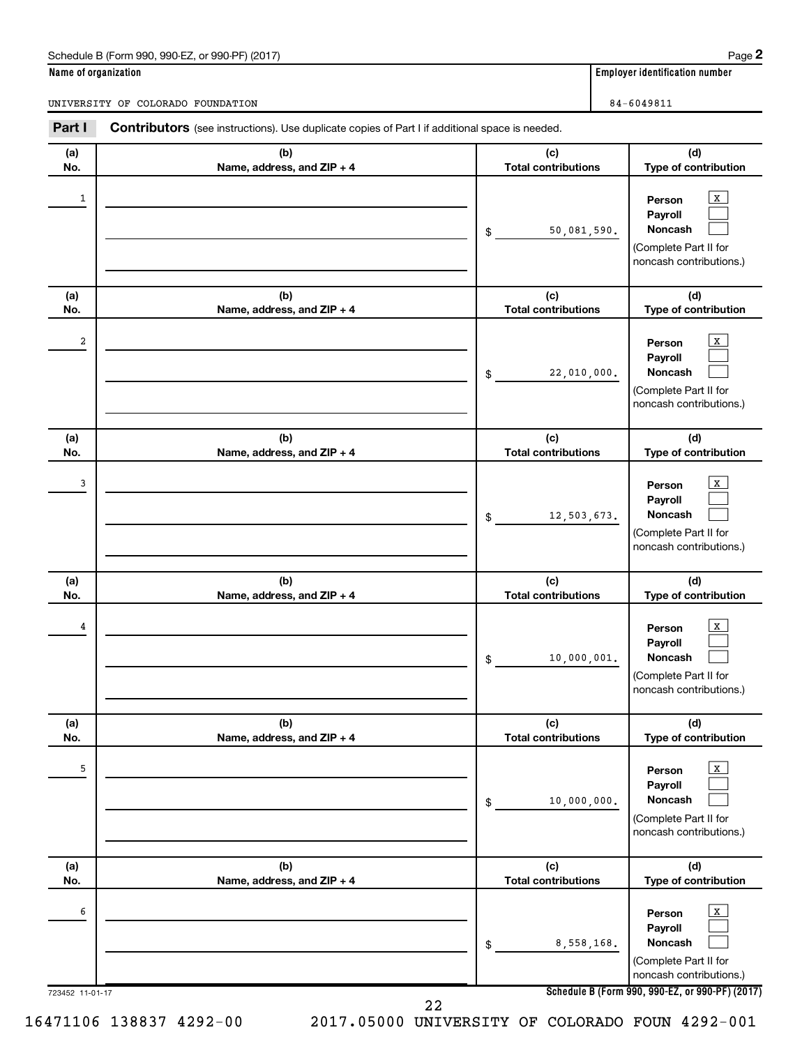#### Schedule B (Form 990, 990-EZ, or 990-PF) (2017)

| Name of organization |  |  |  |
|----------------------|--|--|--|
|                      |  |  |  |

**Name of organization Employer identification number** 

UNIVERSITY OF COLORADO FOUNDATION 84-6049811

| Part I               | Contributors (see instructions). Use duplicate copies of Part I if additional space is needed. |                                   |                                                                                                                                                            |
|----------------------|------------------------------------------------------------------------------------------------|-----------------------------------|------------------------------------------------------------------------------------------------------------------------------------------------------------|
| (a)<br>No.           | (b)<br>Name, address, and ZIP + 4                                                              | (c)<br><b>Total contributions</b> | (d)<br>Type of contribution                                                                                                                                |
| $\mathbf{1}$         |                                                                                                | 50,081,590.<br>\$                 | $\mathbf{x}$<br>Person<br>Payroll<br><b>Noncash</b><br>(Complete Part II for<br>noncash contributions.)                                                    |
| (a)<br>No.           | (b)<br>Name, address, and ZIP + 4                                                              | (c)<br><b>Total contributions</b> | (d)<br>Type of contribution                                                                                                                                |
| 2                    |                                                                                                | 22,010,000.<br>\$                 | $\mathbf{X}$<br>Person<br>Payroll<br><b>Noncash</b><br>(Complete Part II for<br>noncash contributions.)                                                    |
| (a)<br>No.           | (b)<br>Name, address, and ZIP + 4                                                              | (c)<br><b>Total contributions</b> | (d)<br>Type of contribution                                                                                                                                |
| 3                    |                                                                                                | 12,503,673.<br>\$                 | $\mathbf{X}$<br>Person<br>Payroll<br><b>Noncash</b><br>(Complete Part II for<br>noncash contributions.)                                                    |
| (a)<br>No.           | (b)<br>Name, address, and ZIP + 4                                                              | (c)<br><b>Total contributions</b> | (d)<br>Type of contribution                                                                                                                                |
| 4                    |                                                                                                | 10,000,001.<br>\$                 | $\mathbf{X}$<br>Person<br>Payroll<br><b>Noncash</b><br>(Complete Part II for<br>noncash contributions.)                                                    |
| (a)<br>No.           | (b)<br>Name, address, and ZIP + 4                                                              | (c)<br><b>Total contributions</b> | (d)<br>Type of contribution                                                                                                                                |
| 5                    |                                                                                                | 10,000,000.<br>\$                 | $\mathbf{X}$<br>Person<br>Payroll<br><b>Noncash</b><br>(Complete Part II for<br>noncash contributions.)                                                    |
| (a)<br>No.           | (b)<br>Name, address, and ZIP + 4                                                              | (c)<br><b>Total contributions</b> | (d)<br>Type of contribution                                                                                                                                |
| 6<br>723452 11-01-17 |                                                                                                | 8,558,168.<br>\$                  | $\mathbf{X}$<br>Person<br>Payroll<br><b>Noncash</b><br>(Complete Part II for<br>noncash contributions.)<br>Schedule B (Form 990, 990-EZ, or 990-PF) (2017) |
|                      | 22                                                                                             |                                   |                                                                                                                                                            |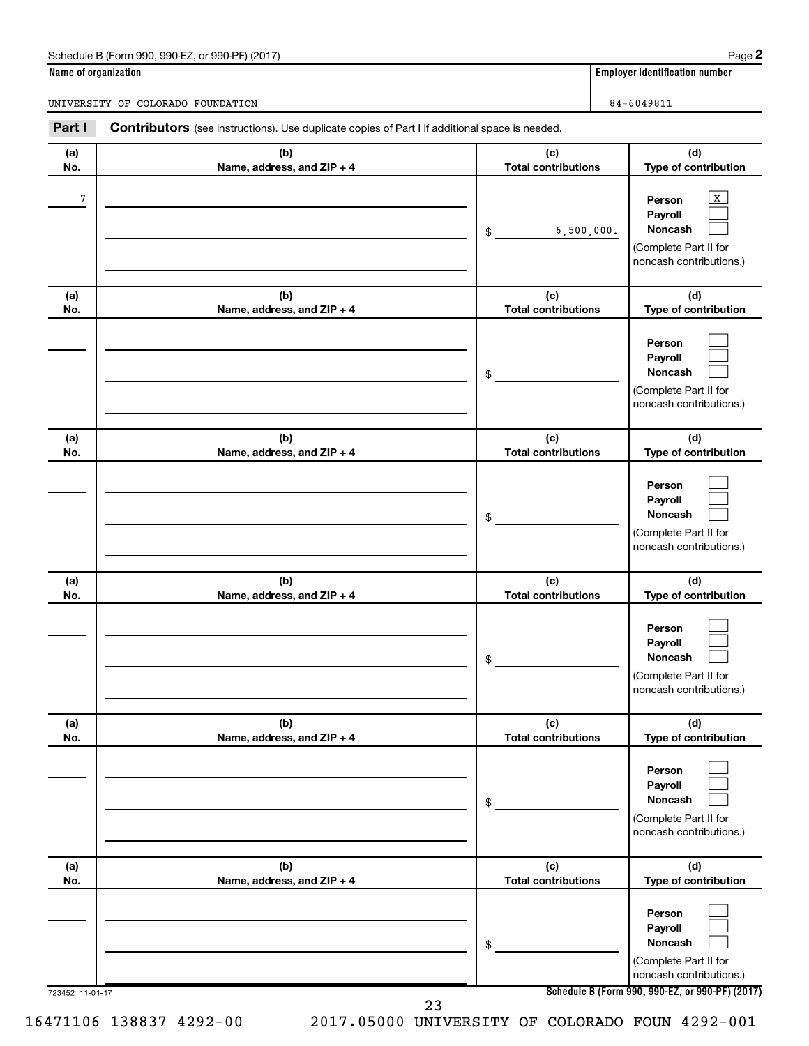#### Schedule B (Form 990, 990-EZ, or 990-PF) (2017)

| Name of organization |  |  |  |
|----------------------|--|--|--|
|                      |  |  |  |

**Name of organization Employer identification number** 

UNIVERSITY OF COLORADO FOUNDATION 84-6049811

| Part I          | Contributors (see instructions). Use duplicate copies of Part I if additional space is needed. |                                   |                                                                                                                                     |
|-----------------|------------------------------------------------------------------------------------------------|-----------------------------------|-------------------------------------------------------------------------------------------------------------------------------------|
| (a)<br>No.      | (b)<br>Name, address, and ZIP + 4                                                              | (c)<br><b>Total contributions</b> | (d)<br>Type of contribution                                                                                                         |
| 7               |                                                                                                | 6,500,000.<br>\$                  | $\mathbf{x}$<br>Person<br>Payroll<br><b>Noncash</b><br>(Complete Part II for<br>noncash contributions.)                             |
| (a)<br>No.      | (b)<br>Name, address, and ZIP + 4                                                              | (c)<br><b>Total contributions</b> | (d)<br>Type of contribution                                                                                                         |
|                 |                                                                                                | \$                                | Person<br>Payroll<br><b>Noncash</b><br>(Complete Part II for<br>noncash contributions.)                                             |
| (a)<br>No.      | (b)<br>Name, address, and ZIP + 4                                                              | (c)<br><b>Total contributions</b> | (d)<br>Type of contribution                                                                                                         |
|                 |                                                                                                | \$                                | Person<br>Payroll<br><b>Noncash</b><br>(Complete Part II for<br>noncash contributions.)                                             |
| (a)<br>No.      | (b)<br>Name, address, and ZIP + 4                                                              | (c)<br><b>Total contributions</b> | (d)<br>Type of contribution                                                                                                         |
|                 |                                                                                                | \$                                | Person<br>Payroll<br><b>Noncash</b><br>(Complete Part II for<br>noncash contributions.)                                             |
| (a)<br>No.      | (b)<br>Name, address, and ZIP + 4                                                              | (c)<br><b>Total contributions</b> | (d)<br>Type of contribution                                                                                                         |
|                 |                                                                                                | \$                                | Person<br>Payroll<br><b>Noncash</b><br>(Complete Part II for<br>noncash contributions.)                                             |
| (a)<br>No.      | (b)<br>Name, address, and ZIP + 4                                                              | (c)<br><b>Total contributions</b> | (d)<br>Type of contribution                                                                                                         |
| 723452 11-01-17 |                                                                                                | \$                                | Person<br>Payroll<br>Noncash<br>(Complete Part II for<br>noncash contributions.)<br>Schedule B (Form 990, 990-EZ, or 990-PF) (2017) |
|                 | 23                                                                                             |                                   |                                                                                                                                     |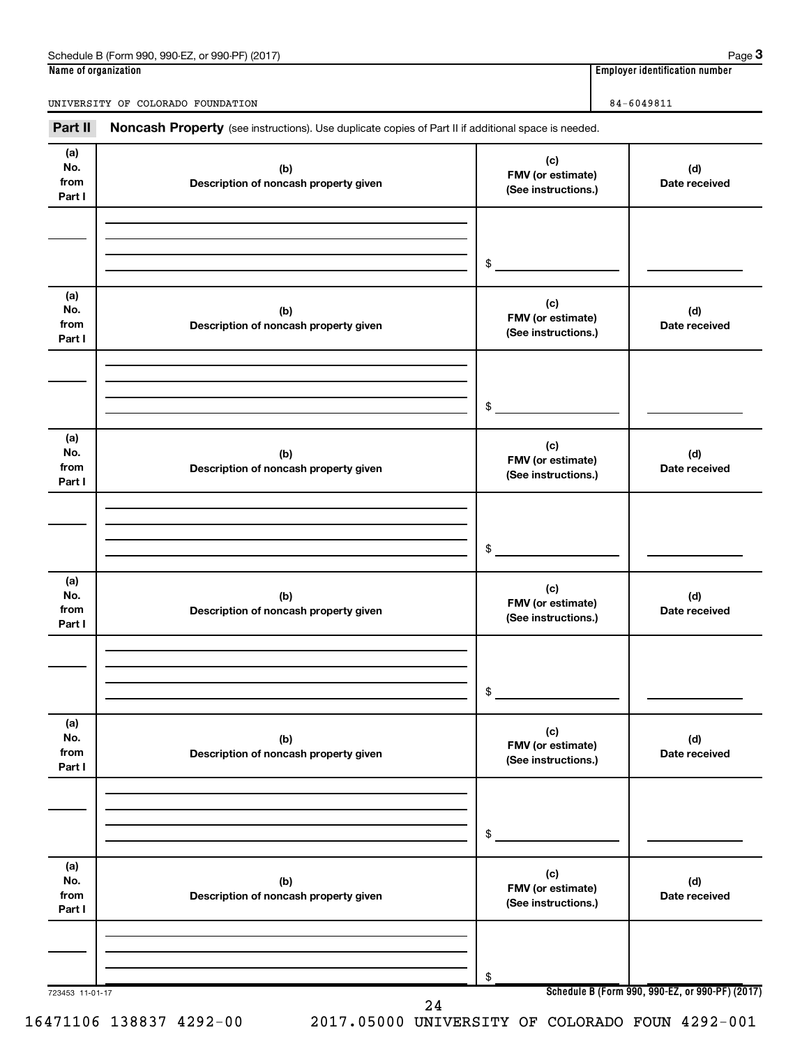#### **Name of organization Employer identification number** Schedule B (Form 990, 990-EZ, or 990-PF) (2017)

UNIVERSITY OF COLORADO FOUNDATION 84-6049811

Part II Noncash Property (see instructions). Use duplicate copies of Part II if additional space is needed.

| (a)<br>No.<br>from<br>Part I | (b)<br>Description of noncash property given | (c)<br>FMV (or estimate)<br>(See instructions.) | (d)<br>Date received                            |
|------------------------------|----------------------------------------------|-------------------------------------------------|-------------------------------------------------|
|                              |                                              | \$                                              |                                                 |
|                              |                                              |                                                 |                                                 |
| (a)<br>No.<br>from<br>Part I | (b)<br>Description of noncash property given | (c)<br>FMV (or estimate)<br>(See instructions.) | (d)<br>Date received                            |
|                              |                                              |                                                 |                                                 |
|                              |                                              |                                                 |                                                 |
|                              |                                              | \$                                              |                                                 |
|                              |                                              |                                                 |                                                 |
| (a)<br>No.<br>from<br>Part I | (b)<br>Description of noncash property given | (c)<br>FMV (or estimate)<br>(See instructions.) | (d)<br>Date received                            |
|                              |                                              |                                                 |                                                 |
|                              |                                              |                                                 |                                                 |
|                              |                                              | \$                                              |                                                 |
|                              |                                              |                                                 |                                                 |
| (a)<br>No.<br>from<br>Part I | (b)<br>Description of noncash property given | (c)<br>FMV (or estimate)<br>(See instructions.) | (d)<br>Date received                            |
|                              |                                              |                                                 |                                                 |
|                              |                                              |                                                 |                                                 |
|                              |                                              |                                                 |                                                 |
|                              |                                              | \$                                              |                                                 |
| (a)<br>No.<br>from<br>Part I | (b)<br>Description of noncash property given | (c)<br>FMV (or estimate)<br>(See instructions.) | (d)<br>Date received                            |
|                              |                                              |                                                 |                                                 |
|                              |                                              |                                                 |                                                 |
|                              |                                              | \$                                              |                                                 |
|                              |                                              |                                                 |                                                 |
| (a)                          |                                              | (c)                                             |                                                 |
| No.<br>from                  | (b)<br>Description of noncash property given | FMV (or estimate)                               | (d)<br>Date received                            |
| Part I                       |                                              | (See instructions.)                             |                                                 |
|                              |                                              |                                                 |                                                 |
|                              |                                              |                                                 |                                                 |
|                              |                                              | \$                                              |                                                 |
| 723453 11-01-17              |                                              |                                                 | Schedule B (Form 990, 990-EZ, or 990-PF) (2017) |

16471106 138837 4292-00 2017.05000 UNIVERSITY OF COLORADO FOUN 4292-001

**3**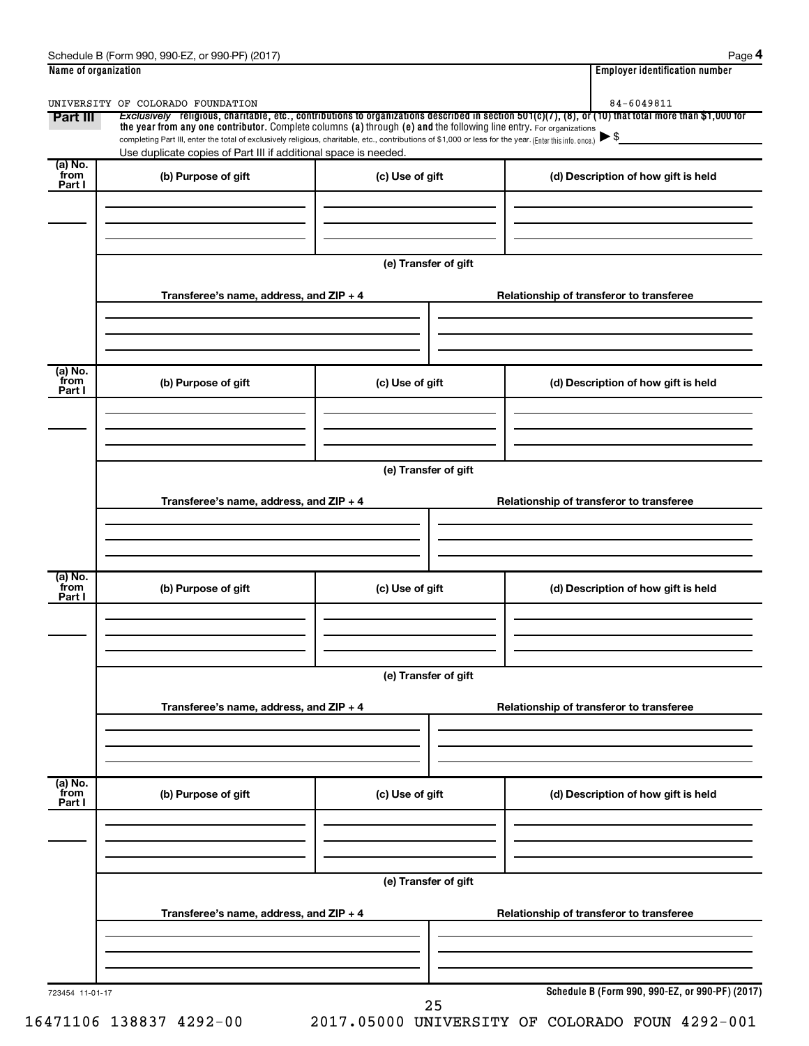| Part III                  | the year from any one contributor. Complete columns (a) through (e) and the following line entry. For organizations                                      |                      | Exclusively religious, charitable, etc., contributions to organizations described in section 501(c)(7), (8), or (10) that total more than \$1,000 for |
|---------------------------|----------------------------------------------------------------------------------------------------------------------------------------------------------|----------------------|-------------------------------------------------------------------------------------------------------------------------------------------------------|
|                           | completing Part III, enter the total of exclusively religious, charitable, etc., contributions of \$1,000 or less for the year. (Enter this info. once.) |                      | $\blacktriangleright$ \$                                                                                                                              |
| (a) No.                   | Use duplicate copies of Part III if additional space is needed.                                                                                          |                      |                                                                                                                                                       |
| from<br>Part I            | (b) Purpose of gift                                                                                                                                      | (c) Use of gift      | (d) Description of how gift is held                                                                                                                   |
|                           |                                                                                                                                                          |                      |                                                                                                                                                       |
|                           |                                                                                                                                                          |                      |                                                                                                                                                       |
|                           |                                                                                                                                                          | (e) Transfer of gift |                                                                                                                                                       |
|                           |                                                                                                                                                          |                      |                                                                                                                                                       |
|                           | Transferee's name, address, and ZIP + 4                                                                                                                  |                      | Relationship of transferor to transferee                                                                                                              |
|                           |                                                                                                                                                          |                      |                                                                                                                                                       |
|                           |                                                                                                                                                          |                      |                                                                                                                                                       |
| (a) No.<br>from           | (b) Purpose of gift                                                                                                                                      | (c) Use of gift      | (d) Description of how gift is held                                                                                                                   |
| Part I                    |                                                                                                                                                          |                      |                                                                                                                                                       |
|                           |                                                                                                                                                          |                      |                                                                                                                                                       |
|                           |                                                                                                                                                          |                      |                                                                                                                                                       |
|                           |                                                                                                                                                          | (e) Transfer of gift |                                                                                                                                                       |
|                           | Transferee's name, address, and ZIP + 4                                                                                                                  |                      | Relationship of transferor to transferee                                                                                                              |
|                           |                                                                                                                                                          |                      |                                                                                                                                                       |
|                           |                                                                                                                                                          |                      |                                                                                                                                                       |
| (a) No.                   |                                                                                                                                                          |                      |                                                                                                                                                       |
| from                      | (b) Purpose of gift                                                                                                                                      | (c) Use of gift      | (d) Description of how gift is held                                                                                                                   |
|                           |                                                                                                                                                          |                      |                                                                                                                                                       |
|                           |                                                                                                                                                          |                      |                                                                                                                                                       |
|                           |                                                                                                                                                          |                      |                                                                                                                                                       |
|                           |                                                                                                                                                          |                      |                                                                                                                                                       |
| Part I                    |                                                                                                                                                          | (e) Transfer of gift |                                                                                                                                                       |
|                           | Transferee's name, address, and ZIP + 4                                                                                                                  |                      | Relationship of transferor to transferee                                                                                                              |
|                           |                                                                                                                                                          |                      |                                                                                                                                                       |
|                           |                                                                                                                                                          |                      |                                                                                                                                                       |
|                           |                                                                                                                                                          |                      |                                                                                                                                                       |
|                           | (b) Purpose of gift                                                                                                                                      | (c) Use of gift      | (d) Description of how gift is held                                                                                                                   |
| (a) No.<br>from<br>Part I |                                                                                                                                                          |                      |                                                                                                                                                       |
|                           |                                                                                                                                                          |                      |                                                                                                                                                       |
|                           |                                                                                                                                                          | (e) Transfer of gift |                                                                                                                                                       |
|                           |                                                                                                                                                          |                      |                                                                                                                                                       |
|                           | Transferee's name, address, and ZIP + 4                                                                                                                  |                      | Relationship of transferor to transferee                                                                                                              |
|                           |                                                                                                                                                          |                      |                                                                                                                                                       |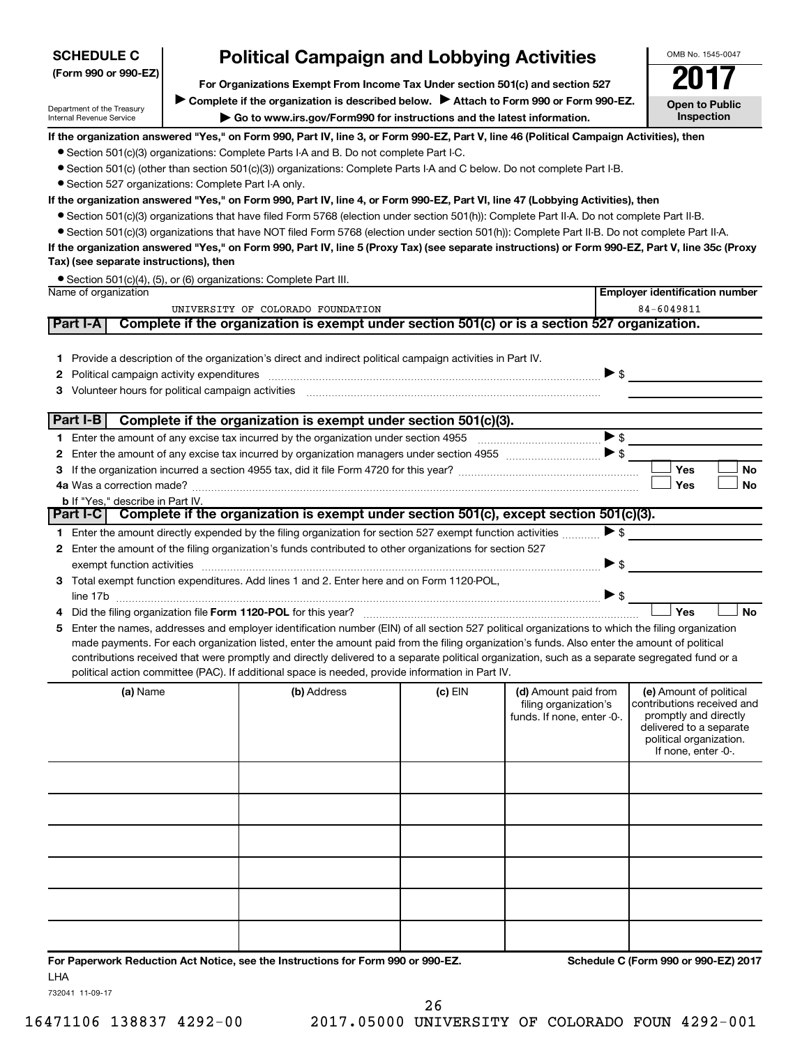| <b>Political Campaign and Lobbying Activities</b><br><b>SCHEDULE C</b>                                                                                                           |                                                                                                                                                                      |                                                                                                                                                                                                                                                                                               |         |                            | OMB No. 1545-0047                                  |  |  |
|----------------------------------------------------------------------------------------------------------------------------------------------------------------------------------|----------------------------------------------------------------------------------------------------------------------------------------------------------------------|-----------------------------------------------------------------------------------------------------------------------------------------------------------------------------------------------------------------------------------------------------------------------------------------------|---------|----------------------------|----------------------------------------------------|--|--|
| (Form 990 or 990-EZ)                                                                                                                                                             |                                                                                                                                                                      |                                                                                                                                                                                                                                                                                               |         |                            |                                                    |  |  |
|                                                                                                                                                                                  | For Organizations Exempt From Income Tax Under section 501(c) and section 527<br>Complete if the organization is described below. Attach to Form 990 or Form 990-EZ. |                                                                                                                                                                                                                                                                                               |         |                            |                                                    |  |  |
| Department of the Treasury                                                                                                                                                       |                                                                                                                                                                      |                                                                                                                                                                                                                                                                                               |         |                            | <b>Open to Public</b>                              |  |  |
| Internal Revenue Service                                                                                                                                                         |                                                                                                                                                                      | Go to www.irs.gov/Form990 for instructions and the latest information.                                                                                                                                                                                                                        |         |                            | Inspection                                         |  |  |
|                                                                                                                                                                                  |                                                                                                                                                                      | If the organization answered "Yes," on Form 990, Part IV, line 3, or Form 990-EZ, Part V, line 46 (Political Campaign Activities), then                                                                                                                                                       |         |                            |                                                    |  |  |
|                                                                                                                                                                                  |                                                                                                                                                                      | • Section 501(c)(3) organizations: Complete Parts I-A and B. Do not complete Part I-C.                                                                                                                                                                                                        |         |                            |                                                    |  |  |
| • Section 501(c) (other than section 501(c)(3)) organizations: Complete Parts I-A and C below. Do not complete Part I-B.<br>• Section 527 organizations: Complete Part I-A only. |                                                                                                                                                                      |                                                                                                                                                                                                                                                                                               |         |                            |                                                    |  |  |
|                                                                                                                                                                                  | If the organization answered "Yes," on Form 990, Part IV, line 4, or Form 990-EZ, Part VI, line 47 (Lobbying Activities), then                                       |                                                                                                                                                                                                                                                                                               |         |                            |                                                    |  |  |
|                                                                                                                                                                                  |                                                                                                                                                                      | • Section 501(c)(3) organizations that have filed Form 5768 (election under section 501(h)): Complete Part II-A. Do not complete Part II-B.                                                                                                                                                   |         |                            |                                                    |  |  |
|                                                                                                                                                                                  |                                                                                                                                                                      | • Section 501(c)(3) organizations that have NOT filed Form 5768 (election under section 501(h)): Complete Part II-B. Do not complete Part II-A.                                                                                                                                               |         |                            |                                                    |  |  |
|                                                                                                                                                                                  |                                                                                                                                                                      | If the organization answered "Yes," on Form 990, Part IV, line 5 (Proxy Tax) (see separate instructions) or Form 990-EZ, Part V, line 35c (Proxy                                                                                                                                              |         |                            |                                                    |  |  |
| Tax) (see separate instructions), then                                                                                                                                           |                                                                                                                                                                      |                                                                                                                                                                                                                                                                                               |         |                            |                                                    |  |  |
|                                                                                                                                                                                  |                                                                                                                                                                      | • Section 501(c)(4), (5), or (6) organizations: Complete Part III.                                                                                                                                                                                                                            |         |                            |                                                    |  |  |
| Name of organization                                                                                                                                                             |                                                                                                                                                                      |                                                                                                                                                                                                                                                                                               |         |                            | <b>Employer identification number</b>              |  |  |
|                                                                                                                                                                                  |                                                                                                                                                                      | UNIVERSITY OF COLORADO FOUNDATION                                                                                                                                                                                                                                                             |         |                            | 84-6049811                                         |  |  |
| Part I-A                                                                                                                                                                         |                                                                                                                                                                      | Complete if the organization is exempt under section 501(c) or is a section 527 organization.                                                                                                                                                                                                 |         |                            |                                                    |  |  |
|                                                                                                                                                                                  |                                                                                                                                                                      |                                                                                                                                                                                                                                                                                               |         |                            |                                                    |  |  |
|                                                                                                                                                                                  |                                                                                                                                                                      | 1 Provide a description of the organization's direct and indirect political campaign activities in Part IV.                                                                                                                                                                                   |         |                            |                                                    |  |  |
| 2                                                                                                                                                                                |                                                                                                                                                                      |                                                                                                                                                                                                                                                                                               |         | $\triangleright$ \$        |                                                    |  |  |
| З                                                                                                                                                                                |                                                                                                                                                                      |                                                                                                                                                                                                                                                                                               |         |                            |                                                    |  |  |
| Part I-B                                                                                                                                                                         |                                                                                                                                                                      | Complete if the organization is exempt under section 501(c)(3).                                                                                                                                                                                                                               |         |                            |                                                    |  |  |
| 1.                                                                                                                                                                               |                                                                                                                                                                      |                                                                                                                                                                                                                                                                                               |         | $\blacktriangleright$ \$   |                                                    |  |  |
| 2                                                                                                                                                                                |                                                                                                                                                                      |                                                                                                                                                                                                                                                                                               |         |                            |                                                    |  |  |
| З                                                                                                                                                                                |                                                                                                                                                                      |                                                                                                                                                                                                                                                                                               |         |                            | Yes<br>No                                          |  |  |
|                                                                                                                                                                                  |                                                                                                                                                                      |                                                                                                                                                                                                                                                                                               |         |                            | Yes<br><b>No</b>                                   |  |  |
| <b>b</b> If "Yes," describe in Part IV.                                                                                                                                          |                                                                                                                                                                      |                                                                                                                                                                                                                                                                                               |         |                            |                                                    |  |  |
|                                                                                                                                                                                  |                                                                                                                                                                      | Part I-C Complete if the organization is exempt under section 501(c), except section 501(c)(3).                                                                                                                                                                                               |         |                            |                                                    |  |  |
|                                                                                                                                                                                  |                                                                                                                                                                      | 1 Enter the amount directly expended by the filing organization for section 527 exempt function activities                                                                                                                                                                                    |         | $\blacktriangleright$ \$   |                                                    |  |  |
| 2                                                                                                                                                                                |                                                                                                                                                                      | Enter the amount of the filing organization's funds contributed to other organizations for section 527                                                                                                                                                                                        |         |                            |                                                    |  |  |
| exempt function activities                                                                                                                                                       |                                                                                                                                                                      |                                                                                                                                                                                                                                                                                               |         | $\blacktriangleright$ \$   |                                                    |  |  |
| З                                                                                                                                                                                |                                                                                                                                                                      | Total exempt function expenditures. Add lines 1 and 2. Enter here and on Form 1120-POL,                                                                                                                                                                                                       |         |                            |                                                    |  |  |
|                                                                                                                                                                                  |                                                                                                                                                                      |                                                                                                                                                                                                                                                                                               |         | $\blacktriangleright$ \$   |                                                    |  |  |
|                                                                                                                                                                                  |                                                                                                                                                                      |                                                                                                                                                                                                                                                                                               |         |                            | Yes<br><b>No</b>                                   |  |  |
|                                                                                                                                                                                  |                                                                                                                                                                      | Enter the names, addresses and employer identification number (EIN) of all section 527 political organizations to which the filing organization                                                                                                                                               |         |                            |                                                    |  |  |
|                                                                                                                                                                                  |                                                                                                                                                                      | made payments. For each organization listed, enter the amount paid from the filing organization's funds. Also enter the amount of political<br>contributions received that were promptly and directly delivered to a separate political organization, such as a separate segregated fund or a |         |                            |                                                    |  |  |
|                                                                                                                                                                                  |                                                                                                                                                                      | political action committee (PAC). If additional space is needed, provide information in Part IV.                                                                                                                                                                                              |         |                            |                                                    |  |  |
| (a) Name                                                                                                                                                                         |                                                                                                                                                                      | (b) Address                                                                                                                                                                                                                                                                                   | (c) EIN | (d) Amount paid from       | (e) Amount of political                            |  |  |
|                                                                                                                                                                                  |                                                                                                                                                                      |                                                                                                                                                                                                                                                                                               |         | filing organization's      | contributions received and                         |  |  |
|                                                                                                                                                                                  |                                                                                                                                                                      |                                                                                                                                                                                                                                                                                               |         | funds. If none, enter -0-. | promptly and directly                              |  |  |
|                                                                                                                                                                                  |                                                                                                                                                                      |                                                                                                                                                                                                                                                                                               |         |                            | delivered to a separate<br>political organization. |  |  |
|                                                                                                                                                                                  |                                                                                                                                                                      |                                                                                                                                                                                                                                                                                               |         |                            | If none, enter -0-.                                |  |  |
|                                                                                                                                                                                  |                                                                                                                                                                      |                                                                                                                                                                                                                                                                                               |         |                            |                                                    |  |  |
|                                                                                                                                                                                  |                                                                                                                                                                      |                                                                                                                                                                                                                                                                                               |         |                            |                                                    |  |  |
|                                                                                                                                                                                  |                                                                                                                                                                      |                                                                                                                                                                                                                                                                                               |         |                            |                                                    |  |  |
|                                                                                                                                                                                  |                                                                                                                                                                      |                                                                                                                                                                                                                                                                                               |         |                            |                                                    |  |  |
|                                                                                                                                                                                  |                                                                                                                                                                      |                                                                                                                                                                                                                                                                                               |         |                            |                                                    |  |  |
|                                                                                                                                                                                  |                                                                                                                                                                      |                                                                                                                                                                                                                                                                                               |         |                            |                                                    |  |  |
|                                                                                                                                                                                  |                                                                                                                                                                      |                                                                                                                                                                                                                                                                                               |         |                            |                                                    |  |  |
|                                                                                                                                                                                  |                                                                                                                                                                      |                                                                                                                                                                                                                                                                                               |         |                            |                                                    |  |  |
|                                                                                                                                                                                  |                                                                                                                                                                      |                                                                                                                                                                                                                                                                                               |         |                            |                                                    |  |  |
|                                                                                                                                                                                  |                                                                                                                                                                      |                                                                                                                                                                                                                                                                                               |         |                            |                                                    |  |  |

OMB No. 1545-0047

**For Paperwork Reduction Act Notice, see the Instructions for Form 990 or 990-EZ. Schedule C (Form 990 or 990-EZ) 2017** LHA

732041 11-09-17

**SCHEDULE C**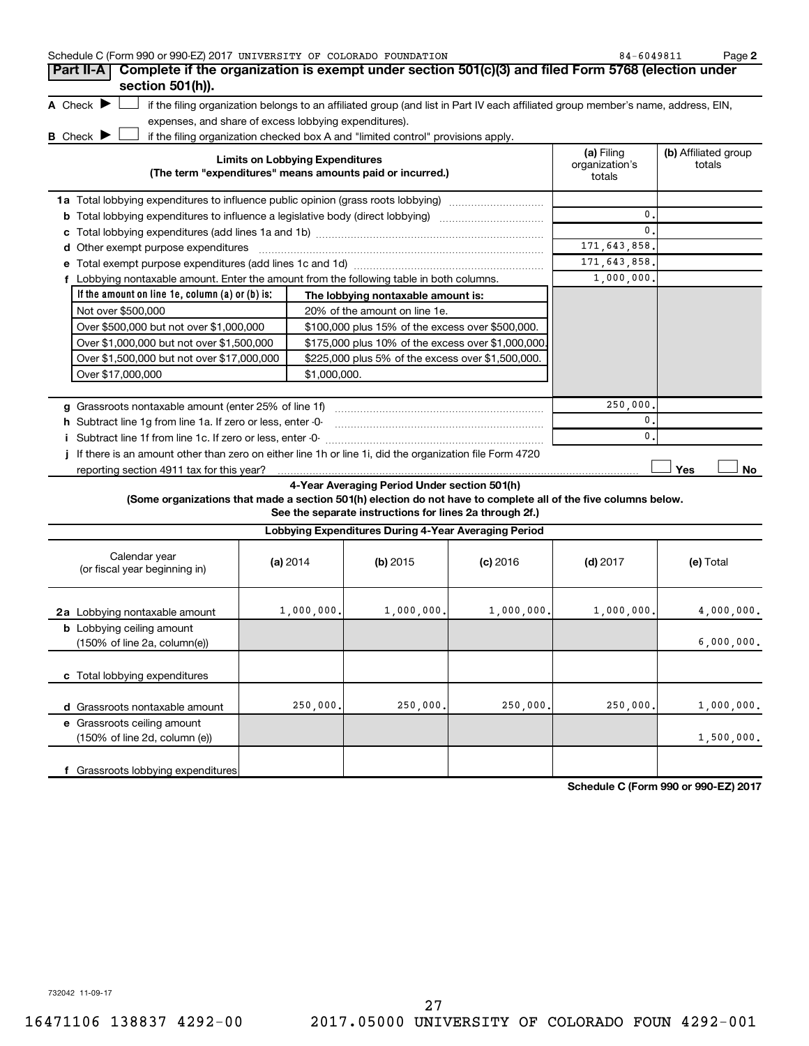|   | Schedule C (Form 990 or 990-EZ) 2017 UNIVERSITY OF COLORADO FOUNDATION                 |                                                                                                                                                                                                                                |                                        | Page 2<br>84-6049811           |
|---|----------------------------------------------------------------------------------------|--------------------------------------------------------------------------------------------------------------------------------------------------------------------------------------------------------------------------------|----------------------------------------|--------------------------------|
|   | Part II-A                                                                              | Complete if the organization is exempt under section 501(c)(3) and filed Form 5768 (election under                                                                                                                             |                                        |                                |
|   | section 501(h)).                                                                       |                                                                                                                                                                                                                                |                                        |                                |
|   | A Check $\blacktriangleright$                                                          | if the filing organization belongs to an affiliated group (and list in Part IV each affiliated group member's name, address, EIN,                                                                                              |                                        |                                |
|   | expenses, and share of excess lobbying expenditures).                                  |                                                                                                                                                                                                                                |                                        |                                |
|   | <b>B</b> Check $\blacktriangleright$                                                   | if the filing organization checked box A and "limited control" provisions apply.                                                                                                                                               |                                        |                                |
|   |                                                                                        | <b>Limits on Lobbying Expenditures</b><br>(The term "expenditures" means amounts paid or incurred.)                                                                                                                            | (a) Filing<br>organization's<br>totals | (b) Affiliated group<br>totals |
|   |                                                                                        |                                                                                                                                                                                                                                |                                        |                                |
|   |                                                                                        | Total lobbying expenditures to influence a legislative body (direct lobbying) [11] [12] Total lobbying contains the state of the state of the state of the state of the state of the state of the state of the state of the st | $\mathbf{0}$ .                         |                                |
|   |                                                                                        |                                                                                                                                                                                                                                | $\Omega$                               |                                |
| d |                                                                                        |                                                                                                                                                                                                                                | 171, 643, 858.                         |                                |
|   |                                                                                        |                                                                                                                                                                                                                                | 171, 643, 858.                         |                                |
|   | Lobbying nontaxable amount. Enter the amount from the following table in both columns. |                                                                                                                                                                                                                                | 1,000,000.                             |                                |
|   | If the amount on line $1e$ , column $(a)$ or $(b)$ is:                                 | The lobbying nontaxable amount is:                                                                                                                                                                                             |                                        |                                |
|   | Not over \$500,000                                                                     | 20% of the amount on line 1e.                                                                                                                                                                                                  |                                        |                                |
|   | Over \$500,000 but not over \$1,000,000                                                | \$100,000 plus 15% of the excess over \$500,000.                                                                                                                                                                               |                                        |                                |
|   | Over \$1,000,000 but not over \$1,500,000                                              | \$175,000 plus 10% of the excess over \$1,000,000                                                                                                                                                                              |                                        |                                |
|   | Over \$1,500,000 but not over \$17,000,000                                             | \$225,000 plus 5% of the excess over \$1,500,000.                                                                                                                                                                              |                                        |                                |
|   | Over \$17,000,000                                                                      | \$1,000,000.                                                                                                                                                                                                                   |                                        |                                |
| a | Grassroots nontaxable amount (enter 25% of line 1f)                                    |                                                                                                                                                                                                                                | 250,000.                               |                                |
|   | h Subtract line 1g from line 1a. If zero or less, enter -0-                            |                                                                                                                                                                                                                                | $\mathbf{0}$                           |                                |
|   |                                                                                        |                                                                                                                                                                                                                                | $\mathbf{0}$ .                         |                                |
|   |                                                                                        |                                                                                                                                                                                                                                |                                        |                                |

**j** If there is an amount other than zero on either line 1h or line 1i, did the organization file Form 4720 reporting section 4911 tax for this year?

**4-Year Averaging Period Under section 501(h)**

**(Some organizations that made a section 501(h) election do not have to complete all of the five columns below.**

**See the separate instructions for lines 2a through 2f.)**

| Lobbying Expenditures During 4-Year Averaging Period                                |            |            |            |            |            |  |
|-------------------------------------------------------------------------------------|------------|------------|------------|------------|------------|--|
| Calendar year<br>(or fiscal year beginning in)                                      | (a) 2014   | $(b)$ 2015 | $(c)$ 2016 | $(d)$ 2017 | (e) Total  |  |
| 2a Lobbying nontaxable amount                                                       | 1,000,000. | 1,000,000. | 1,000,000. | 1,000,000. | 4,000,000. |  |
| <b>b</b> Lobbying ceiling amount<br>$(150\% \text{ of line } 2a, \text{column}(e))$ |            |            |            |            | 6,000,000. |  |
| c Total lobbying expenditures                                                       |            |            |            |            |            |  |
| Grassroots nontaxable amount<br>d                                                   | 250,000.   | 250,000.   | 250,000.   | 250,000.   | 1,000,000. |  |
| e Grassroots ceiling amount<br>(150% of line 2d, column (e))                        |            |            |            |            | 1,500,000. |  |
| Grassroots lobbying expenditures                                                    |            |            |            |            |            |  |

**Schedule C (Form 990 or 990-EZ) 2017**

 $\Box$  **No** 

 $\Box$  Yes

732042 11-09-17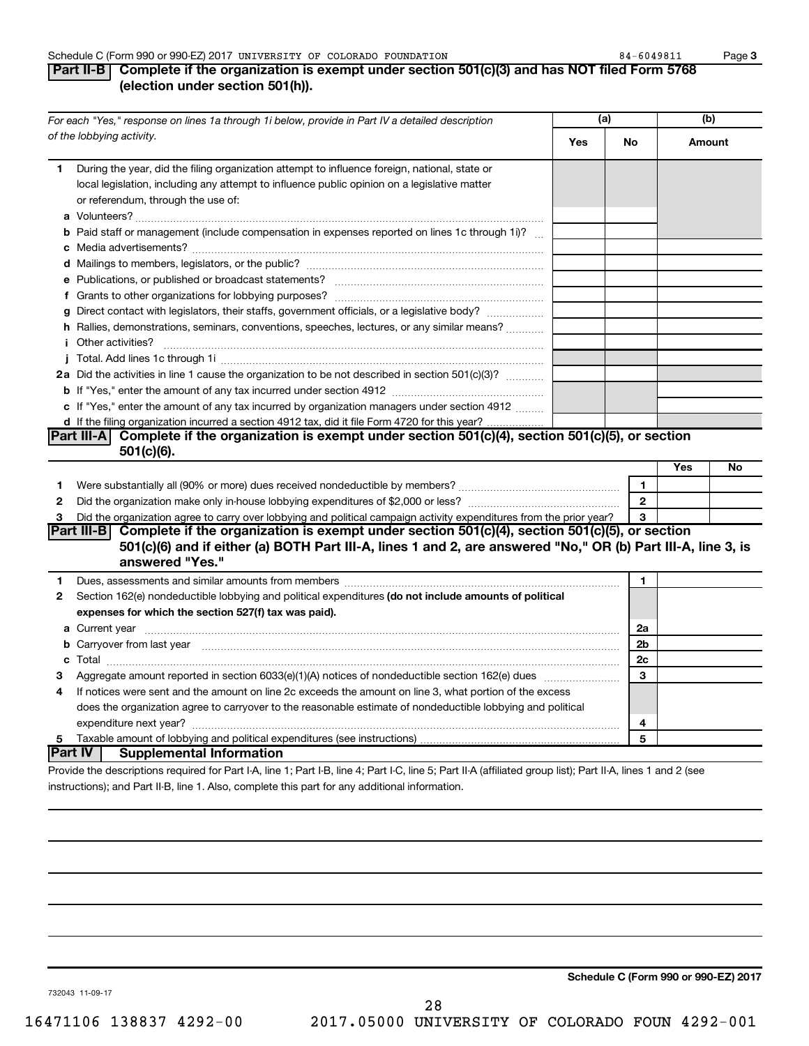#### Schedule C (Form 990 or 990-EZ) 2017 Page UNIVERSITY OF COLORADO FOUNDATION 84-6049811

### **Part II-B Complete if the organization is exempt under section 501(c)(3) and has NOT filed Form 5768 (election under section 501(h)).**

|              | For each "Yes," response on lines 1a through 1i below, provide in Part IV a detailed description                                                                                                                                            | (a) |              | (b) |        |
|--------------|---------------------------------------------------------------------------------------------------------------------------------------------------------------------------------------------------------------------------------------------|-----|--------------|-----|--------|
|              | of the lobbying activity.                                                                                                                                                                                                                   | Yes | No           |     | Amount |
| 1            | During the year, did the filing organization attempt to influence foreign, national, state or<br>local legislation, including any attempt to influence public opinion on a legislative matter<br>or referendum, through the use of:         |     |              |     |        |
|              | <b>b</b> Paid staff or management (include compensation in expenses reported on lines 1c through 1i)?                                                                                                                                       |     |              |     |        |
|              |                                                                                                                                                                                                                                             |     |              |     |        |
|              |                                                                                                                                                                                                                                             |     |              |     |        |
|              |                                                                                                                                                                                                                                             |     |              |     |        |
|              | g Direct contact with legislators, their staffs, government officials, or a legislative body?                                                                                                                                               |     |              |     |        |
|              | h Rallies, demonstrations, seminars, conventions, speeches, lectures, or any similar means?                                                                                                                                                 |     |              |     |        |
|              | <i>i</i> Other activities?                                                                                                                                                                                                                  |     |              |     |        |
|              |                                                                                                                                                                                                                                             |     |              |     |        |
|              | 2a Did the activities in line 1 cause the organization to be not described in section 501(c)(3)?                                                                                                                                            |     |              |     |        |
|              |                                                                                                                                                                                                                                             |     |              |     |        |
|              | c If "Yes," enter the amount of any tax incurred by organization managers under section 4912                                                                                                                                                |     |              |     |        |
|              | d If the filing organization incurred a section 4912 tax, did it file Form 4720 for this year?                                                                                                                                              |     |              |     |        |
|              | Part III-A Complete if the organization is exempt under section 501(c)(4), section 501(c)(5), or section                                                                                                                                    |     |              |     |        |
|              | $501(c)(6)$ .                                                                                                                                                                                                                               |     |              |     |        |
|              |                                                                                                                                                                                                                                             |     |              | Yes | No     |
| 1            |                                                                                                                                                                                                                                             |     | $\mathbf{1}$ |     |        |
| $\mathbf{2}$ |                                                                                                                                                                                                                                             |     | $\mathbf{2}$ |     |        |
| 3            | Did the organization agree to carry over lobbying and political campaign activity expenditures from the prior year?                                                                                                                         |     | 3            |     |        |
|              | Part III-B Complete if the organization is exempt under section 501(c)(4), section 501(c)(5), or section<br>501(c)(6) and if either (a) BOTH Part III-A, lines 1 and 2, are answered "No," OR (b) Part III-A, line 3, is<br>answered "Yes." |     |              |     |        |
| 1            |                                                                                                                                                                                                                                             |     | 1            |     |        |
| 2            | Section 162(e) nondeductible lobbying and political expenditures (do not include amounts of political                                                                                                                                       |     |              |     |        |
|              | expenses for which the section 527(f) tax was paid).                                                                                                                                                                                        |     |              |     |        |
|              |                                                                                                                                                                                                                                             |     | 2a           |     |        |
|              | b Carryover from last year manufactured and content to content the content of the content of the content of the content of the content of the content of the content of the content of the content of the content of the conte              |     | 2b           |     |        |
|              |                                                                                                                                                                                                                                             |     | 2c           |     |        |
| З            |                                                                                                                                                                                                                                             |     | 3            |     |        |
| 4            | If notices were sent and the amount on line 2c exceeds the amount on line 3, what portion of the excess                                                                                                                                     |     |              |     |        |
|              | does the organization agree to carryover to the reasonable estimate of nondeductible lobbying and political                                                                                                                                 |     |              |     |        |
|              |                                                                                                                                                                                                                                             |     | 4            |     |        |
|              |                                                                                                                                                                                                                                             |     | 5            |     |        |
|              | IPart IV I<br><b>Supplemental Information</b>                                                                                                                                                                                               |     |              |     |        |
|              | Provide the descriptions required for Part I-A, line 1; Part I-B, line 4; Part I-C, line 5; Part II-A (affiliated group list); Part II-A, lines 1 and 2 (see                                                                                |     |              |     |        |

instructions); and Part II-B, line 1. Also, complete this part for any additional information.

**Schedule C (Form 990 or 990-EZ) 2017**

**3**

732043 11-09-17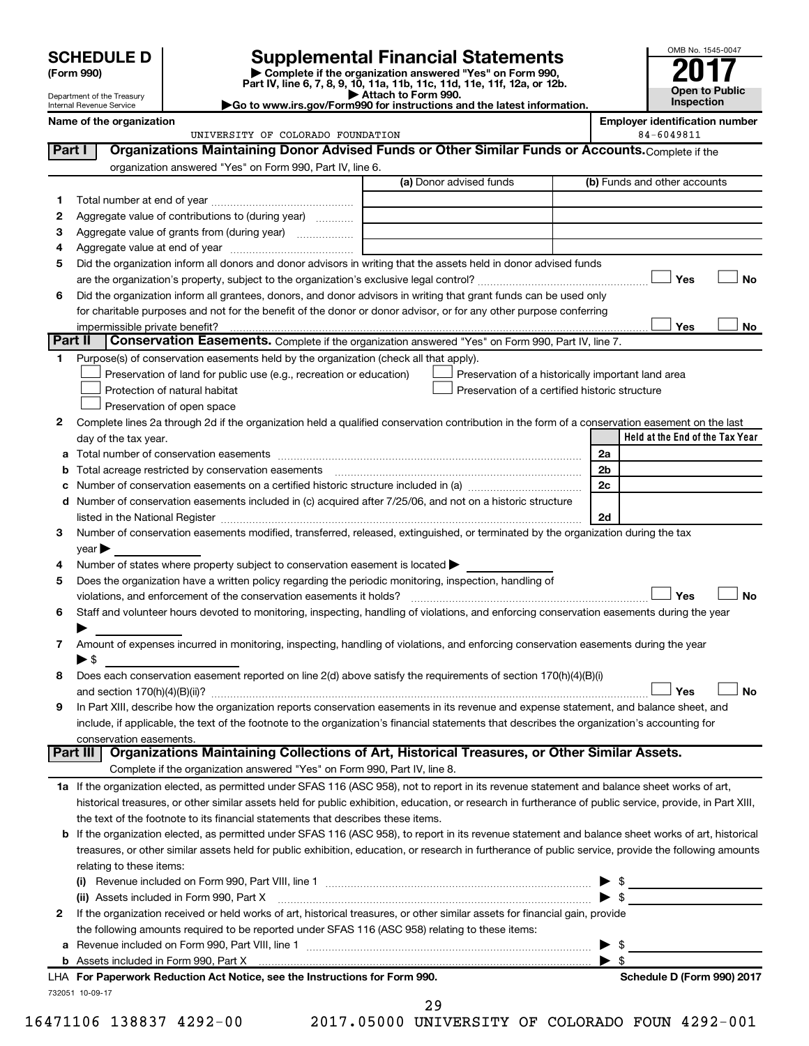Department of the Treasury Internal Revenue Service

| (Form 990) |  |
|------------|--|
|------------|--|

# **SCHEDULE D Supplemental Financial Statements**<br> **Form 990 2017**<br> **Part IV** line 6.7.8.9.10, 11a, 11b, 11d, 11d, 11d, 11d, 11d, 12a, 0r, 12b

**(Form 990) | Complete if the organization answered "Yes" on Form 990, Part IV, line 6, 7, 8, 9, 10, 11a, 11b, 11c, 11d, 11e, 11f, 12a, or 12b.**

**| Attach to Form 990. |Go to www.irs.gov/Form990 for instructions and the latest information.**



**Name of the organization Employer identification number** UNIVERSITY OF COLORADO FOUNDATION 84-6049811

| Part I  | Organizations Maintaining Donor Advised Funds or Other Similar Funds or Accounts. Complete if the                                                         |                                                |                                                    |
|---------|-----------------------------------------------------------------------------------------------------------------------------------------------------------|------------------------------------------------|----------------------------------------------------|
|         | organization answered "Yes" on Form 990, Part IV, line 6.                                                                                                 |                                                |                                                    |
|         |                                                                                                                                                           | (a) Donor advised funds                        | (b) Funds and other accounts                       |
| 1.      |                                                                                                                                                           |                                                |                                                    |
| 2       | Aggregate value of contributions to (during year)                                                                                                         |                                                |                                                    |
| З       | Aggregate value of grants from (during year)                                                                                                              |                                                |                                                    |
| 4       |                                                                                                                                                           |                                                |                                                    |
| 5       | Did the organization inform all donors and donor advisors in writing that the assets held in donor advised funds                                          |                                                |                                                    |
|         |                                                                                                                                                           |                                                | Yes<br>No                                          |
| 6       | Did the organization inform all grantees, donors, and donor advisors in writing that grant funds can be used only                                         |                                                |                                                    |
|         | for charitable purposes and not for the benefit of the donor or donor advisor, or for any other purpose conferring                                        |                                                |                                                    |
|         | impermissible private benefit?                                                                                                                            |                                                | Yes<br>No                                          |
| Part II | Conservation Easements. Complete if the organization answered "Yes" on Form 990, Part IV, line 7.                                                         |                                                |                                                    |
| 1.      | Purpose(s) of conservation easements held by the organization (check all that apply).                                                                     |                                                |                                                    |
|         | Preservation of land for public use (e.g., recreation or education)                                                                                       |                                                | Preservation of a historically important land area |
|         | Protection of natural habitat                                                                                                                             | Preservation of a certified historic structure |                                                    |
|         | Preservation of open space                                                                                                                                |                                                |                                                    |
| 2       | Complete lines 2a through 2d if the organization held a qualified conservation contribution in the form of a conservation easement on the last            |                                                |                                                    |
|         | day of the tax year.                                                                                                                                      |                                                | Held at the End of the Tax Year                    |
| а       |                                                                                                                                                           |                                                | 2a                                                 |
|         |                                                                                                                                                           |                                                | 2b                                                 |
|         |                                                                                                                                                           |                                                | 2c                                                 |
| d       | Number of conservation easements included in (c) acquired after 7/25/06, and not on a historic structure                                                  |                                                |                                                    |
|         | listed in the National Register [111] Martin Marcondon Marco Contract in the National Register [11] Marco Marco                                           |                                                | 2d                                                 |
| 3       | Number of conservation easements modified, transferred, released, extinguished, or terminated by the organization during the tax                          |                                                |                                                    |
|         | year                                                                                                                                                      |                                                |                                                    |
| 4       | Number of states where property subject to conservation easement is located >                                                                             |                                                |                                                    |
| 5       | Does the organization have a written policy regarding the periodic monitoring, inspection, handling of                                                    |                                                |                                                    |
|         | violations, and enforcement of the conservation easements it holds?                                                                                       |                                                | Yes<br><b>No</b>                                   |
| 6       | Staff and volunteer hours devoted to monitoring, inspecting, handling of violations, and enforcing conservation easements during the year                 |                                                |                                                    |
|         |                                                                                                                                                           |                                                |                                                    |
| 7       | Amount of expenses incurred in monitoring, inspecting, handling of violations, and enforcing conservation easements during the year                       |                                                |                                                    |
|         | $\blacktriangleright$ \$                                                                                                                                  |                                                |                                                    |
| 8       | Does each conservation easement reported on line 2(d) above satisfy the requirements of section 170(h)(4)(B)(i)                                           |                                                | <b>No</b><br>Yes                                   |
| 9       | In Part XIII, describe how the organization reports conservation easements in its revenue and expense statement, and balance sheet, and                   |                                                |                                                    |
|         | include, if applicable, the text of the footnote to the organization's financial statements that describes the organization's accounting for              |                                                |                                                    |
|         | conservation easements.                                                                                                                                   |                                                |                                                    |
|         | Organizations Maintaining Collections of Art, Historical Treasures, or Other Similar Assets.<br>Part III                                                  |                                                |                                                    |
|         | Complete if the organization answered "Yes" on Form 990, Part IV, line 8.                                                                                 |                                                |                                                    |
|         | 1a If the organization elected, as permitted under SFAS 116 (ASC 958), not to report in its revenue statement and balance sheet works of art,             |                                                |                                                    |
|         | historical treasures, or other similar assets held for public exhibition, education, or research in furtherance of public service, provide, in Part XIII, |                                                |                                                    |
|         | the text of the footnote to its financial statements that describes these items.                                                                          |                                                |                                                    |
| b       | If the organization elected, as permitted under SFAS 116 (ASC 958), to report in its revenue statement and balance sheet works of art, historical         |                                                |                                                    |
|         | treasures, or other similar assets held for public exhibition, education, or research in furtherance of public service, provide the following amounts     |                                                |                                                    |
|         | relating to these items:                                                                                                                                  |                                                |                                                    |
|         |                                                                                                                                                           |                                                |                                                    |
|         | (ii) Assets included in Form 990, Part X                                                                                                                  |                                                | $\blacktriangleright$ \$                           |
| 2       | If the organization received or held works of art, historical treasures, or other similar assets for financial gain, provide                              |                                                |                                                    |
|         | the following amounts required to be reported under SFAS 116 (ASC 958) relating to these items:                                                           |                                                |                                                    |
| а       |                                                                                                                                                           |                                                | \$                                                 |
|         |                                                                                                                                                           |                                                | $\blacktriangleright$ s                            |
|         | LHA For Paperwork Reduction Act Notice, see the Instructions for Form 990.                                                                                |                                                | Schedule D (Form 990) 2017                         |
|         | 732051 10-09-17                                                                                                                                           |                                                |                                                    |

29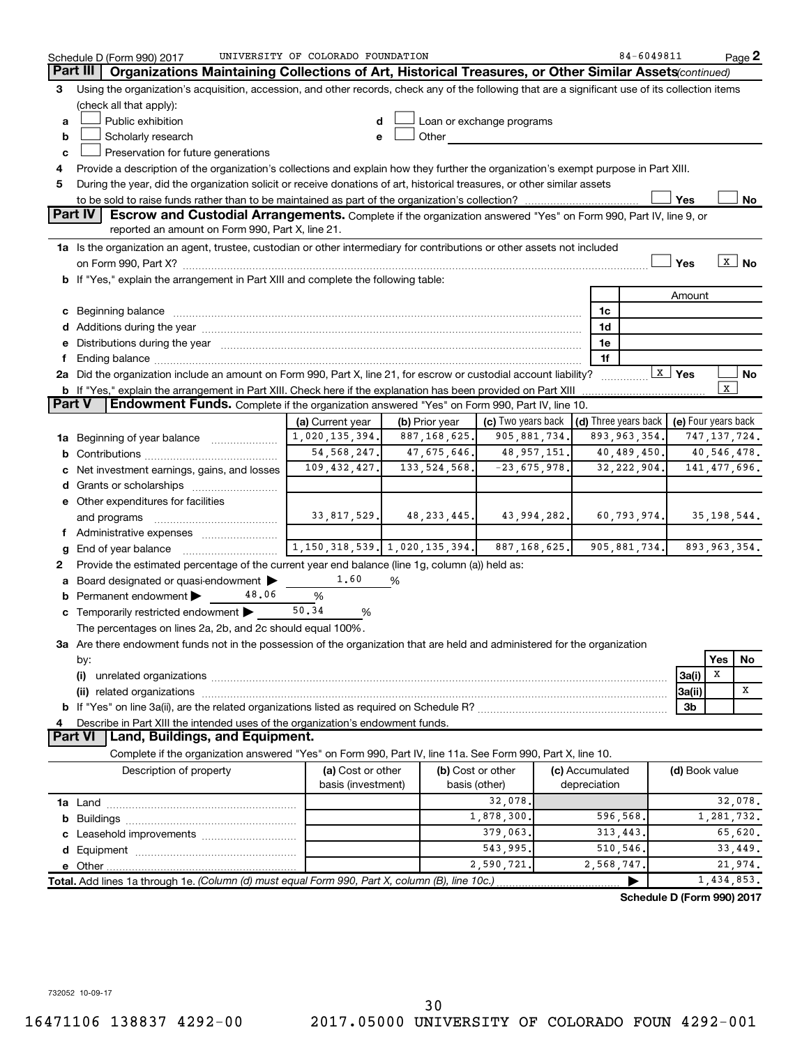|               | Schedule D (Form 990) 2017                                                                                                                                                                                                     | UNIVERSITY OF COLORADO FOUNDATION   |                |                    |  |                 | 84-6049811                           |                          |                | Page 2            |
|---------------|--------------------------------------------------------------------------------------------------------------------------------------------------------------------------------------------------------------------------------|-------------------------------------|----------------|--------------------|--|-----------------|--------------------------------------|--------------------------|----------------|-------------------|
|               | Part III<br>Organizations Maintaining Collections of Art, Historical Treasures, or Other Similar Assets (continued)                                                                                                            |                                     |                |                    |  |                 |                                      |                          |                |                   |
| 3             | Using the organization's acquisition, accession, and other records, check any of the following that are a significant use of its collection items                                                                              |                                     |                |                    |  |                 |                                      |                          |                |                   |
|               | (check all that apply):                                                                                                                                                                                                        |                                     |                |                    |  |                 |                                      |                          |                |                   |
| a             | Public exhibition<br>Loan or exchange programs                                                                                                                                                                                 |                                     |                |                    |  |                 |                                      |                          |                |                   |
| b             | Scholarly research<br>Other                                                                                                                                                                                                    |                                     |                |                    |  |                 |                                      |                          |                |                   |
| c             | Preservation for future generations                                                                                                                                                                                            |                                     |                |                    |  |                 |                                      |                          |                |                   |
| 4             | Provide a description of the organization's collections and explain how they further the organization's exempt purpose in Part XIII.                                                                                           |                                     |                |                    |  |                 |                                      |                          |                |                   |
| 5             | During the year, did the organization solicit or receive donations of art, historical treasures, or other similar assets                                                                                                       |                                     |                |                    |  |                 |                                      |                          |                |                   |
|               |                                                                                                                                                                                                                                |                                     |                |                    |  |                 |                                      | Yes                      |                | No                |
|               | <b>Part IV</b><br><b>Escrow and Custodial Arrangements.</b> Complete if the organization answered "Yes" on Form 990, Part IV, line 9, or<br>reported an amount on Form 990, Part X, line 21.                                   |                                     |                |                    |  |                 |                                      |                          |                |                   |
|               | 1a Is the organization an agent, trustee, custodian or other intermediary for contributions or other assets not included                                                                                                       |                                     |                |                    |  |                 |                                      |                          |                |                   |
|               |                                                                                                                                                                                                                                |                                     |                |                    |  |                 |                                      | Yes                      |                | $\overline{x}$ No |
|               | b If "Yes," explain the arrangement in Part XIII and complete the following table:                                                                                                                                             |                                     |                |                    |  |                 |                                      |                          |                |                   |
|               |                                                                                                                                                                                                                                |                                     |                |                    |  |                 |                                      | Amount                   |                |                   |
|               |                                                                                                                                                                                                                                |                                     |                |                    |  | 1c              |                                      |                          |                |                   |
|               |                                                                                                                                                                                                                                |                                     |                |                    |  | 1d              |                                      |                          |                |                   |
|               | e Distributions during the year manufactured and continuum and contained and contained and contained and contained and contained and contained and contained and contained and contained and contained and contained and conta |                                     |                |                    |  | 1e              |                                      |                          |                |                   |
|               |                                                                                                                                                                                                                                |                                     |                |                    |  | 1f              |                                      |                          |                |                   |
|               | 2a Did the organization include an amount on Form 990, Part X, line 21, for escrow or custodial account liability?                                                                                                             |                                     |                |                    |  | .               |                                      | $\boxed{\mathbf{X}}$ Yes |                | No                |
|               | <b>b</b> If "Yes," explain the arrangement in Part XIII. Check here if the explanation has been provided on Part XIII                                                                                                          |                                     |                |                    |  |                 |                                      |                          | $\mathbf x$    |                   |
| <b>Part V</b> | <b>Endowment Funds.</b> Complete if the organization answered "Yes" on Form 990, Part IV, line 10.                                                                                                                             |                                     |                |                    |  |                 |                                      |                          |                |                   |
|               |                                                                                                                                                                                                                                | (a) Current year                    | (b) Prior year | (c) Two years back |  |                 | $\vert$ (d) Three years back $\vert$ | (e) Four years back      |                |                   |
|               | 1a Beginning of year balance                                                                                                                                                                                                   | 1,020,135,394.                      | 887,168,625.   | 905,881,734.       |  |                 | 893, 963, 354.                       |                          | 747, 137, 724. |                   |
|               |                                                                                                                                                                                                                                | 54, 568, 247.                       | 47,675,646.    | 48, 957, 151.      |  |                 | 40,489,450.                          |                          | 40,546,478.    |                   |
|               | Net investment earnings, gains, and losses                                                                                                                                                                                     | 109, 432, 427.                      | 133, 524, 568. | $-23,675,978.$     |  |                 | 32, 222, 904.                        |                          | 141, 477, 696. |                   |
|               |                                                                                                                                                                                                                                |                                     |                |                    |  |                 |                                      |                          |                |                   |
|               | e Other expenditures for facilities                                                                                                                                                                                            |                                     |                |                    |  |                 |                                      |                          |                |                   |
|               | and programs                                                                                                                                                                                                                   | 33,817,529.                         | 48,233,445.    | 43,994,282.        |  |                 | 60, 793, 974.                        | 35,198,544.              |                |                   |
|               | f Administrative expenses                                                                                                                                                                                                      |                                     |                |                    |  |                 |                                      |                          |                |                   |
| g             |                                                                                                                                                                                                                                | 1, 150, 318, 539. 1, 020, 135, 394. |                | 887, 168, 625.     |  |                 | 905, 881, 734.                       |                          | 893,963,354.   |                   |
| 2             | Provide the estimated percentage of the current year end balance (line 1g, column (a)) held as:                                                                                                                                |                                     |                |                    |  |                 |                                      |                          |                |                   |
| а             | Board designated or quasi-endowment                                                                                                                                                                                            | 1.60                                | %              |                    |  |                 |                                      |                          |                |                   |
|               | <b>b</b> Permanent endowment $\blacktriangleright$<br>48.06                                                                                                                                                                    | %                                   |                |                    |  |                 |                                      |                          |                |                   |
|               | c Temporarily restricted endowment                                                                                                                                                                                             | 50.34<br>%                          |                |                    |  |                 |                                      |                          |                |                   |
|               | The percentages on lines 2a, 2b, and 2c should equal 100%.                                                                                                                                                                     |                                     |                |                    |  |                 |                                      |                          |                |                   |
|               | 3a Are there endowment funds not in the possession of the organization that are held and administered for the organization                                                                                                     |                                     |                |                    |  |                 |                                      |                          |                |                   |
|               | by:<br>(i)                                                                                                                                                                                                                     |                                     |                |                    |  |                 |                                      |                          | Yes<br>X       | No                |
|               |                                                                                                                                                                                                                                |                                     |                |                    |  |                 |                                      | 3a(i)<br>3a(ii)          |                | х                 |
|               |                                                                                                                                                                                                                                |                                     |                |                    |  |                 |                                      | 3b                       |                |                   |
|               | Describe in Part XIII the intended uses of the organization's endowment funds.                                                                                                                                                 |                                     |                |                    |  |                 |                                      |                          |                |                   |
|               | <b>Part VI</b><br>Land, Buildings, and Equipment.                                                                                                                                                                              |                                     |                |                    |  |                 |                                      |                          |                |                   |
|               | Complete if the organization answered "Yes" on Form 990, Part IV, line 11a. See Form 990, Part X, line 10.                                                                                                                     |                                     |                |                    |  |                 |                                      |                          |                |                   |
|               | Description of property                                                                                                                                                                                                        | (a) Cost or other                   |                | (b) Cost or other  |  | (c) Accumulated |                                      | (d) Book value           |                |                   |
|               |                                                                                                                                                                                                                                | basis (investment)                  |                | basis (other)      |  | depreciation    |                                      |                          |                |                   |
|               |                                                                                                                                                                                                                                |                                     |                | 32,078.            |  |                 |                                      |                          |                | 32,078.           |
| b             |                                                                                                                                                                                                                                |                                     |                | 1,878,300.         |  | 596,568.        |                                      |                          | 1,281,732.     |                   |
|               |                                                                                                                                                                                                                                |                                     |                | 379,063.           |  | 313,443.        |                                      |                          |                | 65,620.           |
|               |                                                                                                                                                                                                                                |                                     |                | 543,995.           |  | 510,546.        |                                      |                          |                | 33,449.           |
|               | 2,590,721.<br>2,568,747.                                                                                                                                                                                                       |                                     |                |                    |  |                 |                                      |                          | 21,974.        |                   |
|               | Total. Add lines 1a through 1e. (Column (d) must equal Form 990, Part X, column (B), line 10c.)                                                                                                                                |                                     |                |                    |  |                 |                                      |                          | 1,434,853.     |                   |
|               |                                                                                                                                                                                                                                |                                     |                |                    |  |                 | Schedule D (Form 990) 2017           |                          |                |                   |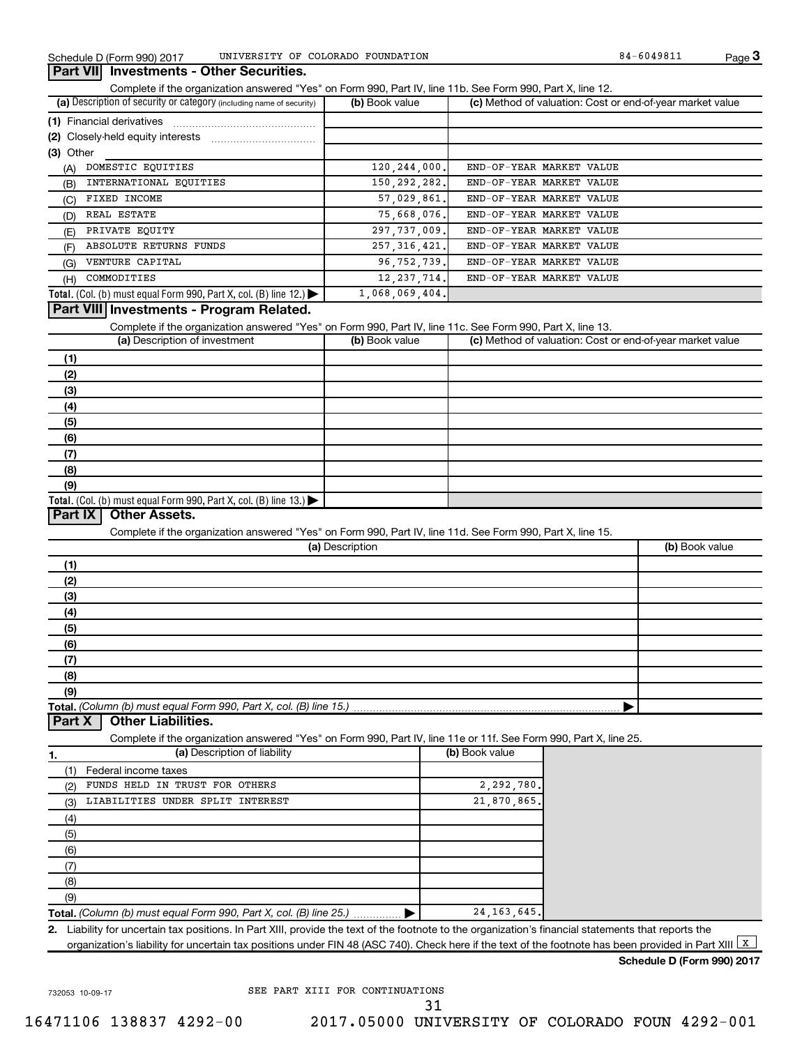**3**

#### **Part VII Investments - Other Securities.**

Complete if the organization answered "Yes" on Form 990, Part IV, line 11b. See Form 990, Part X, line 12.

| (a) Description of security or category (including name of security)       | (b) Book value | (c) Method of valuation: Cost or end-of-year market value |
|----------------------------------------------------------------------------|----------------|-----------------------------------------------------------|
| (1) Financial derivatives                                                  |                |                                                           |
| (2) Closely-held equity interests                                          |                |                                                           |
| (3) Other                                                                  |                |                                                           |
| DOMESTIC EQUITIES<br>(A)                                                   | 120, 244, 000. | END-OF-YEAR MARKET VALUE                                  |
| INTERNATIONAL EOUITIES<br>(B)                                              | 150, 292, 282. | END-OF-YEAR MARKET VALUE                                  |
| FIXED INCOME<br>(C)                                                        | 57,029,861.    | END-OF-YEAR MARKET VALUE                                  |
| REAL ESTATE<br>(D)                                                         | 75,668,076.    | END-OF-YEAR MARKET VALUE                                  |
| PRIVATE EQUITY<br>(E)                                                      | 297,737,009.   | END-OF-YEAR MARKET VALUE                                  |
| ABSOLUTE RETURNS FUNDS<br>(F)                                              | 257, 316, 421. | END-OF-YEAR MARKET VALUE                                  |
| VENTURE CAPITAL<br>(G)                                                     | 96, 752, 739.  | END-OF-YEAR MARKET VALUE                                  |
| COMMODITIES<br>(H)                                                         | 12, 237, 714.  | END-OF-YEAR MARKET VALUE                                  |
| <b>Total.</b> (Col. (b) must equal Form 990, Part X, col. (B) line $12$ .) | 1,068,069,404. |                                                           |

#### **Part VIII Investments - Program Related.**

Complete if the organization answered "Yes" on Form 990, Part IV, line 11c. See Form 990, Part X, line 13.

| (a) Description of investment                                                             | (b) Book value | (c) Method of valuation: Cost or end-of-year market value |
|-------------------------------------------------------------------------------------------|----------------|-----------------------------------------------------------|
| (1)                                                                                       |                |                                                           |
| (2)                                                                                       |                |                                                           |
| (3)                                                                                       |                |                                                           |
| (4)                                                                                       |                |                                                           |
| (5)                                                                                       |                |                                                           |
| (6)                                                                                       |                |                                                           |
| (7)                                                                                       |                |                                                           |
| (8)                                                                                       |                |                                                           |
| (9)                                                                                       |                |                                                           |
| Total. (Col. (b) must equal Form 990, Part X, col. (B) line $13$ .) $\blacktriangleright$ |                |                                                           |

#### **Part IX Other Assets.**

Complete if the organization answered "Yes" on Form 990, Part IV, line 11d. See Form 990, Part X, line 15.

| (a) Description | (b) Book value |
|-----------------|----------------|
| (1)             |                |
| (2)             |                |
| (3)             |                |
| (4)             |                |
| (5)             |                |
| (6)             |                |
| (7)             |                |
| (8)             |                |
| (9)             |                |
|                 |                |

#### **Part X Other Liabilities.**

Complete if the organization answered "Yes" on Form 990, Part IV, line 11e or 11f. See Form 990, Part X, line 25.

| -1. | (a) Description of liability                                       | (b) Book value |
|-----|--------------------------------------------------------------------|----------------|
|     | Federal income taxes                                               |                |
| (2) | FUNDS HELD IN TRUST FOR OTHERS                                     | 2,292,780.     |
| (3) | LIABILITIES UNDER SPLIT INTEREST                                   | 21,870,865.    |
| (4) |                                                                    |                |
| (5) |                                                                    |                |
| (6) |                                                                    |                |
|     |                                                                    |                |
| (8) |                                                                    |                |
| (9) |                                                                    |                |
|     | Total. (Column (b) must equal Form 990, Part X, col. (B) line 25.) | 24, 163, 645.  |

**2.** Liability for uncertain tax positions. In Part XIII, provide the text of the footnote to the organization's financial statements that reports the organization's liability for uncertain tax positions under FIN 48 (ASC 740). Check here if the text of the footnote has been provided in Part XIII  $\boxed{\mathrm{x}}$ 

#### **Schedule D (Form 990) 2017**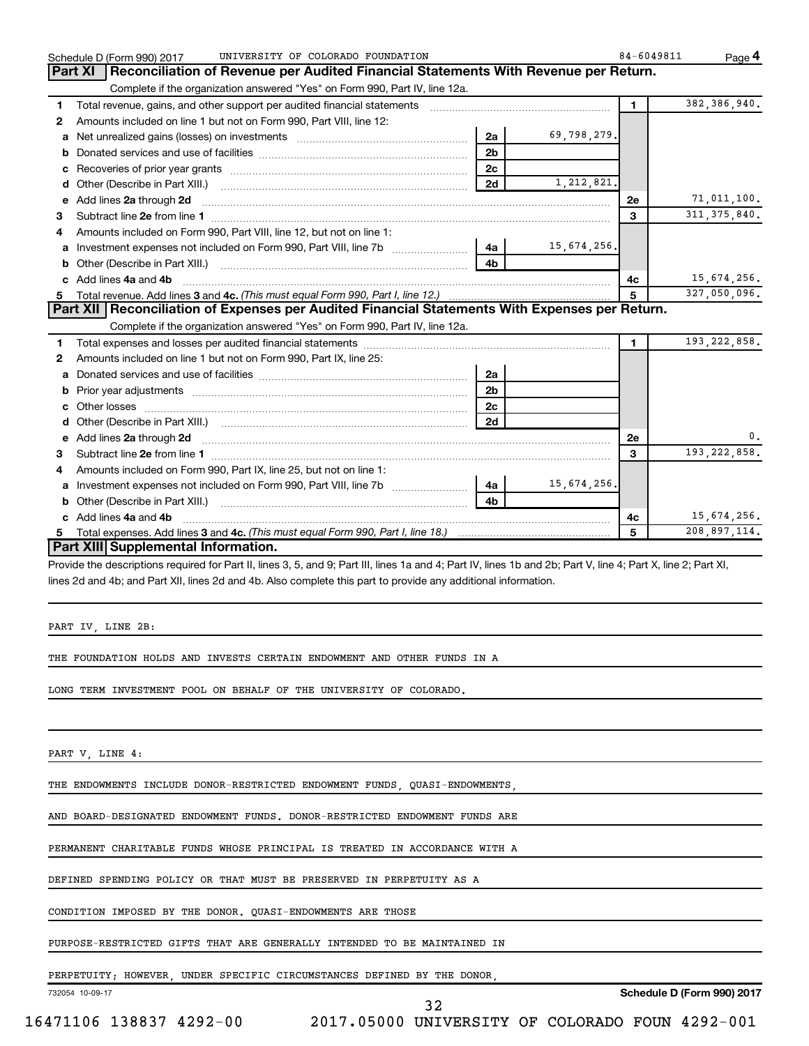|   | UNIVERSITY OF COLORADO FOUNDATION<br>Schedule D (Form 990) 2017                                                                                                                                                                                                              |                |             | 84-6049811 | Page 4         |
|---|------------------------------------------------------------------------------------------------------------------------------------------------------------------------------------------------------------------------------------------------------------------------------|----------------|-------------|------------|----------------|
|   | Reconciliation of Revenue per Audited Financial Statements With Revenue per Return.<br>Part XI                                                                                                                                                                               |                |             |            |                |
|   | Complete if the organization answered "Yes" on Form 990, Part IV, line 12a.                                                                                                                                                                                                  |                |             |            |                |
| 1 |                                                                                                                                                                                                                                                                              |                |             | 1          | 382,386,940.   |
| 2 | Amounts included on line 1 but not on Form 990, Part VIII, line 12:                                                                                                                                                                                                          |                |             |            |                |
| a |                                                                                                                                                                                                                                                                              | 2a             | 69,798,279. |            |                |
| b |                                                                                                                                                                                                                                                                              | 2 <sub>b</sub> |             |            |                |
| с |                                                                                                                                                                                                                                                                              | 2 <sub>c</sub> |             |            |                |
| d |                                                                                                                                                                                                                                                                              | 2d             | 1,212,821.  |            |                |
| е | Add lines 2a through 2d                                                                                                                                                                                                                                                      |                |             | 2e         | 71,011,100.    |
| З |                                                                                                                                                                                                                                                                              |                |             | 3          | 311, 375, 840. |
| 4 | Amounts included on Form 990, Part VIII, line 12, but not on line 1:                                                                                                                                                                                                         |                |             |            |                |
|   |                                                                                                                                                                                                                                                                              |                | 15,674,256. |            |                |
|   |                                                                                                                                                                                                                                                                              | 4h             |             |            |                |
|   | c Add lines 4a and 4b                                                                                                                                                                                                                                                        |                |             | 4с         | 15,674,256.    |
| 5 |                                                                                                                                                                                                                                                                              |                |             | 5          | 327,050,096.   |
|   | Part XII   Reconciliation of Expenses per Audited Financial Statements With Expenses per Return.                                                                                                                                                                             |                |             |            |                |
|   | Complete if the organization answered "Yes" on Form 990, Part IV, line 12a.                                                                                                                                                                                                  |                |             |            |                |
| 1 |                                                                                                                                                                                                                                                                              |                |             | 1          | 193, 222, 858. |
| 2 | Amounts included on line 1 but not on Form 990, Part IX, line 25:                                                                                                                                                                                                            |                |             |            |                |
| a |                                                                                                                                                                                                                                                                              | 2a             |             |            |                |
| b |                                                                                                                                                                                                                                                                              | 2 <sub>b</sub> |             |            |                |
|   |                                                                                                                                                                                                                                                                              | 2c             |             |            |                |
|   |                                                                                                                                                                                                                                                                              | 2d             |             |            |                |
|   | e Add lines 2a through 2d <b>[10]</b> [10] <b>All and Provide 20</b> [10] <b>All and Provide 20</b> [10] <b>All and Provide 20</b> [10] <b>All and Provide 20</b> [10] <b>All and Provide 20</b> [10] <b>All and Provide 20</b> [10] <b>All and Provide 20</b> [10] <b>A</b> |                |             | <b>2e</b>  | 0.             |
| 3 |                                                                                                                                                                                                                                                                              |                |             | 3          | 193, 222, 858. |
| 4 | Amounts included on Form 990, Part IX, line 25, but not on line 1:                                                                                                                                                                                                           |                |             |            |                |
| a |                                                                                                                                                                                                                                                                              | -4a l          | 15,674,256. |            |                |
| b |                                                                                                                                                                                                                                                                              | 4 <sub>b</sub> |             |            |                |
| c | Add lines 4a and 4b                                                                                                                                                                                                                                                          |                |             | 4c         | 15,674,256.    |
| 5 | Total expenses. Add lines 3 and 4c. (This must equal Form 990, Part I, line 18.) <i>manumeroness.</i> Add lines 3 and 4c. (This must equal Form 990, Part I, line 18.)                                                                                                       |                |             | 5          | 208,897,114.   |
|   | Part XIII Supplemental Information.                                                                                                                                                                                                                                          |                |             |            |                |
|   | Provide the descriptions required for Part II, lines 3, 5, and 9; Part III, lines 1a and 4; Part IV, lines 1b and 2b; Part V, line 4; Part X, line 2; Part XI,                                                                                                               |                |             |            |                |
|   | lines 2d and 4b; and Part XII, lines 2d and 4b. Also complete this part to provide any additional information.                                                                                                                                                               |                |             |            |                |

PART IV, LINE 2B:

THE FOUNDATION HOLDS AND INVESTS CERTAIN ENDOWMENT AND OTHER FUNDS IN A

LONG TERM INVESTMENT POOL ON BEHALF OF THE UNIVERSITY OF COLORADO.

PART V, LINE 4:

THE ENDOWMENTS INCLUDE DONOR-RESTRICTED ENDOWMENT FUNDS, QUASI-ENDOWMENTS,

AND BOARD-DESIGNATED ENDOWMENT FUNDS. DONOR-RESTRICTED ENDOWMENT FUNDS ARE

PERMANENT CHARITABLE FUNDS WHOSE PRINCIPAL IS TREATED IN ACCORDANCE WITH A

DEFINED SPENDING POLICY OR THAT MUST BE PRESERVED IN PERPETUITY AS A

CONDITION IMPOSED BY THE DONOR. QUASI-ENDOWMENTS ARE THOSE

PURPOSE-RESTRICTED GIFTS THAT ARE GENERALLY INTENDED TO BE MAINTAINED IN

PERPETUITY; HOWEVER, UNDER SPECIFIC CIRCUMSTANCES DEFINED BY THE DONOR,

732054 10-09-17

32

**Schedule D (Form 990) 2017**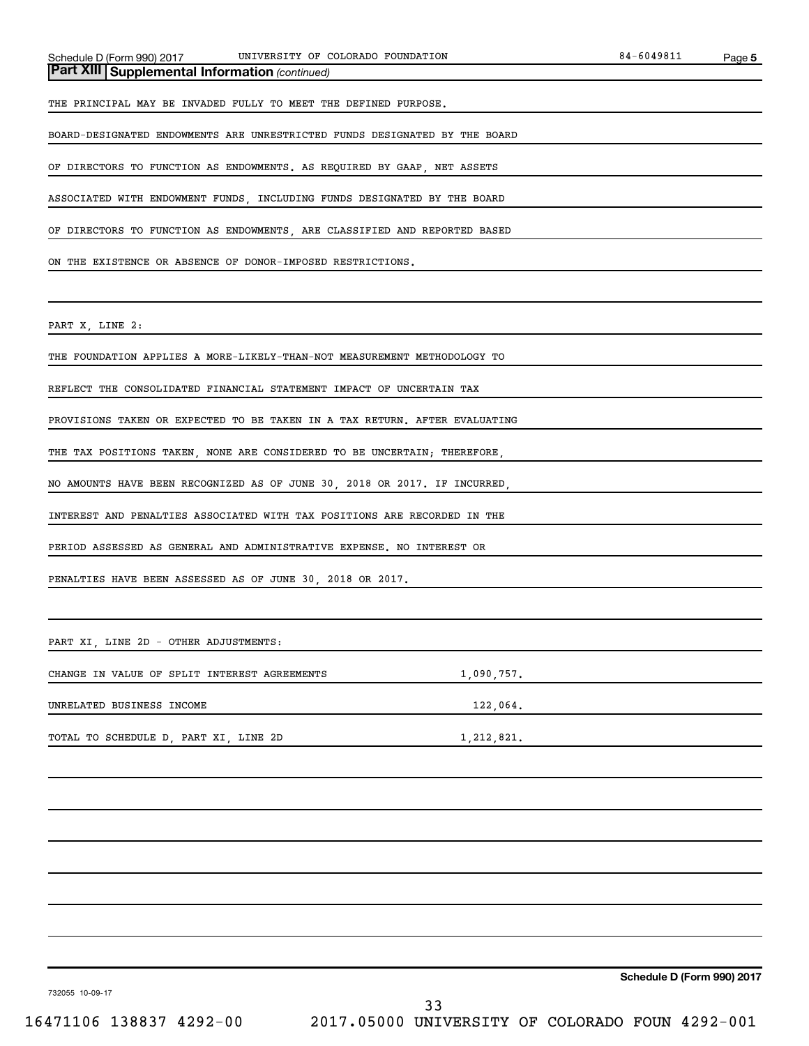*(continued)* **Part XIII Supplemental Information** 

THE PRINCIPAL MAY BE INVADED FULLY TO MEET THE DEFINED PURPOSE.

BOARD-DESIGNATED ENDOWMENTS ARE UNRESTRICTED FUNDS DESIGNATED BY THE BOARD

OF DIRECTORS TO FUNCTION AS ENDOWMENTS. AS REQUIRED BY GAAP, NET ASSETS

ASSOCIATED WITH ENDOWMENT FUNDS, INCLUDING FUNDS DESIGNATED BY THE BOARD

OF DIRECTORS TO FUNCTION AS ENDOWMENTS, ARE CLASSIFIED AND REPORTED BASED

ON THE EXISTENCE OR ABSENCE OF DONOR-IMPOSED RESTRICTIONS.

PART X, LINE 2:

THE FOUNDATION APPLIES A MORE-LIKELY-THAN-NOT MEASUREMENT METHODOLOGY TO

REFLECT THE CONSOLIDATED FINANCIAL STATEMENT IMPACT OF UNCERTAIN TAX

PROVISIONS TAKEN OR EXPECTED TO BE TAKEN IN A TAX RETURN. AFTER EVALUATING

THE TAX POSITIONS TAKEN, NONE ARE CONSIDERED TO BE UNCERTAIN; THEREFORE,

NO AMOUNTS HAVE BEEN RECOGNIZED AS OF JUNE 30, 2018 OR 2017. IF INCURRED,

INTEREST AND PENALTIES ASSOCIATED WITH TAX POSITIONS ARE RECORDED IN THE

PERIOD ASSESSED AS GENERAL AND ADMINISTRATIVE EXPENSE. NO INTEREST OR

PENALTIES HAVE BEEN ASSESSED AS OF JUNE 30, 2018 OR 2017.

PART XI, LINE 2D - OTHER ADJUSTMENTS:

CHANGE IN VALUE OF SPLIT INTEREST AGREEMENTS 1,090,757.

UNRELATED BUSINESS INCOME 122,064.

TOTAL TO SCHEDULE D, PART XI, LINE 2D 1,212,821.

**Schedule D (Form 990) 2017**

732055 10-09-17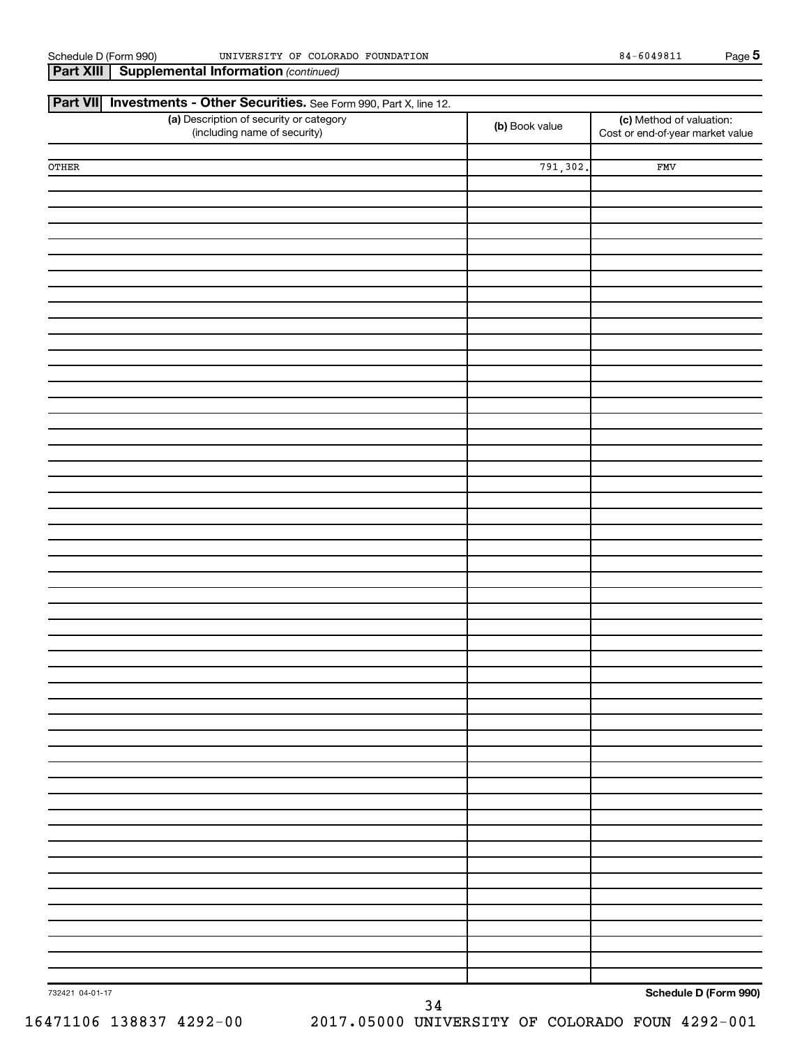| Part XIII<br><b>Supplemental Information (continued)</b>                                 |                |                                                              |
|------------------------------------------------------------------------------------------|----------------|--------------------------------------------------------------|
| <b>Part VII</b><br><b>Investments - Other Securities.</b> See Form 990, Part X, line 12. |                |                                                              |
| (a) Description of security or category<br>(including name of security)                  | (b) Book value | (c) Method of valuation:<br>Cost or end-of-year market value |
| ${\tt OTHER}$                                                                            | 791,302.       | FMV                                                          |
|                                                                                          |                |                                                              |
|                                                                                          |                |                                                              |
|                                                                                          |                |                                                              |
|                                                                                          |                |                                                              |
|                                                                                          |                |                                                              |
|                                                                                          |                |                                                              |
|                                                                                          |                |                                                              |
|                                                                                          |                |                                                              |
|                                                                                          |                |                                                              |
|                                                                                          |                |                                                              |
|                                                                                          |                |                                                              |
|                                                                                          |                |                                                              |
|                                                                                          |                |                                                              |
|                                                                                          |                |                                                              |
|                                                                                          |                |                                                              |
|                                                                                          |                |                                                              |
|                                                                                          |                |                                                              |
|                                                                                          |                |                                                              |
|                                                                                          |                |                                                              |
|                                                                                          |                |                                                              |
|                                                                                          |                |                                                              |
|                                                                                          |                |                                                              |
|                                                                                          |                |                                                              |
|                                                                                          |                |                                                              |
|                                                                                          |                |                                                              |
|                                                                                          |                |                                                              |
|                                                                                          |                |                                                              |
|                                                                                          |                |                                                              |
|                                                                                          |                |                                                              |
|                                                                                          |                |                                                              |
|                                                                                          |                |                                                              |
|                                                                                          |                |                                                              |
| 732421 04-01-17<br>34                                                                    |                | Schedule D (Form 990)                                        |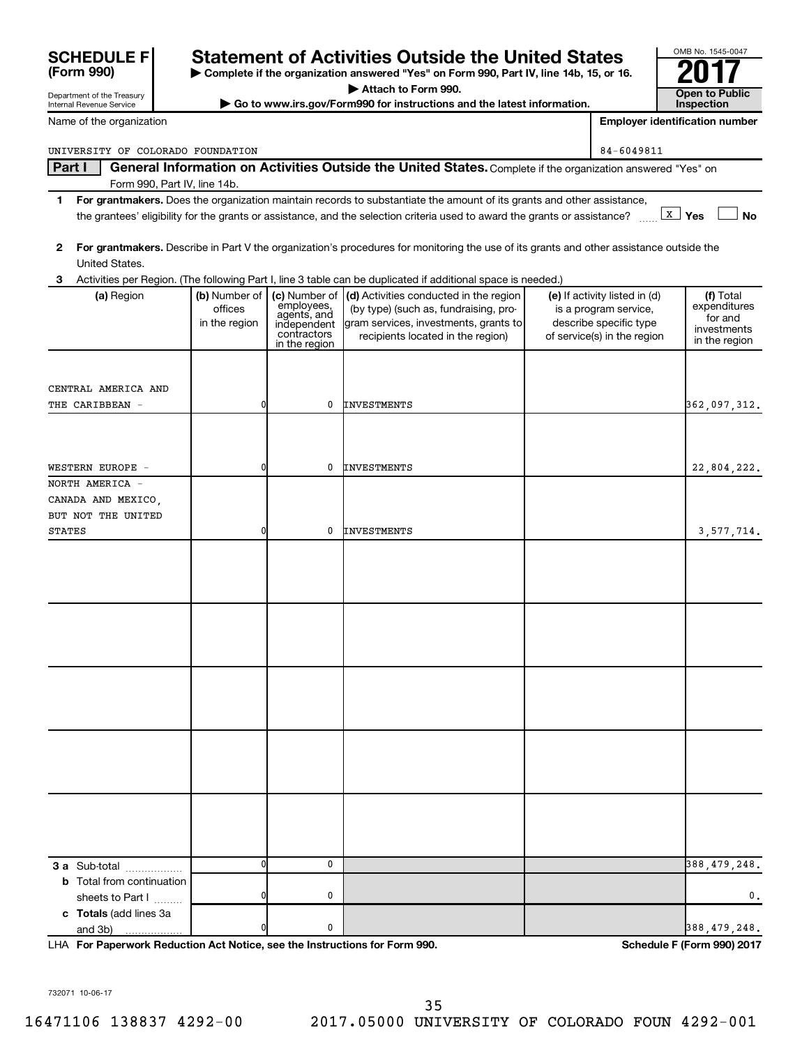**For Paperwork Reduction Act Notice, see the Instructions for Form 990. Schedule F (Form 990) 2017** LHA

732071 10-06-17

UNIVERSITY OF COLORADO FOUNDATION 84-6049811

### Part I | General Information on Activities Outside the United States. Complete if the organization answered "Yes" on Form 990, Part IV, line 14b.

- **1 For grantmakers.**  Does the organization maintain records to substantiate the amount of its grants and other assistance, the grantees' eligibility for the grants or assistance, and the selection criteria used to award the grants or assistance? we **x** and **Yes** and **No**
- **2 For grantmakers.**  Describe in Part V the organization's procedures for monitoring the use of its grants and other assistance outside the United States.

| 3                                                                            |                                           |                                                                                | Activities per Region. (The following Part I, line 3 table can be duplicated if additional space is needed.)                                                                |                                                                                                                 |                                                                      |
|------------------------------------------------------------------------------|-------------------------------------------|--------------------------------------------------------------------------------|-----------------------------------------------------------------------------------------------------------------------------------------------------------------------------|-----------------------------------------------------------------------------------------------------------------|----------------------------------------------------------------------|
| (a) Region                                                                   | (b) Number of<br>offices<br>in the region | en<br>employees,<br>agents, and<br>independent<br>contractors<br>in the region | (c) Number of (d) Activities conducted in the region<br>(by type) (such as, fundraising, pro-<br>gram services, investments, grants to<br>recipients located in the region) | (e) If activity listed in (d)<br>is a program service,<br>describe specific type<br>of service(s) in the region | (f) Total<br>expenditures<br>for and<br>investments<br>in the region |
| CENTRAL AMERICA AND<br>THE CARIBBEAN -                                       | 0                                         | 0                                                                              | INVESTMENTS                                                                                                                                                                 |                                                                                                                 | 362,097,312.                                                         |
| WESTERN EUROPE -                                                             | 0                                         | 0                                                                              | <b>INVESTMENTS</b>                                                                                                                                                          |                                                                                                                 | 22,804,222.                                                          |
| NORTH AMERICA -<br>CANADA AND MEXICO,<br>BUT NOT THE UNITED<br><b>STATES</b> | $\overline{0}$                            | $\mathbf 0$                                                                    | <b>INVESTMENTS</b>                                                                                                                                                          |                                                                                                                 | 3,577,714.                                                           |
|                                                                              |                                           |                                                                                |                                                                                                                                                                             |                                                                                                                 |                                                                      |
|                                                                              |                                           |                                                                                |                                                                                                                                                                             |                                                                                                                 |                                                                      |
|                                                                              |                                           |                                                                                |                                                                                                                                                                             |                                                                                                                 |                                                                      |
|                                                                              |                                           |                                                                                |                                                                                                                                                                             |                                                                                                                 |                                                                      |
|                                                                              |                                           |                                                                                |                                                                                                                                                                             |                                                                                                                 |                                                                      |
| 3 a Sub-total<br><b>b</b> Total from continuation                            | $\mathbf{0}$                              | $\mathbf 0$                                                                    |                                                                                                                                                                             |                                                                                                                 | 388,479,248.                                                         |
| sheets to Part I<br>c Totals (add lines 3a<br>and 3b)<br>.                   | $\overline{0}$<br>$\overline{0}$          | 0<br>0                                                                         |                                                                                                                                                                             |                                                                                                                 | 0.<br>388, 479, 248.                                                 |

| <b>SCHEDULE F</b> |  |
|-------------------|--|
| (Form 990)        |  |

Department of the Treasury Internal Revenue Service

Name of the organization

## **SCHEDULE F** Statement of Activities Outside the United States

**| Complete if the organization answered "Yes" on Form 990, Part IV, line 14b, 15, or 16. | Attach to Form 990.**

**Exercise Form 990.**<br>■ Go to www.irs.gov/Form990 for instructions and the latest information. <br>■ Inspection

OMB No. 1545-0047 **Inspection**

**Employer identification number**

| Schedule F (Form 990) 2017 |  |  |  |
|----------------------------|--|--|--|
|----------------------------|--|--|--|

35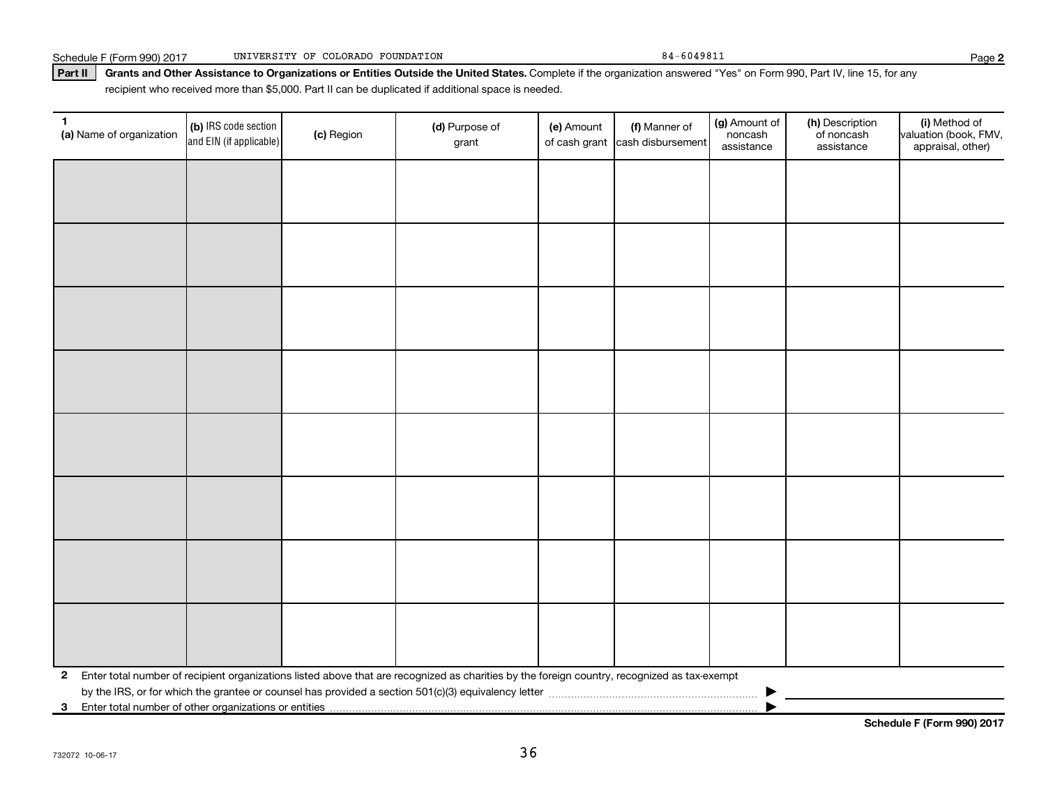Schedule F (Form 990) 2017 UNIVERSITY OF COLORADO FOUNDATION 84-6049811 84-6049811

Part II | Grants and Other Assistance to Organizations or Entities Outside the United States. Complete if the organization answered "Yes" on Form 990, Part IV, line 15, for any recipient who received more than \$5,000. Part II can be duplicated if additional space is needed.

| $\mathbf{1}$<br>(a) Name of organization                                | (b) IRS code section<br>and EIN (if applicable) | (c) Region | (d) Purpose of<br>grant                                                                                                                      | (e) Amount | (f) Manner of<br>of cash grant cash disbursement | (g) Amount of<br>noncash<br>assistance | (h) Description<br>of noncash<br>assistance | (i) Method of<br>valuation (book, FMV,<br>appraisal, other) |
|-------------------------------------------------------------------------|-------------------------------------------------|------------|----------------------------------------------------------------------------------------------------------------------------------------------|------------|--------------------------------------------------|----------------------------------------|---------------------------------------------|-------------------------------------------------------------|
|                                                                         |                                                 |            |                                                                                                                                              |            |                                                  |                                        |                                             |                                                             |
|                                                                         |                                                 |            |                                                                                                                                              |            |                                                  |                                        |                                             |                                                             |
|                                                                         |                                                 |            |                                                                                                                                              |            |                                                  |                                        |                                             |                                                             |
|                                                                         |                                                 |            |                                                                                                                                              |            |                                                  |                                        |                                             |                                                             |
|                                                                         |                                                 |            |                                                                                                                                              |            |                                                  |                                        |                                             |                                                             |
|                                                                         |                                                 |            |                                                                                                                                              |            |                                                  |                                        |                                             |                                                             |
|                                                                         |                                                 |            |                                                                                                                                              |            |                                                  |                                        |                                             |                                                             |
|                                                                         |                                                 |            |                                                                                                                                              |            |                                                  |                                        |                                             |                                                             |
|                                                                         |                                                 |            |                                                                                                                                              |            |                                                  |                                        |                                             |                                                             |
|                                                                         |                                                 |            |                                                                                                                                              |            |                                                  |                                        |                                             |                                                             |
|                                                                         |                                                 |            |                                                                                                                                              |            |                                                  |                                        |                                             |                                                             |
|                                                                         |                                                 |            |                                                                                                                                              |            |                                                  |                                        |                                             |                                                             |
|                                                                         |                                                 |            |                                                                                                                                              |            |                                                  |                                        |                                             |                                                             |
|                                                                         |                                                 |            |                                                                                                                                              |            |                                                  |                                        |                                             |                                                             |
|                                                                         |                                                 |            |                                                                                                                                              |            |                                                  |                                        |                                             |                                                             |
|                                                                         |                                                 |            |                                                                                                                                              |            |                                                  |                                        |                                             |                                                             |
| $\mathbf{2}$                                                            |                                                 |            | Enter total number of recipient organizations listed above that are recognized as charities by the foreign country, recognized as tax-exempt |            |                                                  |                                        |                                             |                                                             |
| Enter total number of other organizations or entities<br>3 <sup>1</sup> |                                                 |            |                                                                                                                                              |            |                                                  |                                        |                                             |                                                             |

732072 10-06-17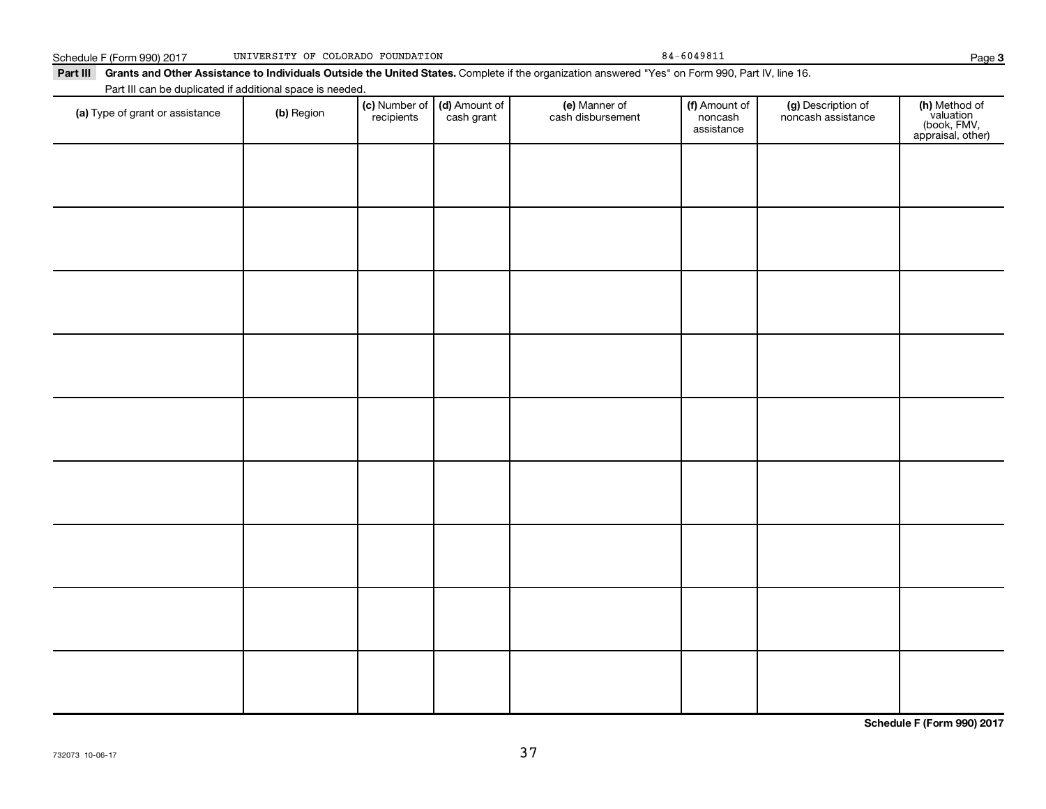Schedule F (Form 990) 2017 UNIVERSITY OF COLORADO FOUNDATION 84-6049811 84-6049811

**3**

| <b>Part III</b> | Grants and Other Assistance to Individuals Outside the United States. Complete if the organization answered "Yes" on Form 990, Part IV, line 16. |            |            |                                                                   |                                    |                          |                                          |     |  |
|-----------------|--------------------------------------------------------------------------------------------------------------------------------------------------|------------|------------|-------------------------------------------------------------------|------------------------------------|--------------------------|------------------------------------------|-----|--|
|                 | Part III can be duplicated if additional space is needed.                                                                                        |            |            |                                                                   |                                    |                          |                                          |     |  |
|                 | (a) Type of grant or assistance                                                                                                                  | (b) Region | recipients | $\vert$ (c) Number of $\vert$ (d) Amount of $\vert$<br>cash grant | (e) Manner of<br>cash disbursement | (f) Amount of<br>noncash | (g) Description of<br>noncash assistance | (h) |  |

| (a) Type of grant or assistance | (b) Region | (c) Number of (d) Amount of recipients cash grant | (e) Manner of<br>cash disbursement | (f) Amount of<br>noncash<br>assistance | (g) Description of<br>noncash assistance | (h) Method of<br>valuation<br>(book, FMV,<br>appraisal, other) |
|---------------------------------|------------|---------------------------------------------------|------------------------------------|----------------------------------------|------------------------------------------|----------------------------------------------------------------|
|                                 |            |                                                   |                                    |                                        |                                          |                                                                |
|                                 |            |                                                   |                                    |                                        |                                          |                                                                |
|                                 |            |                                                   |                                    |                                        |                                          |                                                                |
|                                 |            |                                                   |                                    |                                        |                                          |                                                                |
|                                 |            |                                                   |                                    |                                        |                                          |                                                                |
|                                 |            |                                                   |                                    |                                        |                                          |                                                                |
|                                 |            |                                                   |                                    |                                        |                                          |                                                                |
|                                 |            |                                                   |                                    |                                        |                                          |                                                                |
|                                 |            |                                                   |                                    |                                        |                                          |                                                                |
|                                 |            |                                                   |                                    |                                        |                                          |                                                                |

**Schedule F (Form 990) 2017**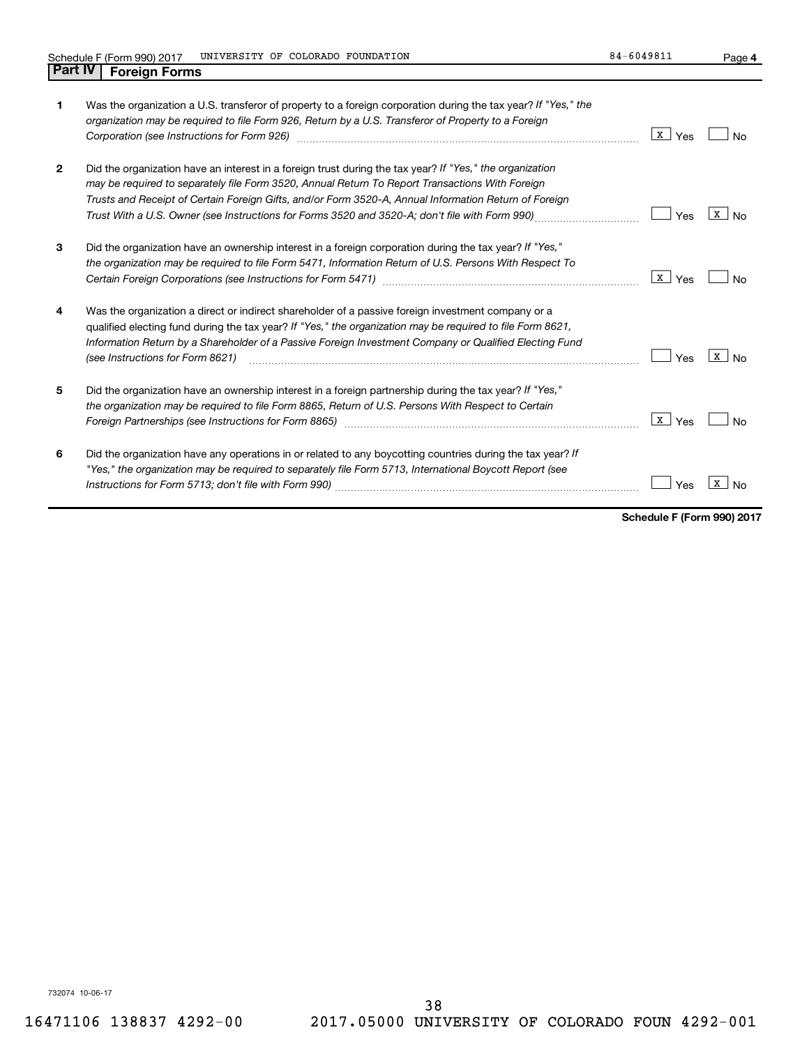**4**

| 1              | Was the organization a U.S. transferor of property to a foreign corporation during the tax year? If "Yes," the<br>organization may be required to file Form 926, Return by a U.S. Transferor of Property to a Foreign<br>Corporation (see Instructions for Form 926)                                                                                                                                                   | x  <br>Yes | Nο                    |
|----------------|------------------------------------------------------------------------------------------------------------------------------------------------------------------------------------------------------------------------------------------------------------------------------------------------------------------------------------------------------------------------------------------------------------------------|------------|-----------------------|
| $\overline{2}$ | Did the organization have an interest in a foreign trust during the tax year? If "Yes," the organization<br>may be required to separately file Form 3520, Annual Return To Report Transactions With Foreign<br>Trusts and Receipt of Certain Foreign Gifts, and/or Form 3520-A, Annual Information Return of Foreign<br>Trust With a U.S. Owner (see Instructions for Forms 3520 and 3520-A; don't file with Form 990) | Yes        | x  <br>N <sub>0</sub> |
| 3              | Did the organization have an ownership interest in a foreign corporation during the tax year? If "Yes,"<br>the organization may be required to file Form 5471, Information Return of U.S. Persons With Respect To                                                                                                                                                                                                      | x  <br>Yes |                       |
| 4              | Was the organization a direct or indirect shareholder of a passive foreign investment company or a<br>qualified electing fund during the tax year? If "Yes," the organization may be required to file Form 8621,<br>Information Return by a Shareholder of a Passive Foreign Investment Company or Qualified Electing Fund<br>(see Instructions for Form 8621)                                                         | Yes        | x  <br>N <sub>0</sub> |
| 5              | Did the organization have an ownership interest in a foreign partnership during the tax year? If "Yes,"<br>the organization may be required to file Form 8865, Return of U.S. Persons With Respect to Certain                                                                                                                                                                                                          | x  <br>Yes |                       |
| 6              | Did the organization have any operations in or related to any boycotting countries during the tax year? If<br>"Yes," the organization may be required to separately file Form 5713, International Boycott Report (see                                                                                                                                                                                                  |            | X                     |

**Schedule F (Form 990) 2017**

732074 10-06-17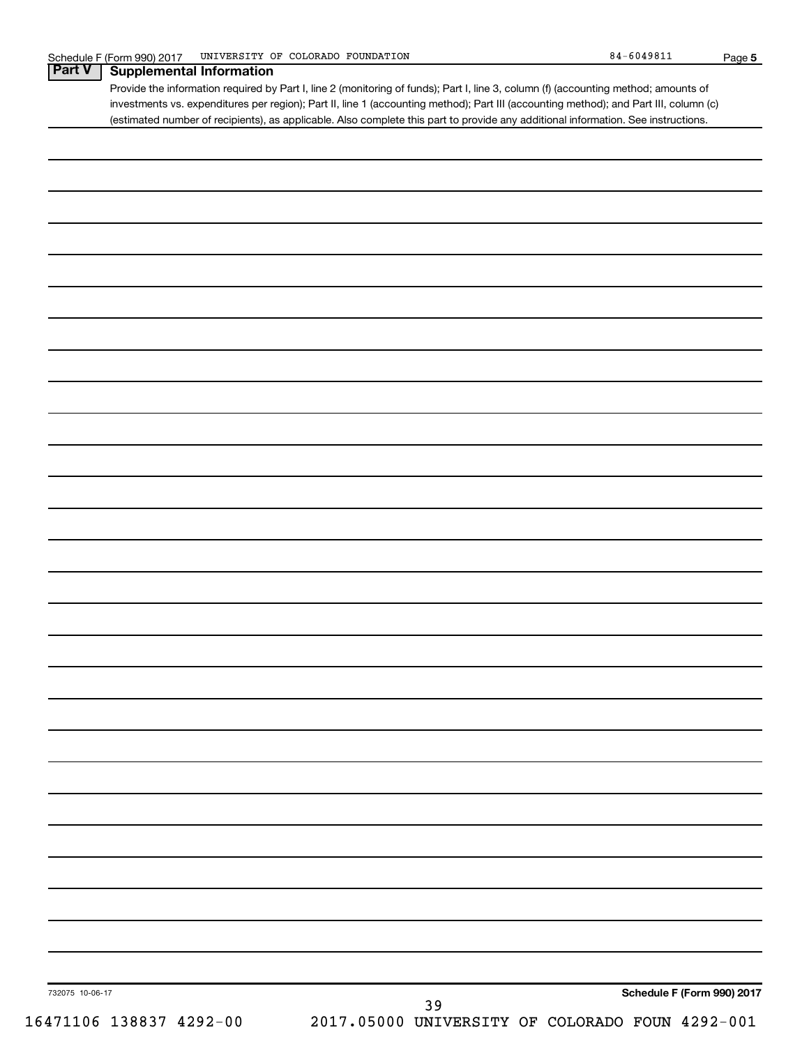|                         | Provide the information required by Part I, line 2 (monitoring of funds); Part I, line 3, column (f) (accounting method; amounts of<br>investments vs. expenditures per region); Part II, line 1 (accounting method); Part III (accounting method); and Part III, column (c) |
|-------------------------|------------------------------------------------------------------------------------------------------------------------------------------------------------------------------------------------------------------------------------------------------------------------------|
|                         | (estimated number of recipients), as applicable. Also complete this part to provide any additional information. See instructions.                                                                                                                                            |
|                         |                                                                                                                                                                                                                                                                              |
|                         |                                                                                                                                                                                                                                                                              |
|                         |                                                                                                                                                                                                                                                                              |
|                         |                                                                                                                                                                                                                                                                              |
|                         |                                                                                                                                                                                                                                                                              |
|                         |                                                                                                                                                                                                                                                                              |
|                         |                                                                                                                                                                                                                                                                              |
|                         |                                                                                                                                                                                                                                                                              |
|                         |                                                                                                                                                                                                                                                                              |
|                         |                                                                                                                                                                                                                                                                              |
|                         |                                                                                                                                                                                                                                                                              |
|                         |                                                                                                                                                                                                                                                                              |
|                         |                                                                                                                                                                                                                                                                              |
|                         |                                                                                                                                                                                                                                                                              |
|                         |                                                                                                                                                                                                                                                                              |
|                         |                                                                                                                                                                                                                                                                              |
|                         |                                                                                                                                                                                                                                                                              |
|                         |                                                                                                                                                                                                                                                                              |
|                         |                                                                                                                                                                                                                                                                              |
|                         |                                                                                                                                                                                                                                                                              |
|                         |                                                                                                                                                                                                                                                                              |
|                         |                                                                                                                                                                                                                                                                              |
|                         |                                                                                                                                                                                                                                                                              |
|                         |                                                                                                                                                                                                                                                                              |
|                         |                                                                                                                                                                                                                                                                              |
|                         |                                                                                                                                                                                                                                                                              |
|                         |                                                                                                                                                                                                                                                                              |
|                         |                                                                                                                                                                                                                                                                              |
|                         |                                                                                                                                                                                                                                                                              |
|                         |                                                                                                                                                                                                                                                                              |
|                         |                                                                                                                                                                                                                                                                              |
|                         |                                                                                                                                                                                                                                                                              |
|                         |                                                                                                                                                                                                                                                                              |
|                         |                                                                                                                                                                                                                                                                              |
|                         |                                                                                                                                                                                                                                                                              |
| 732075 10-06-17         | Schedule F (Form 990) 2017<br>39                                                                                                                                                                                                                                             |
| 16471106 138837 4292-00 | 2017.05000 UNIVERSITY OF COLORADO FOUN 4292-001                                                                                                                                                                                                                              |

**5**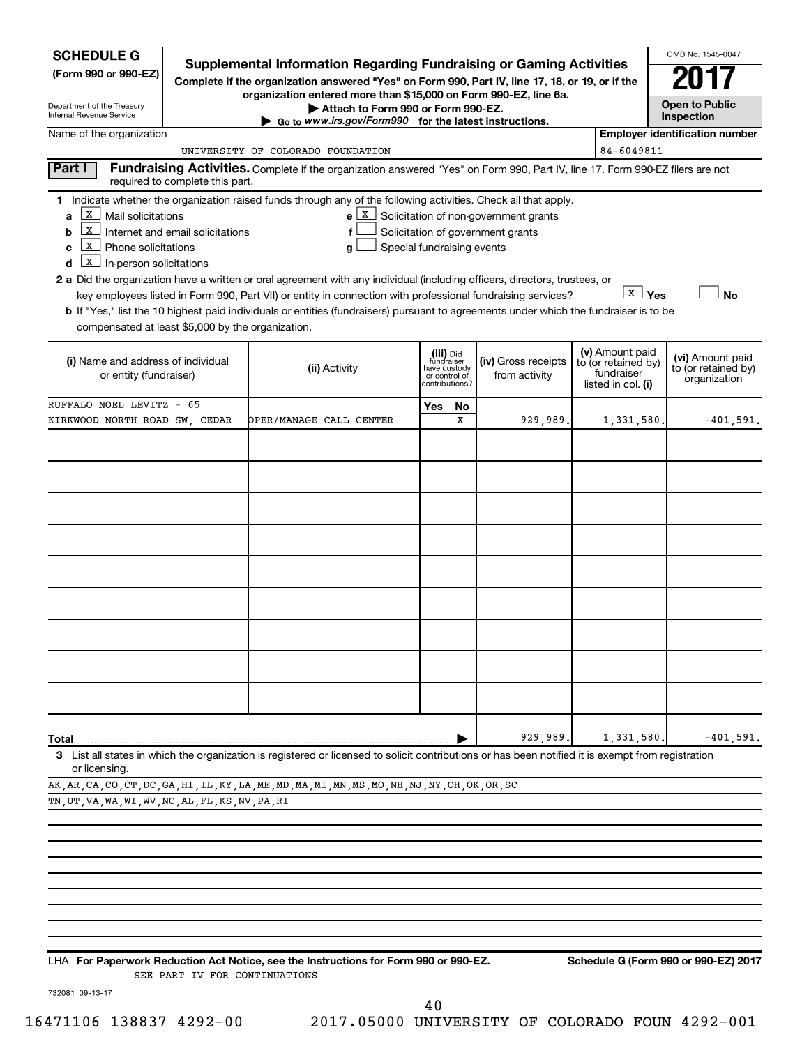| <b>SCHEDULE G</b>                                                                 |                                                       |                                                                                                                                                                                                                                                   |     |                                                                            |                                                                                  |  |                                                                            | OMB No. 1545-0047                                       |
|-----------------------------------------------------------------------------------|-------------------------------------------------------|---------------------------------------------------------------------------------------------------------------------------------------------------------------------------------------------------------------------------------------------------|-----|----------------------------------------------------------------------------|----------------------------------------------------------------------------------|--|----------------------------------------------------------------------------|---------------------------------------------------------|
| (Form 990 or 990-EZ)                                                              |                                                       | <b>Supplemental Information Regarding Fundraising or Gaming Activities</b><br>Complete if the organization answered "Yes" on Form 990, Part IV, line 17, 18, or 19, or if the<br>organization entered more than \$15,000 on Form 990-EZ, line 6a. |     |                                                                            |                                                                                  |  |                                                                            |                                                         |
| Department of the Treasury<br>Internal Revenue Service                            |                                                       | Attach to Form 990 or Form 990-EZ.<br>Go to www.irs.gov/Form990 for the latest instructions.                                                                                                                                                      |     |                                                                            |                                                                                  |  |                                                                            | <b>Open to Public</b><br>Inspection                     |
| Name of the organization                                                          |                                                       |                                                                                                                                                                                                                                                   |     |                                                                            |                                                                                  |  |                                                                            | <b>Employer identification number</b>                   |
|                                                                                   |                                                       | UNIVERSITY OF COLORADO FOUNDATION                                                                                                                                                                                                                 |     |                                                                            |                                                                                  |  | 84-6049811                                                                 |                                                         |
| Part I                                                                            | required to complete this part.                       | Fundraising Activities. Complete if the organization answered "Yes" on Form 990, Part IV, line 17. Form 990-EZ filers are not                                                                                                                     |     |                                                                            |                                                                                  |  |                                                                            |                                                         |
|                                                                                   |                                                       | 1 Indicate whether the organization raised funds through any of the following activities. Check all that apply.                                                                                                                                   |     |                                                                            |                                                                                  |  |                                                                            |                                                         |
| X  <br>Mail solicitations<br>a<br>b                                               | $\boxed{\mathbf{x}}$ Internet and email solicitations | f                                                                                                                                                                                                                                                 |     |                                                                            | $e X$ Solicitation of non-government grants<br>Solicitation of government grants |  |                                                                            |                                                         |
| X   Phone solicitations<br>c<br>$\boxed{\mathbf{X}}$ In-person solicitations<br>d |                                                       | Special fundraising events<br>g                                                                                                                                                                                                                   |     |                                                                            |                                                                                  |  |                                                                            |                                                         |
|                                                                                   |                                                       | 2 a Did the organization have a written or oral agreement with any individual (including officers, directors, trustees, or                                                                                                                        |     |                                                                            |                                                                                  |  |                                                                            |                                                         |
|                                                                                   |                                                       | key employees listed in Form 990, Part VII) or entity in connection with professional fundraising services?                                                                                                                                       |     |                                                                            |                                                                                  |  | X Yes                                                                      | No                                                      |
|                                                                                   |                                                       | <b>b</b> If "Yes," list the 10 highest paid individuals or entities (fundraisers) pursuant to agreements under which the fundraiser is to be                                                                                                      |     |                                                                            |                                                                                  |  |                                                                            |                                                         |
| compensated at least \$5,000 by the organization.                                 |                                                       |                                                                                                                                                                                                                                                   |     |                                                                            |                                                                                  |  |                                                                            |                                                         |
| (i) Name and address of individual<br>or entity (fundraiser)                      |                                                       | (ii) Activity                                                                                                                                                                                                                                     |     | (iii) Did<br>fundraiser<br>have custody<br>or control of<br>contributions? | (iv) Gross receipts<br>from activity                                             |  | (v) Amount paid<br>to (or retained by)<br>fundraiser<br>listed in col. (i) | (vi) Amount paid<br>to (or retained by)<br>organization |
| RUFFALO NOEL LEVITZ - 65                                                          |                                                       |                                                                                                                                                                                                                                                   | Yes | No                                                                         |                                                                                  |  |                                                                            |                                                         |
| KIRKWOOD NORTH ROAD SW. CEDAR                                                     |                                                       | OPER/MANAGE CALL CENTER                                                                                                                                                                                                                           |     | X                                                                          | 929,989.                                                                         |  | 1,331,580                                                                  | $-401,591.$                                             |
|                                                                                   |                                                       |                                                                                                                                                                                                                                                   |     |                                                                            |                                                                                  |  |                                                                            |                                                         |
|                                                                                   |                                                       |                                                                                                                                                                                                                                                   |     |                                                                            |                                                                                  |  |                                                                            |                                                         |
|                                                                                   |                                                       |                                                                                                                                                                                                                                                   |     |                                                                            |                                                                                  |  |                                                                            |                                                         |
|                                                                                   |                                                       |                                                                                                                                                                                                                                                   |     |                                                                            |                                                                                  |  |                                                                            |                                                         |
|                                                                                   |                                                       |                                                                                                                                                                                                                                                   |     |                                                                            |                                                                                  |  |                                                                            |                                                         |
|                                                                                   |                                                       |                                                                                                                                                                                                                                                   |     |                                                                            |                                                                                  |  |                                                                            |                                                         |
|                                                                                   |                                                       |                                                                                                                                                                                                                                                   |     |                                                                            |                                                                                  |  |                                                                            |                                                         |
|                                                                                   |                                                       |                                                                                                                                                                                                                                                   |     |                                                                            |                                                                                  |  |                                                                            |                                                         |
|                                                                                   |                                                       |                                                                                                                                                                                                                                                   |     |                                                                            |                                                                                  |  |                                                                            |                                                         |
|                                                                                   |                                                       |                                                                                                                                                                                                                                                   |     |                                                                            |                                                                                  |  |                                                                            |                                                         |
|                                                                                   |                                                       |                                                                                                                                                                                                                                                   |     |                                                                            |                                                                                  |  |                                                                            |                                                         |
|                                                                                   |                                                       |                                                                                                                                                                                                                                                   |     |                                                                            |                                                                                  |  |                                                                            |                                                         |
|                                                                                   |                                                       |                                                                                                                                                                                                                                                   |     |                                                                            |                                                                                  |  |                                                                            |                                                         |
|                                                                                   |                                                       |                                                                                                                                                                                                                                                   |     |                                                                            |                                                                                  |  |                                                                            |                                                         |
| Total                                                                             |                                                       |                                                                                                                                                                                                                                                   |     |                                                                            | 929,989.                                                                         |  | 1,331,580                                                                  | $-401,591.$                                             |
| or licensing.                                                                     |                                                       | 3 List all states in which the organization is registered or licensed to solicit contributions or has been notified it is exempt from registration                                                                                                |     |                                                                            |                                                                                  |  |                                                                            |                                                         |
|                                                                                   |                                                       | AK, AR, CA, CO, CT, DC, GA, HI, IL, KY, LA, ME, MD, MA, MI, MN, MS, MO, NH, NJ, NY, OH, OK, OR, SC                                                                                                                                                |     |                                                                            |                                                                                  |  |                                                                            |                                                         |
| TN, UT, VA, WA, WI, WV, NC, AL, FL, KS, NV, PA, RI                                |                                                       |                                                                                                                                                                                                                                                   |     |                                                                            |                                                                                  |  |                                                                            |                                                         |

**For Paperwork Reduction Act Notice, see the Instructions for Form 990 or 990-EZ. Schedule G (Form 990 or 990-EZ) 2017** LHA SEE PART IV FOR CONTINUATIONS

732081 09-13-17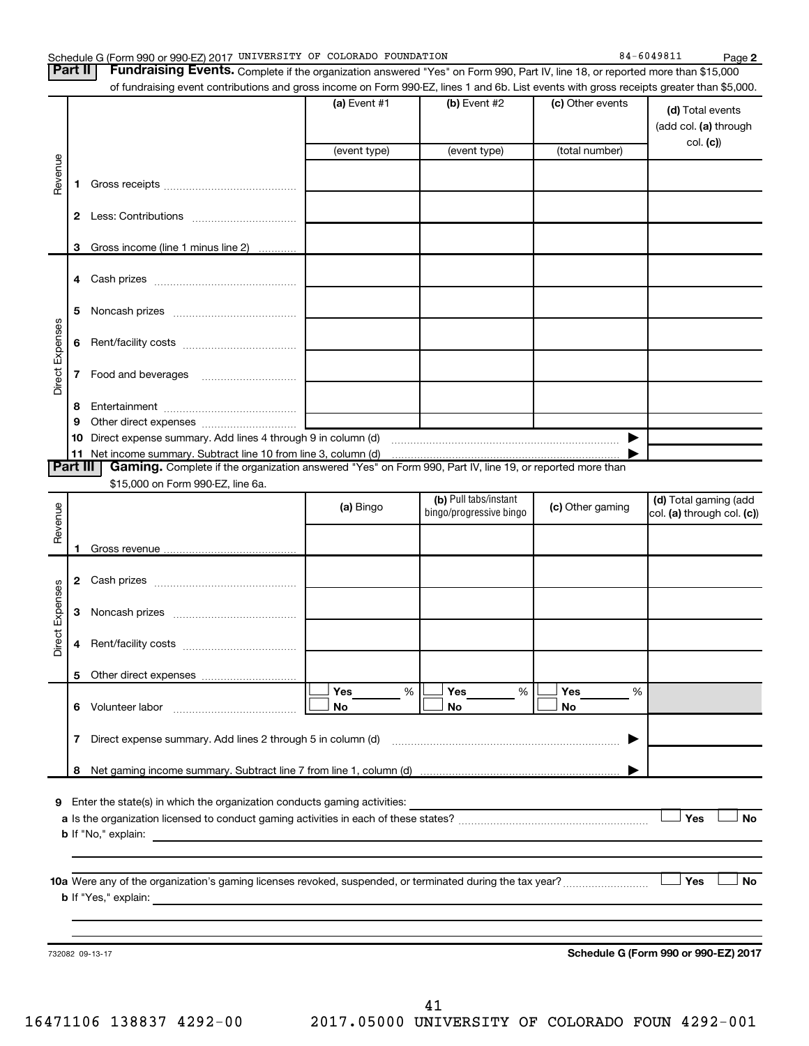| Schedule G (Form 990 or 990-EZ) 2017 UNIVERSITY OF COLORADO FOUNDATION |  |  |  | $-604981$<br>84. | Page |
|------------------------------------------------------------------------|--|--|--|------------------|------|
|------------------------------------------------------------------------|--|--|--|------------------|------|

|                 |                | Schedule G (Form 990 or 990-EZ) 2017 UNIVERSITY OF COLORADO FOUNDATION                                                                    |                                      |                       |                  | 84-6049811<br>Page 2       |
|-----------------|----------------|-------------------------------------------------------------------------------------------------------------------------------------------|--------------------------------------|-----------------------|------------------|----------------------------|
|                 | Part II        | Fundraising Events. Complete if the organization answered "Yes" on Form 990, Part IV, line 18, or reported more than \$15,000             |                                      |                       |                  |                            |
|                 |                | of fundraising event contributions and gross income on Form 990-EZ, lines 1 and 6b. List events with gross receipts greater than \$5,000. |                                      |                       |                  |                            |
|                 |                |                                                                                                                                           | (a) Event #1                         | (b) Event #2          | (c) Other events | (d) Total events           |
|                 |                |                                                                                                                                           |                                      |                       |                  | (add col. (a) through      |
|                 |                |                                                                                                                                           |                                      |                       |                  | col. (c)                   |
|                 |                |                                                                                                                                           | (event type)                         | (event type)          | (total number)   |                            |
| Revenue         |                |                                                                                                                                           |                                      |                       |                  |                            |
|                 | 1              |                                                                                                                                           |                                      |                       |                  |                            |
|                 |                |                                                                                                                                           |                                      |                       |                  |                            |
|                 | $\mathbf{2}$   |                                                                                                                                           |                                      |                       |                  |                            |
|                 | з              |                                                                                                                                           |                                      |                       |                  |                            |
|                 |                | Gross income (line 1 minus line 2)                                                                                                        |                                      |                       |                  |                            |
|                 |                |                                                                                                                                           |                                      |                       |                  |                            |
|                 |                |                                                                                                                                           |                                      |                       |                  |                            |
|                 | 5              |                                                                                                                                           |                                      |                       |                  |                            |
|                 |                |                                                                                                                                           |                                      |                       |                  |                            |
|                 | 6              |                                                                                                                                           |                                      |                       |                  |                            |
| Direct Expenses |                |                                                                                                                                           |                                      |                       |                  |                            |
|                 | 7              |                                                                                                                                           |                                      |                       |                  |                            |
|                 |                |                                                                                                                                           |                                      |                       |                  |                            |
|                 | 8              |                                                                                                                                           |                                      |                       |                  |                            |
|                 | 9              |                                                                                                                                           |                                      |                       |                  |                            |
|                 |                |                                                                                                                                           |                                      |                       | ▶                |                            |
|                 | 11<br>Part III |                                                                                                                                           |                                      |                       |                  |                            |
|                 |                | Gaming. Complete if the organization answered "Yes" on Form 990, Part IV, line 19, or reported more than                                  |                                      |                       |                  |                            |
|                 |                | \$15,000 on Form 990-EZ, line 6a.                                                                                                         |                                      | (b) Pull tabs/instant |                  | (d) Total gaming (add      |
| Revenue         |                |                                                                                                                                           | (a) Bingo<br>bingo/progressive bingo |                       | (c) Other gaming | col. (a) through col. (c)) |
|                 |                |                                                                                                                                           |                                      |                       |                  |                            |
|                 |                |                                                                                                                                           |                                      |                       |                  |                            |
|                 |                |                                                                                                                                           |                                      |                       |                  |                            |
|                 |                |                                                                                                                                           |                                      |                       |                  |                            |
| Expenses        |                |                                                                                                                                           |                                      |                       |                  |                            |
|                 | 3              |                                                                                                                                           |                                      |                       |                  |                            |
| <b>ti</b>       |                |                                                                                                                                           |                                      |                       |                  |                            |
| هٔ              |                |                                                                                                                                           |                                      |                       |                  |                            |
|                 |                |                                                                                                                                           |                                      |                       |                  |                            |
|                 | 5              |                                                                                                                                           |                                      |                       |                  |                            |
|                 |                |                                                                                                                                           | Yes<br>$\%$                          | Yes<br>%              | Yes<br>%         |                            |
|                 | 6              |                                                                                                                                           | No                                   | No                    | No               |                            |
|                 | 7              | Direct expense summary. Add lines 2 through 5 in column (d)                                                                               |                                      |                       |                  |                            |
|                 |                |                                                                                                                                           |                                      |                       |                  |                            |
|                 | 8              |                                                                                                                                           |                                      |                       |                  |                            |
|                 |                |                                                                                                                                           |                                      |                       |                  |                            |
| 9               |                | Enter the state(s) in which the organization conducts gaming activities:                                                                  |                                      |                       |                  |                            |
|                 |                |                                                                                                                                           |                                      |                       |                  | Yes<br><b>No</b>           |
|                 |                | <b>b</b> If "No," explain:<br><u> 1989 - Andrea Andrew Maria (h. 1989).</u>                                                               |                                      |                       |                  |                            |
|                 |                |                                                                                                                                           |                                      |                       |                  |                            |
|                 |                |                                                                                                                                           |                                      |                       |                  |                            |
|                 |                |                                                                                                                                           |                                      |                       |                  | Yes<br><b>No</b>           |
|                 |                | <b>b</b> If "Yes," explain:                                                                                                               |                                      |                       |                  |                            |

732082 09-13-17

**Schedule G (Form 990 or 990-EZ) 2017**

41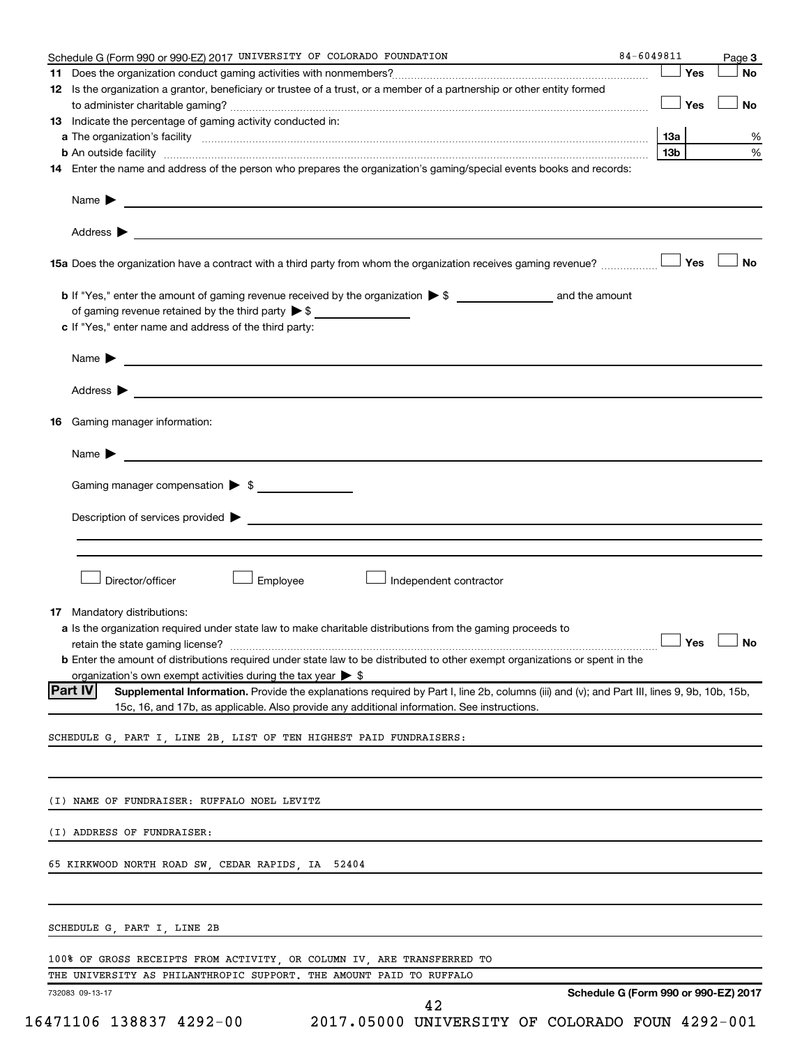|    | Schedule G (Form 990 or 990-EZ) 2017 UNIVERSITY OF COLORADO FOUNDATION                                                                                                                                                                                | 84-6049811      |     | Page 3    |
|----|-------------------------------------------------------------------------------------------------------------------------------------------------------------------------------------------------------------------------------------------------------|-----------------|-----|-----------|
|    |                                                                                                                                                                                                                                                       |                 | Yes | No        |
|    | 12 Is the organization a grantor, beneficiary or trustee of a trust, or a member of a partnership or other entity formed                                                                                                                              |                 | Yes | <b>No</b> |
|    | 13 Indicate the percentage of gaming activity conducted in:                                                                                                                                                                                           |                 |     |           |
|    |                                                                                                                                                                                                                                                       | 13a             |     | %         |
|    | <b>b</b> An outside facility <i>www.communicality www.communicality.communicality www.communicality www.communicality.communicality www.communicality.com</i>                                                                                         | 13 <sub>b</sub> |     | %         |
|    | 14 Enter the name and address of the person who prepares the organization's gaming/special events books and records:                                                                                                                                  |                 |     |           |
|    |                                                                                                                                                                                                                                                       |                 |     |           |
|    |                                                                                                                                                                                                                                                       |                 |     |           |
|    | 15a Does the organization have a contract with a third party from whom the organization receives gaming revenue?                                                                                                                                      |                 | Yes | <b>No</b> |
|    |                                                                                                                                                                                                                                                       |                 |     |           |
|    | of gaming revenue retained by the third party $\triangleright$ \$                                                                                                                                                                                     |                 |     |           |
|    | c If "Yes," enter name and address of the third party:                                                                                                                                                                                                |                 |     |           |
|    |                                                                                                                                                                                                                                                       |                 |     |           |
|    |                                                                                                                                                                                                                                                       |                 |     |           |
| 16 | Gaming manager information:                                                                                                                                                                                                                           |                 |     |           |
|    |                                                                                                                                                                                                                                                       |                 |     |           |
|    | Name $\sum$                                                                                                                                                                                                                                           |                 |     |           |
|    | Gaming manager compensation > \$                                                                                                                                                                                                                      |                 |     |           |
|    |                                                                                                                                                                                                                                                       |                 |     |           |
|    |                                                                                                                                                                                                                                                       |                 |     |           |
|    |                                                                                                                                                                                                                                                       |                 |     |           |
|    | Director/officer<br>Employee<br>∫ Independent contractor                                                                                                                                                                                              |                 |     |           |
|    | <b>17</b> Mandatory distributions:                                                                                                                                                                                                                    |                 |     |           |
|    | a Is the organization required under state law to make charitable distributions from the gaming proceeds to                                                                                                                                           |                 |     |           |
|    | retain the state gaming license? $\Box$ No                                                                                                                                                                                                            |                 |     |           |
|    | <b>b</b> Enter the amount of distributions required under state law to be distributed to other exempt organizations or spent in the                                                                                                                   |                 |     |           |
|    | organization's own exempt activities during the tax year $\triangleright$ \$                                                                                                                                                                          |                 |     |           |
|    | Part IV<br>Supplemental Information. Provide the explanations required by Part I, line 2b, columns (iii) and (v); and Part III, lines 9, 9b, 10b, 15b,<br>15c, 16, and 17b, as applicable. Also provide any additional information. See instructions. |                 |     |           |
|    | SCHEDULE G, PART I, LINE 2B, LIST OF TEN HIGHEST PAID FUNDRAISERS:                                                                                                                                                                                    |                 |     |           |
|    |                                                                                                                                                                                                                                                       |                 |     |           |
|    | (I) NAME OF FUNDRAISER: RUFFALO NOEL LEVITZ                                                                                                                                                                                                           |                 |     |           |
|    |                                                                                                                                                                                                                                                       |                 |     |           |
|    | (I) ADDRESS OF FUNDRAISER:                                                                                                                                                                                                                            |                 |     |           |
|    | 65 KIRKWOOD NORTH ROAD SW, CEDAR RAPIDS, IA 52404                                                                                                                                                                                                     |                 |     |           |
|    |                                                                                                                                                                                                                                                       |                 |     |           |
|    | SCHEDULE G, PART I, LINE 2B                                                                                                                                                                                                                           |                 |     |           |
|    | 100% OF GROSS RECEIPTS FROM ACTIVITY, OR COLUMN IV, ARE TRANSFERRED TO                                                                                                                                                                                |                 |     |           |
|    | THE UNIVERSITY AS PHILANTHROPIC SUPPORT. THE AMOUNT PAID TO RUFFALO                                                                                                                                                                                   |                 |     |           |
|    | Schedule G (Form 990 or 990-EZ) 2017<br>732083 09-13-17<br>42                                                                                                                                                                                         |                 |     |           |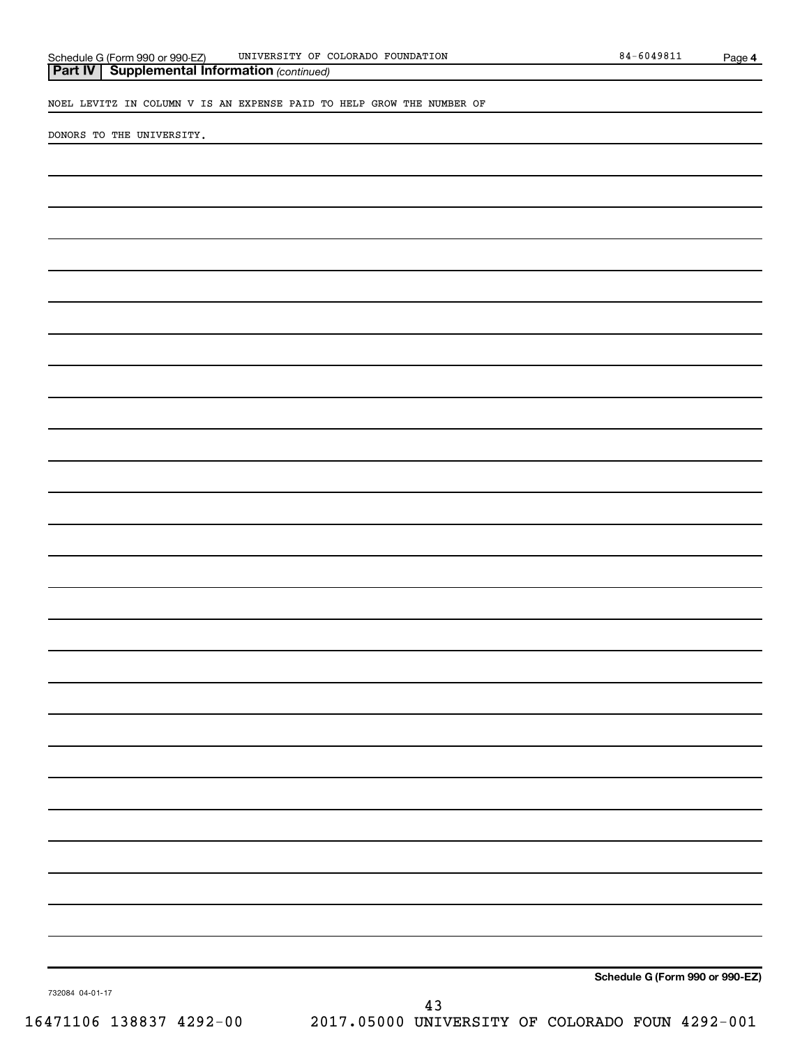**4**

NOEL LEVITZ IN COLUMN V IS AN EXPENSE PAID TO HELP GROW THE NUMBER OF

DONORS TO THE UNIVERSITY.

**Schedule G (Form 990 or 990-EZ)**

732084 04-01-17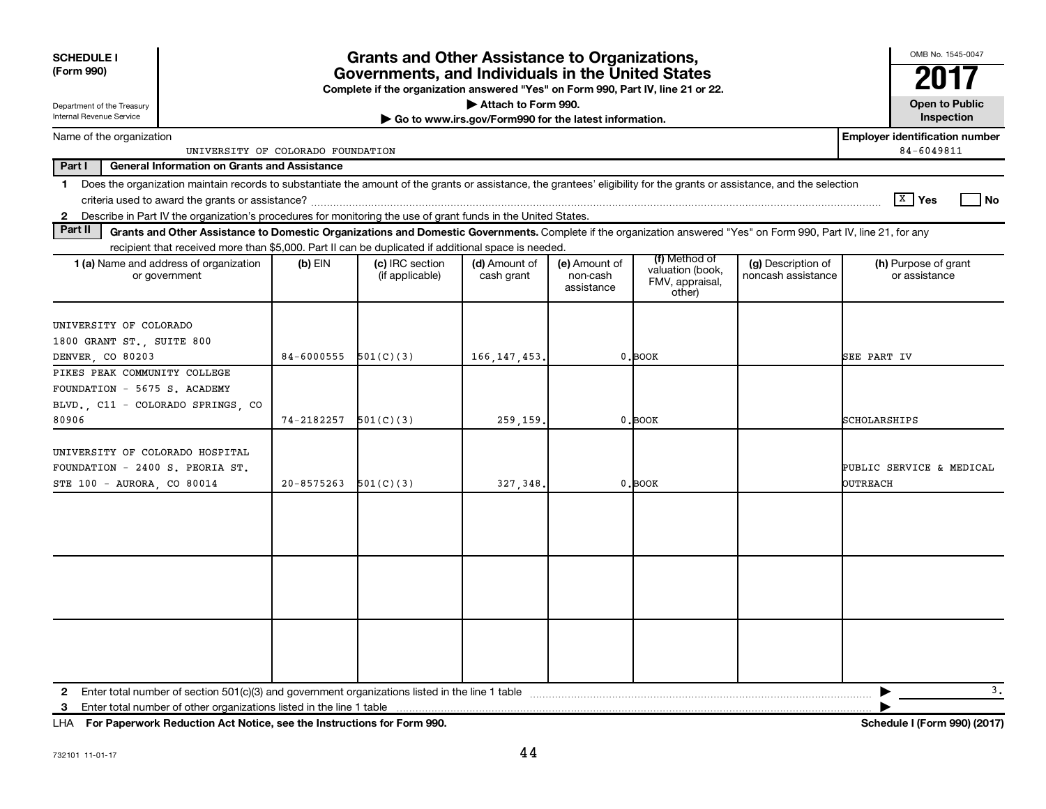| <b>SCHEDULE I</b><br>(Form 990)                                                                                                                                               |  |                | <b>Grants and Other Assistance to Organizations,</b><br>Governments, and Individuals in the United States                                                          |                                                       |                                         |                                                                |                                          | OMB No. 1545-0047                     |  |
|-------------------------------------------------------------------------------------------------------------------------------------------------------------------------------|--|----------------|--------------------------------------------------------------------------------------------------------------------------------------------------------------------|-------------------------------------------------------|-----------------------------------------|----------------------------------------------------------------|------------------------------------------|---------------------------------------|--|
|                                                                                                                                                                               |  |                | Complete if the organization answered "Yes" on Form 990, Part IV, line 21 or 22.                                                                                   |                                                       |                                         |                                                                |                                          |                                       |  |
| Department of the Treasury                                                                                                                                                    |  |                |                                                                                                                                                                    | Attach to Form 990.                                   |                                         |                                                                |                                          | <b>Open to Public</b>                 |  |
| Internal Revenue Service                                                                                                                                                      |  |                |                                                                                                                                                                    | Go to www.irs.gov/Form990 for the latest information. |                                         |                                                                |                                          | Inspection                            |  |
| <b>Employer identification number</b><br>Name of the organization<br>84-6049811<br>UNIVERSITY OF COLORADO FOUNDATION                                                          |  |                |                                                                                                                                                                    |                                                       |                                         |                                                                |                                          |                                       |  |
| Part I<br><b>General Information on Grants and Assistance</b>                                                                                                                 |  |                |                                                                                                                                                                    |                                                       |                                         |                                                                |                                          |                                       |  |
| Does the organization maintain records to substantiate the amount of the grants or assistance, the grantees' eligibility for the grants or assistance, and the selection<br>1 |  |                |                                                                                                                                                                    |                                                       |                                         |                                                                |                                          |                                       |  |
|                                                                                                                                                                               |  |                |                                                                                                                                                                    |                                                       |                                         |                                                                |                                          | ∣ <sup>x</sup> ∣ Yes<br>l No          |  |
| Describe in Part IV the organization's procedures for monitoring the use of grant funds in the United States.<br>$\mathbf{2}$                                                 |  |                |                                                                                                                                                                    |                                                       |                                         |                                                                |                                          |                                       |  |
| Part II                                                                                                                                                                       |  |                | Grants and Other Assistance to Domestic Organizations and Domestic Governments. Complete if the organization answered "Yes" on Form 990, Part IV, line 21, for any |                                                       |                                         |                                                                |                                          |                                       |  |
|                                                                                                                                                                               |  |                | recipient that received more than \$5,000. Part II can be duplicated if additional space is needed.                                                                |                                                       |                                         |                                                                |                                          |                                       |  |
| 1 (a) Name and address of organization<br>or government                                                                                                                       |  | (b) EIN        | (c) IRC section<br>(if applicable)                                                                                                                                 | (d) Amount of<br>cash grant                           | (e) Amount of<br>non-cash<br>assistance | (f) Method of<br>valuation (book,<br>FMV, appraisal,<br>other) | (g) Description of<br>noncash assistance | (h) Purpose of grant<br>or assistance |  |
| UNIVERSITY OF COLORADO<br>1800 GRANT ST., SUITE 800                                                                                                                           |  |                |                                                                                                                                                                    |                                                       |                                         |                                                                |                                          |                                       |  |
| DENVER, CO 80203                                                                                                                                                              |  | 84-6000555     | 501(C)(3)                                                                                                                                                          | 166, 147, 453.                                        |                                         | $0.$ BOOK                                                      |                                          | SEE PART IV                           |  |
| PIKES PEAK COMMUNITY COLLEGE                                                                                                                                                  |  |                |                                                                                                                                                                    |                                                       |                                         |                                                                |                                          |                                       |  |
| FOUNDATION - 5675 S. ACADEMY                                                                                                                                                  |  |                |                                                                                                                                                                    |                                                       |                                         |                                                                |                                          |                                       |  |
| BLVD., C11 - COLORADO SPRINGS, CO                                                                                                                                             |  |                |                                                                                                                                                                    |                                                       |                                         |                                                                |                                          |                                       |  |
| 80906                                                                                                                                                                         |  | 74-2182257     | 501(C)(3)                                                                                                                                                          | 259,159,                                              |                                         | $0.$ BOOK                                                      |                                          | SCHOLARSHIPS                          |  |
| UNIVERSITY OF COLORADO HOSPITAL<br>FOUNDATION - 2400 S. PEORIA ST.<br>STE 100 - AURORA, CO 80014                                                                              |  | $20 - 8575263$ | 501(C)(3)                                                                                                                                                          | 327, 348.                                             |                                         | $0.$ BOOK                                                      |                                          | PUBLIC SERVICE & MEDICAL<br>OUTREACH  |  |
|                                                                                                                                                                               |  |                |                                                                                                                                                                    |                                                       |                                         |                                                                |                                          |                                       |  |
|                                                                                                                                                                               |  |                |                                                                                                                                                                    |                                                       |                                         |                                                                |                                          |                                       |  |
|                                                                                                                                                                               |  |                |                                                                                                                                                                    |                                                       |                                         |                                                                |                                          |                                       |  |
|                                                                                                                                                                               |  |                |                                                                                                                                                                    |                                                       |                                         |                                                                |                                          | 3.                                    |  |
| 3                                                                                                                                                                             |  |                |                                                                                                                                                                    |                                                       |                                         |                                                                |                                          |                                       |  |

**For Paperwork Reduction Act Notice, see the Instructions for Form 990. Schedule I (Form 990) (2017)** LHA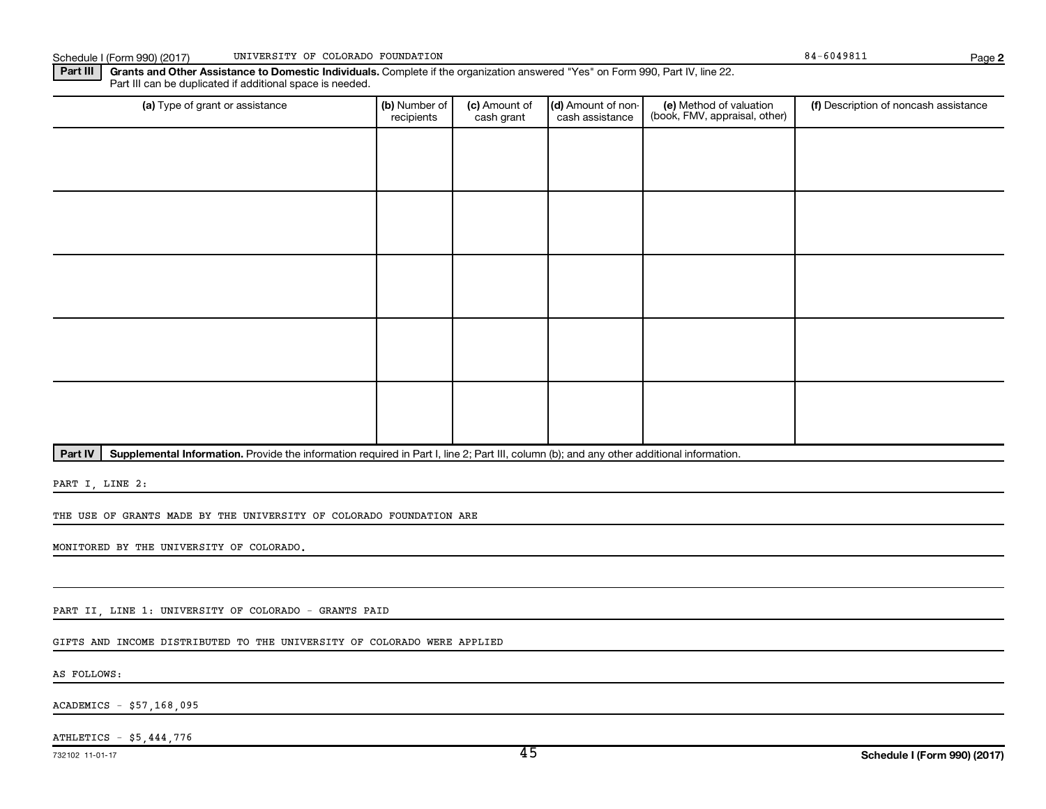Schedule I (Form 990) (2017) UNIVERSITY OF COLORADO FOUNDATION **Page 1966** 1976 1988 1989 1989 1989 1989 1989 198

**2**

Part III | Grants and Other Assistance to Domestic Individuals. Complete if the organization answered "Yes" on Form 990, Part IV, line 22. Part III can be duplicated if additional space is needed.

| (a) Type of grant or assistance | (b) Number of<br>recipients | (c) Amount of<br>cash grant | (d) Amount of non-<br>cash assistance | (e) Method of valuation<br>(book, FMV, appraisal, other) | (f) Description of noncash assistance |
|---------------------------------|-----------------------------|-----------------------------|---------------------------------------|----------------------------------------------------------|---------------------------------------|
|                                 |                             |                             |                                       |                                                          |                                       |
|                                 |                             |                             |                                       |                                                          |                                       |
|                                 |                             |                             |                                       |                                                          |                                       |
|                                 |                             |                             |                                       |                                                          |                                       |
|                                 |                             |                             |                                       |                                                          |                                       |
|                                 |                             |                             |                                       |                                                          |                                       |
|                                 |                             |                             |                                       |                                                          |                                       |
|                                 |                             |                             |                                       |                                                          |                                       |
|                                 |                             |                             |                                       |                                                          |                                       |
|                                 |                             |                             |                                       |                                                          |                                       |

Part IV | Supplemental Information. Provide the information required in Part I, line 2; Part III, column (b); and any other additional information.

PART I, LINE 2:

THE USE OF GRANTS MADE BY THE UNIVERSITY OF COLORADO FOUNDATION ARE

MONITORED BY THE UNIVERSITY OF COLORADO.

PART II, LINE 1: UNIVERSITY OF COLORADO - GRANTS PAID

GIFTS AND INCOME DISTRIBUTED TO THE UNIVERSITY OF COLORADO WERE APPLIED

AS FOLLOWS:

ACADEMICS - \$57,168,095

ATHLETICS - \$5,444,776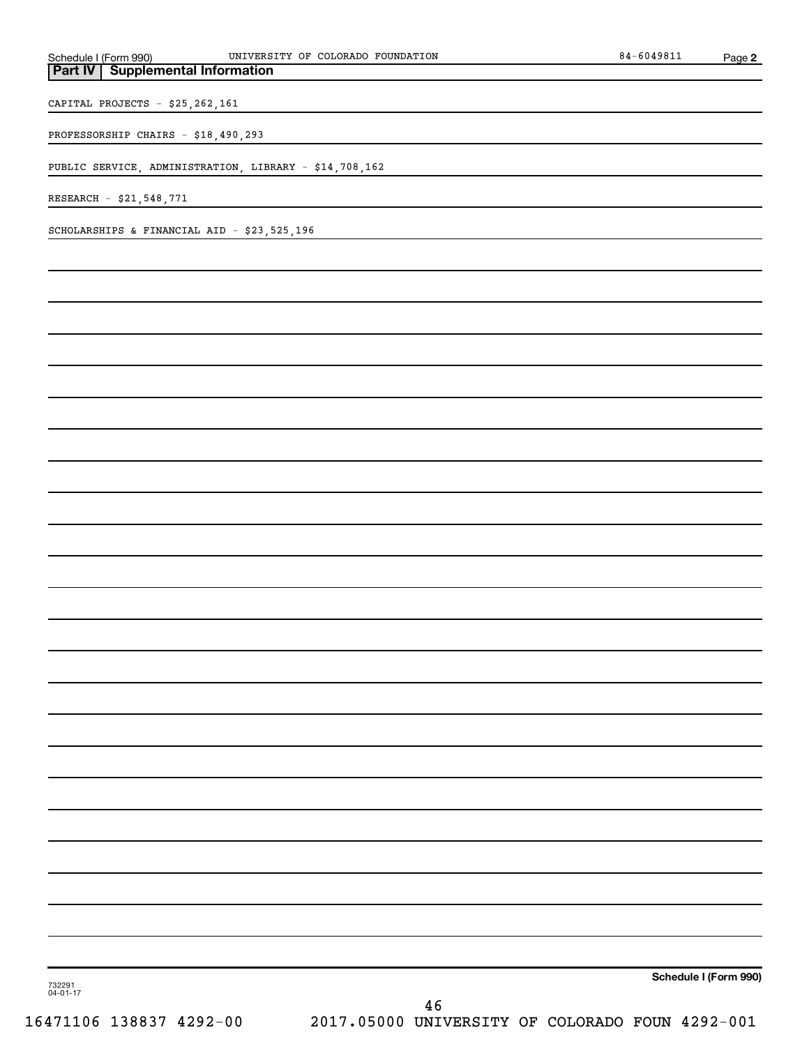| UNIVERSITY OF COLORADO FOUNDATION                                | $84 - 6049811$        | Page 2 |
|------------------------------------------------------------------|-----------------------|--------|
| Schedule I (Form 990)<br><b>Part IV</b> Supplemental Information |                       |        |
| CAPITAL PROJECTS - \$25,262,161                                  |                       |        |
|                                                                  |                       |        |
| PROFESSORSHIP CHAIRS - \$18,490,293                              |                       |        |
| PUBLIC SERVICE, ADMINISTRATION, LIBRARY - \$14,708,162           |                       |        |
| RESEARCH - \$21,548,771                                          |                       |        |
|                                                                  |                       |        |
| SCHOLARSHIPS & FINANCIAL AID - \$23,525,196                      |                       |        |
|                                                                  |                       |        |
|                                                                  |                       |        |
|                                                                  |                       |        |
|                                                                  |                       |        |
|                                                                  |                       |        |
|                                                                  |                       |        |
|                                                                  |                       |        |
|                                                                  |                       |        |
|                                                                  |                       |        |
|                                                                  |                       |        |
|                                                                  |                       |        |
|                                                                  |                       |        |
|                                                                  |                       |        |
|                                                                  |                       |        |
|                                                                  |                       |        |
|                                                                  |                       |        |
|                                                                  |                       |        |
|                                                                  |                       |        |
|                                                                  |                       |        |
|                                                                  |                       |        |
|                                                                  |                       |        |
|                                                                  |                       |        |
|                                                                  |                       |        |
|                                                                  |                       |        |
|                                                                  |                       |        |
|                                                                  |                       |        |
|                                                                  |                       |        |
|                                                                  |                       |        |
|                                                                  |                       |        |
|                                                                  |                       |        |
| 732291<br>04-01-17                                               | Schedule I (Form 990) |        |
| 46                                                               |                       |        |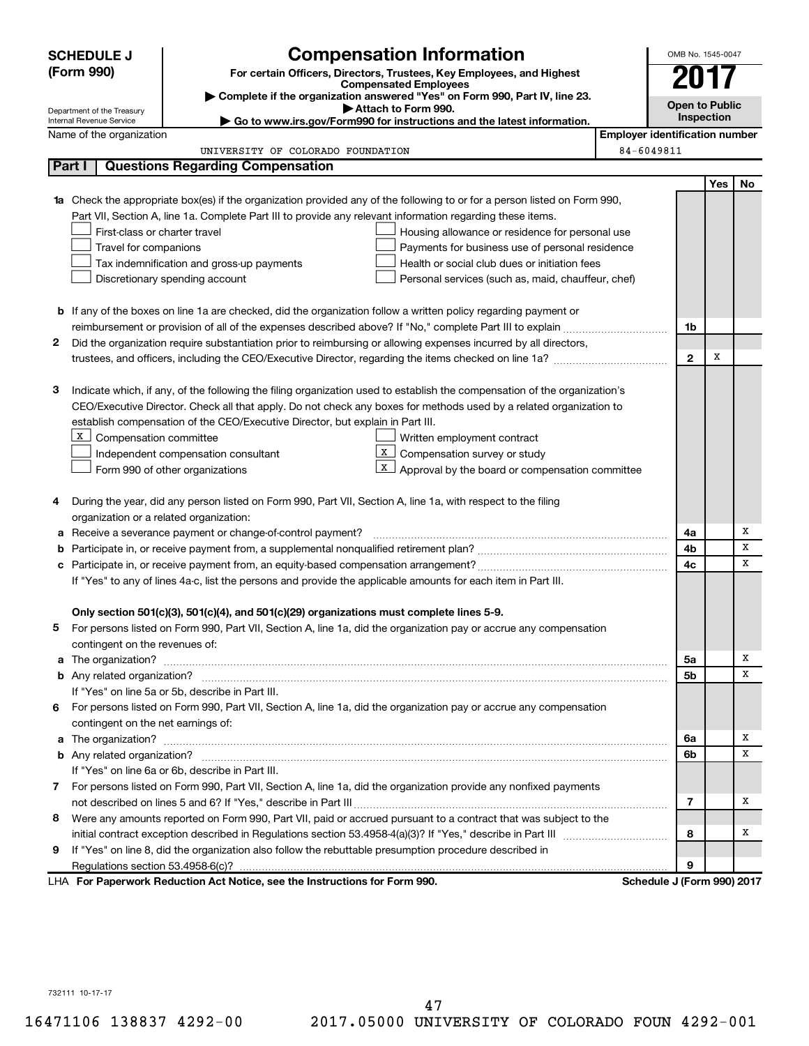|        | <b>SCHEDULE J</b>                                             |                                                                                                                                                         | OMB No. 1545-0047                     |                            |     |    |  |  |
|--------|---------------------------------------------------------------|---------------------------------------------------------------------------------------------------------------------------------------------------------|---------------------------------------|----------------------------|-----|----|--|--|
|        | (Form 990)                                                    | <b>Compensation Information</b><br>For certain Officers, Directors, Trustees, Key Employees, and Highest                                                |                                       |                            |     |    |  |  |
|        |                                                               | <b>Compensated Employees</b>                                                                                                                            |                                       | 2017                       |     |    |  |  |
|        |                                                               | Complete if the organization answered "Yes" on Form 990, Part IV, line 23.<br>Attach to Form 990.                                                       |                                       | <b>Open to Public</b>      |     |    |  |  |
|        | Department of the Treasury<br><b>Internal Revenue Service</b> | Go to www.irs.gov/Form990 for instructions and the latest information.                                                                                  |                                       | Inspection                 |     |    |  |  |
|        | Name of the organization                                      |                                                                                                                                                         | <b>Employer identification number</b> |                            |     |    |  |  |
|        |                                                               | UNIVERSITY OF COLORADO FOUNDATION                                                                                                                       | 84-6049811                            |                            |     |    |  |  |
|        | Part I                                                        | <b>Questions Regarding Compensation</b>                                                                                                                 |                                       |                            |     |    |  |  |
|        |                                                               |                                                                                                                                                         |                                       |                            | Yes | No |  |  |
|        |                                                               | 1a Check the appropriate box(es) if the organization provided any of the following to or for a person listed on Form 990,                               |                                       |                            |     |    |  |  |
|        |                                                               | Part VII, Section A, line 1a. Complete Part III to provide any relevant information regarding these items.                                              |                                       |                            |     |    |  |  |
|        | First-class or charter travel                                 | Housing allowance or residence for personal use                                                                                                         |                                       |                            |     |    |  |  |
|        | Travel for companions                                         | Payments for business use of personal residence                                                                                                         |                                       |                            |     |    |  |  |
|        |                                                               | Health or social club dues or initiation fees<br>Tax indemnification and gross-up payments                                                              |                                       |                            |     |    |  |  |
|        |                                                               | Discretionary spending account<br>Personal services (such as, maid, chauffeur, chef)                                                                    |                                       |                            |     |    |  |  |
|        |                                                               |                                                                                                                                                         |                                       |                            |     |    |  |  |
|        |                                                               | <b>b</b> If any of the boxes on line 1a are checked, did the organization follow a written policy regarding payment or                                  |                                       |                            |     |    |  |  |
|        |                                                               |                                                                                                                                                         |                                       | 1b                         |     |    |  |  |
| 2      |                                                               | Did the organization require substantiation prior to reimbursing or allowing expenses incurred by all directors,                                        |                                       |                            |     |    |  |  |
|        |                                                               |                                                                                                                                                         |                                       | $\mathbf{2}$               | х   |    |  |  |
|        |                                                               |                                                                                                                                                         |                                       |                            |     |    |  |  |
| з      |                                                               | Indicate which, if any, of the following the filing organization used to establish the compensation of the organization's                               |                                       |                            |     |    |  |  |
|        |                                                               | CEO/Executive Director. Check all that apply. Do not check any boxes for methods used by a related organization to                                      |                                       |                            |     |    |  |  |
|        |                                                               | establish compensation of the CEO/Executive Director, but explain in Part III.                                                                          |                                       |                            |     |    |  |  |
|        | X  <br>Compensation committee                                 | Written employment contract                                                                                                                             |                                       |                            |     |    |  |  |
|        |                                                               | X<br>Compensation survey or study<br>Independent compensation consultant                                                                                |                                       |                            |     |    |  |  |
|        |                                                               | X  <br>Approval by the board or compensation committee<br>Form 990 of other organizations                                                               |                                       |                            |     |    |  |  |
|        |                                                               |                                                                                                                                                         |                                       |                            |     |    |  |  |
| 4      |                                                               | During the year, did any person listed on Form 990, Part VII, Section A, line 1a, with respect to the filing<br>organization or a related organization: |                                       |                            |     |    |  |  |
|        |                                                               | Receive a severance payment or change-of-control payment?                                                                                               |                                       | 4a                         |     | Х  |  |  |
| а<br>b |                                                               |                                                                                                                                                         |                                       | 4b                         |     | x  |  |  |
| c      |                                                               |                                                                                                                                                         |                                       | 4c                         |     | x  |  |  |
|        |                                                               | If "Yes" to any of lines 4a-c, list the persons and provide the applicable amounts for each item in Part III.                                           |                                       |                            |     |    |  |  |
|        |                                                               |                                                                                                                                                         |                                       |                            |     |    |  |  |
|        |                                                               | Only section 501(c)(3), 501(c)(4), and 501(c)(29) organizations must complete lines 5-9.                                                                |                                       |                            |     |    |  |  |
|        |                                                               | For persons listed on Form 990, Part VII, Section A, line 1a, did the organization pay or accrue any compensation                                       |                                       |                            |     |    |  |  |
|        | contingent on the revenues of:                                |                                                                                                                                                         |                                       |                            |     |    |  |  |
|        |                                                               |                                                                                                                                                         |                                       | 5a                         |     | х  |  |  |
|        |                                                               |                                                                                                                                                         |                                       | 5b                         |     | x  |  |  |
|        |                                                               | If "Yes" on line 5a or 5b, describe in Part III.                                                                                                        |                                       |                            |     |    |  |  |
| 6.     |                                                               | For persons listed on Form 990, Part VII, Section A, line 1a, did the organization pay or accrue any compensation                                       |                                       |                            |     |    |  |  |
|        | contingent on the net earnings of:                            |                                                                                                                                                         |                                       |                            |     |    |  |  |
|        |                                                               |                                                                                                                                                         |                                       | 6a                         |     | х  |  |  |
|        |                                                               |                                                                                                                                                         |                                       | 6b                         |     | x  |  |  |
|        |                                                               | If "Yes" on line 6a or 6b, describe in Part III.                                                                                                        |                                       |                            |     |    |  |  |
|        |                                                               | 7 For persons listed on Form 990, Part VII, Section A, line 1a, did the organization provide any nonfixed payments                                      |                                       |                            |     |    |  |  |
|        |                                                               |                                                                                                                                                         |                                       | 7                          |     | х  |  |  |
| 8      |                                                               | Were any amounts reported on Form 990, Part VII, paid or accrued pursuant to a contract that was subject to the                                         |                                       |                            |     |    |  |  |
|        |                                                               |                                                                                                                                                         |                                       | 8                          |     | х  |  |  |
| 9      |                                                               | If "Yes" on line 8, did the organization also follow the rebuttable presumption procedure described in                                                  |                                       |                            |     |    |  |  |
|        |                                                               |                                                                                                                                                         |                                       | 9                          |     |    |  |  |
|        |                                                               | LHA For Paperwork Reduction Act Notice, see the Instructions for Form 990.                                                                              |                                       | Schedule J (Form 990) 2017 |     |    |  |  |

732111 10-17-17

16471106 138837 4292-00 2017.05000 UNIVERSITY OF COLORADO FOUN 4292-001 47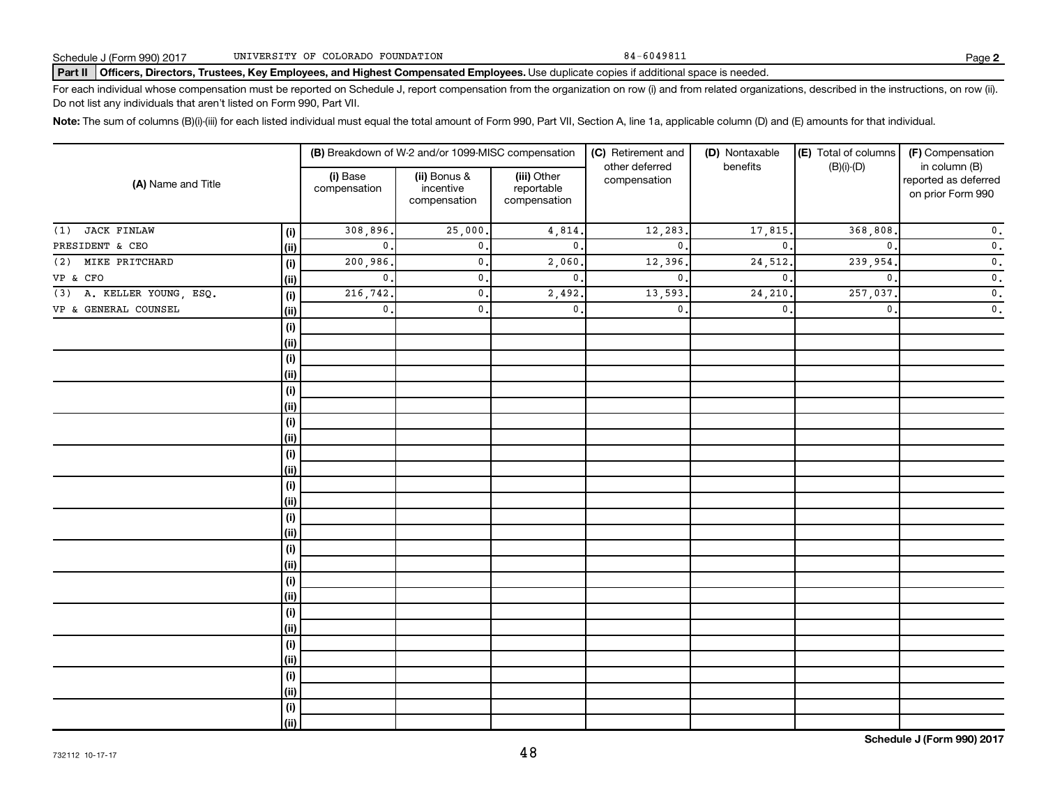#### Part II | Officers, Directors, Trustees, Key Employees, and Highest Compensated Employees. Use duplicate copies if additional space is needed.

For each individual whose compensation must be reported on Schedule J, report compensation from the organization on row (i) and from related organizations, described in the instructions, on row (ii). Do not list any individuals that aren't listed on Form 990, Part VII.

Note: The sum of columns (B)(i)-(iii) for each listed individual must equal the total amount of Form 990, Part VII, Section A, line 1a, applicable column (D) and (E) amounts for that individual.

| (A) Name and Title          |      |                          | (B) Breakdown of W-2 and/or 1099-MISC compensation |                                           | (C) Retirement and             | (D) Nontaxable | (E) Total of columns | (F) Compensation                                           |  |
|-----------------------------|------|--------------------------|----------------------------------------------------|-------------------------------------------|--------------------------------|----------------|----------------------|------------------------------------------------------------|--|
|                             |      | (i) Base<br>compensation | (ii) Bonus &<br>incentive<br>compensation          | (iii) Other<br>reportable<br>compensation | other deferred<br>compensation | benefits       | $(B)(i)-(D)$         | in column (B)<br>reported as deferred<br>on prior Form 990 |  |
| <b>JACK FINLAW</b><br>(1)   | (i)  | 308,896.                 | 25,000                                             | 4,814.                                    | 12,283                         | 17,815.        | 368,808              | $\mathfrak o$ .                                            |  |
| PRESIDENT & CEO             | (ii) | $\mathbf{0}$ .           | $\mathbf{0}$ .                                     | $\mathbf{0}$ .                            | $\mathbf{0}$                   | $\mathbf 0$ .  | $\mathbf{0}$ .       | $\mathfrak o$ .                                            |  |
| MIKE PRITCHARD<br>(2)       | (i)  | 200,986.                 | $\mathbf{0}$ .                                     | 2,060                                     | 12,396                         | 24,512.        | 239,954              | $\mathfrak o$ .                                            |  |
| VP & CFO                    | (ii) | $\mathbf{0}$ .           | $\mathbf{0}$ .                                     | $\mathbf{0}$ .                            | $\mathbf{0}$                   | $\mathbf{0}$   | $\mathbf{0}$         | $\mathfrak o$ .                                            |  |
| $(3)$ A. KELLER YOUNG, ESQ. | (i)  | 216,742.                 | $\mathbf{0}$ .                                     | 2,492.                                    | 13,593                         | 24,210         | 257,037              | $\overline{\mathbf{0}}$ .                                  |  |
| VP & GENERAL COUNSEL        | (ii) | $\mathsf{0}$ .           | $\mathbf{0}$ .                                     | $\mathbf{0}$ .                            | $\mathbf{0}$                   | $\mathbf 0$ .  | $\mathbf{0}$ .       | $\overline{\mathbf{0}}$ .                                  |  |
|                             | (i)  |                          |                                                    |                                           |                                |                |                      |                                                            |  |
|                             | (ii) |                          |                                                    |                                           |                                |                |                      |                                                            |  |
|                             | (i)  |                          |                                                    |                                           |                                |                |                      |                                                            |  |
|                             | (ii) |                          |                                                    |                                           |                                |                |                      |                                                            |  |
|                             | (i)  |                          |                                                    |                                           |                                |                |                      |                                                            |  |
|                             | (ii) |                          |                                                    |                                           |                                |                |                      |                                                            |  |
|                             | (i)  |                          |                                                    |                                           |                                |                |                      |                                                            |  |
|                             | (ii) |                          |                                                    |                                           |                                |                |                      |                                                            |  |
|                             | (i)  |                          |                                                    |                                           |                                |                |                      |                                                            |  |
|                             | (ii) |                          |                                                    |                                           |                                |                |                      |                                                            |  |
|                             | (i)  |                          |                                                    |                                           |                                |                |                      |                                                            |  |
|                             | (ii) |                          |                                                    |                                           |                                |                |                      |                                                            |  |
|                             | (i)  |                          |                                                    |                                           |                                |                |                      |                                                            |  |
|                             | (ii) |                          |                                                    |                                           |                                |                |                      |                                                            |  |
|                             | (i)  |                          |                                                    |                                           |                                |                |                      |                                                            |  |
|                             | (ii) |                          |                                                    |                                           |                                |                |                      |                                                            |  |
|                             | (i)  |                          |                                                    |                                           |                                |                |                      |                                                            |  |
|                             | (ii) |                          |                                                    |                                           |                                |                |                      |                                                            |  |
|                             | (i)  |                          |                                                    |                                           |                                |                |                      |                                                            |  |
|                             | (ii) |                          |                                                    |                                           |                                |                |                      |                                                            |  |
|                             | (i)  |                          |                                                    |                                           |                                |                |                      |                                                            |  |
|                             | (ii) |                          |                                                    |                                           |                                |                |                      |                                                            |  |
|                             | (i)  |                          |                                                    |                                           |                                |                |                      |                                                            |  |
|                             | (ii) |                          |                                                    |                                           |                                |                |                      |                                                            |  |
|                             | (i)  |                          |                                                    |                                           |                                |                |                      |                                                            |  |
|                             | (ii) |                          |                                                    |                                           |                                |                |                      |                                                            |  |

**Schedule J (Form 990) 2017**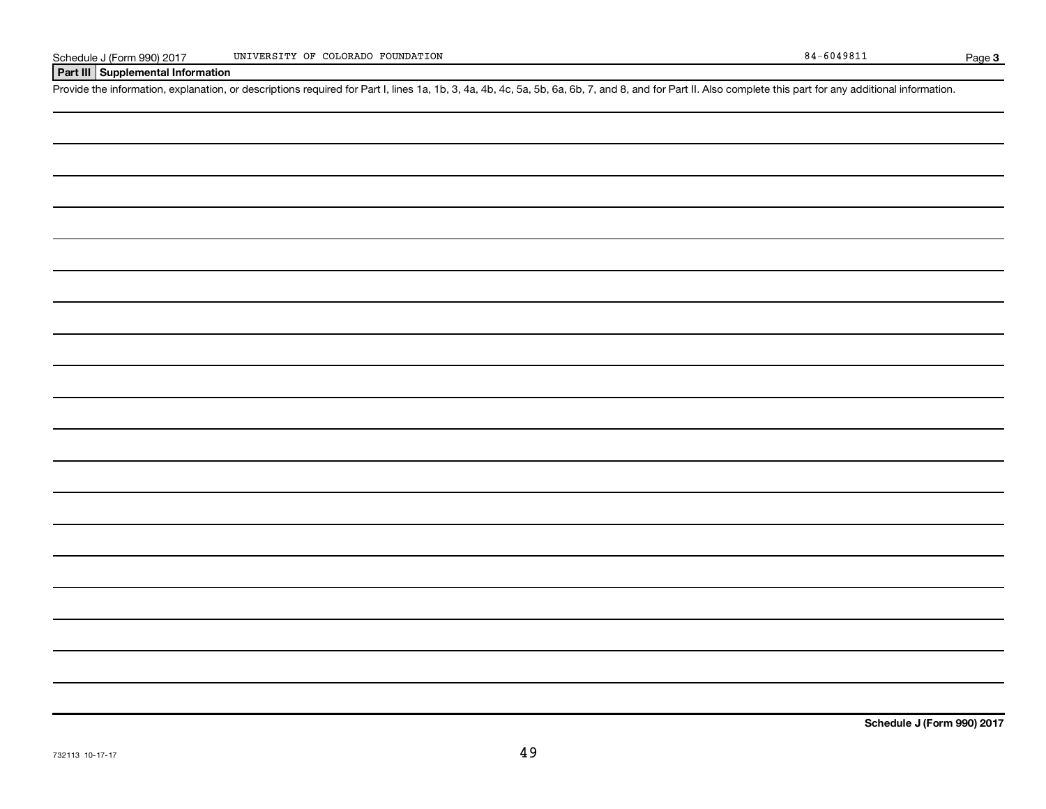#### **Part III Supplemental Information**

Provide the information, explanation, or descriptions required for Part I, lines 1a, 1b, 3, 4a, 4b, 4c, 5a, 5b, 6a, 6b, 7, and 8, and for Part II. Also complete this part for any additional information.

732113 10-17-17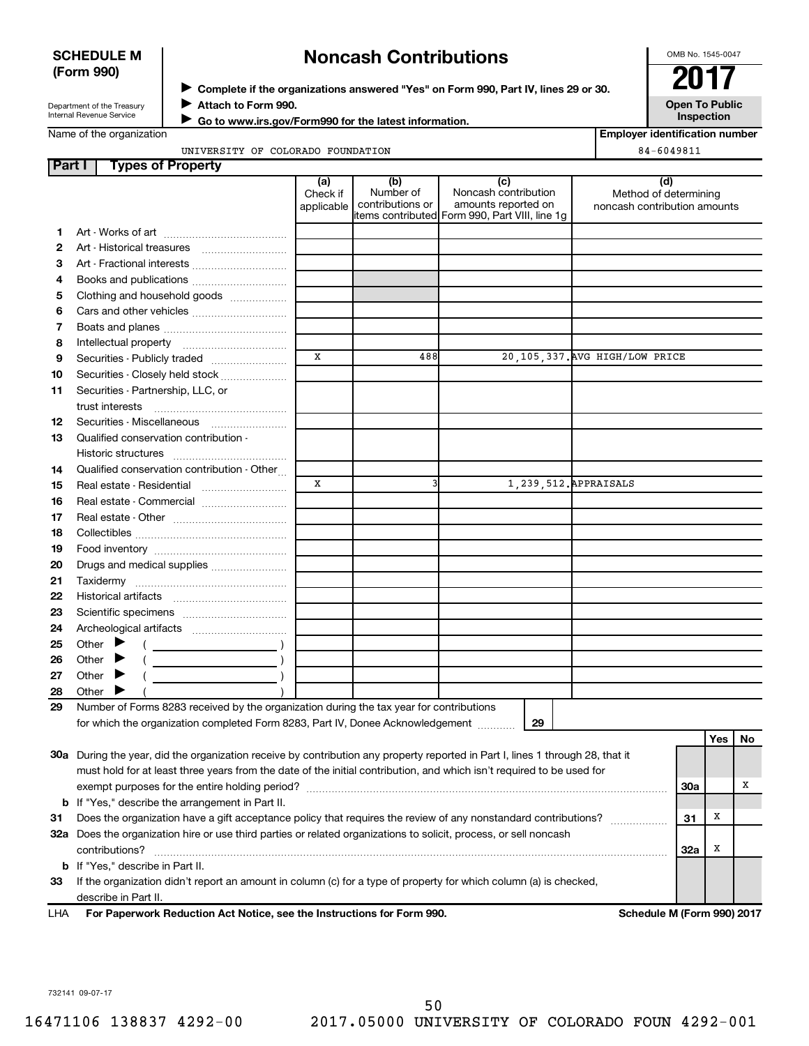#### **SCHEDULE M (Form 990)**

## ◆ Complete if the organizations answered "Yes" on Form 990, Part IV, lines 29 or 30.<br>▶ Complete if the organizations answered "Yes" on Form 990, Part IV, lines 29 or 30. **Noncash Contributions**

OMB No. 1545-0047

**Employer identification number**

Department of the Treasury Internal Revenue Service

**Attach to Form 990.** J  **Go to www.irs.gov/Form990 for the latest information.** J **Open To Public Inspection**

Name of the organization

UNIVERSITY OF COLORADO FOUNDATION 84-6049811

| Part I | <b>Types of Property</b>                                                                                                       |                               |                                      |                                                                                                      |                                                              |            |            |    |
|--------|--------------------------------------------------------------------------------------------------------------------------------|-------------------------------|--------------------------------------|------------------------------------------------------------------------------------------------------|--------------------------------------------------------------|------------|------------|----|
|        |                                                                                                                                | (a)<br>Check if<br>applicable | (b)<br>Number of<br>contributions or | (c)<br>Noncash contribution<br>amounts reported on<br>items contributed Form 990, Part VIII, line 1g | (d)<br>Method of determining<br>noncash contribution amounts |            |            |    |
| 1      |                                                                                                                                |                               |                                      |                                                                                                      |                                                              |            |            |    |
| 2      |                                                                                                                                |                               |                                      |                                                                                                      |                                                              |            |            |    |
| З      | Art - Fractional interests                                                                                                     |                               |                                      |                                                                                                      |                                                              |            |            |    |
| 4      | Books and publications                                                                                                         |                               |                                      |                                                                                                      |                                                              |            |            |    |
| 5      | Clothing and household goods                                                                                                   |                               |                                      |                                                                                                      |                                                              |            |            |    |
| 6      |                                                                                                                                |                               |                                      |                                                                                                      |                                                              |            |            |    |
| 7      |                                                                                                                                |                               |                                      |                                                                                                      |                                                              |            |            |    |
| 8      |                                                                                                                                |                               |                                      |                                                                                                      |                                                              |            |            |    |
| 9      | Securities - Publicly traded                                                                                                   | $\mathbf{x}$                  | 488                                  |                                                                                                      | 20, 105, 337. AVG HIGH/LOW PRICE                             |            |            |    |
| 10     | Securities - Closely held stock                                                                                                |                               |                                      |                                                                                                      |                                                              |            |            |    |
| 11     | Securities - Partnership, LLC, or<br>trust interests                                                                           |                               |                                      |                                                                                                      |                                                              |            |            |    |
| 12     |                                                                                                                                |                               |                                      |                                                                                                      |                                                              |            |            |    |
| 13     | Qualified conservation contribution -                                                                                          |                               |                                      |                                                                                                      |                                                              |            |            |    |
| 14     | Qualified conservation contribution - Other                                                                                    |                               |                                      |                                                                                                      |                                                              |            |            |    |
| 15     |                                                                                                                                | X                             | $\overline{\mathbf{3}}$              |                                                                                                      | 1, 239, 512. APPRAISALS                                      |            |            |    |
| 16     | Real estate - Commercial                                                                                                       |                               |                                      |                                                                                                      |                                                              |            |            |    |
| 17     |                                                                                                                                |                               |                                      |                                                                                                      |                                                              |            |            |    |
| 18     |                                                                                                                                |                               |                                      |                                                                                                      |                                                              |            |            |    |
| 19     |                                                                                                                                |                               |                                      |                                                                                                      |                                                              |            |            |    |
| 20     | Drugs and medical supplies                                                                                                     |                               |                                      |                                                                                                      |                                                              |            |            |    |
| 21     |                                                                                                                                |                               |                                      |                                                                                                      |                                                              |            |            |    |
| 22     |                                                                                                                                |                               |                                      |                                                                                                      |                                                              |            |            |    |
| 23     |                                                                                                                                |                               |                                      |                                                                                                      |                                                              |            |            |    |
| 24     |                                                                                                                                |                               |                                      |                                                                                                      |                                                              |            |            |    |
| 25     | Other $\blacktriangleright$                                                                                                    |                               |                                      |                                                                                                      |                                                              |            |            |    |
| 26     | Other $\blacktriangleright$                                                                                                    |                               |                                      |                                                                                                      |                                                              |            |            |    |
| 27     | Other $\blacktriangleright$                                                                                                    |                               |                                      |                                                                                                      |                                                              |            |            |    |
| 28     | Other $\blacktriangleright$                                                                                                    |                               |                                      |                                                                                                      |                                                              |            |            |    |
| 29     | Number of Forms 8283 received by the organization during the tax year for contributions                                        |                               |                                      |                                                                                                      |                                                              |            |            |    |
|        | for which the organization completed Form 8283, Part IV, Donee Acknowledgement                                                 |                               |                                      | 29                                                                                                   |                                                              |            |            |    |
|        |                                                                                                                                |                               |                                      |                                                                                                      |                                                              |            | <b>Yes</b> | No |
|        | 30a During the year, did the organization receive by contribution any property reported in Part I, lines 1 through 28, that it |                               |                                      |                                                                                                      |                                                              |            |            |    |
|        | must hold for at least three years from the date of the initial contribution, and which isn't required to be used for          |                               |                                      |                                                                                                      |                                                              |            |            |    |
|        |                                                                                                                                |                               |                                      |                                                                                                      |                                                              | 30a        |            | х  |
|        | <b>b</b> If "Yes," describe the arrangement in Part II.                                                                        |                               |                                      |                                                                                                      |                                                              |            |            |    |
| 31     | Does the organization have a gift acceptance policy that requires the review of any nonstandard contributions?                 |                               |                                      |                                                                                                      |                                                              |            |            |    |
|        | 32a Does the organization hire or use third parties or related organizations to solicit, process, or sell noncash              |                               |                                      |                                                                                                      |                                                              |            |            |    |
|        | contributions?                                                                                                                 |                               |                                      |                                                                                                      |                                                              | <b>32a</b> | х          |    |
|        | <b>b</b> If "Yes," describe in Part II.                                                                                        |                               |                                      |                                                                                                      |                                                              |            |            |    |
| 33     | If the organization didn't report an amount in column (c) for a type of property for which column (a) is checked,              |                               |                                      |                                                                                                      |                                                              |            |            |    |
|        | describe in Part II.                                                                                                           |                               |                                      |                                                                                                      |                                                              |            |            |    |
| 1 LJ A | For Paperwork Poduction Act Notice, see the Instructions for Form 000                                                          |                               |                                      |                                                                                                      | Schodule M (Form 000) 2017                                   |            |            |    |

**For Paperwork Reduction Act Notice, see the Instructions for Form 990. Schedule M (Form 990) 2017** LHA

732141 09-07-17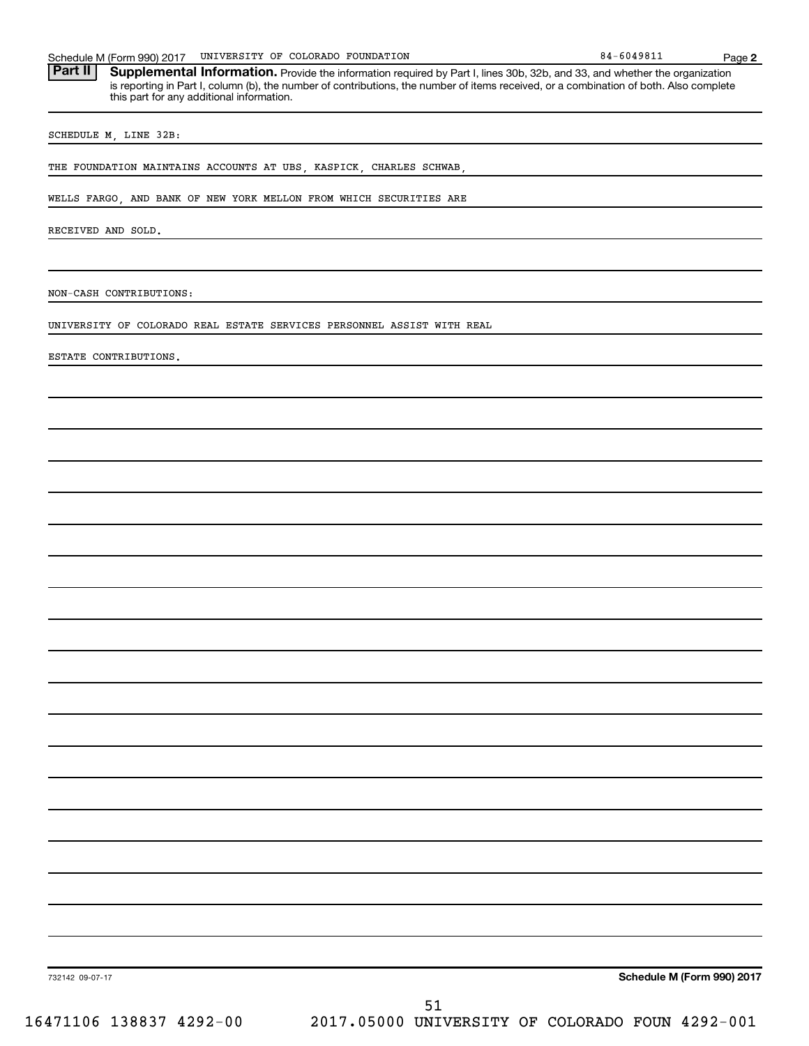Part II | Supplemental Information. Provide the information required by Part I, lines 30b, 32b, and 33, and whether the organization is reporting in Part I, column (b), the number of contributions, the number of items received, or a combination of both. Also complete this part for any additional information.

SCHEDULE M, LINE 32B:

THE FOUNDATION MAINTAINS ACCOUNTS AT UBS, KASPICK, CHARLES SCHWAB

WELLS FARGO, AND BANK OF NEW YORK MELLON FROM WHICH SECURITIES ARE

RECEIVED AND SOLD.

NON-CASH CONTRIBUTIONS:

UNIVERSITY OF COLORADO REAL ESTATE SERVICES PERSONNEL ASSIST WITH REAL

ESTATE CONTRIBUTIONS.

**Schedule M (Form 990) 2017**

732142 09-07-17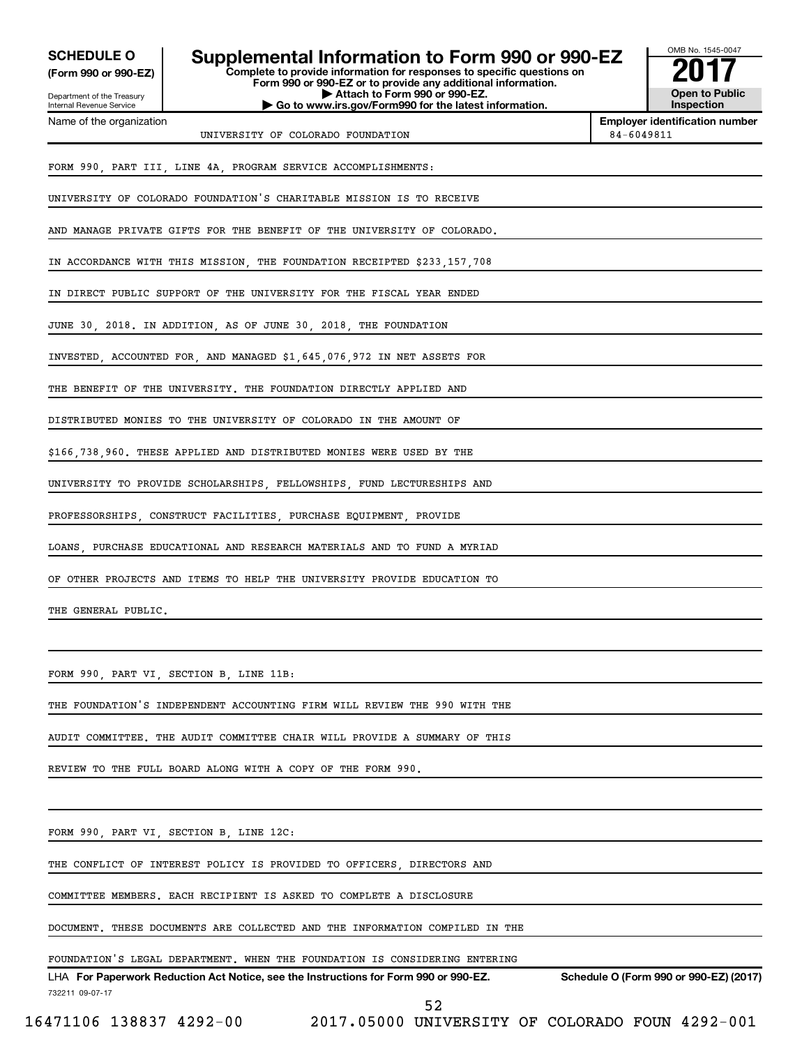**(Form 990 or 990-EZ)**

Department of the Treasury Internal Revenue Service Name of the organization

## **SCHEDULE O Supplemental Information to Form 990 or 990-EZ 2017**

**Complete to provide information for responses to specific questions on Form 990 or 990-EZ or to provide any additional information. | Attach to Form 990 or 990-EZ. | Go to www.irs.gov/Form990 for the latest information.**



**Employer identification number** UNIVERSITY OF COLORADO FOUNDATION 84-6049811

FORM 990, PART III, LINE 4A, PROGRAM SERVICE ACCOMPLISHMENTS:

UNIVERSITY OF COLORADO FOUNDATION'S CHARITABLE MISSION IS TO RECEIVE

AND MANAGE PRIVATE GIFTS FOR THE BENEFIT OF THE UNIVERSITY OF COLORADO.

IN ACCORDANCE WITH THIS MISSION, THE FOUNDATION RECEIPTED \$233,157,708

IN DIRECT PUBLIC SUPPORT OF THE UNIVERSITY FOR THE FISCAL YEAR ENDED

JUNE 30, 2018. IN ADDITION, AS OF JUNE 30, 2018, THE FOUNDATION

INVESTED, ACCOUNTED FOR, AND MANAGED \$1,645,076,972 IN NET ASSETS FOR

THE BENEFIT OF THE UNIVERSITY. THE FOUNDATION DIRECTLY APPLIED AND

DISTRIBUTED MONIES TO THE UNIVERSITY OF COLORADO IN THE AMOUNT OF

\$166,738,960. THESE APPLIED AND DISTRIBUTED MONIES WERE USED BY THE

UNIVERSITY TO PROVIDE SCHOLARSHIPS, FELLOWSHIPS, FUND LECTURESHIPS AND

PROFESSORSHIPS, CONSTRUCT FACILITIES, PURCHASE EQUIPMENT, PROVIDE

LOANS, PURCHASE EDUCATIONAL AND RESEARCH MATERIALS AND TO FUND A MYRIAD

OF OTHER PROJECTS AND ITEMS TO HELP THE UNIVERSITY PROVIDE EDUCATION TO

THE GENERAL PUBLIC.

FORM 990, PART VI, SECTION B, LINE 11B:

THE FOUNDATION'S INDEPENDENT ACCOUNTING FIRM WILL REVIEW THE 990 WITH THE

AUDIT COMMITTEE. THE AUDIT COMMITTEE CHAIR WILL PROVIDE A SUMMARY OF THIS

REVIEW TO THE FULL BOARD ALONG WITH A COPY OF THE FORM 990.

FORM 990, PART VI, SECTION B, LINE 12C:

THE CONFLICT OF INTEREST POLICY IS PROVIDED TO OFFICERS, DIRECTORS AND

COMMITTEE MEMBERS. EACH RECIPIENT IS ASKED TO COMPLETE A DISCLOSURE

DOCUMENT. THESE DOCUMENTS ARE COLLECTED AND THE INFORMATION COMPILED IN THE

FOUNDATION'S LEGAL DEPARTMENT. WHEN THE FOUNDATION IS CONSIDERING ENTERING

732211 09-07-17 LHA For Paperwork Reduction Act Notice, see the Instructions for Form 990 or 990-EZ. Schedule O (Form 990 or 990-EZ) (2017)

52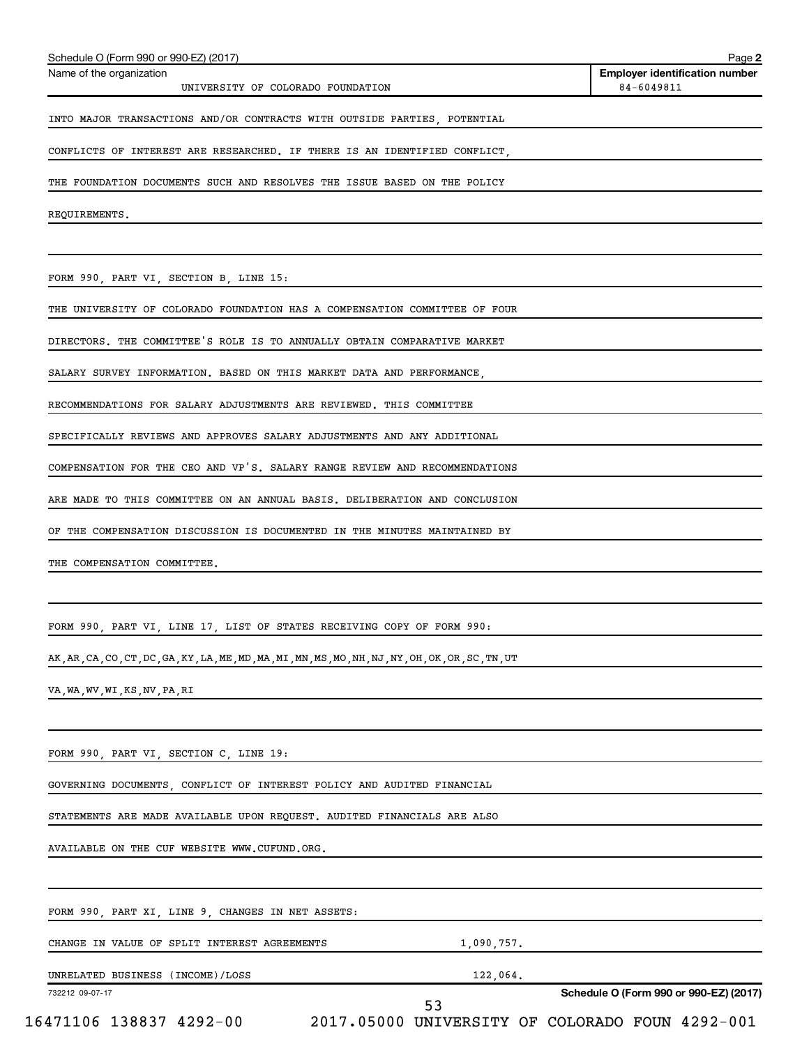| THE FOUNDATION DOCUMENTS SUCH AND RESOLVES THE ISSUE BASED ON THE POLICY                           |                                                                         |
|----------------------------------------------------------------------------------------------------|-------------------------------------------------------------------------|
| REQUIREMENTS.                                                                                      |                                                                         |
|                                                                                                    |                                                                         |
| FORM 990, PART VI, SECTION B, LINE 15:                                                             |                                                                         |
| THE UNIVERSITY OF COLORADO FOUNDATION HAS A COMPENSATION COMMITTEE OF FOUR                         |                                                                         |
| DIRECTORS. THE COMMITTEE'S ROLE IS TO ANNUALLY OBTAIN COMPARATIVE MARKET                           |                                                                         |
| SALARY SURVEY INFORMATION. BASED ON THIS MARKET DATA AND PERFORMANCE,                              |                                                                         |
| RECOMMENDATIONS FOR SALARY ADJUSTMENTS ARE REVIEWED. THIS COMMITTEE                                |                                                                         |
| SPECIFICALLY REVIEWS AND APPROVES SALARY ADJUSTMENTS AND ANY ADDITIONAL                            |                                                                         |
| COMPENSATION FOR THE CEO AND VP'S. SALARY RANGE REVIEW AND RECOMMENDATIONS                         |                                                                         |
| ARE MADE TO THIS COMMITTEE ON AN ANNUAL BASIS. DELIBERATION AND CONCLUSION                         |                                                                         |
| OF THE COMPENSATION DISCUSSION IS DOCUMENTED IN THE MINUTES MAINTAINED BY                          |                                                                         |
| THE COMPENSATION COMMITTEE.                                                                        |                                                                         |
|                                                                                                    |                                                                         |
| FORM 990, PART VI, LINE 17, LIST OF STATES RECEIVING COPY OF FORM 990:                             |                                                                         |
| AK, AR, CA, CO, CT, DC, GA, KY, LA, ME, MD, MA, MI, MN, MS, MO, NH, NJ, NY, OH, OK, OR, SC, TN, UT |                                                                         |
| VA, WA, WV, WI, KS, NV, PA, RI                                                                     |                                                                         |
|                                                                                                    |                                                                         |
| FORM 990, PART VI, SECTION C, LINE 19:                                                             |                                                                         |
| GOVERNING DOCUMENTS, CONFLICT OF INTEREST POLICY AND AUDITED FINANCIAL                             |                                                                         |
| STATEMENTS ARE MADE AVAILABLE UPON REQUEST. AUDITED FINANCIALS ARE ALSO                            |                                                                         |
| AVAILABLE ON THE CUF WEBSITE WWW.CUFUND.ORG.                                                       |                                                                         |
|                                                                                                    |                                                                         |
| FORM 990, PART XI, LINE 9, CHANGES IN NET ASSETS:                                                  |                                                                         |
| CHANGE IN VALUE OF SPLIT INTEREST AGREEMENTS                                                       | 1,090,757.                                                              |
| UNRELATED BUSINESS (INCOME)/LOSS                                                                   | 122,064.                                                                |
| 732212 09-07-17                                                                                    | Schedule O (Form 990 or 990-EZ) (2017)<br>53                            |
|                                                                                                    | 16471106 138837 4292-00 2017.05000 UNIVERSITY OF COLORADO FOUN 4292-001 |
|                                                                                                    |                                                                         |

Schedule O (Form 990 or 990-EZ) (2017)

Name of the organization

UNIVERSITY OF COLORADO FOUNDATION

INTO MAJOR TRANSACTIONS AND/OR CONTRACTS WITH OUTSIDE PARTIES, POTENTIAL

CONFLICTS OF INTEREST ARE RESEARCHED. IF THERE IS AN IDENTIFIED CONFLICT,

**2 Employer identification number**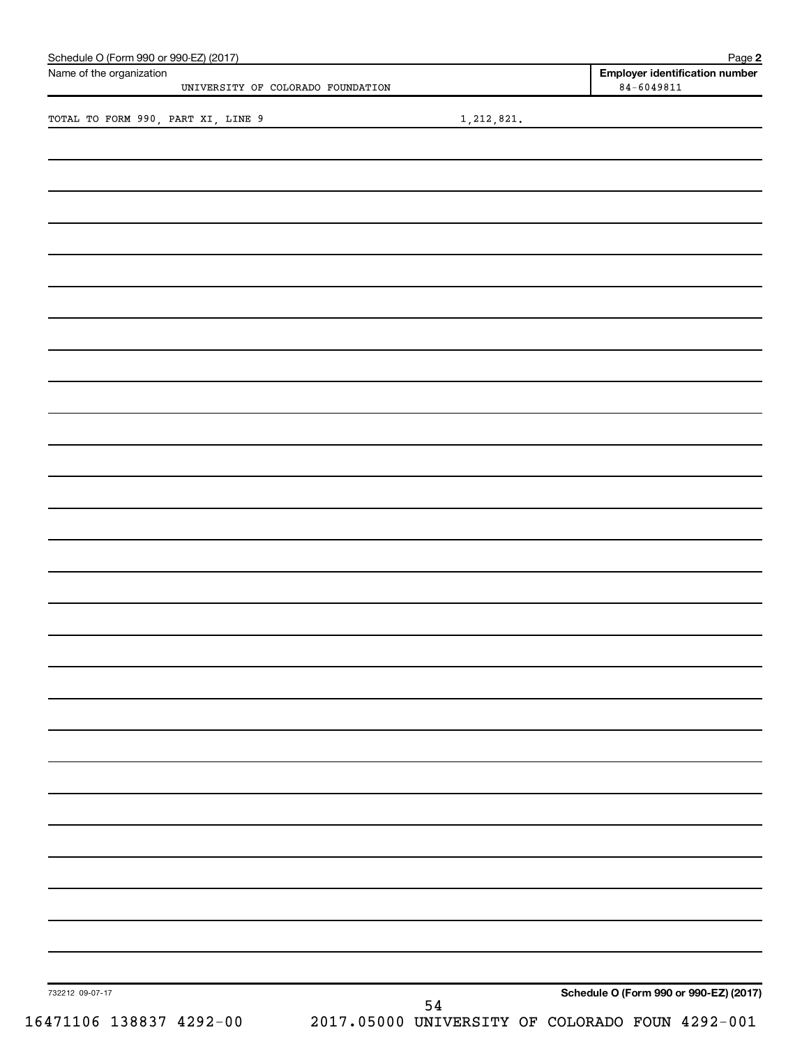| Name of the organization           | UNIVERSITY OF COLORADO FOUNDATION |            | <b>Employer identification number</b><br>$84 - 6049811$ |
|------------------------------------|-----------------------------------|------------|---------------------------------------------------------|
| TOTAL TO FORM 990, PART XI, LINE 9 |                                   | 1,212,821. |                                                         |
|                                    |                                   |            |                                                         |
|                                    |                                   |            |                                                         |
|                                    |                                   |            |                                                         |
|                                    |                                   |            |                                                         |
|                                    |                                   |            |                                                         |
|                                    |                                   |            |                                                         |
|                                    |                                   |            |                                                         |
|                                    |                                   |            |                                                         |
|                                    |                                   |            |                                                         |
|                                    |                                   |            |                                                         |
|                                    |                                   |            |                                                         |
|                                    |                                   |            |                                                         |
|                                    |                                   |            |                                                         |
|                                    |                                   |            |                                                         |
|                                    |                                   |            |                                                         |
|                                    |                                   |            |                                                         |
|                                    |                                   |            |                                                         |
|                                    |                                   |            |                                                         |
|                                    |                                   |            |                                                         |
|                                    |                                   |            |                                                         |
|                                    |                                   |            |                                                         |
|                                    |                                   |            |                                                         |
|                                    |                                   |            |                                                         |
|                                    |                                   |            |                                                         |
|                                    |                                   |            |                                                         |
|                                    |                                   |            |                                                         |
|                                    |                                   |            |                                                         |
|                                    |                                   |            |                                                         |
|                                    |                                   |            |                                                         |
|                                    |                                   |            |                                                         |
|                                    |                                   |            |                                                         |
|                                    |                                   |            |                                                         |
| 732212 09-07-17                    |                                   |            | Schedule O (Form 990 or 990-EZ) (2017)                  |
| 16471106 138837 4292-00            |                                   | 54         | 2017.05000 UNIVERSITY OF COLORADO FOUN 4292-001         |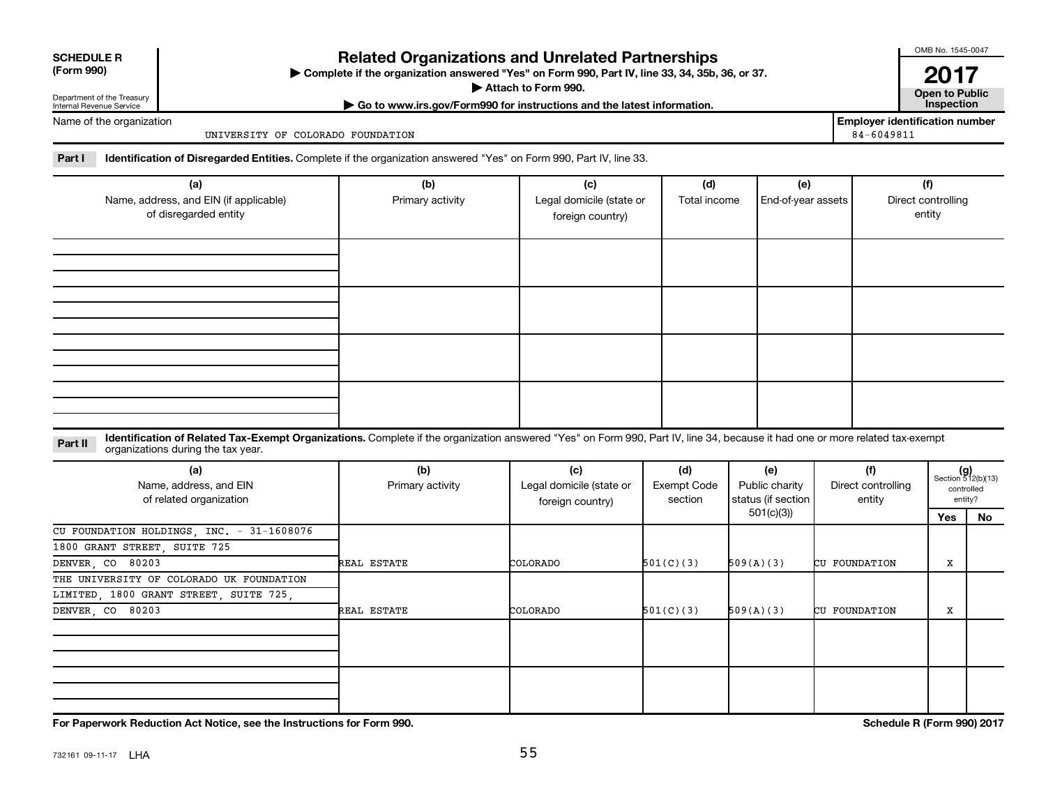| <b>SCHEDULE R</b> |  |  |
|-------------------|--|--|
|                   |  |  |

**Related Organizations and Unrelated Partnerships**

**(Form 990) Complete if the organization answered "Yes" on Form 990, Part IV, line 33, 34, 35b, 36, or 37.** |

▶ Attach to Form 990. **Open to Public** 

**| Go to www.irs.gov/Form990 for instructions and the latest information. Inspection**

OMB No. 1545-0047

**2017**<br>Open to Public

**Employer identification number**

Department of the Treasury Internal Revenue Service Name of the organization

UNIVERSITY OF COLORADO FOUNDATION 84-6049811

Part I ldentification of Disregarded Entities. Complete if the organization answered "Yes" on Form 990, Part IV, line 33.

| (a)<br>Name, address, and EIN (if applicable)<br>of disregarded entity | (b)<br>Primary activity | (c)<br>Legal domicile (state or<br>foreign country) | (d)<br>Total income | (e)<br>End-of-year assets | (f)<br>Direct controlling<br>entity |
|------------------------------------------------------------------------|-------------------------|-----------------------------------------------------|---------------------|---------------------------|-------------------------------------|
|                                                                        |                         |                                                     |                     |                           |                                     |
|                                                                        |                         |                                                     |                     |                           |                                     |
|                                                                        |                         |                                                     |                     |                           |                                     |
|                                                                        |                         |                                                     |                     |                           |                                     |

**Part II** Identification of Related Tax-Exempt Organizations. Complete if the organization answered "Yes" on Form 990, Part IV, line 34, because it had one or more related tax-exempt<br>Part II acconizations during the tax ye organizations during the tax year.

| (a)<br>Name, address, and EIN<br>of related organization | (b)<br>Primary activity | (c)<br>Legal domicile (state or<br>foreign country) | (d)<br>Exempt Code<br>section | (e)<br>Public charity<br>status (if section | (f)<br>Direct controlling<br>entity |     | $(g)$<br>Section 512(b)(13)<br>controlled<br>entity? |
|----------------------------------------------------------|-------------------------|-----------------------------------------------------|-------------------------------|---------------------------------------------|-------------------------------------|-----|------------------------------------------------------|
|                                                          |                         |                                                     |                               | 501(c)(3))                                  |                                     | Yes | No                                                   |
| CU FOUNDATION HOLDINGS, INC. - 31-1608076                |                         |                                                     |                               |                                             |                                     |     |                                                      |
| 1800 GRANT STREET, SUITE 725                             |                         |                                                     |                               |                                             |                                     |     |                                                      |
| DENVER, CO 80203                                         | REAL ESTATE             | COLORADO                                            | 501(C)(3)                     | 509(A)(3)                                   | CU FOUNDATION                       | x   |                                                      |
| THE UNIVERSITY OF COLORADO UK FOUNDATION                 |                         |                                                     |                               |                                             |                                     |     |                                                      |
| LIMITED, 1800 GRANT STREET, SUITE 725,                   |                         |                                                     |                               |                                             |                                     |     |                                                      |
| DENVER, CO 80203                                         | REAL ESTATE             | COLORADO                                            | 501(C)(3)                     | 509(A)(3)                                   | CU FOUNDATION                       | X   |                                                      |
|                                                          |                         |                                                     |                               |                                             |                                     |     |                                                      |
|                                                          |                         |                                                     |                               |                                             |                                     |     |                                                      |
|                                                          |                         |                                                     |                               |                                             |                                     |     |                                                      |
|                                                          |                         |                                                     |                               |                                             |                                     |     |                                                      |

**For Paperwork Reduction Act Notice, see the Instructions for Form 990. Schedule R (Form 990) 2017**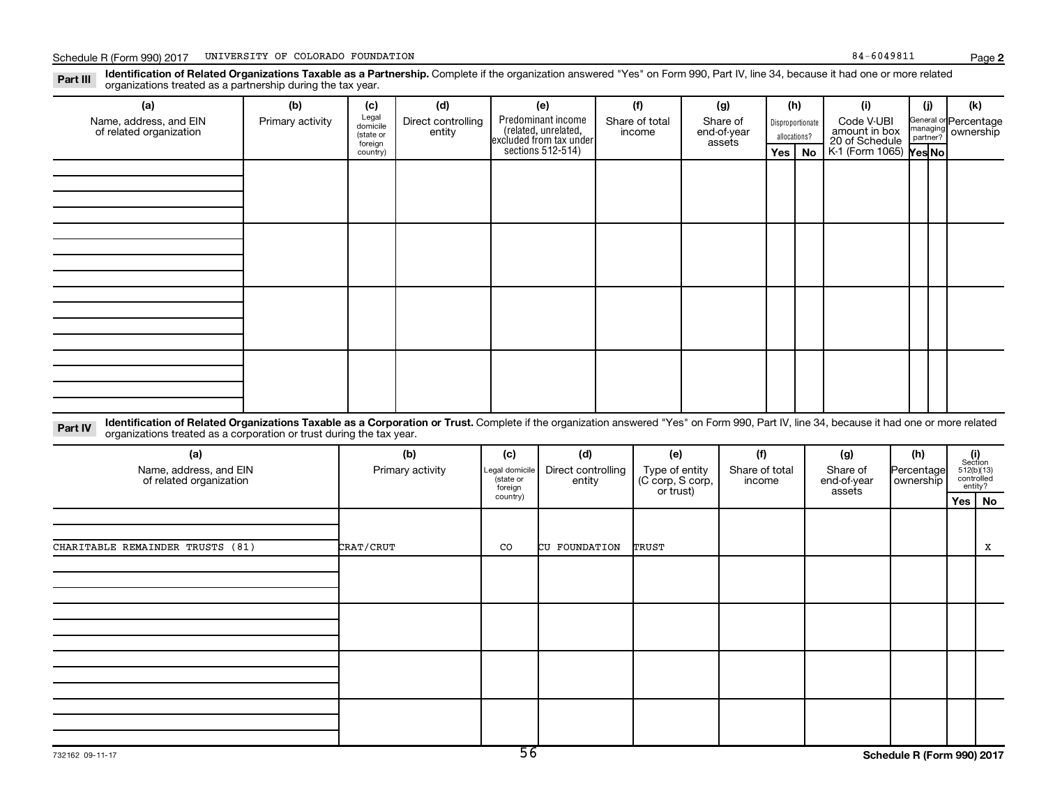Part III Identification of Related Organizations Taxable as a Partnership. Complete if the organization answered "Yes" on Form 990, Part IV, line 34, because it had one or more related<br>Part III International tracted as a p organizations treated as a partnership during the tax year.

| (a)                                                                                                                                                                                                                                                                         | (b)              | (c)                                       | (d)                          | (e)                                                                   | (f)                      | (g)                               | (h)              |              | (i)                                           | (i)          | (k)                                         |
|-----------------------------------------------------------------------------------------------------------------------------------------------------------------------------------------------------------------------------------------------------------------------------|------------------|-------------------------------------------|------------------------------|-----------------------------------------------------------------------|--------------------------|-----------------------------------|------------------|--------------|-----------------------------------------------|--------------|---------------------------------------------|
| Name, address, and EIN<br>of related organization                                                                                                                                                                                                                           | Primary activity | Legal<br>domicile<br>(state or<br>foreign | Direct controlling<br>entity | Predominant income<br>(related, unrelated,<br>excluded from tax under | Share of total<br>income | Share of<br>end-of-year<br>assets | Disproportionate | allocations? | Code V-UBI<br>amount in box<br>20 of Schedule |              | General or Percentage<br>managing ownership |
|                                                                                                                                                                                                                                                                             |                  | country)                                  |                              | sections 512-514)                                                     |                          |                                   | Yes              | <b>No</b>    | K-1 (Form 1065)                               | Yes No       |                                             |
|                                                                                                                                                                                                                                                                             |                  |                                           |                              |                                                                       |                          |                                   |                  |              |                                               |              |                                             |
|                                                                                                                                                                                                                                                                             |                  |                                           |                              |                                                                       |                          |                                   |                  |              |                                               |              |                                             |
|                                                                                                                                                                                                                                                                             |                  |                                           |                              |                                                                       |                          |                                   |                  |              |                                               |              |                                             |
|                                                                                                                                                                                                                                                                             |                  |                                           |                              |                                                                       |                          |                                   |                  |              |                                               |              |                                             |
|                                                                                                                                                                                                                                                                             |                  |                                           |                              |                                                                       |                          |                                   |                  |              |                                               |              |                                             |
|                                                                                                                                                                                                                                                                             |                  |                                           |                              |                                                                       |                          |                                   |                  |              |                                               |              |                                             |
|                                                                                                                                                                                                                                                                             |                  |                                           |                              |                                                                       |                          |                                   |                  |              |                                               |              |                                             |
|                                                                                                                                                                                                                                                                             |                  |                                           |                              |                                                                       |                          |                                   |                  |              |                                               |              |                                             |
|                                                                                                                                                                                                                                                                             |                  |                                           |                              |                                                                       |                          |                                   |                  |              |                                               |              |                                             |
|                                                                                                                                                                                                                                                                             |                  |                                           |                              |                                                                       |                          |                                   |                  |              |                                               |              |                                             |
|                                                                                                                                                                                                                                                                             |                  |                                           |                              |                                                                       |                          |                                   |                  |              |                                               |              |                                             |
|                                                                                                                                                                                                                                                                             |                  |                                           |                              |                                                                       |                          |                                   |                  |              |                                               |              |                                             |
|                                                                                                                                                                                                                                                                             |                  |                                           |                              |                                                                       |                          |                                   |                  |              |                                               |              |                                             |
|                                                                                                                                                                                                                                                                             |                  |                                           |                              |                                                                       |                          |                                   |                  |              |                                               |              |                                             |
|                                                                                                                                                                                                                                                                             |                  |                                           |                              |                                                                       |                          |                                   |                  |              |                                               |              |                                             |
|                                                                                                                                                                                                                                                                             |                  |                                           |                              |                                                                       |                          |                                   |                  |              |                                               |              |                                             |
| Identification of Related Organizations Taxable as a Corporation or Trust. Complete if the organization answered "Yes" on Form 990, Part IV, line 34, because it had one or more related<br>Part IV<br>organizations treated as a corporation or trust during the tax year. |                  |                                           |                              |                                                                       |                          |                                   |                  |              |                                               |              |                                             |
| $\sim$                                                                                                                                                                                                                                                                      |                  |                                           | $\mathbf{L}$                 | $\mathbf{L}$<br>$\mathbf{L}$                                          | $\mathbf{L}$             | $\mathbf{f}$                      |                  |              | $\mathbf{L}$                                  | $\mathbf{L}$ | $\mathbf{f}$                                |

| (a)<br>Name, address, and EIN<br>of related organization | (b)<br>Primary activity | (c)<br>Legal domicile<br>(state or<br>foreign | (d)<br>Direct controlling<br>entity | (e)<br>Type of entity<br>(C corp, S corp,<br>or trust) | (f)<br>Share of total<br>income | (g)<br>Share of<br>end-of-year<br>assets | (h)<br>Percentage<br>ownership |          | $\begin{array}{c} \textbf{(i)}\\ \text{Section}\\ 512 \text{(b)} \text{(13)}\\ \text{controlled} \\ \text{entity?} \end{array}$ |
|----------------------------------------------------------|-------------------------|-----------------------------------------------|-------------------------------------|--------------------------------------------------------|---------------------------------|------------------------------------------|--------------------------------|----------|---------------------------------------------------------------------------------------------------------------------------------|
|                                                          |                         | country)                                      |                                     |                                                        |                                 |                                          |                                | Yes   No |                                                                                                                                 |
| CHARITABLE REMAINDER TRUSTS (81)                         | CRAT/CRUT               | CO                                            | CU FOUNDATION                       | TRUST                                                  |                                 |                                          |                                |          | x                                                                                                                               |
|                                                          |                         |                                               |                                     |                                                        |                                 |                                          |                                |          |                                                                                                                                 |
|                                                          |                         |                                               |                                     |                                                        |                                 |                                          |                                |          |                                                                                                                                 |
|                                                          |                         |                                               |                                     |                                                        |                                 |                                          |                                |          |                                                                                                                                 |
|                                                          |                         |                                               |                                     |                                                        |                                 |                                          |                                |          |                                                                                                                                 |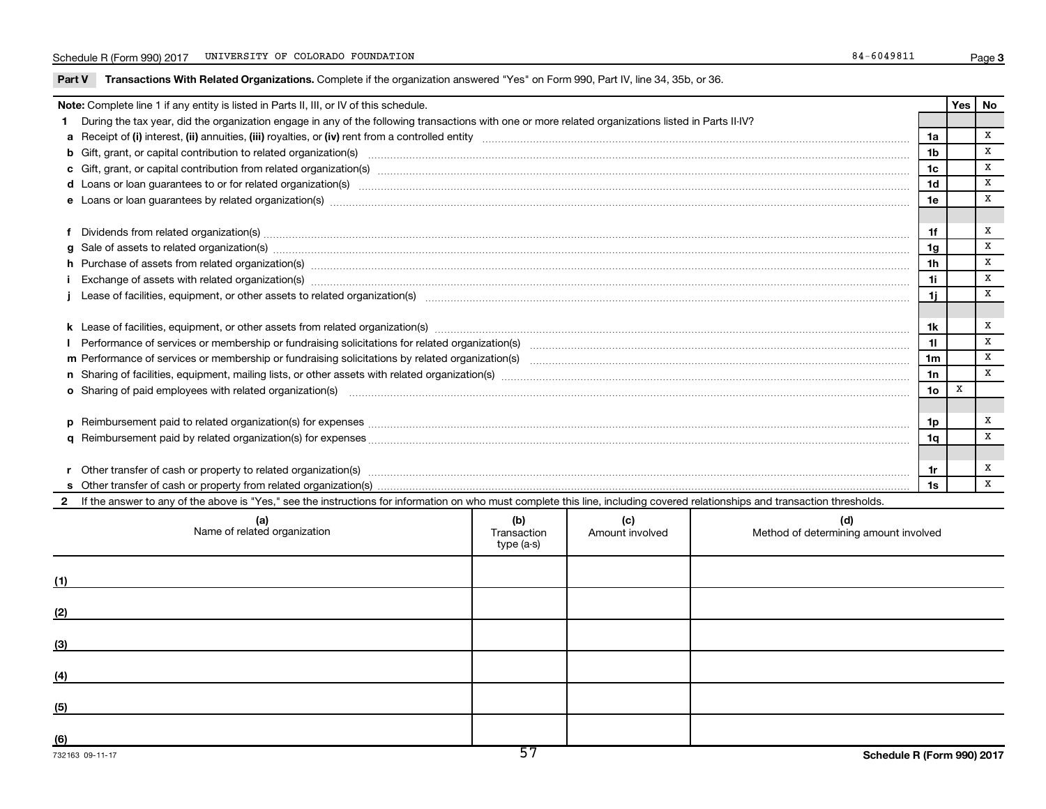Part V Transactions With Related Organizations. Complete if the organization answered "Yes" on Form 990, Part IV, line 34, 35b, or 36.

| Note: Complete line 1 if any entity is listed in Parts II, III, or IV of this schedule.                                                                                                                                                                                                                                                                                   |                                                                                                                                                                                                                                |  |  |  |                 |   |              |  |
|---------------------------------------------------------------------------------------------------------------------------------------------------------------------------------------------------------------------------------------------------------------------------------------------------------------------------------------------------------------------------|--------------------------------------------------------------------------------------------------------------------------------------------------------------------------------------------------------------------------------|--|--|--|-----------------|---|--------------|--|
|                                                                                                                                                                                                                                                                                                                                                                           | During the tax year, did the organization engage in any of the following transactions with one or more related organizations listed in Parts II-IV?                                                                            |  |  |  |                 |   |              |  |
|                                                                                                                                                                                                                                                                                                                                                                           |                                                                                                                                                                                                                                |  |  |  | 1a              |   | $\mathbf{x}$ |  |
|                                                                                                                                                                                                                                                                                                                                                                           | b Gift, grant, or capital contribution to related organization(s) manufaction contribution to related organization(s)                                                                                                          |  |  |  | 1b              |   | X            |  |
|                                                                                                                                                                                                                                                                                                                                                                           |                                                                                                                                                                                                                                |  |  |  | 1c              |   | X            |  |
|                                                                                                                                                                                                                                                                                                                                                                           | d Loans or loan guarantees to or for related organization(s) www.communically.com/www.communically.com/www.communically.com/www.communically.com/www.communically.com/www.communically.com/www.communically.com/www.communical |  |  |  | 1 <sub>d</sub>  |   | X            |  |
|                                                                                                                                                                                                                                                                                                                                                                           |                                                                                                                                                                                                                                |  |  |  |                 |   |              |  |
|                                                                                                                                                                                                                                                                                                                                                                           |                                                                                                                                                                                                                                |  |  |  |                 |   |              |  |
|                                                                                                                                                                                                                                                                                                                                                                           |                                                                                                                                                                                                                                |  |  |  | 1f              |   | x            |  |
| Dividends from related organization(s) CONSECTED AND RESEARCH CONSERVERSION CONTROL CONTROL CONTROL CONTROL CONTROL CONTROL CONTROL CONTROL CONTROL CONTROL CONTROL CONTROL CONTROL CONTROL CONTROL CONTROL CONTROL CONTROL CO                                                                                                                                            |                                                                                                                                                                                                                                |  |  |  |                 |   | X            |  |
|                                                                                                                                                                                                                                                                                                                                                                           |                                                                                                                                                                                                                                |  |  |  | 1 <sub>h</sub>  |   | $\mathbf{x}$ |  |
| h Purchase of assets from related organization(s) manufactured content to content the content of an analyzing content of a state or content of a state or content of a state or content of a state or content of a state or co<br>Exchange of assets with related organization(s) manufactured and content and content and content of assets with related organization(s) |                                                                                                                                                                                                                                |  |  |  |                 |   | X            |  |
| 1j                                                                                                                                                                                                                                                                                                                                                                        |                                                                                                                                                                                                                                |  |  |  |                 |   | $\mathbf{x}$ |  |
|                                                                                                                                                                                                                                                                                                                                                                           |                                                                                                                                                                                                                                |  |  |  |                 |   |              |  |
|                                                                                                                                                                                                                                                                                                                                                                           |                                                                                                                                                                                                                                |  |  |  |                 |   |              |  |
|                                                                                                                                                                                                                                                                                                                                                                           |                                                                                                                                                                                                                                |  |  |  | 11              |   | $\, {\bf X}$ |  |
|                                                                                                                                                                                                                                                                                                                                                                           |                                                                                                                                                                                                                                |  |  |  | 1 <sub>m</sub>  |   | $\mathbf{x}$ |  |
|                                                                                                                                                                                                                                                                                                                                                                           |                                                                                                                                                                                                                                |  |  |  | 1n              |   | $\mathbf x$  |  |
|                                                                                                                                                                                                                                                                                                                                                                           | o Sharing of paid employees with related organization(s) material contents and content to the star of paid employees with related organization(s) material contents and the star of the star of the star of the star of the st |  |  |  | 10 <sub>o</sub> | x |              |  |
|                                                                                                                                                                                                                                                                                                                                                                           |                                                                                                                                                                                                                                |  |  |  |                 |   |              |  |
|                                                                                                                                                                                                                                                                                                                                                                           |                                                                                                                                                                                                                                |  |  |  | 1p              |   | x            |  |
|                                                                                                                                                                                                                                                                                                                                                                           |                                                                                                                                                                                                                                |  |  |  | 1q              |   | X            |  |
|                                                                                                                                                                                                                                                                                                                                                                           |                                                                                                                                                                                                                                |  |  |  |                 |   |              |  |
|                                                                                                                                                                                                                                                                                                                                                                           | r Other transfer of cash or property to related organization(s) manufaction contains and contains and contains and contains and contains and contains and contains and contains and contains and contains and contains and con |  |  |  | 1r              |   | x            |  |
|                                                                                                                                                                                                                                                                                                                                                                           |                                                                                                                                                                                                                                |  |  |  | 1s              |   | $\mathbf{x}$ |  |
| 2 If the answer to any of the above is "Yes," see the instructions for information on who must complete this line, including covered relationships and transaction thresholds.                                                                                                                                                                                            |                                                                                                                                                                                                                                |  |  |  |                 |   |              |  |
|                                                                                                                                                                                                                                                                                                                                                                           | (b)<br>(c)<br>(d)<br>(a)<br>Name of related organization<br>Transaction<br>Amount involved<br>Method of determining amount involved<br>type (a-s)                                                                              |  |  |  |                 |   |              |  |

| (1) |  |  |
|-----|--|--|
| (2) |  |  |
| (3) |  |  |
| (4) |  |  |
| (5) |  |  |
| (6) |  |  |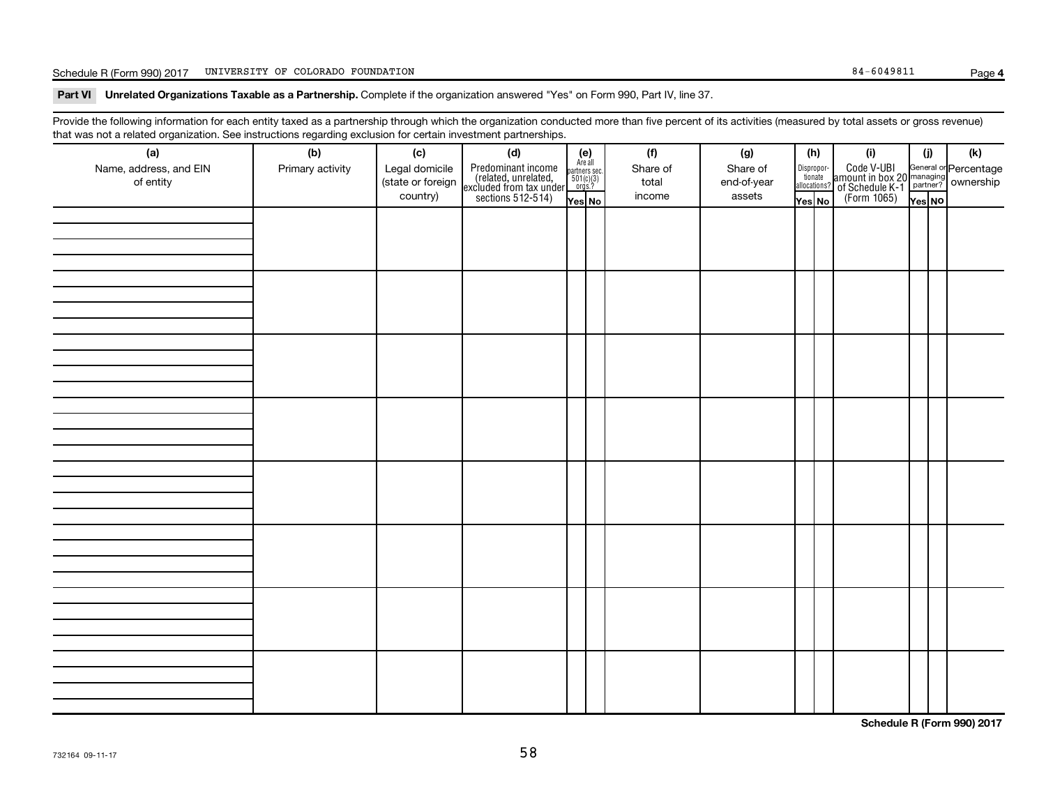#### Schedule R (Form 990) 2017 UNIVERSITY OF COLORADO FOUNDATION **Page 1966** 1976 1986 1987 1988 1988 1989 1989 1989 1

**4**

Part VI Unrelated Organizations Taxable as a Partnership. Complete if the organization answered "Yes" on Form 990, Part IV, line 37.

Provide the following information for each entity taxed as a partnership through which the organization conducted more than five percent of its activities (measured by total assets or gross revenue) that was not a related organization. See instructions regarding exclusion for certain investment partnerships.

| hat neo hot a rolatod organization. Ooo motraotiono rogaranty oxolaolon for oortam invootmont partnolompo.<br>(a) | (b)              | (c)                                             | (d)                                                                                        |                                                                    | (f)                         | (g)                               |  | (h)    | (i)                                                                                                                                             | (i)    | (k) |
|-------------------------------------------------------------------------------------------------------------------|------------------|-------------------------------------------------|--------------------------------------------------------------------------------------------|--------------------------------------------------------------------|-----------------------------|-----------------------------------|--|--------|-------------------------------------------------------------------------------------------------------------------------------------------------|--------|-----|
| Name, address, and EIN<br>of entity                                                                               | Primary activity | Legal domicile<br>(state or foreign<br>country) | Predominant income<br>(related, unrelated,<br>excluded from tax under<br>sections 512-514) | (e)<br>Are all<br>partners sec.<br>$501(c)(3)$<br>orgs.?<br>Yes No | Share of<br>total<br>income | Share of<br>end-of-year<br>assets |  | Yes No | Dispropor-<br>Code V-UBI<br>allocations? annount in box 20 managing<br>allocations? of Schedule K-1<br>Yes No<br>Tes No<br>Corm 1065)<br>Tes No | Yes NO |     |
|                                                                                                                   |                  |                                                 |                                                                                            |                                                                    |                             |                                   |  |        |                                                                                                                                                 |        |     |
|                                                                                                                   |                  |                                                 |                                                                                            |                                                                    |                             |                                   |  |        |                                                                                                                                                 |        |     |
|                                                                                                                   |                  |                                                 |                                                                                            |                                                                    |                             |                                   |  |        |                                                                                                                                                 |        |     |
|                                                                                                                   |                  |                                                 |                                                                                            |                                                                    |                             |                                   |  |        |                                                                                                                                                 |        |     |
|                                                                                                                   |                  |                                                 |                                                                                            |                                                                    |                             |                                   |  |        |                                                                                                                                                 |        |     |
|                                                                                                                   |                  |                                                 |                                                                                            |                                                                    |                             |                                   |  |        |                                                                                                                                                 |        |     |
|                                                                                                                   |                  |                                                 |                                                                                            |                                                                    |                             |                                   |  |        |                                                                                                                                                 |        |     |
|                                                                                                                   |                  |                                                 |                                                                                            |                                                                    |                             |                                   |  |        |                                                                                                                                                 |        |     |
|                                                                                                                   |                  |                                                 |                                                                                            |                                                                    |                             |                                   |  |        |                                                                                                                                                 |        |     |
|                                                                                                                   |                  |                                                 |                                                                                            |                                                                    |                             |                                   |  |        |                                                                                                                                                 |        |     |
|                                                                                                                   |                  |                                                 |                                                                                            |                                                                    |                             |                                   |  |        |                                                                                                                                                 |        |     |
|                                                                                                                   |                  |                                                 |                                                                                            |                                                                    |                             |                                   |  |        |                                                                                                                                                 |        |     |
|                                                                                                                   |                  |                                                 |                                                                                            |                                                                    |                             |                                   |  |        |                                                                                                                                                 |        |     |
|                                                                                                                   |                  |                                                 |                                                                                            |                                                                    |                             |                                   |  |        |                                                                                                                                                 |        |     |
|                                                                                                                   |                  |                                                 |                                                                                            |                                                                    |                             |                                   |  |        |                                                                                                                                                 |        |     |
|                                                                                                                   |                  |                                                 |                                                                                            |                                                                    |                             |                                   |  |        |                                                                                                                                                 |        |     |
|                                                                                                                   |                  |                                                 |                                                                                            |                                                                    |                             |                                   |  |        |                                                                                                                                                 |        |     |
|                                                                                                                   |                  |                                                 |                                                                                            |                                                                    |                             |                                   |  |        |                                                                                                                                                 |        |     |
|                                                                                                                   |                  |                                                 |                                                                                            |                                                                    |                             |                                   |  |        |                                                                                                                                                 |        |     |
|                                                                                                                   |                  |                                                 |                                                                                            |                                                                    |                             |                                   |  |        |                                                                                                                                                 |        |     |
|                                                                                                                   |                  |                                                 |                                                                                            |                                                                    |                             |                                   |  |        |                                                                                                                                                 |        |     |
|                                                                                                                   |                  |                                                 |                                                                                            |                                                                    |                             |                                   |  |        |                                                                                                                                                 |        |     |
|                                                                                                                   |                  |                                                 |                                                                                            |                                                                    |                             |                                   |  |        |                                                                                                                                                 |        |     |
|                                                                                                                   |                  |                                                 |                                                                                            |                                                                    |                             |                                   |  |        |                                                                                                                                                 |        |     |
|                                                                                                                   |                  |                                                 |                                                                                            |                                                                    |                             |                                   |  |        |                                                                                                                                                 |        |     |
|                                                                                                                   |                  |                                                 |                                                                                            |                                                                    |                             |                                   |  |        |                                                                                                                                                 |        |     |
|                                                                                                                   |                  |                                                 |                                                                                            |                                                                    |                             |                                   |  |        |                                                                                                                                                 |        |     |
|                                                                                                                   |                  |                                                 |                                                                                            |                                                                    |                             |                                   |  |        |                                                                                                                                                 |        |     |
|                                                                                                                   |                  |                                                 |                                                                                            |                                                                    |                             |                                   |  |        |                                                                                                                                                 |        |     |

**Schedule R (Form 990) 2017**